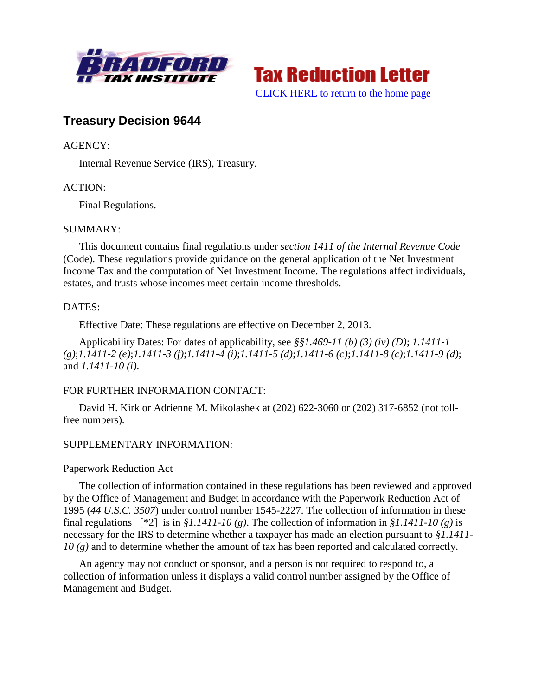



# **Treasury Decision 9644**

# AGENCY:

Internal Revenue Service (IRS), Treasury.

# ACTION:

Final Regulations.

# SUMMARY:

This document contains final regulations under *section 1411 of the Internal Revenue Code* (Code). These regulations provide guidance on the general application of the Net Investment Income Tax and the computation of Net Investment Income. The regulations affect individuals, estates, and trusts whose incomes meet certain income thresholds.

# DATES:

Effective Date: These regulations are effective on December 2, 2013.

Applicability Dates: For dates of applicability, see *§§1.469-11 (b) (3) (iv) (D)*; *1.1411-1 (g)*;*1.1411-2 (e)*;*1.1411-3 (f)*;*1.1411-4 (i)*;*1.1411-5 (d)*;*1.1411-6 (c)*;*1.1411-8 (c)*;*1.1411-9 (d)*; and *1.1411-10 (i)*.

# FOR FURTHER INFORMATION CONTACT:

David H. Kirk or Adrienne M. Mikolashek at (202) 622-3060 or (202) 317-6852 (not tollfree numbers).

# SUPPLEMENTARY INFORMATION:

# Paperwork Reduction Act

The collection of information contained in these regulations has been reviewed and approved by the Office of Management and Budget in accordance with the Paperwork Reduction Act of 1995 (*44 U.S.C. 3507*) under control number 1545-2227. The collection of information in these final regulations  $[ *2]$  is in  $$1.1411-10(g)$ . The collection of information in  $$1.1411-10(g)$  is necessary for the IRS to determine whether a taxpayer has made an election pursuant to *§1.1411- 10 (g)* and to determine whether the amount of tax has been reported and calculated correctly.

An agency may not conduct or sponsor, and a person is not required to respond to, a collection of information unless it displays a valid control number assigned by the Office of Management and Budget.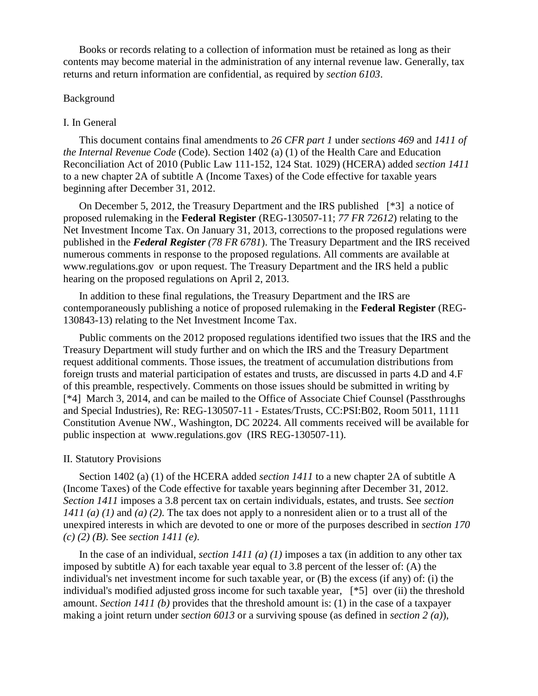Books or records relating to a collection of information must be retained as long as their contents may become material in the administration of any internal revenue law. Generally, tax returns and return information are confidential, as required by *section 6103*.

#### Background

### I. In General

This document contains final amendments to *26 CFR part 1* under *sections 469* and *1411 of the Internal Revenue Code* (Code). Section 1402 (a) (1) of the Health Care and Education Reconciliation Act of 2010 (Public Law 111-152, 124 Stat. 1029) (HCERA) added *section 1411* to a new chapter 2A of subtitle A (Income Taxes) of the Code effective for taxable years beginning after December 31, 2012.

On December 5, 2012, the Treasury Department and the IRS published [\*3] a notice of proposed rulemaking in the **Federal Register** (REG-130507-11; *77 FR 72612*) relating to the Net Investment Income Tax. On January 31, 2013, corrections to the proposed regulations were published in the *Federal Register (78 FR 6781*). The Treasury Department and the IRS received numerous comments in response to the proposed regulations. All comments are available at www.regulations.gov or upon request. The Treasury Department and the IRS held a public hearing on the proposed regulations on April 2, 2013.

In addition to these final regulations, the Treasury Department and the IRS are contemporaneously publishing a notice of proposed rulemaking in the **Federal Register** (REG-130843-13) relating to the Net Investment Income Tax.

Public comments on the 2012 proposed regulations identified two issues that the IRS and the Treasury Department will study further and on which the IRS and the Treasury Department request additional comments. Those issues, the treatment of accumulation distributions from foreign trusts and material participation of estates and trusts, are discussed in parts 4.D and 4.F of this preamble, respectively. Comments on those issues should be submitted in writing by [\*4] March 3, 2014, and can be mailed to the Office of Associate Chief Counsel (Passthroughs and Special Industries), Re: REG-130507-11 - Estates/Trusts, CC:PSI:B02, Room 5011, 1111 Constitution Avenue NW., Washington, DC 20224. All comments received will be available for public inspection at www.regulations.gov (IRS REG-130507-11).

### II. Statutory Provisions

Section 1402 (a) (1) of the HCERA added *section 1411* to a new chapter 2A of subtitle A (Income Taxes) of the Code effective for taxable years beginning after December 31, 2012. *Section 1411* imposes a 3.8 percent tax on certain individuals, estates, and trusts. See *section 1411 (a) (1)* and *(a) (2)*. The tax does not apply to a nonresident alien or to a trust all of the unexpired interests in which are devoted to one or more of the purposes described in *section 170 (c) (2) (B)*. See *section 1411 (e)*.

In the case of an individual, *section 1411 (a) (1)* imposes a tax (in addition to any other tax imposed by subtitle A) for each taxable year equal to 3.8 percent of the lesser of: (A) the individual's net investment income for such taxable year, or (B) the excess (if any) of: (i) the individual's modified adjusted gross income for such taxable year, [\*5] over (ii) the threshold amount. *Section 1411 (b)* provides that the threshold amount is: (1) in the case of a taxpayer making a joint return under *section 6013* or a surviving spouse (as defined in *section 2 (a)*),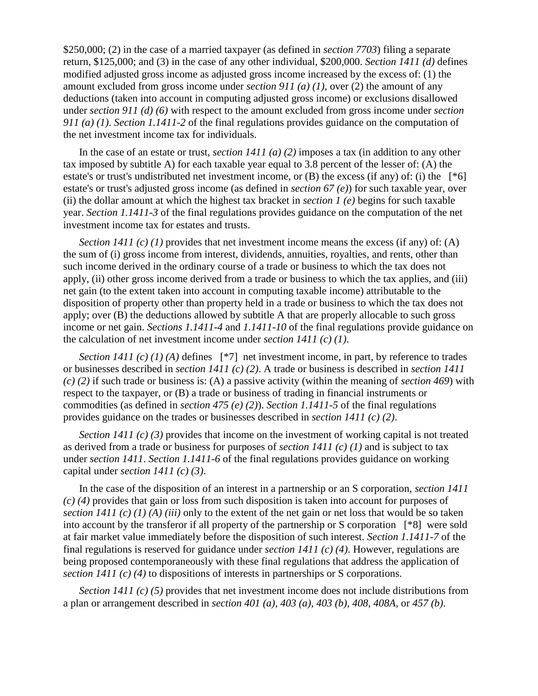\$250,000; (2) in the case of a married taxpayer (as defined in *section 7703*) filing a separate return, \$125,000; and (3) in the case of any other individual, \$200,000. *Section 1411 (d)* defines modified adjusted gross income as adjusted gross income increased by the excess of: (1) the amount excluded from gross income under *section 911 (a) (1)*, over (2) the amount of any deductions (taken into account in computing adjusted gross income) or exclusions disallowed under *section 911 (d) (6)* with respect to the amount excluded from gross income under *section 911 (a) (1)*. *Section 1.1411-2* of the final regulations provides guidance on the computation of the net investment income tax for individuals.

In the case of an estate or trust, *section 1411 (a) (2)* imposes a tax (in addition to any other tax imposed by subtitle A) for each taxable year equal to 3.8 percent of the lesser of: (A) the estate's or trust's undistributed net investment income, or (B) the excess (if any) of: (i) the [\*6] estate's or trust's adjusted gross income (as defined in *section 67 (e)*) for such taxable year, over (ii) the dollar amount at which the highest tax bracket in *section 1 (e)* begins for such taxable year. *Section 1.1411-3* of the final regulations provides guidance on the computation of the net investment income tax for estates and trusts.

*Section 1411 (c) (1)* provides that net investment income means the excess (if any) of: (A) the sum of (i) gross income from interest, dividends, annuities, royalties, and rents, other than such income derived in the ordinary course of a trade or business to which the tax does not apply, (ii) other gross income derived from a trade or business to which the tax applies, and (iii) net gain (to the extent taken into account in computing taxable income) attributable to the disposition of property other than property held in a trade or business to which the tax does not apply; over (B) the deductions allowed by subtitle A that are properly allocable to such gross income or net gain. *Sections 1.1411-4* and *1.1411-10* of the final regulations provide guidance on the calculation of net investment income under *section 1411 (c) (1)*.

*Section 1411 (c) (1) (A)* defines [\*7] net investment income, in part, by reference to trades or businesses described in *section 1411 (c) (2)*. A trade or business is described in *section 1411 (c) (2)* if such trade or business is: (A) a passive activity (within the meaning of *section 469*) with respect to the taxpayer, or (B) a trade or business of trading in financial instruments or commodities (as defined in *section 475 (e) (2)*). *Section 1.1411-5* of the final regulations provides guidance on the trades or businesses described in *section 1411 (c) (2)*.

*Section 1411 (c) (3)* provides that income on the investment of working capital is not treated as derived from a trade or business for purposes of *section 1411 (c) (1)* and is subject to tax under *section 1411*. *Section 1.1411-6* of the final regulations provides guidance on working capital under *section 1411 (c) (3)*.

In the case of the disposition of an interest in a partnership or an S corporation, *section 1411 (c) (4)* provides that gain or loss from such disposition is taken into account for purposes of *section 1411 (c) (1) (A) (iii)* only to the extent of the net gain or net loss that would be so taken into account by the transferor if all property of the partnership or S corporation [\*8] were sold at fair market value immediately before the disposition of such interest. *Section 1.1411-7* of the final regulations is reserved for guidance under *section 1411 (c) (4)*. However, regulations are being proposed contemporaneously with these final regulations that address the application of *section 1411 (c) (4)* to dispositions of interests in partnerships or S corporations.

*Section 1411 (c) (5)* provides that net investment income does not include distributions from a plan or arrangement described in *section 401 (a)*, *403 (a)*, *403 (b)*, *408*, *408A*, or *457 (b)*.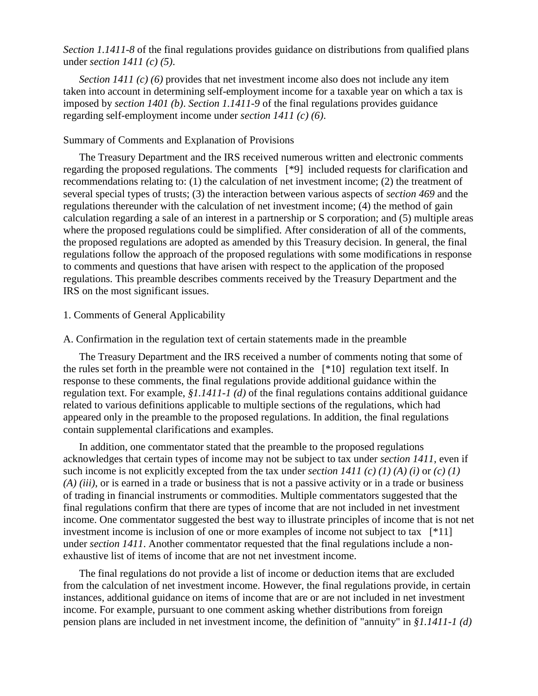*Section 1.1411-8* of the final regulations provides guidance on distributions from qualified plans under *section 1411 (c) (5)*.

*Section 1411 (c) (6)* provides that net investment income also does not include any item taken into account in determining self-employment income for a taxable year on which a tax is imposed by *section 1401 (b)*. *Section 1.1411-9* of the final regulations provides guidance regarding self-employment income under *section 1411 (c) (6)*.

### Summary of Comments and Explanation of Provisions

The Treasury Department and the IRS received numerous written and electronic comments regarding the proposed regulations. The comments [\*9] included requests for clarification and recommendations relating to: (1) the calculation of net investment income; (2) the treatment of several special types of trusts; (3) the interaction between various aspects of *section 469* and the regulations thereunder with the calculation of net investment income; (4) the method of gain calculation regarding a sale of an interest in a partnership or S corporation; and (5) multiple areas where the proposed regulations could be simplified. After consideration of all of the comments, the proposed regulations are adopted as amended by this Treasury decision. In general, the final regulations follow the approach of the proposed regulations with some modifications in response to comments and questions that have arisen with respect to the application of the proposed regulations. This preamble describes comments received by the Treasury Department and the IRS on the most significant issues.

### 1. Comments of General Applicability

#### A. Confirmation in the regulation text of certain statements made in the preamble

The Treasury Department and the IRS received a number of comments noting that some of the rules set forth in the preamble were not contained in the [\*10] regulation text itself. In response to these comments, the final regulations provide additional guidance within the regulation text. For example, *§1.1411-1 (d)* of the final regulations contains additional guidance related to various definitions applicable to multiple sections of the regulations, which had appeared only in the preamble to the proposed regulations. In addition, the final regulations contain supplemental clarifications and examples.

In addition, one commentator stated that the preamble to the proposed regulations acknowledges that certain types of income may not be subject to tax under *section 1411*, even if such income is not explicitly excepted from the tax under *section 1411 (c) (1) (A) (i)* or  $(c)$  (1) *(A) (iii)*, or is earned in a trade or business that is not a passive activity or in a trade or business of trading in financial instruments or commodities. Multiple commentators suggested that the final regulations confirm that there are types of income that are not included in net investment income. One commentator suggested the best way to illustrate principles of income that is not net investment income is inclusion of one or more examples of income not subject to tax [\*11] under *section 1411*. Another commentator requested that the final regulations include a nonexhaustive list of items of income that are not net investment income.

The final regulations do not provide a list of income or deduction items that are excluded from the calculation of net investment income. However, the final regulations provide, in certain instances, additional guidance on items of income that are or are not included in net investment income. For example, pursuant to one comment asking whether distributions from foreign pension plans are included in net investment income, the definition of "annuity" in *§1.1411-1 (d)*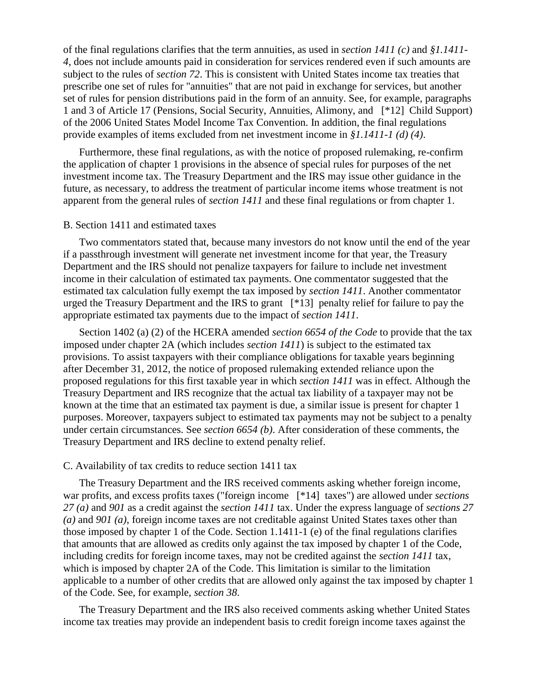of the final regulations clarifies that the term annuities, as used in *section 1411 (c)* and *§1.1411- 4*, does not include amounts paid in consideration for services rendered even if such amounts are subject to the rules of *section 72*. This is consistent with United States income tax treaties that prescribe one set of rules for "annuities" that are not paid in exchange for services, but another set of rules for pension distributions paid in the form of an annuity. See, for example, paragraphs 1 and 3 of Article 17 (Pensions, Social Security, Annuities, Alimony, and [\*12] Child Support) of the 2006 United States Model Income Tax Convention. In addition, the final regulations provide examples of items excluded from net investment income in *§1.1411-1 (d) (4)*.

Furthermore, these final regulations, as with the notice of proposed rulemaking, re-confirm the application of chapter 1 provisions in the absence of special rules for purposes of the net investment income tax. The Treasury Department and the IRS may issue other guidance in the future, as necessary, to address the treatment of particular income items whose treatment is not apparent from the general rules of *section 1411* and these final regulations or from chapter 1.

#### B. Section 1411 and estimated taxes

Two commentators stated that, because many investors do not know until the end of the year if a passthrough investment will generate net investment income for that year, the Treasury Department and the IRS should not penalize taxpayers for failure to include net investment income in their calculation of estimated tax payments. One commentator suggested that the estimated tax calculation fully exempt the tax imposed by *section 1411*. Another commentator urged the Treasury Department and the IRS to grant [\*13] penalty relief for failure to pay the appropriate estimated tax payments due to the impact of *section 1411*.

Section 1402 (a) (2) of the HCERA amended *section 6654 of the Code* to provide that the tax imposed under chapter 2A (which includes *section 1411*) is subject to the estimated tax provisions. To assist taxpayers with their compliance obligations for taxable years beginning after December 31, 2012, the notice of proposed rulemaking extended reliance upon the proposed regulations for this first taxable year in which *section 1411* was in effect. Although the Treasury Department and IRS recognize that the actual tax liability of a taxpayer may not be known at the time that an estimated tax payment is due, a similar issue is present for chapter 1 purposes. Moreover, taxpayers subject to estimated tax payments may not be subject to a penalty under certain circumstances. See *section 6654 (b)*. After consideration of these comments, the Treasury Department and IRS decline to extend penalty relief.

#### C. Availability of tax credits to reduce section 1411 tax

The Treasury Department and the IRS received comments asking whether foreign income, war profits, and excess profits taxes ("foreign income [\*14] taxes") are allowed under *sections 27 (a)* and *901* as a credit against the *section 1411* tax. Under the express language of *sections 27 (a)* and *901 (a)*, foreign income taxes are not creditable against United States taxes other than those imposed by chapter 1 of the Code. Section 1.1411-1 (e) of the final regulations clarifies that amounts that are allowed as credits only against the tax imposed by chapter 1 of the Code, including credits for foreign income taxes, may not be credited against the *section 1411* tax, which is imposed by chapter 2A of the Code. This limitation is similar to the limitation applicable to a number of other credits that are allowed only against the tax imposed by chapter 1 of the Code. See, for example, *section 38*.

The Treasury Department and the IRS also received comments asking whether United States income tax treaties may provide an independent basis to credit foreign income taxes against the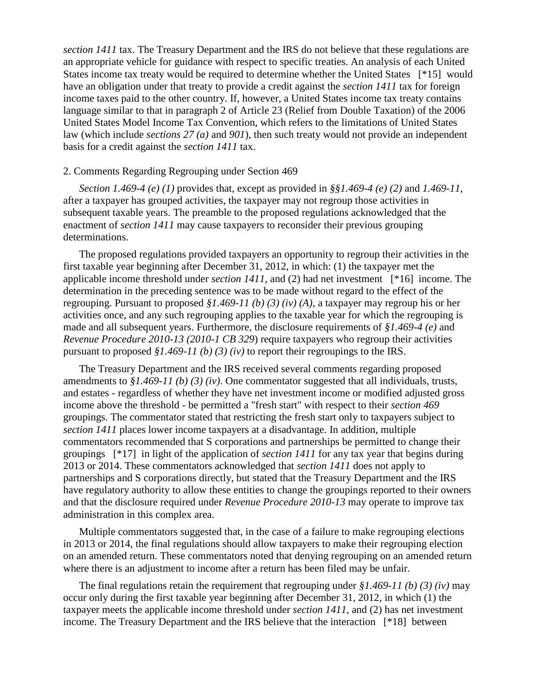*section 1411* tax. The Treasury Department and the IRS do not believe that these regulations are an appropriate vehicle for guidance with respect to specific treaties. An analysis of each United States income tax treaty would be required to determine whether the United States [\*15] would have an obligation under that treaty to provide a credit against the *section 1411* tax for foreign income taxes paid to the other country. If, however, a United States income tax treaty contains language similar to that in paragraph 2 of Article 23 (Relief from Double Taxation) of the 2006 United States Model Income Tax Convention, which refers to the limitations of United States law (which include *sections 27 (a)* and *901*), then such treaty would not provide an independent basis for a credit against the *section 1411* tax.

### 2. Comments Regarding Regrouping under Section 469

*Section 1.469-4 (e) (1)* provides that, except as provided in *§§1.469-4 (e) (2)* and *1.469-11*, after a taxpayer has grouped activities, the taxpayer may not regroup those activities in subsequent taxable years. The preamble to the proposed regulations acknowledged that the enactment of *section 1411* may cause taxpayers to reconsider their previous grouping determinations.

The proposed regulations provided taxpayers an opportunity to regroup their activities in the first taxable year beginning after December 31, 2012, in which: (1) the taxpayer met the applicable income threshold under *section 1411*, and (2) had net investment [\*16] income. The determination in the preceding sentence was to be made without regard to the effect of the regrouping. Pursuant to proposed *§1.469-11 (b) (3) (iv) (A)*, a taxpayer may regroup his or her activities once, and any such regrouping applies to the taxable year for which the regrouping is made and all subsequent years. Furthermore, the disclosure requirements of *§1.469-4 (e)* and *Revenue Procedure 2010-13 (2010-1 CB 329*) require taxpayers who regroup their activities pursuant to proposed *§1.469-11 (b) (3) (iv)* to report their regroupings to the IRS.

The Treasury Department and the IRS received several comments regarding proposed amendments to *§1.469-11 (b) (3) (iv)*. One commentator suggested that all individuals, trusts, and estates - regardless of whether they have net investment income or modified adjusted gross income above the threshold - be permitted a "fresh start" with respect to their *section 469* groupings. The commentator stated that restricting the fresh start only to taxpayers subject to *section 1411* places lower income taxpayers at a disadvantage. In addition, multiple commentators recommended that S corporations and partnerships be permitted to change their groupings [\*17] in light of the application of *section 1411* for any tax year that begins during 2013 or 2014. These commentators acknowledged that *section 1411* does not apply to partnerships and S corporations directly, but stated that the Treasury Department and the IRS have regulatory authority to allow these entities to change the groupings reported to their owners and that the disclosure required under *Revenue Procedure 2010-13* may operate to improve tax administration in this complex area.

Multiple commentators suggested that, in the case of a failure to make regrouping elections in 2013 or 2014, the final regulations should allow taxpayers to make their regrouping election on an amended return. These commentators noted that denying regrouping on an amended return where there is an adjustment to income after a return has been filed may be unfair.

The final regulations retain the requirement that regrouping under *§1.469-11 (b) (3) (iv)* may occur only during the first taxable year beginning after December 31, 2012, in which (1) the taxpayer meets the applicable income threshold under *section 1411*, and (2) has net investment income. The Treasury Department and the IRS believe that the interaction [\*18] between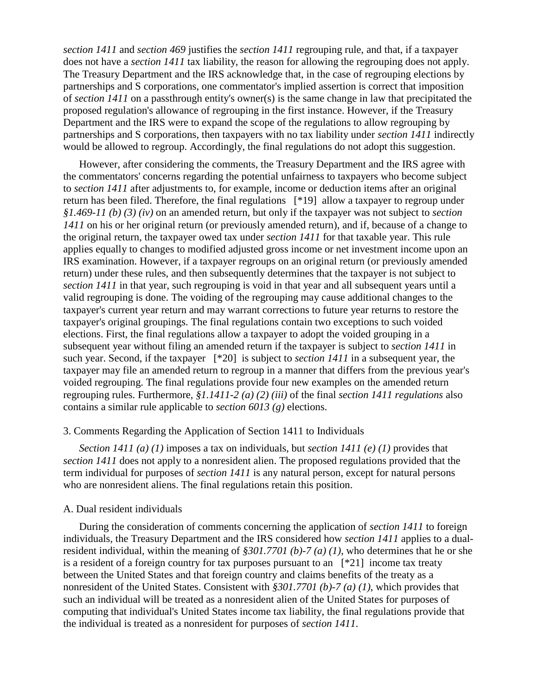*section 1411* and *section 469* justifies the *section 1411* regrouping rule, and that, if a taxpayer does not have a *section 1411* tax liability, the reason for allowing the regrouping does not apply. The Treasury Department and the IRS acknowledge that, in the case of regrouping elections by partnerships and S corporations, one commentator's implied assertion is correct that imposition of *section 1411* on a passthrough entity's owner(s) is the same change in law that precipitated the proposed regulation's allowance of regrouping in the first instance. However, if the Treasury Department and the IRS were to expand the scope of the regulations to allow regrouping by partnerships and S corporations, then taxpayers with no tax liability under *section 1411* indirectly would be allowed to regroup. Accordingly, the final regulations do not adopt this suggestion.

However, after considering the comments, the Treasury Department and the IRS agree with the commentators' concerns regarding the potential unfairness to taxpayers who become subject to *section 1411* after adjustments to, for example, income or deduction items after an original return has been filed. Therefore, the final regulations [\*19] allow a taxpayer to regroup under *§1.469-11 (b) (3) (iv)* on an amended return, but only if the taxpayer was not subject to *section 1411* on his or her original return (or previously amended return), and if, because of a change to the original return, the taxpayer owed tax under *section 1411* for that taxable year. This rule applies equally to changes to modified adjusted gross income or net investment income upon an IRS examination. However, if a taxpayer regroups on an original return (or previously amended return) under these rules, and then subsequently determines that the taxpayer is not subject to *section 1411* in that year, such regrouping is void in that year and all subsequent years until a valid regrouping is done. The voiding of the regrouping may cause additional changes to the taxpayer's current year return and may warrant corrections to future year returns to restore the taxpayer's original groupings. The final regulations contain two exceptions to such voided elections. First, the final regulations allow a taxpayer to adopt the voided grouping in a subsequent year without filing an amended return if the taxpayer is subject to *section 1411* in such year. Second, if the taxpayer [\*20] is subject to *section 1411* in a subsequent year, the taxpayer may file an amended return to regroup in a manner that differs from the previous year's voided regrouping. The final regulations provide four new examples on the amended return regrouping rules. Furthermore, *§1.1411-2 (a) (2) (iii)* of the final *section 1411 regulations* also contains a similar rule applicable to *section 6013 (g)* elections.

### 3. Comments Regarding the Application of Section 1411 to Individuals

*Section 1411 (a) (1)* imposes a tax on individuals, but *section 1411 (e) (1)* provides that *section 1411* does not apply to a nonresident alien. The proposed regulations provided that the term individual for purposes of *section 1411* is any natural person, except for natural persons who are nonresident aliens. The final regulations retain this position.

#### A. Dual resident individuals

During the consideration of comments concerning the application of *section 1411* to foreign individuals, the Treasury Department and the IRS considered how *section 1411* applies to a dualresident individual, within the meaning of *§301.7701 (b)-7 (a) (1)*, who determines that he or she is a resident of a foreign country for tax purposes pursuant to an  $[*21]$  income tax treaty between the United States and that foreign country and claims benefits of the treaty as a nonresident of the United States. Consistent with *§301.7701 (b)-7 (a) (1)*, which provides that such an individual will be treated as a nonresident alien of the United States for purposes of computing that individual's United States income tax liability, the final regulations provide that the individual is treated as a nonresident for purposes of *section 1411*.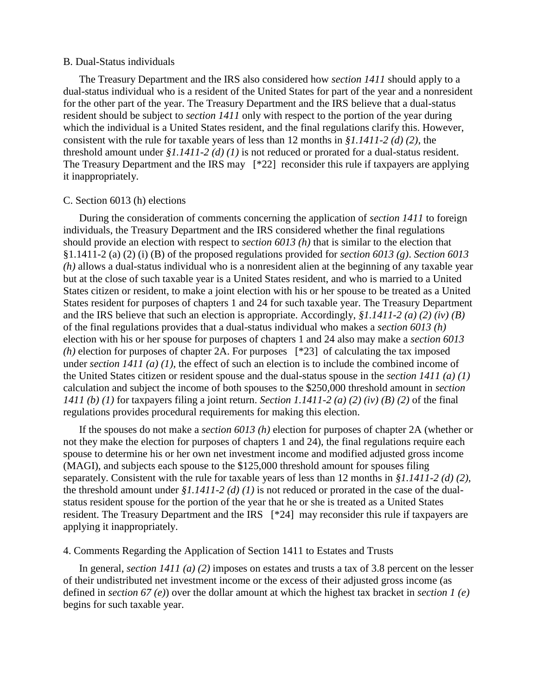#### B. Dual-Status individuals

The Treasury Department and the IRS also considered how *section 1411* should apply to a dual-status individual who is a resident of the United States for part of the year and a nonresident for the other part of the year. The Treasury Department and the IRS believe that a dual-status resident should be subject to *section 1411* only with respect to the portion of the year during which the individual is a United States resident, and the final regulations clarify this. However, consistent with the rule for taxable years of less than 12 months in *§1.1411-2 (d) (2)*, the threshold amount under *§1.1411-2 (d) (1)* is not reduced or prorated for a dual-status resident. The Treasury Department and the IRS may [\*22] reconsider this rule if taxpayers are applying it inappropriately.

#### C. Section 6013 (h) elections

During the consideration of comments concerning the application of *section 1411* to foreign individuals, the Treasury Department and the IRS considered whether the final regulations should provide an election with respect to *section 6013 (h)* that is similar to the election that §1.1411-2 (a) (2) (i) (B) of the proposed regulations provided for *section 6013 (g)*. *Section 6013 (h)* allows a dual-status individual who is a nonresident alien at the beginning of any taxable year but at the close of such taxable year is a United States resident, and who is married to a United States citizen or resident, to make a joint election with his or her spouse to be treated as a United States resident for purposes of chapters 1 and 24 for such taxable year. The Treasury Department and the IRS believe that such an election is appropriate. Accordingly, *§1.1411-2 (a) (2) (iv) (B)* of the final regulations provides that a dual-status individual who makes a *section 6013 (h)* election with his or her spouse for purposes of chapters 1 and 24 also may make a *section 6013 (h)* election for purposes of chapter 2A. For purposes [\*23] of calculating the tax imposed under *section 1411 (a) (1)*, the effect of such an election is to include the combined income of the United States citizen or resident spouse and the dual-status spouse in the *section 1411 (a) (1)* calculation and subject the income of both spouses to the \$250,000 threshold amount in *section 1411 (b) (1)* for taxpayers filing a joint return. *Section 1.1411-2 (a) (2) (iv) (B) (2)* of the final regulations provides procedural requirements for making this election.

If the spouses do not make a *section 6013 (h)* election for purposes of chapter 2A (whether or not they make the election for purposes of chapters 1 and 24), the final regulations require each spouse to determine his or her own net investment income and modified adjusted gross income (MAGI), and subjects each spouse to the \$125,000 threshold amount for spouses filing separately. Consistent with the rule for taxable years of less than 12 months in *§1.1411-2 (d) (2)*, the threshold amount under *§1.1411-2 (d) (1)* is not reduced or prorated in the case of the dualstatus resident spouse for the portion of the year that he or she is treated as a United States resident. The Treasury Department and the IRS [\*24] may reconsider this rule if taxpayers are applying it inappropriately.

# 4. Comments Regarding the Application of Section 1411 to Estates and Trusts

In general, *section 1411 (a) (2)* imposes on estates and trusts a tax of 3.8 percent on the lesser of their undistributed net investment income or the excess of their adjusted gross income (as defined in *section 67 (e)*) over the dollar amount at which the highest tax bracket in *section 1 (e)* begins for such taxable year.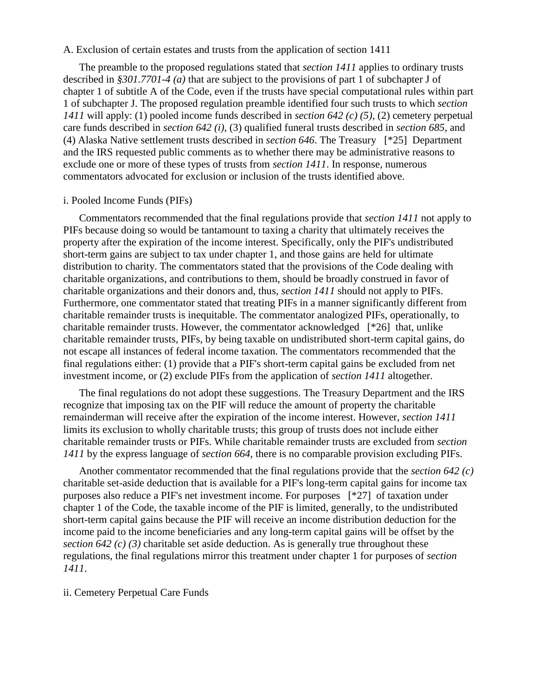#### A. Exclusion of certain estates and trusts from the application of section 1411

The preamble to the proposed regulations stated that *section 1411* applies to ordinary trusts described in *§301.7701-4 (a)* that are subject to the provisions of part 1 of subchapter J of chapter 1 of subtitle A of the Code, even if the trusts have special computational rules within part 1 of subchapter J. The proposed regulation preamble identified four such trusts to which *section 1411* will apply: (1) pooled income funds described in *section 642 (c) (5)*, (2) cemetery perpetual care funds described in *section 642 (i)*, (3) qualified funeral trusts described in *section 685*, and (4) Alaska Native settlement trusts described in *section 646*. The Treasury [\*25] Department and the IRS requested public comments as to whether there may be administrative reasons to exclude one or more of these types of trusts from *section 1411*. In response, numerous commentators advocated for exclusion or inclusion of the trusts identified above.

#### i. Pooled Income Funds (PIFs)

Commentators recommended that the final regulations provide that *section 1411* not apply to PIFs because doing so would be tantamount to taxing a charity that ultimately receives the property after the expiration of the income interest. Specifically, only the PIF's undistributed short-term gains are subject to tax under chapter 1, and those gains are held for ultimate distribution to charity. The commentators stated that the provisions of the Code dealing with charitable organizations, and contributions to them, should be broadly construed in favor of charitable organizations and their donors and, thus, *section 1411* should not apply to PIFs. Furthermore, one commentator stated that treating PIFs in a manner significantly different from charitable remainder trusts is inequitable. The commentator analogized PIFs, operationally, to charitable remainder trusts. However, the commentator acknowledged [\*26] that, unlike charitable remainder trusts, PIFs, by being taxable on undistributed short-term capital gains, do not escape all instances of federal income taxation. The commentators recommended that the final regulations either: (1) provide that a PIF's short-term capital gains be excluded from net investment income, or (2) exclude PIFs from the application of *section 1411* altogether.

The final regulations do not adopt these suggestions. The Treasury Department and the IRS recognize that imposing tax on the PIF will reduce the amount of property the charitable remainderman will receive after the expiration of the income interest. However, *section 1411* limits its exclusion to wholly charitable trusts; this group of trusts does not include either charitable remainder trusts or PIFs. While charitable remainder trusts are excluded from *section 1411* by the express language of *section 664*, there is no comparable provision excluding PIFs.

Another commentator recommended that the final regulations provide that the *section 642 (c)* charitable set-aside deduction that is available for a PIF's long-term capital gains for income tax purposes also reduce a PIF's net investment income. For purposes [\*27] of taxation under chapter 1 of the Code, the taxable income of the PIF is limited, generally, to the undistributed short-term capital gains because the PIF will receive an income distribution deduction for the income paid to the income beneficiaries and any long-term capital gains will be offset by the *section 642 (c) (3)* charitable set aside deduction. As is generally true throughout these regulations, the final regulations mirror this treatment under chapter 1 for purposes of *section 1411*.

#### ii. Cemetery Perpetual Care Funds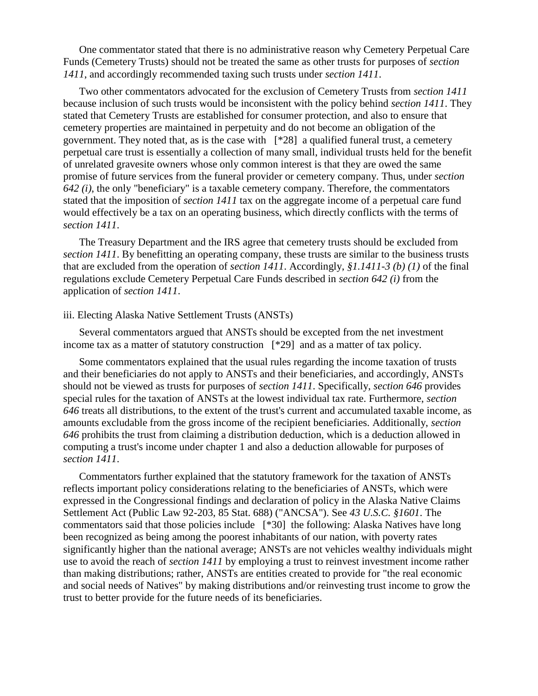One commentator stated that there is no administrative reason why Cemetery Perpetual Care Funds (Cemetery Trusts) should not be treated the same as other trusts for purposes of *section 1411*, and accordingly recommended taxing such trusts under *section 1411*.

Two other commentators advocated for the exclusion of Cemetery Trusts from *section 1411* because inclusion of such trusts would be inconsistent with the policy behind *section 1411*. They stated that Cemetery Trusts are established for consumer protection, and also to ensure that cemetery properties are maintained in perpetuity and do not become an obligation of the government. They noted that, as is the case with [\*28] a qualified funeral trust, a cemetery perpetual care trust is essentially a collection of many small, individual trusts held for the benefit of unrelated gravesite owners whose only common interest is that they are owed the same promise of future services from the funeral provider or cemetery company. Thus, under *section 642 (i)*, the only "beneficiary" is a taxable cemetery company. Therefore, the commentators stated that the imposition of *section 1411* tax on the aggregate income of a perpetual care fund would effectively be a tax on an operating business, which directly conflicts with the terms of *section 1411*.

The Treasury Department and the IRS agree that cemetery trusts should be excluded from *section 1411*. By benefitting an operating company, these trusts are similar to the business trusts that are excluded from the operation of *section 1411*. Accordingly, *§1.1411-3 (b) (1)* of the final regulations exclude Cemetery Perpetual Care Funds described in *section 642 (i)* from the application of *section 1411*.

#### iii. Electing Alaska Native Settlement Trusts (ANSTs)

Several commentators argued that ANSTs should be excepted from the net investment income tax as a matter of statutory construction [\*29] and as a matter of tax policy.

Some commentators explained that the usual rules regarding the income taxation of trusts and their beneficiaries do not apply to ANSTs and their beneficiaries, and accordingly, ANSTs should not be viewed as trusts for purposes of *section 1411*. Specifically, *section 646* provides special rules for the taxation of ANSTs at the lowest individual tax rate. Furthermore, *section 646* treats all distributions, to the extent of the trust's current and accumulated taxable income, as amounts excludable from the gross income of the recipient beneficiaries. Additionally, *section 646* prohibits the trust from claiming a distribution deduction, which is a deduction allowed in computing a trust's income under chapter 1 and also a deduction allowable for purposes of *section 1411*.

Commentators further explained that the statutory framework for the taxation of ANSTs reflects important policy considerations relating to the beneficiaries of ANSTs, which were expressed in the Congressional findings and declaration of policy in the Alaska Native Claims Settlement Act (Public Law 92-203, 85 Stat. 688) ("ANCSA"). See *43 U.S.C. §1601*. The commentators said that those policies include [\*30] the following: Alaska Natives have long been recognized as being among the poorest inhabitants of our nation, with poverty rates significantly higher than the national average; ANSTs are not vehicles wealthy individuals might use to avoid the reach of *section 1411* by employing a trust to reinvest investment income rather than making distributions; rather, ANSTs are entities created to provide for "the real economic and social needs of Natives" by making distributions and/or reinvesting trust income to grow the trust to better provide for the future needs of its beneficiaries.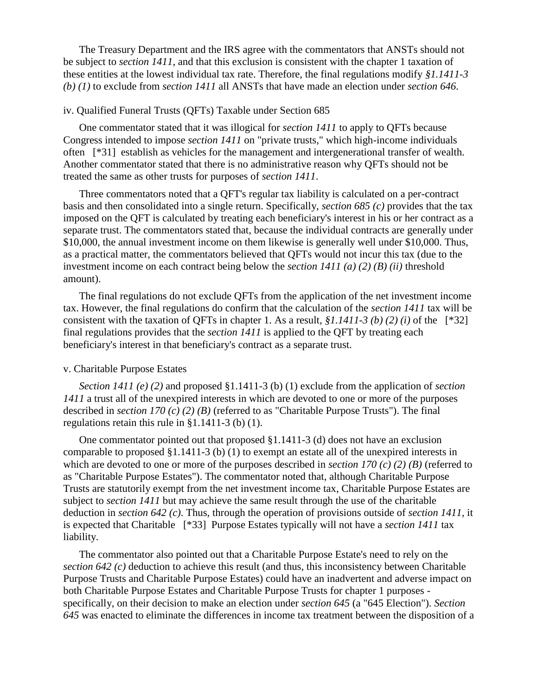The Treasury Department and the IRS agree with the commentators that ANSTs should not be subject to *section 1411*, and that this exclusion is consistent with the chapter 1 taxation of these entities at the lowest individual tax rate. Therefore, the final regulations modify *§1.1411-3 (b) (1)* to exclude from *section 1411* all ANSTs that have made an election under *section 646*.

#### iv. Qualified Funeral Trusts (QFTs) Taxable under Section 685

One commentator stated that it was illogical for *section 1411* to apply to QFTs because Congress intended to impose *section 1411* on "private trusts," which high-income individuals often [\*31] establish as vehicles for the management and intergenerational transfer of wealth. Another commentator stated that there is no administrative reason why QFTs should not be treated the same as other trusts for purposes of *section 1411*.

Three commentators noted that a QFT's regular tax liability is calculated on a per-contract basis and then consolidated into a single return. Specifically, *section 685 (c)* provides that the tax imposed on the QFT is calculated by treating each beneficiary's interest in his or her contract as a separate trust. The commentators stated that, because the individual contracts are generally under \$10,000, the annual investment income on them likewise is generally well under \$10,000. Thus, as a practical matter, the commentators believed that QFTs would not incur this tax (due to the investment income on each contract being below the *section 1411 (a) (2) (B) (ii)* threshold amount).

The final regulations do not exclude QFTs from the application of the net investment income tax. However, the final regulations do confirm that the calculation of the *section 1411* tax will be consistent with the taxation of QFTs in chapter 1. As a result, *§1.1411-3 (b) (2) (i)* of the [\*32] final regulations provides that the *section 1411* is applied to the QFT by treating each beneficiary's interest in that beneficiary's contract as a separate trust.

#### v. Charitable Purpose Estates

*Section 1411 (e) (2)* and proposed §1.1411-3 (b) (1) exclude from the application of *section 1411* a trust all of the unexpired interests in which are devoted to one or more of the purposes described in *section 170 (c) (2) (B)* (referred to as "Charitable Purpose Trusts"). The final regulations retain this rule in §1.1411-3 (b) (1).

One commentator pointed out that proposed §1.1411-3 (d) does not have an exclusion comparable to proposed §1.1411-3 (b) (1) to exempt an estate all of the unexpired interests in which are devoted to one or more of the purposes described in *section 170 (c) (2) (B)* (referred to as "Charitable Purpose Estates"). The commentator noted that, although Charitable Purpose Trusts are statutorily exempt from the net investment income tax, Charitable Purpose Estates are subject to *section 1411* but may achieve the same result through the use of the charitable deduction in *section 642 (c)*. Thus, through the operation of provisions outside of *section 1411*, it is expected that Charitable [\*33] Purpose Estates typically will not have a *section 1411* tax liability.

The commentator also pointed out that a Charitable Purpose Estate's need to rely on the *section 642 (c)* deduction to achieve this result (and thus, this inconsistency between Charitable Purpose Trusts and Charitable Purpose Estates) could have an inadvertent and adverse impact on both Charitable Purpose Estates and Charitable Purpose Trusts for chapter 1 purposes specifically, on their decision to make an election under *section 645* (a "645 Election"). *Section 645* was enacted to eliminate the differences in income tax treatment between the disposition of a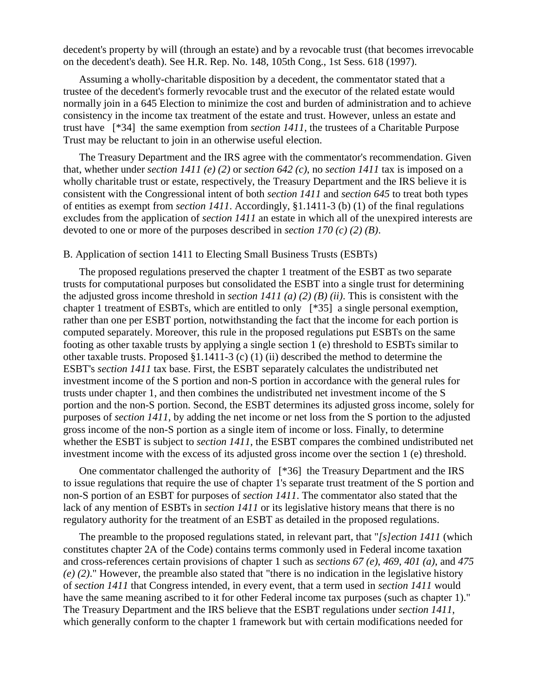decedent's property by will (through an estate) and by a revocable trust (that becomes irrevocable on the decedent's death). See H.R. Rep. No. 148, 105th Cong., 1st Sess. 618 (1997).

Assuming a wholly-charitable disposition by a decedent, the commentator stated that a trustee of the decedent's formerly revocable trust and the executor of the related estate would normally join in a 645 Election to minimize the cost and burden of administration and to achieve consistency in the income tax treatment of the estate and trust. However, unless an estate and trust have [\*34] the same exemption from *section 1411*, the trustees of a Charitable Purpose Trust may be reluctant to join in an otherwise useful election.

The Treasury Department and the IRS agree with the commentator's recommendation. Given that, whether under *section 1411 (e) (2)* or *section 642 (c)*, no *section 1411* tax is imposed on a wholly charitable trust or estate, respectively, the Treasury Department and the IRS believe it is consistent with the Congressional intent of both *section 1411* and *section 645* to treat both types of entities as exempt from *section 1411*. Accordingly, §1.1411-3 (b) (1) of the final regulations excludes from the application of *section 1411* an estate in which all of the unexpired interests are devoted to one or more of the purposes described in *section 170 (c) (2) (B)*.

#### B. Application of section 1411 to Electing Small Business Trusts (ESBTs)

The proposed regulations preserved the chapter 1 treatment of the ESBT as two separate trusts for computational purposes but consolidated the ESBT into a single trust for determining the adjusted gross income threshold in *section 1411 (a) (2) (B) (ii)*. This is consistent with the chapter 1 treatment of ESBTs, which are entitled to only [\*35] a single personal exemption, rather than one per ESBT portion, notwithstanding the fact that the income for each portion is computed separately. Moreover, this rule in the proposed regulations put ESBTs on the same footing as other taxable trusts by applying a single section 1 (e) threshold to ESBTs similar to other taxable trusts. Proposed §1.1411-3 (c) (1) (ii) described the method to determine the ESBT's *section 1411* tax base. First, the ESBT separately calculates the undistributed net investment income of the S portion and non-S portion in accordance with the general rules for trusts under chapter 1, and then combines the undistributed net investment income of the S portion and the non-S portion. Second, the ESBT determines its adjusted gross income, solely for purposes of *section 1411*, by adding the net income or net loss from the S portion to the adjusted gross income of the non-S portion as a single item of income or loss. Finally, to determine whether the ESBT is subject to *section 1411*, the ESBT compares the combined undistributed net investment income with the excess of its adjusted gross income over the section 1 (e) threshold.

One commentator challenged the authority of [\*36] the Treasury Department and the IRS to issue regulations that require the use of chapter 1's separate trust treatment of the S portion and non-S portion of an ESBT for purposes of *section 1411*. The commentator also stated that the lack of any mention of ESBTs in *section 1411* or its legislative history means that there is no regulatory authority for the treatment of an ESBT as detailed in the proposed regulations.

The preamble to the proposed regulations stated, in relevant part, that "*[s]ection 1411* (which constitutes chapter 2A of the Code) contains terms commonly used in Federal income taxation and cross-references certain provisions of chapter 1 such as *sections 67 (e)*, *469*, *401 (a)*, and *475 (e) (2)*." However, the preamble also stated that "there is no indication in the legislative history of *section 1411* that Congress intended, in every event, that a term used in *section 1411* would have the same meaning ascribed to it for other Federal income tax purposes (such as chapter 1)." The Treasury Department and the IRS believe that the ESBT regulations under *section 1411*, which generally conform to the chapter 1 framework but with certain modifications needed for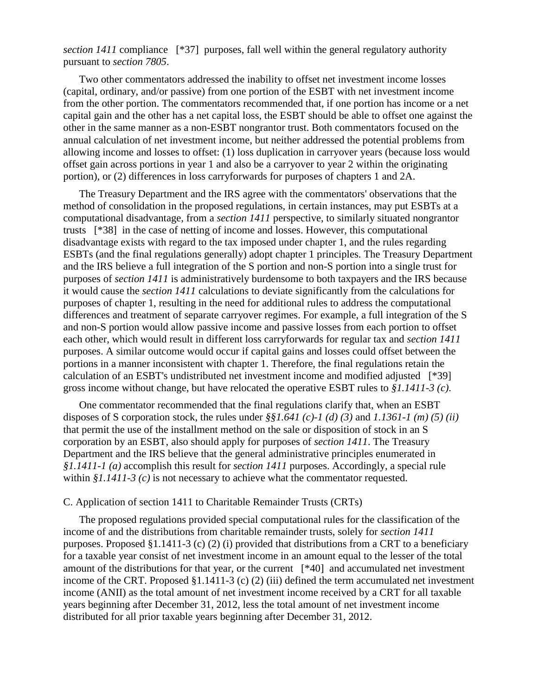*section 1411* compliance [\*37] purposes, fall well within the general regulatory authority pursuant to *section 7805*.

Two other commentators addressed the inability to offset net investment income losses (capital, ordinary, and/or passive) from one portion of the ESBT with net investment income from the other portion. The commentators recommended that, if one portion has income or a net capital gain and the other has a net capital loss, the ESBT should be able to offset one against the other in the same manner as a non-ESBT nongrantor trust. Both commentators focused on the annual calculation of net investment income, but neither addressed the potential problems from allowing income and losses to offset: (1) loss duplication in carryover years (because loss would offset gain across portions in year 1 and also be a carryover to year 2 within the originating portion), or (2) differences in loss carryforwards for purposes of chapters 1 and 2A.

The Treasury Department and the IRS agree with the commentators' observations that the method of consolidation in the proposed regulations, in certain instances, may put ESBTs at a computational disadvantage, from a *section 1411* perspective, to similarly situated nongrantor trusts [\*38] in the case of netting of income and losses. However, this computational disadvantage exists with regard to the tax imposed under chapter 1, and the rules regarding ESBTs (and the final regulations generally) adopt chapter 1 principles. The Treasury Department and the IRS believe a full integration of the S portion and non-S portion into a single trust for purposes of *section 1411* is administratively burdensome to both taxpayers and the IRS because it would cause the *section 1411* calculations to deviate significantly from the calculations for purposes of chapter 1, resulting in the need for additional rules to address the computational differences and treatment of separate carryover regimes. For example, a full integration of the S and non-S portion would allow passive income and passive losses from each portion to offset each other, which would result in different loss carryforwards for regular tax and *section 1411* purposes. A similar outcome would occur if capital gains and losses could offset between the portions in a manner inconsistent with chapter 1. Therefore, the final regulations retain the calculation of an ESBT's undistributed net investment income and modified adjusted [\*39] gross income without change, but have relocated the operative ESBT rules to *§1.1411-3 (c)*.

One commentator recommended that the final regulations clarify that, when an ESBT disposes of S corporation stock, the rules under *§§1.641 (c)-1 (d) (3)* and *1.1361-1 (m) (5) (ii)* that permit the use of the installment method on the sale or disposition of stock in an S corporation by an ESBT, also should apply for purposes of *section 1411*. The Treasury Department and the IRS believe that the general administrative principles enumerated in *§1.1411-1 (a)* accomplish this result for *section 1411* purposes. Accordingly, a special rule within  $$1.1411-3$  (c) is not necessary to achieve what the commentator requested.

#### C. Application of section 1411 to Charitable Remainder Trusts (CRTs)

The proposed regulations provided special computational rules for the classification of the income of and the distributions from charitable remainder trusts, solely for *section 1411* purposes. Proposed §1.1411-3 (c) (2) (i) provided that distributions from a CRT to a beneficiary for a taxable year consist of net investment income in an amount equal to the lesser of the total amount of the distributions for that year, or the current [\*40] and accumulated net investment income of the CRT. Proposed §1.1411-3 (c) (2) (iii) defined the term accumulated net investment income (ANII) as the total amount of net investment income received by a CRT for all taxable years beginning after December 31, 2012, less the total amount of net investment income distributed for all prior taxable years beginning after December 31, 2012.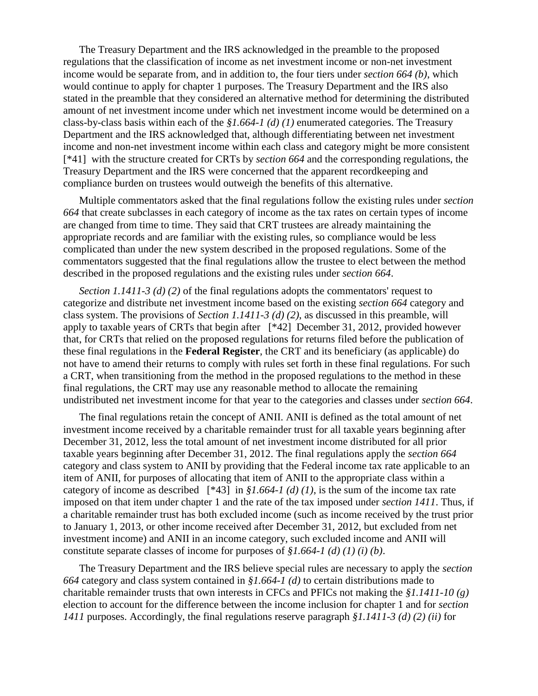The Treasury Department and the IRS acknowledged in the preamble to the proposed regulations that the classification of income as net investment income or non-net investment income would be separate from, and in addition to, the four tiers under *section 664 (b)*, which would continue to apply for chapter 1 purposes. The Treasury Department and the IRS also stated in the preamble that they considered an alternative method for determining the distributed amount of net investment income under which net investment income would be determined on a class-by-class basis within each of the *§1.664-1 (d) (1)* enumerated categories. The Treasury Department and the IRS acknowledged that, although differentiating between net investment income and non-net investment income within each class and category might be more consistent [\*41] with the structure created for CRTs by *section 664* and the corresponding regulations, the Treasury Department and the IRS were concerned that the apparent recordkeeping and compliance burden on trustees would outweigh the benefits of this alternative.

Multiple commentators asked that the final regulations follow the existing rules under *section 664* that create subclasses in each category of income as the tax rates on certain types of income are changed from time to time. They said that CRT trustees are already maintaining the appropriate records and are familiar with the existing rules, so compliance would be less complicated than under the new system described in the proposed regulations. Some of the commentators suggested that the final regulations allow the trustee to elect between the method described in the proposed regulations and the existing rules under *section 664*.

*Section 1.1411-3 (d) (2)* of the final regulations adopts the commentators' request to categorize and distribute net investment income based on the existing *section 664* category and class system. The provisions of *Section 1.1411-3 (d) (2)*, as discussed in this preamble, will apply to taxable years of CRTs that begin after [\*42] December 31, 2012, provided however that, for CRTs that relied on the proposed regulations for returns filed before the publication of these final regulations in the **Federal Register**, the CRT and its beneficiary (as applicable) do not have to amend their returns to comply with rules set forth in these final regulations. For such a CRT, when transitioning from the method in the proposed regulations to the method in these final regulations, the CRT may use any reasonable method to allocate the remaining undistributed net investment income for that year to the categories and classes under *section 664*.

The final regulations retain the concept of ANII. ANII is defined as the total amount of net investment income received by a charitable remainder trust for all taxable years beginning after December 31, 2012, less the total amount of net investment income distributed for all prior taxable years beginning after December 31, 2012. The final regulations apply the *section 664* category and class system to ANII by providing that the Federal income tax rate applicable to an item of ANII, for purposes of allocating that item of ANII to the appropriate class within a category of income as described  $[*43]$  in *§1.664-1 (d) (1)*, is the sum of the income tax rate imposed on that item under chapter 1 and the rate of the tax imposed under *section 1411*. Thus, if a charitable remainder trust has both excluded income (such as income received by the trust prior to January 1, 2013, or other income received after December 31, 2012, but excluded from net investment income) and ANII in an income category, such excluded income and ANII will constitute separate classes of income for purposes of *§1.664-1 (d) (1) (i) (b)*.

The Treasury Department and the IRS believe special rules are necessary to apply the *section 664* category and class system contained in *§1.664-1 (d)* to certain distributions made to charitable remainder trusts that own interests in CFCs and PFICs not making the *§1.1411-10 (g)* election to account for the difference between the income inclusion for chapter 1 and for *section 1411* purposes. Accordingly, the final regulations reserve paragraph *§1.1411-3 (d) (2) (ii)* for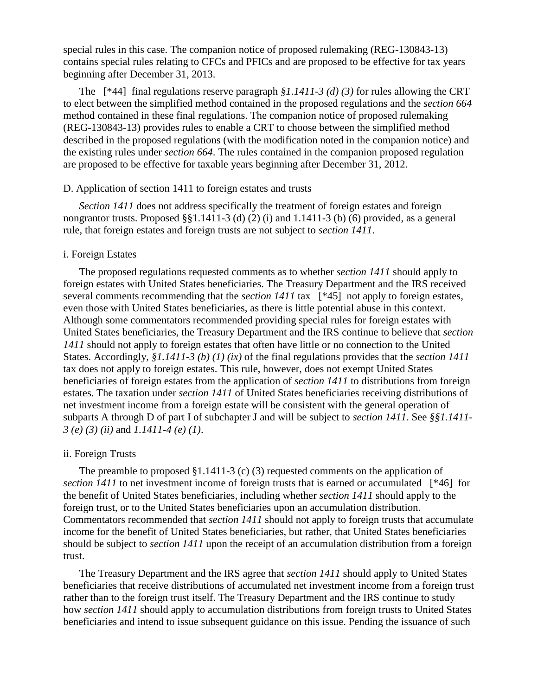special rules in this case. The companion notice of proposed rulemaking (REG-130843-13) contains special rules relating to CFCs and PFICs and are proposed to be effective for tax years beginning after December 31, 2013.

The [\*44] final regulations reserve paragraph *§1.1411-3 (d) (3)* for rules allowing the CRT to elect between the simplified method contained in the proposed regulations and the *section 664* method contained in these final regulations. The companion notice of proposed rulemaking (REG-130843-13) provides rules to enable a CRT to choose between the simplified method described in the proposed regulations (with the modification noted in the companion notice) and the existing rules under *section 664*. The rules contained in the companion proposed regulation are proposed to be effective for taxable years beginning after December 31, 2012.

#### D. Application of section 1411 to foreign estates and trusts

*Section 1411* does not address specifically the treatment of foreign estates and foreign nongrantor trusts. Proposed §§1.1411-3 (d) (2) (i) and 1.1411-3 (b) (6) provided, as a general rule, that foreign estates and foreign trusts are not subject to *section 1411*.

#### i. Foreign Estates

The proposed regulations requested comments as to whether *section 1411* should apply to foreign estates with United States beneficiaries. The Treasury Department and the IRS received several comments recommending that the *section 1411* tax [\*45] not apply to foreign estates, even those with United States beneficiaries, as there is little potential abuse in this context. Although some commentators recommended providing special rules for foreign estates with United States beneficiaries, the Treasury Department and the IRS continue to believe that *section 1411* should not apply to foreign estates that often have little or no connection to the United States. Accordingly, *§1.1411-3 (b) (1) (ix)* of the final regulations provides that the *section 1411* tax does not apply to foreign estates. This rule, however, does not exempt United States beneficiaries of foreign estates from the application of *section 1411* to distributions from foreign estates. The taxation under *section 1411* of United States beneficiaries receiving distributions of net investment income from a foreign estate will be consistent with the general operation of subparts A through D of part I of subchapter J and will be subject to *section 1411*. See *§§1.1411- 3 (e) (3) (ii)* and *1.1411-4 (e) (1)*.

#### ii. Foreign Trusts

The preamble to proposed  $\S1.1411-3$  (c) (3) requested comments on the application of *section 1411* to net investment income of foreign trusts that is earned or accumulated [\*46] for the benefit of United States beneficiaries, including whether *section 1411* should apply to the foreign trust, or to the United States beneficiaries upon an accumulation distribution. Commentators recommended that *section 1411* should not apply to foreign trusts that accumulate income for the benefit of United States beneficiaries, but rather, that United States beneficiaries should be subject to *section 1411* upon the receipt of an accumulation distribution from a foreign trust.

The Treasury Department and the IRS agree that *section 1411* should apply to United States beneficiaries that receive distributions of accumulated net investment income from a foreign trust rather than to the foreign trust itself. The Treasury Department and the IRS continue to study how *section 1411* should apply to accumulation distributions from foreign trusts to United States beneficiaries and intend to issue subsequent guidance on this issue. Pending the issuance of such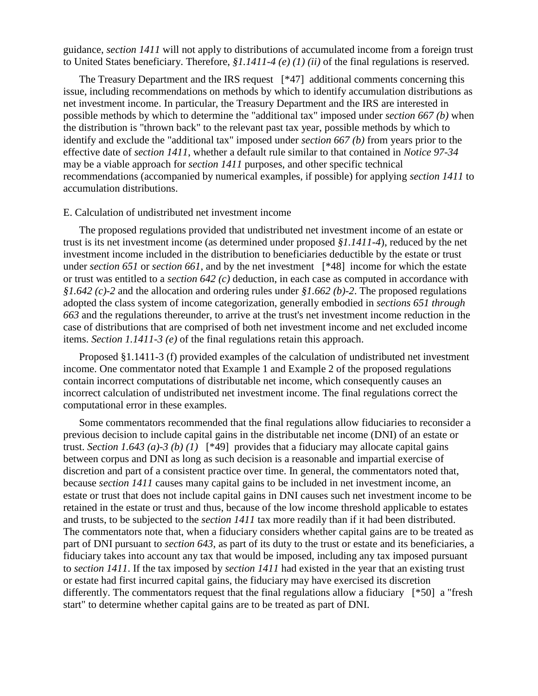guidance, *section 1411* will not apply to distributions of accumulated income from a foreign trust to United States beneficiary. Therefore, *§1.1411-4 (e) (1) (ii)* of the final regulations is reserved.

The Treasury Department and the IRS request [\*47] additional comments concerning this issue, including recommendations on methods by which to identify accumulation distributions as net investment income. In particular, the Treasury Department and the IRS are interested in possible methods by which to determine the "additional tax" imposed under *section 667 (b)* when the distribution is "thrown back" to the relevant past tax year, possible methods by which to identify and exclude the "additional tax" imposed under *section 667 (b)* from years prior to the effective date of *section 1411*, whether a default rule similar to that contained in *Notice 97-34* may be a viable approach for *section 1411* purposes, and other specific technical recommendations (accompanied by numerical examples, if possible) for applying *section 1411* to accumulation distributions.

### E. Calculation of undistributed net investment income

The proposed regulations provided that undistributed net investment income of an estate or trust is its net investment income (as determined under proposed *§1.1411-4*), reduced by the net investment income included in the distribution to beneficiaries deductible by the estate or trust under *section 651* or *section 661*, and by the net investment [\*48] income for which the estate or trust was entitled to a *section 642 (c)* deduction, in each case as computed in accordance with *§1.642 (c)-2* and the allocation and ordering rules under *§1.662 (b)-2*. The proposed regulations adopted the class system of income categorization, generally embodied in *sections 651 through 663* and the regulations thereunder, to arrive at the trust's net investment income reduction in the case of distributions that are comprised of both net investment income and net excluded income items. *Section 1.1411-3 (e)* of the final regulations retain this approach.

Proposed §1.1411-3 (f) provided examples of the calculation of undistributed net investment income. One commentator noted that Example 1 and Example 2 of the proposed regulations contain incorrect computations of distributable net income, which consequently causes an incorrect calculation of undistributed net investment income. The final regulations correct the computational error in these examples.

Some commentators recommended that the final regulations allow fiduciaries to reconsider a previous decision to include capital gains in the distributable net income (DNI) of an estate or trust. *Section 1.643 (a)-3 (b) (1)* [\*49] provides that a fiduciary may allocate capital gains between corpus and DNI as long as such decision is a reasonable and impartial exercise of discretion and part of a consistent practice over time. In general, the commentators noted that, because *section 1411* causes many capital gains to be included in net investment income, an estate or trust that does not include capital gains in DNI causes such net investment income to be retained in the estate or trust and thus, because of the low income threshold applicable to estates and trusts, to be subjected to the *section 1411* tax more readily than if it had been distributed. The commentators note that, when a fiduciary considers whether capital gains are to be treated as part of DNI pursuant to *section 643*, as part of its duty to the trust or estate and its beneficiaries, a fiduciary takes into account any tax that would be imposed, including any tax imposed pursuant to *section 1411*. If the tax imposed by *section 1411* had existed in the year that an existing trust or estate had first incurred capital gains, the fiduciary may have exercised its discretion differently. The commentators request that the final regulations allow a fiduciary [\*50] a "fresh start" to determine whether capital gains are to be treated as part of DNI.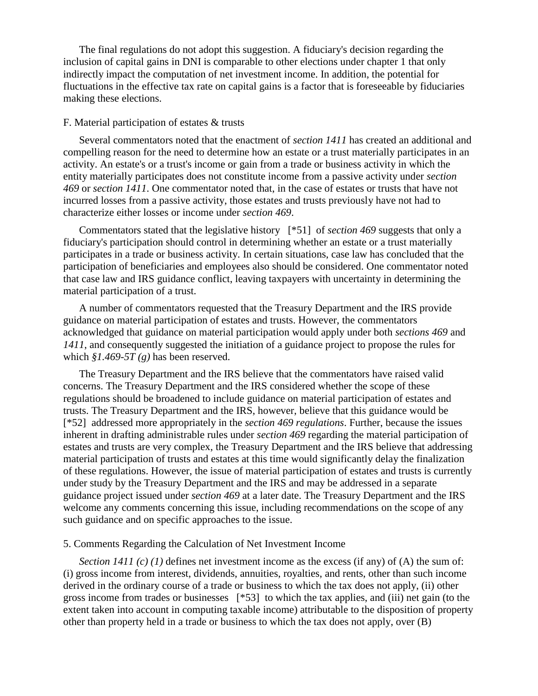The final regulations do not adopt this suggestion. A fiduciary's decision regarding the inclusion of capital gains in DNI is comparable to other elections under chapter 1 that only indirectly impact the computation of net investment income. In addition, the potential for fluctuations in the effective tax rate on capital gains is a factor that is foreseeable by fiduciaries making these elections.

#### F. Material participation of estates & trusts

Several commentators noted that the enactment of *section 1411* has created an additional and compelling reason for the need to determine how an estate or a trust materially participates in an activity. An estate's or a trust's income or gain from a trade or business activity in which the entity materially participates does not constitute income from a passive activity under *section 469* or *section 1411*. One commentator noted that, in the case of estates or trusts that have not incurred losses from a passive activity, those estates and trusts previously have not had to characterize either losses or income under *section 469*.

Commentators stated that the legislative history [\*51] of *section 469* suggests that only a fiduciary's participation should control in determining whether an estate or a trust materially participates in a trade or business activity. In certain situations, case law has concluded that the participation of beneficiaries and employees also should be considered. One commentator noted that case law and IRS guidance conflict, leaving taxpayers with uncertainty in determining the material participation of a trust.

A number of commentators requested that the Treasury Department and the IRS provide guidance on material participation of estates and trusts. However, the commentators acknowledged that guidance on material participation would apply under both *sections 469* and *1411*, and consequently suggested the initiation of a guidance project to propose the rules for which *§1.469-5T (g)* has been reserved.

The Treasury Department and the IRS believe that the commentators have raised valid concerns. The Treasury Department and the IRS considered whether the scope of these regulations should be broadened to include guidance on material participation of estates and trusts. The Treasury Department and the IRS, however, believe that this guidance would be [\*52] addressed more appropriately in the *section 469 regulations*. Further, because the issues inherent in drafting administrable rules under *section 469* regarding the material participation of estates and trusts are very complex, the Treasury Department and the IRS believe that addressing material participation of trusts and estates at this time would significantly delay the finalization of these regulations. However, the issue of material participation of estates and trusts is currently under study by the Treasury Department and the IRS and may be addressed in a separate guidance project issued under *section 469* at a later date. The Treasury Department and the IRS welcome any comments concerning this issue, including recommendations on the scope of any such guidance and on specific approaches to the issue.

#### 5. Comments Regarding the Calculation of Net Investment Income

*Section 1411 (c) (1)* defines net investment income as the excess (if any) of (A) the sum of: (i) gross income from interest, dividends, annuities, royalties, and rents, other than such income derived in the ordinary course of a trade or business to which the tax does not apply, (ii) other gross income from trades or businesses [\*53] to which the tax applies, and (iii) net gain (to the extent taken into account in computing taxable income) attributable to the disposition of property other than property held in a trade or business to which the tax does not apply, over (B)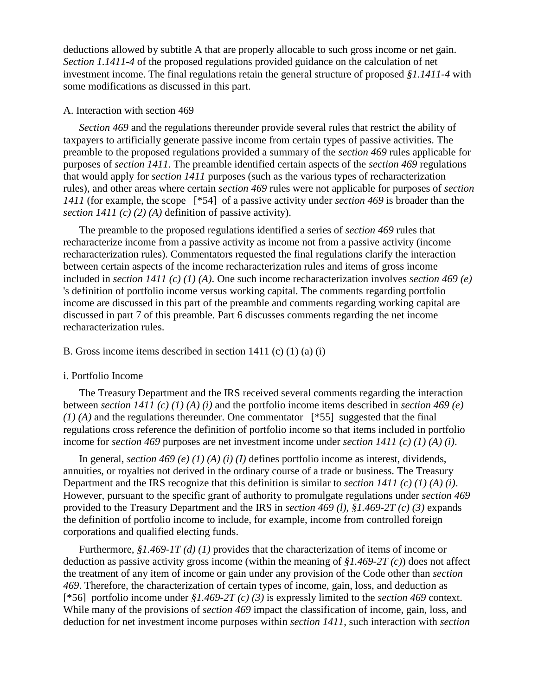deductions allowed by subtitle A that are properly allocable to such gross income or net gain. *Section 1.1411-4* of the proposed regulations provided guidance on the calculation of net investment income. The final regulations retain the general structure of proposed *§1.1411-4* with some modifications as discussed in this part.

#### A. Interaction with section 469

*Section 469* and the regulations thereunder provide several rules that restrict the ability of taxpayers to artificially generate passive income from certain types of passive activities. The preamble to the proposed regulations provided a summary of the *section 469* rules applicable for purposes of *section 1411*. The preamble identified certain aspects of the *section 469* regulations that would apply for *section 1411* purposes (such as the various types of recharacterization rules), and other areas where certain *section 469* rules were not applicable for purposes of *section 1411* (for example, the scope [\*54] of a passive activity under *section 469* is broader than the *section 1411 (c) (2) (A)* definition of passive activity).

The preamble to the proposed regulations identified a series of *section 469* rules that recharacterize income from a passive activity as income not from a passive activity (income recharacterization rules). Commentators requested the final regulations clarify the interaction between certain aspects of the income recharacterization rules and items of gross income included in *section 1411 (c) (1) (A)*. One such income recharacterization involves *section 469 (e)* 's definition of portfolio income versus working capital. The comments regarding portfolio income are discussed in this part of the preamble and comments regarding working capital are discussed in part 7 of this preamble. Part 6 discusses comments regarding the net income recharacterization rules.

### B. Gross income items described in section 1411 (c) (1) (a) (i)

#### i. Portfolio Income

The Treasury Department and the IRS received several comments regarding the interaction between *section 1411 (c) (1) (A) (i)* and the portfolio income items described in *section 469 (e) (1) (A)* and the regulations thereunder. One commentator [\*55] suggested that the final regulations cross reference the definition of portfolio income so that items included in portfolio income for *section 469* purposes are net investment income under *section 1411 (c) (1) (A) (i)*.

In general, *section 469 (e) (1) (A) (i) (I)* defines portfolio income as interest, dividends, annuities, or royalties not derived in the ordinary course of a trade or business. The Treasury Department and the IRS recognize that this definition is similar to *section 1411 (c) (1) (A) (i)*. However, pursuant to the specific grant of authority to promulgate regulations under *section 469* provided to the Treasury Department and the IRS in *section 469 (l)*, *§1.469-2T (c) (3)* expands the definition of portfolio income to include, for example, income from controlled foreign corporations and qualified electing funds.

Furthermore, *§1.469-1T (d) (1)* provides that the characterization of items of income or deduction as passive activity gross income (within the meaning of *§1.469-2T (c)*) does not affect the treatment of any item of income or gain under any provision of the Code other than *section 469*. Therefore, the characterization of certain types of income, gain, loss, and deduction as [\*56] portfolio income under *§1.469-2T (c) (3)* is expressly limited to the *section 469* context. While many of the provisions of *section 469* impact the classification of income, gain, loss, and deduction for net investment income purposes within *section 1411*, such interaction with *section*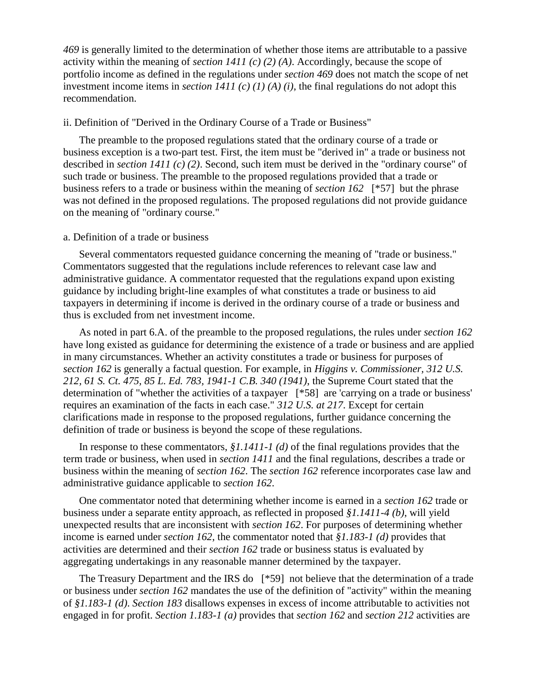*469* is generally limited to the determination of whether those items are attributable to a passive activity within the meaning of *section 1411 (c) (2) (A)*. Accordingly, because the scope of portfolio income as defined in the regulations under *section 469* does not match the scope of net investment income items in *section 1411 (c) (1) (A) (i)*, the final regulations do not adopt this recommendation.

#### ii. Definition of "Derived in the Ordinary Course of a Trade or Business"

The preamble to the proposed regulations stated that the ordinary course of a trade or business exception is a two-part test. First, the item must be "derived in" a trade or business not described in *section 1411 (c) (2)*. Second, such item must be derived in the "ordinary course" of such trade or business. The preamble to the proposed regulations provided that a trade or business refers to a trade or business within the meaning of *section 162* [\*57] but the phrase was not defined in the proposed regulations. The proposed regulations did not provide guidance on the meaning of "ordinary course."

### a. Definition of a trade or business

Several commentators requested guidance concerning the meaning of "trade or business." Commentators suggested that the regulations include references to relevant case law and administrative guidance. A commentator requested that the regulations expand upon existing guidance by including bright-line examples of what constitutes a trade or business to aid taxpayers in determining if income is derived in the ordinary course of a trade or business and thus is excluded from net investment income.

As noted in part 6.A. of the preamble to the proposed regulations, the rules under *section 162* have long existed as guidance for determining the existence of a trade or business and are applied in many circumstances. Whether an activity constitutes a trade or business for purposes of *section 162* is generally a factual question. For example, in *Higgins v. Commissioner, 312 U.S. 212, 61 S. Ct. 475, 85 L. Ed. 783, 1941-1 C.B. 340 (1941)*, the Supreme Court stated that the determination of "whether the activities of a taxpayer [\*58] are 'carrying on a trade or business' requires an examination of the facts in each case." *312 U.S. at 217*. Except for certain clarifications made in response to the proposed regulations, further guidance concerning the definition of trade or business is beyond the scope of these regulations.

In response to these commentators, *§1.1411-1 (d)* of the final regulations provides that the term trade or business, when used in *section 1411* and the final regulations, describes a trade or business within the meaning of *section 162*. The *section 162* reference incorporates case law and administrative guidance applicable to *section 162*.

One commentator noted that determining whether income is earned in a *section 162* trade or business under a separate entity approach, as reflected in proposed *§1.1411-4 (b)*, will yield unexpected results that are inconsistent with *section 162*. For purposes of determining whether income is earned under *section 162*, the commentator noted that *§1.183-1 (d)* provides that activities are determined and their *section 162* trade or business status is evaluated by aggregating undertakings in any reasonable manner determined by the taxpayer.

The Treasury Department and the IRS do [\*59] not believe that the determination of a trade or business under *section 162* mandates the use of the definition of "activity" within the meaning of *§1.183-1 (d)*. *Section 183* disallows expenses in excess of income attributable to activities not engaged in for profit. *Section 1.183-1 (a)* provides that *section 162* and *section 212* activities are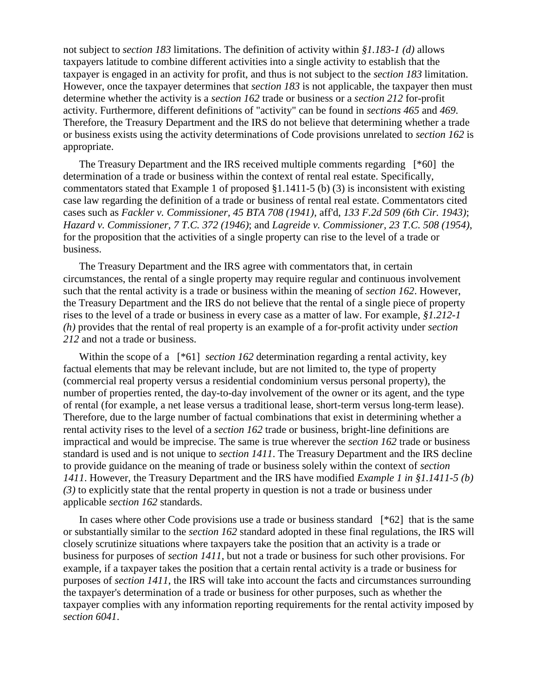not subject to *section 183* limitations. The definition of activity within *§1.183-1 (d)* allows taxpayers latitude to combine different activities into a single activity to establish that the taxpayer is engaged in an activity for profit, and thus is not subject to the *section 183* limitation. However, once the taxpayer determines that *section 183* is not applicable, the taxpayer then must determine whether the activity is a *section 162* trade or business or a *section 212* for-profit activity. Furthermore, different definitions of "activity" can be found in *sections 465* and *469*. Therefore, the Treasury Department and the IRS do not believe that determining whether a trade or business exists using the activity determinations of Code provisions unrelated to *section 162* is appropriate.

The Treasury Department and the IRS received multiple comments regarding [\*60] the determination of a trade or business within the context of rental real estate. Specifically, commentators stated that Example 1 of proposed §1.1411-5 (b) (3) is inconsistent with existing case law regarding the definition of a trade or business of rental real estate. Commentators cited cases such as *Fackler v. Commissioner, 45 BTA 708 (1941)*, aff'd, *133 F.2d 509 (6th Cir. 1943)*; *Hazard v. Commissioner, 7 T.C. 372 (1946)*; and *Lagreide v. Commissioner, 23 T.C. 508 (1954)*, for the proposition that the activities of a single property can rise to the level of a trade or business.

The Treasury Department and the IRS agree with commentators that, in certain circumstances, the rental of a single property may require regular and continuous involvement such that the rental activity is a trade or business within the meaning of *section 162*. However, the Treasury Department and the IRS do not believe that the rental of a single piece of property rises to the level of a trade or business in every case as a matter of law. For example, *§1.212-1 (h)* provides that the rental of real property is an example of a for-profit activity under *section 212* and not a trade or business.

Within the scope of a  $[*61]$  *section 162* determination regarding a rental activity, key factual elements that may be relevant include, but are not limited to, the type of property (commercial real property versus a residential condominium versus personal property), the number of properties rented, the day-to-day involvement of the owner or its agent, and the type of rental (for example, a net lease versus a traditional lease, short-term versus long-term lease). Therefore, due to the large number of factual combinations that exist in determining whether a rental activity rises to the level of a *section 162* trade or business, bright-line definitions are impractical and would be imprecise. The same is true wherever the *section 162* trade or business standard is used and is not unique to *section 1411*. The Treasury Department and the IRS decline to provide guidance on the meaning of trade or business solely within the context of *section 1411*. However, the Treasury Department and the IRS have modified *Example 1 in §1.1411-5 (b) (3)* to explicitly state that the rental property in question is not a trade or business under applicable *section 162* standards.

In cases where other Code provisions use a trade or business standard  $[^*62]$  that is the same or substantially similar to the *section 162* standard adopted in these final regulations, the IRS will closely scrutinize situations where taxpayers take the position that an activity is a trade or business for purposes of *section 1411*, but not a trade or business for such other provisions. For example, if a taxpayer takes the position that a certain rental activity is a trade or business for purposes of *section 1411*, the IRS will take into account the facts and circumstances surrounding the taxpayer's determination of a trade or business for other purposes, such as whether the taxpayer complies with any information reporting requirements for the rental activity imposed by *section 6041*.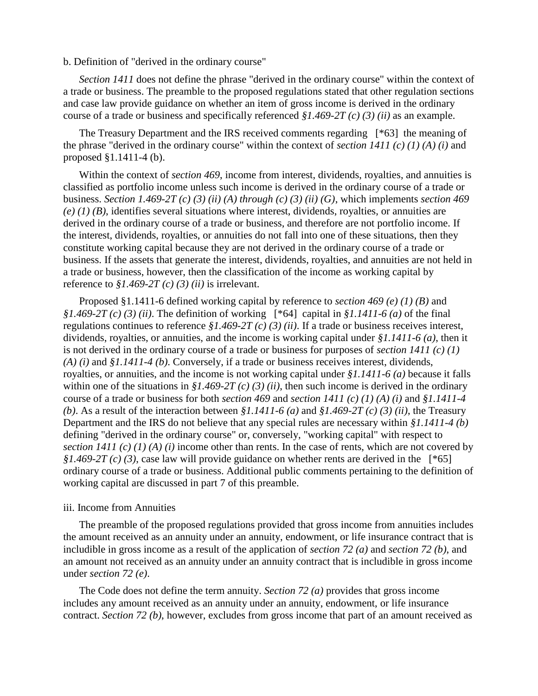b. Definition of "derived in the ordinary course"

*Section 1411* does not define the phrase "derived in the ordinary course" within the context of a trade or business. The preamble to the proposed regulations stated that other regulation sections and case law provide guidance on whether an item of gross income is derived in the ordinary course of a trade or business and specifically referenced *§1.469-2T (c) (3) (ii)* as an example.

The Treasury Department and the IRS received comments regarding [\*63] the meaning of the phrase "derived in the ordinary course" within the context of *section 1411 (c) (1) (A) (i)* and proposed §1.1411-4 (b).

Within the context of *section 469*, income from interest, dividends, royalties, and annuities is classified as portfolio income unless such income is derived in the ordinary course of a trade or business. *Section 1.469-2T (c) (3) (ii) (A) through (c) (3) (ii) (G)*, which implements *section 469 (e) (1) (B)*, identifies several situations where interest, dividends, royalties, or annuities are derived in the ordinary course of a trade or business, and therefore are not portfolio income. If the interest, dividends, royalties, or annuities do not fall into one of these situations, then they constitute working capital because they are not derived in the ordinary course of a trade or business. If the assets that generate the interest, dividends, royalties, and annuities are not held in a trade or business, however, then the classification of the income as working capital by reference to *§1.469-2T (c) (3) (ii)* is irrelevant.

Proposed §1.1411-6 defined working capital by reference to *section 469 (e) (1) (B)* and *§1.469-2T (c) (3) (ii)*. The definition of working [\*64] capital in *§1.1411-6 (a)* of the final regulations continues to reference *§1.469-2T (c) (3) (ii)*. If a trade or business receives interest, dividends, royalties, or annuities, and the income is working capital under *§1.1411-6 (a)*, then it is not derived in the ordinary course of a trade or business for purposes of *section 1411 (c) (1) (A) (i)* and *§1.1411-4 (b)*. Conversely, if a trade or business receives interest, dividends, royalties, or annuities, and the income is not working capital under *§1.1411-6 (a)* because it falls within one of the situations in *§1.469-2T (c) (3) (ii)*, then such income is derived in the ordinary course of a trade or business for both *section 469* and *section 1411 (c) (1) (A) (i)* and *§1.1411-4 (b)*. As a result of the interaction between *§1.1411-6 (a)* and *§1.469-2T (c) (3) (ii)*, the Treasury Department and the IRS do not believe that any special rules are necessary within *§1.1411-4 (b)* defining "derived in the ordinary course" or, conversely, "working capital" with respect to *section 1411 (c) (1) (A) (i)* income other than rents. In the case of rents, which are not covered by *§1.469-2T (c) (3)*, case law will provide guidance on whether rents are derived in the [\*65] ordinary course of a trade or business. Additional public comments pertaining to the definition of working capital are discussed in part 7 of this preamble.

#### iii. Income from Annuities

The preamble of the proposed regulations provided that gross income from annuities includes the amount received as an annuity under an annuity, endowment, or life insurance contract that is includible in gross income as a result of the application of *section 72 (a)* and *section 72 (b)*, and an amount not received as an annuity under an annuity contract that is includible in gross income under *section 72 (e)*.

The Code does not define the term annuity. *Section 72 (a)* provides that gross income includes any amount received as an annuity under an annuity, endowment, or life insurance contract. *Section 72 (b)*, however, excludes from gross income that part of an amount received as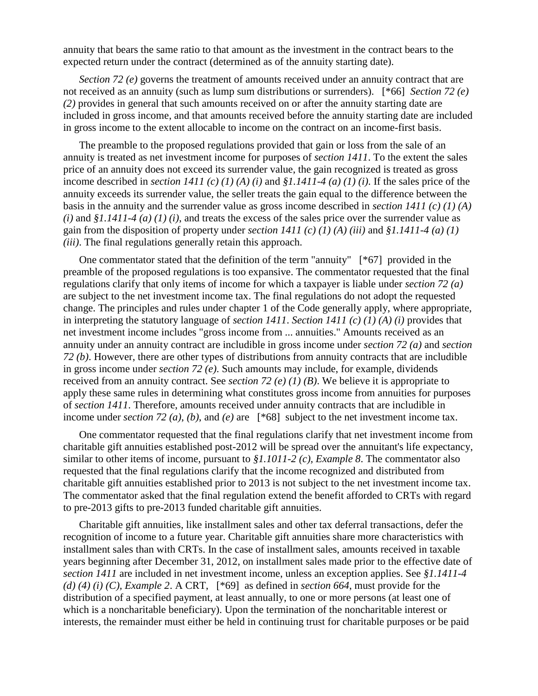annuity that bears the same ratio to that amount as the investment in the contract bears to the expected return under the contract (determined as of the annuity starting date).

*Section 72 (e)* governs the treatment of amounts received under an annuity contract that are not received as an annuity (such as lump sum distributions or surrenders). [\*66] *Section 72 (e) (2)* provides in general that such amounts received on or after the annuity starting date are included in gross income, and that amounts received before the annuity starting date are included in gross income to the extent allocable to income on the contract on an income-first basis.

The preamble to the proposed regulations provided that gain or loss from the sale of an annuity is treated as net investment income for purposes of *section 1411*. To the extent the sales price of an annuity does not exceed its surrender value, the gain recognized is treated as gross income described in *section 1411 (c) (1) (A) (i)* and *§1.1411-4 (a) (1) (i)*. If the sales price of the annuity exceeds its surrender value, the seller treats the gain equal to the difference between the basis in the annuity and the surrender value as gross income described in *section 1411 (c) (1) (A) (i)* and *§1.1411-4 (a) (1) (i)*, and treats the excess of the sales price over the surrender value as gain from the disposition of property under *section 1411 (c) (1) (A) (iii)* and *§1.1411-4 (a) (1) (iii)*. The final regulations generally retain this approach.

One commentator stated that the definition of the term "annuity" [\*67] provided in the preamble of the proposed regulations is too expansive. The commentator requested that the final regulations clarify that only items of income for which a taxpayer is liable under *section 72 (a)* are subject to the net investment income tax. The final regulations do not adopt the requested change. The principles and rules under chapter 1 of the Code generally apply, where appropriate, in interpreting the statutory language of *section 1411*. *Section 1411 (c) (1) (A) (i)* provides that net investment income includes "gross income from ... annuities." Amounts received as an annuity under an annuity contract are includible in gross income under *section 72 (a)* and *section 72 (b)*. However, there are other types of distributions from annuity contracts that are includible in gross income under *section 72 (e)*. Such amounts may include, for example, dividends received from an annuity contract. See *section 72 (e) (1) (B)*. We believe it is appropriate to apply these same rules in determining what constitutes gross income from annuities for purposes of *section 1411*. Therefore, amounts received under annuity contracts that are includible in income under *section 72 (a)*, *(b)*, and *(e)* are [\*68] subject to the net investment income tax.

One commentator requested that the final regulations clarify that net investment income from charitable gift annuities established post-2012 will be spread over the annuitant's life expectancy, similar to other items of income, pursuant to *§1.1011-2 (c), Example 8*. The commentator also requested that the final regulations clarify that the income recognized and distributed from charitable gift annuities established prior to 2013 is not subject to the net investment income tax. The commentator asked that the final regulation extend the benefit afforded to CRTs with regard to pre-2013 gifts to pre-2013 funded charitable gift annuities.

Charitable gift annuities, like installment sales and other tax deferral transactions, defer the recognition of income to a future year. Charitable gift annuities share more characteristics with installment sales than with CRTs. In the case of installment sales, amounts received in taxable years beginning after December 31, 2012, on installment sales made prior to the effective date of *section 1411* are included in net investment income, unless an exception applies. See *§1.1411-4 (d) (4) (i) (C), Example 2*. A CRT, [\*69] as defined in *section 664*, must provide for the distribution of a specified payment, at least annually, to one or more persons (at least one of which is a noncharitable beneficiary). Upon the termination of the noncharitable interest or interests, the remainder must either be held in continuing trust for charitable purposes or be paid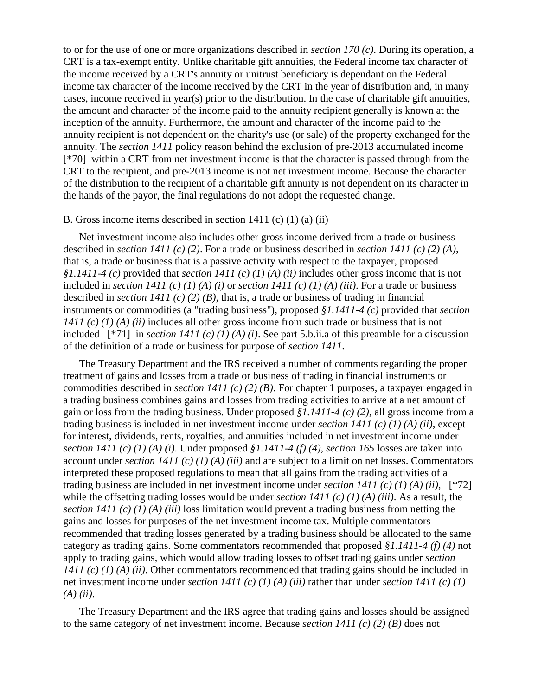to or for the use of one or more organizations described in *section 170 (c)*. During its operation, a CRT is a tax-exempt entity. Unlike charitable gift annuities, the Federal income tax character of the income received by a CRT's annuity or unitrust beneficiary is dependant on the Federal income tax character of the income received by the CRT in the year of distribution and, in many cases, income received in year(s) prior to the distribution. In the case of charitable gift annuities, the amount and character of the income paid to the annuity recipient generally is known at the inception of the annuity. Furthermore, the amount and character of the income paid to the annuity recipient is not dependent on the charity's use (or sale) of the property exchanged for the annuity. The *section 1411* policy reason behind the exclusion of pre-2013 accumulated income [\*70] within a CRT from net investment income is that the character is passed through from the CRT to the recipient, and pre-2013 income is not net investment income. Because the character of the distribution to the recipient of a charitable gift annuity is not dependent on its character in the hands of the payor, the final regulations do not adopt the requested change.

# B. Gross income items described in section 1411 (c) (1) (a) (ii)

Net investment income also includes other gross income derived from a trade or business described in *section 1411 (c) (2)*. For a trade or business described in *section 1411 (c) (2) (A)*, that is, a trade or business that is a passive activity with respect to the taxpayer, proposed *§1.1411-4 (c)* provided that *section 1411 (c) (1) (A) (ii)* includes other gross income that is not included in *section 1411 (c) (1) (A) (i)* or *section 1411 (c) (1) (A) (iii)*. For a trade or business described in *section 1411 (c) (2) (B)*, that is, a trade or business of trading in financial instruments or commodities (a "trading business"), proposed *§1.1411-4 (c)* provided that *section 1411 (c) (1) (A) (ii)* includes all other gross income from such trade or business that is not included [\*71] in *section 1411 (c) (1) (A) (i)*. See part 5.b.ii.a of this preamble for a discussion of the definition of a trade or business for purpose of *section 1411*.

The Treasury Department and the IRS received a number of comments regarding the proper treatment of gains and losses from a trade or business of trading in financial instruments or commodities described in *section 1411 (c) (2) (B)*. For chapter 1 purposes, a taxpayer engaged in a trading business combines gains and losses from trading activities to arrive at a net amount of gain or loss from the trading business. Under proposed *§1.1411-4 (c) (2)*, all gross income from a trading business is included in net investment income under *section 1411 (c) (1) (A) (ii)*, except for interest, dividends, rents, royalties, and annuities included in net investment income under *section 1411 (c) (1) (A) (i)*. Under proposed *§1.1411-4 (f) (4)*, *section 165* losses are taken into account under *section 1411 (c) (1) (A) (iii)* and are subject to a limit on net losses. Commentators interpreted these proposed regulations to mean that all gains from the trading activities of a trading business are included in net investment income under *section 1411 (c) (1) (A) (ii)*, [\*72] while the offsetting trading losses would be under *section 1411 (c) (1) (A) (iii)*. As a result, the *section 1411 (c) (1) (A) (iii)* loss limitation would prevent a trading business from netting the gains and losses for purposes of the net investment income tax. Multiple commentators recommended that trading losses generated by a trading business should be allocated to the same category as trading gains. Some commentators recommended that proposed *§1.1411-4 (f) (4)* not apply to trading gains, which would allow trading losses to offset trading gains under *section 1411 (c) (1) (A) (ii)*. Other commentators recommended that trading gains should be included in net investment income under *section 1411 (c) (1) (A) (iii)* rather than under *section 1411 (c) (1) (A) (ii)*.

The Treasury Department and the IRS agree that trading gains and losses should be assigned to the same category of net investment income. Because *section 1411 (c) (2) (B)* does not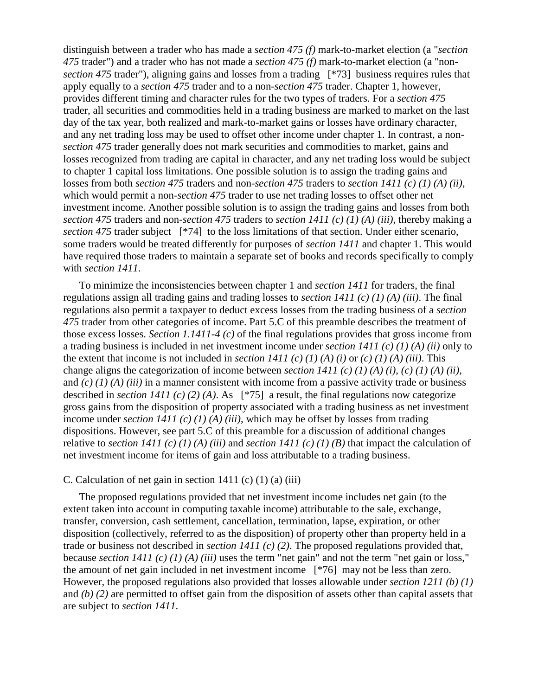distinguish between a trader who has made a *section 475 (f)* mark-to-market election (a "*section 475* trader") and a trader who has not made a *section 475 (f)* mark-to-market election (a "non*section 475* trader"), aligning gains and losses from a trading [\*73] business requires rules that apply equally to a *section 475* trader and to a non-*section 475* trader. Chapter 1, however, provides different timing and character rules for the two types of traders. For a *section 475* trader, all securities and commodities held in a trading business are marked to market on the last day of the tax year, both realized and mark-to-market gains or losses have ordinary character, and any net trading loss may be used to offset other income under chapter 1. In contrast, a non*section 475* trader generally does not mark securities and commodities to market, gains and losses recognized from trading are capital in character, and any net trading loss would be subject to chapter 1 capital loss limitations. One possible solution is to assign the trading gains and losses from both *section 475* traders and non-*section 475* traders to *section 1411 (c) (1) (A) (ii)*, which would permit a non-*section 475* trader to use net trading losses to offset other net investment income. Another possible solution is to assign the trading gains and losses from both *section 475* traders and non-*section 475* traders to *section 1411 (c) (1) (A) (iii)*, thereby making a *section 475* trader subject [\*74] to the loss limitations of that section. Under either scenario, some traders would be treated differently for purposes of *section 1411* and chapter 1. This would have required those traders to maintain a separate set of books and records specifically to comply with *section 1411*.

To minimize the inconsistencies between chapter 1 and *section 1411* for traders, the final regulations assign all trading gains and trading losses to *section 1411 (c) (1) (A) (iii)*. The final regulations also permit a taxpayer to deduct excess losses from the trading business of a *section 475* trader from other categories of income. Part 5.C of this preamble describes the treatment of those excess losses. *Section 1.1411-4 (c)* of the final regulations provides that gross income from a trading business is included in net investment income under *section 1411 (c) (1) (A) (ii)* only to the extent that income is not included in *section 1411 (c) (1) (A) (i)* or *(c) (1) (A) (iii)*. This change aligns the categorization of income between *section 1411 (c) (1) (A) (i)*, *(c) (1) (A) (ii)*, and *(c) (1) (A) (iii)* in a manner consistent with income from a passive activity trade or business described in *section 1411 (c) (2) (A)*. As [\*75] a result, the final regulations now categorize gross gains from the disposition of property associated with a trading business as net investment income under *section 1411 (c) (1) (A) (iii)*, which may be offset by losses from trading dispositions. However, see part 5.C of this preamble for a discussion of additional changes relative to *section 1411 (c) (1) (A) (iii)* and *section 1411 (c) (1) (B)* that impact the calculation of net investment income for items of gain and loss attributable to a trading business.

#### C. Calculation of net gain in section  $1411$  (c)  $(1)$  (a) (iii)

The proposed regulations provided that net investment income includes net gain (to the extent taken into account in computing taxable income) attributable to the sale, exchange, transfer, conversion, cash settlement, cancellation, termination, lapse, expiration, or other disposition (collectively, referred to as the disposition) of property other than property held in a trade or business not described in *section 1411 (c) (2)*. The proposed regulations provided that, because *section 1411 (c) (1) (A) (iii)* uses the term "net gain" and not the term "net gain or loss," the amount of net gain included in net investment income [\*76] may not be less than zero. However, the proposed regulations also provided that losses allowable under *section 1211 (b) (1)* and *(b) (2)* are permitted to offset gain from the disposition of assets other than capital assets that are subject to *section 1411*.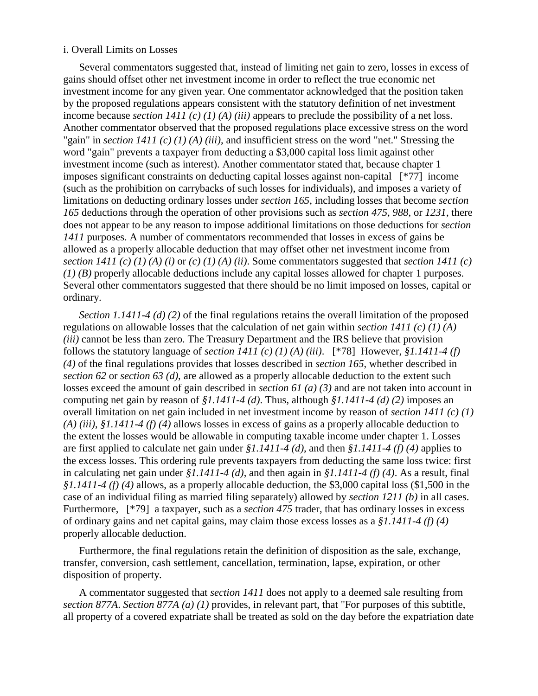#### i. Overall Limits on Losses

Several commentators suggested that, instead of limiting net gain to zero, losses in excess of gains should offset other net investment income in order to reflect the true economic net investment income for any given year. One commentator acknowledged that the position taken by the proposed regulations appears consistent with the statutory definition of net investment income because *section 1411 (c) (1) (A) (iii)* appears to preclude the possibility of a net loss. Another commentator observed that the proposed regulations place excessive stress on the word "gain" in *section 1411 (c) (1) (A) (iii)*, and insufficient stress on the word "net." Stressing the word "gain" prevents a taxpayer from deducting a \$3,000 capital loss limit against other investment income (such as interest). Another commentator stated that, because chapter 1 imposes significant constraints on deducting capital losses against non-capital [\*77] income (such as the prohibition on carrybacks of such losses for individuals), and imposes a variety of limitations on deducting ordinary losses under *section 165*, including losses that become *section 165* deductions through the operation of other provisions such as *section 475*, *988*, or *1231*, there does not appear to be any reason to impose additional limitations on those deductions for *section 1411* purposes. A number of commentators recommended that losses in excess of gains be allowed as a properly allocable deduction that may offset other net investment income from *section 1411 (c) (1) (A) (i)* or  $(c)$  (*1) (A) (ii)*. Some commentators suggested that *section 1411 (c) (1) (B)* properly allocable deductions include any capital losses allowed for chapter 1 purposes. Several other commentators suggested that there should be no limit imposed on losses, capital or ordinary.

*Section 1.1411-4 (d) (2)* of the final regulations retains the overall limitation of the proposed regulations on allowable losses that the calculation of net gain within *section 1411 (c) (1) (A) (iii)* cannot be less than zero. The Treasury Department and the IRS believe that provision follows the statutory language of *section 1411 (c) (1) (A) (iii)*. [\*78] However, *§1.1411-4 (f) (4)* of the final regulations provides that losses described in *section 165*, whether described in *section 62* or *section 63 (d)*, are allowed as a properly allocable deduction to the extent such losses exceed the amount of gain described in *section 61 (a) (3)* and are not taken into account in computing net gain by reason of *§1.1411-4 (d)*. Thus, although *§1.1411-4 (d) (2)* imposes an overall limitation on net gain included in net investment income by reason of *section 1411 (c) (1) (A) (iii)*, *§1.1411-4 (f) (4)* allows losses in excess of gains as a properly allocable deduction to the extent the losses would be allowable in computing taxable income under chapter 1. Losses are first applied to calculate net gain under *§1.1411-4 (d)*, and then *§1.1411-4 (f) (4)* applies to the excess losses. This ordering rule prevents taxpayers from deducting the same loss twice: first in calculating net gain under *§1.1411-4 (d)*, and then again in *§1.1411-4 (f) (4)*. As a result, final *§1.1411-4 (f) (4)* allows, as a properly allocable deduction, the \$3,000 capital loss (\$1,500 in the case of an individual filing as married filing separately) allowed by *section 1211 (b)* in all cases. Furthermore, [\*79] a taxpayer, such as a *section 475* trader, that has ordinary losses in excess of ordinary gains and net capital gains, may claim those excess losses as a *§1.1411-4 (f) (4)* properly allocable deduction.

Furthermore, the final regulations retain the definition of disposition as the sale, exchange, transfer, conversion, cash settlement, cancellation, termination, lapse, expiration, or other disposition of property.

A commentator suggested that *section 1411* does not apply to a deemed sale resulting from *section 877A*. *Section 877A (a) (1)* provides, in relevant part, that "For purposes of this subtitle, all property of a covered expatriate shall be treated as sold on the day before the expatriation date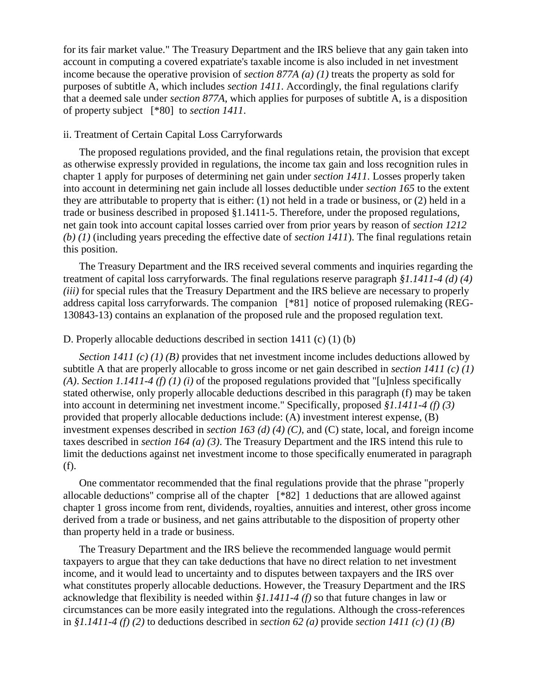for its fair market value." The Treasury Department and the IRS believe that any gain taken into account in computing a covered expatriate's taxable income is also included in net investment income because the operative provision of *section 877A (a) (1)* treats the property as sold for purposes of subtitle A, which includes *section 1411*. Accordingly, the final regulations clarify that a deemed sale under *section 877A*, which applies for purposes of subtitle A, is a disposition of property subject [\*80] to *section 1411*.

### ii. Treatment of Certain Capital Loss Carryforwards

The proposed regulations provided, and the final regulations retain, the provision that except as otherwise expressly provided in regulations, the income tax gain and loss recognition rules in chapter 1 apply for purposes of determining net gain under *section 1411*. Losses properly taken into account in determining net gain include all losses deductible under *section 165* to the extent they are attributable to property that is either: (1) not held in a trade or business, or (2) held in a trade or business described in proposed §1.1411-5. Therefore, under the proposed regulations, net gain took into account capital losses carried over from prior years by reason of *section 1212 (b) (1)* (including years preceding the effective date of *section 1411*). The final regulations retain this position.

The Treasury Department and the IRS received several comments and inquiries regarding the treatment of capital loss carryforwards. The final regulations reserve paragraph *§1.1411-4 (d) (4) (iii)* for special rules that the Treasury Department and the IRS believe are necessary to properly address capital loss carryforwards. The companion [\*81] notice of proposed rulemaking (REG-130843-13) contains an explanation of the proposed rule and the proposed regulation text.

#### D. Properly allocable deductions described in section 1411 (c) (1) (b)

*Section 1411 (c) (1) (B)* provides that net investment income includes deductions allowed by subtitle A that are properly allocable to gross income or net gain described in *section 1411 (c) (1) (A)*. *Section 1.1411-4 (f) (1) (i)* of the proposed regulations provided that "[u]nless specifically stated otherwise, only properly allocable deductions described in this paragraph (f) may be taken into account in determining net investment income." Specifically, proposed *§1.1411-4 (f) (3)* provided that properly allocable deductions include: (A) investment interest expense, (B) investment expenses described in *section 163 (d) (4) (C)*, and (C) state, local, and foreign income taxes described in *section 164 (a) (3)*. The Treasury Department and the IRS intend this rule to limit the deductions against net investment income to those specifically enumerated in paragraph (f).

One commentator recommended that the final regulations provide that the phrase "properly allocable deductions" comprise all of the chapter [\*82] 1 deductions that are allowed against chapter 1 gross income from rent, dividends, royalties, annuities and interest, other gross income derived from a trade or business, and net gains attributable to the disposition of property other than property held in a trade or business.

The Treasury Department and the IRS believe the recommended language would permit taxpayers to argue that they can take deductions that have no direct relation to net investment income, and it would lead to uncertainty and to disputes between taxpayers and the IRS over what constitutes properly allocable deductions. However, the Treasury Department and the IRS acknowledge that flexibility is needed within *§1.1411-4 (f)* so that future changes in law or circumstances can be more easily integrated into the regulations. Although the cross-references in *§1.1411-4 (f) (2)* to deductions described in *section 62 (a)* provide *section 1411 (c) (1) (B)*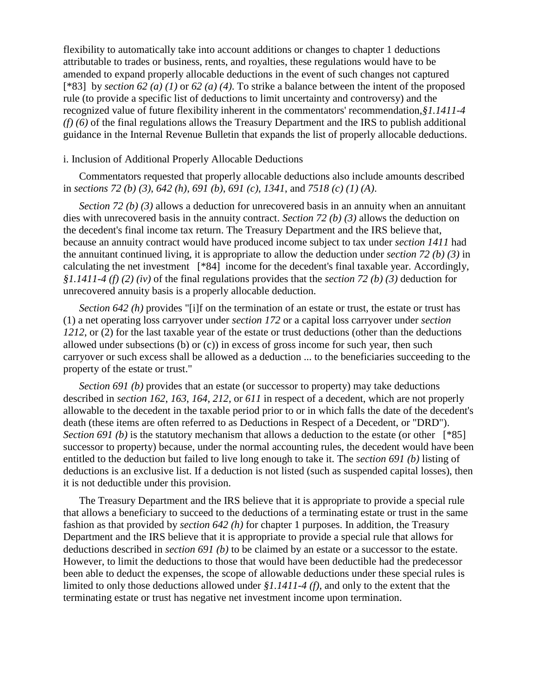flexibility to automatically take into account additions or changes to chapter 1 deductions attributable to trades or business, rents, and royalties, these regulations would have to be amended to expand properly allocable deductions in the event of such changes not captured [\*83] by *section 62 (a) (1)* or *62 (a) (4)*. To strike a balance between the intent of the proposed rule (to provide a specific list of deductions to limit uncertainty and controversy) and the recognized value of future flexibility inherent in the commentators' recommendation,*§1.1411-4 (f) (6)* of the final regulations allows the Treasury Department and the IRS to publish additional guidance in the Internal Revenue Bulletin that expands the list of properly allocable deductions.

#### i. Inclusion of Additional Properly Allocable Deductions

Commentators requested that properly allocable deductions also include amounts described in *sections 72 (b) (3)*, *642 (h)*, *691 (b)*, *691 (c)*, *1341*, and *7518 (c) (1) (A)*.

*Section 72 (b) (3)* allows a deduction for unrecovered basis in an annuity when an annuitant dies with unrecovered basis in the annuity contract. *Section 72 (b) (3)* allows the deduction on the decedent's final income tax return. The Treasury Department and the IRS believe that, because an annuity contract would have produced income subject to tax under *section 1411* had the annuitant continued living, it is appropriate to allow the deduction under *section 72 (b) (3)* in calculating the net investment [\*84] income for the decedent's final taxable year. Accordingly, *§1.1411-4 (f) (2) (iv)* of the final regulations provides that the *section 72 (b) (3)* deduction for unrecovered annuity basis is a properly allocable deduction.

*Section 642 (h)* provides "[i]f on the termination of an estate or trust, the estate or trust has (1) a net operating loss carryover under *section 172* or a capital loss carryover under *section 1212*, or (2) for the last taxable year of the estate or trust deductions (other than the deductions allowed under subsections (b) or (c)) in excess of gross income for such year, then such carryover or such excess shall be allowed as a deduction ... to the beneficiaries succeeding to the property of the estate or trust."

*Section 691 (b)* provides that an estate (or successor to property) may take deductions described in *section 162*, *163*, *164*, *212*, or *611* in respect of a decedent, which are not properly allowable to the decedent in the taxable period prior to or in which falls the date of the decedent's death (these items are often referred to as Deductions in Respect of a Decedent, or "DRD"). *Section 691 (b)* is the statutory mechanism that allows a deduction to the estate (or other [\*85] successor to property) because, under the normal accounting rules, the decedent would have been entitled to the deduction but failed to live long enough to take it. The *section 691 (b)* listing of deductions is an exclusive list. If a deduction is not listed (such as suspended capital losses), then it is not deductible under this provision.

The Treasury Department and the IRS believe that it is appropriate to provide a special rule that allows a beneficiary to succeed to the deductions of a terminating estate or trust in the same fashion as that provided by *section 642 (h)* for chapter 1 purposes. In addition, the Treasury Department and the IRS believe that it is appropriate to provide a special rule that allows for deductions described in *section 691 (b)* to be claimed by an estate or a successor to the estate. However, to limit the deductions to those that would have been deductible had the predecessor been able to deduct the expenses, the scope of allowable deductions under these special rules is limited to only those deductions allowed under *§1.1411-4 (f)*, and only to the extent that the terminating estate or trust has negative net investment income upon termination.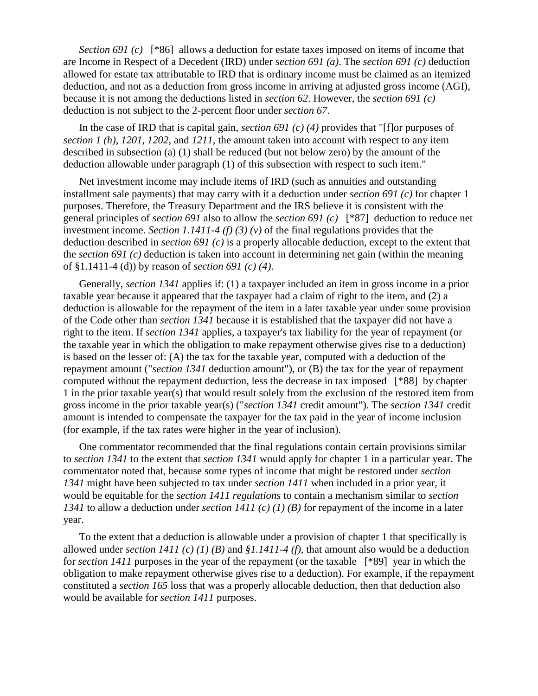*Section 691 (c)* [\*86] allows a deduction for estate taxes imposed on items of income that are Income in Respect of a Decedent (IRD) under *section 691 (a)*. The *section 691 (c)* deduction allowed for estate tax attributable to IRD that is ordinary income must be claimed as an itemized deduction, and not as a deduction from gross income in arriving at adjusted gross income (AGI), because it is not among the deductions listed in *section 62*. However, the *section 691 (c)* deduction is not subject to the 2-percent floor under *section 67*.

In the case of IRD that is capital gain, *section 691 (c) (4)* provides that "[f]or purposes of *section 1 (h)*, *1201*, *1202*, and *1211*, the amount taken into account with respect to any item described in subsection (a) (1) shall be reduced (but not below zero) by the amount of the deduction allowable under paragraph (1) of this subsection with respect to such item."

Net investment income may include items of IRD (such as annuities and outstanding installment sale payments) that may carry with it a deduction under *section 691 (c)* for chapter 1 purposes. Therefore, the Treasury Department and the IRS believe it is consistent with the general principles of *section 691* also to allow the *section 691 (c)* [\*87] deduction to reduce net investment income. *Section 1.1411-4 (f) (3) (v)* of the final regulations provides that the deduction described in *section 691 (c)* is a properly allocable deduction, except to the extent that the *section 691 (c)* deduction is taken into account in determining net gain (within the meaning of §1.1411-4 (d)) by reason of *section 691 (c) (4)*.

Generally, *section 1341* applies if: (1) a taxpayer included an item in gross income in a prior taxable year because it appeared that the taxpayer had a claim of right to the item, and (2) a deduction is allowable for the repayment of the item in a later taxable year under some provision of the Code other than *section 1341* because it is established that the taxpayer did not have a right to the item. If *section 1341* applies, a taxpayer's tax liability for the year of repayment (or the taxable year in which the obligation to make repayment otherwise gives rise to a deduction) is based on the lesser of: (A) the tax for the taxable year, computed with a deduction of the repayment amount ("*section 1341* deduction amount"), or (B) the tax for the year of repayment computed without the repayment deduction, less the decrease in tax imposed [\*88] by chapter 1 in the prior taxable year(s) that would result solely from the exclusion of the restored item from gross income in the prior taxable year(s) ("*section 1341* credit amount"). The *section 1341* credit amount is intended to compensate the taxpayer for the tax paid in the year of income inclusion (for example, if the tax rates were higher in the year of inclusion).

One commentator recommended that the final regulations contain certain provisions similar to *section 1341* to the extent that *section 1341* would apply for chapter 1 in a particular year. The commentator noted that, because some types of income that might be restored under *section 1341* might have been subjected to tax under *section 1411* when included in a prior year, it would be equitable for the *section 1411 regulations* to contain a mechanism similar to *section 1341* to allow a deduction under *section 1411 (c) (1) (B)* for repayment of the income in a later year.

To the extent that a deduction is allowable under a provision of chapter 1 that specifically is allowed under *section 1411 (c) (1) (B)* and *§1.1411-4 (f)*, that amount also would be a deduction for *section 1411* purposes in the year of the repayment (or the taxable [\*89] year in which the obligation to make repayment otherwise gives rise to a deduction). For example, if the repayment constituted a *section 165* loss that was a properly allocable deduction, then that deduction also would be available for *section 1411* purposes.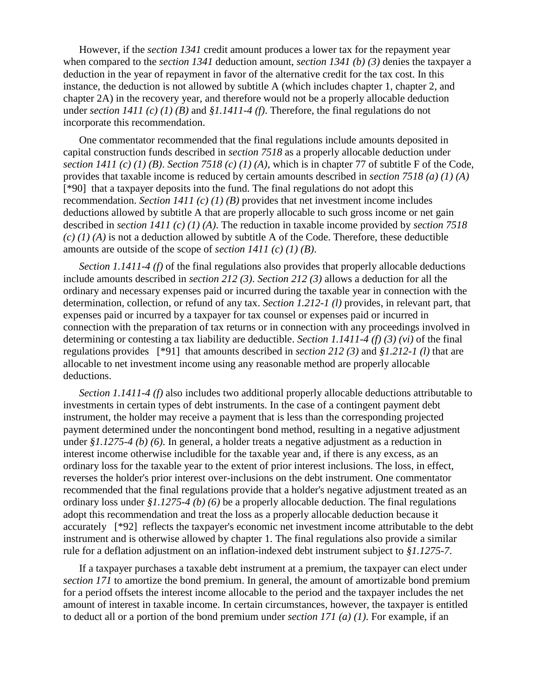However, if the *section 1341* credit amount produces a lower tax for the repayment year when compared to the *section 1341* deduction amount, *section 1341 (b) (3)* denies the taxpayer a deduction in the year of repayment in favor of the alternative credit for the tax cost. In this instance, the deduction is not allowed by subtitle A (which includes chapter 1, chapter 2, and chapter 2A) in the recovery year, and therefore would not be a properly allocable deduction under *section 1411 (c) (1) (B)* and *§1.1411-4 (f)*. Therefore, the final regulations do not incorporate this recommendation.

One commentator recommended that the final regulations include amounts deposited in capital construction funds described in *section 7518* as a properly allocable deduction under *section 1411 (c) (1) (B). Section 7518 (c) (1) (A)*, which is in chapter 77 of subtitle F of the Code, provides that taxable income is reduced by certain amounts described in *section 7518 (a) (1) (A)* [\*90] that a taxpayer deposits into the fund. The final regulations do not adopt this recommendation. *Section 1411 (c) (1) (B)* provides that net investment income includes deductions allowed by subtitle A that are properly allocable to such gross income or net gain described in *section 1411 (c) (1) (A)*. The reduction in taxable income provided by *section 7518*   $(c)$  (1) (A) is not a deduction allowed by subtitle A of the Code. Therefore, these deductible amounts are outside of the scope of *section 1411 (c) (1) (B)*.

*Section 1.1411-4 (f)* of the final regulations also provides that properly allocable deductions include amounts described in *section 212 (3)*. *Section 212 (3)* allows a deduction for all the ordinary and necessary expenses paid or incurred during the taxable year in connection with the determination, collection, or refund of any tax. *Section 1.212-1 (l)* provides, in relevant part, that expenses paid or incurred by a taxpayer for tax counsel or expenses paid or incurred in connection with the preparation of tax returns or in connection with any proceedings involved in determining or contesting a tax liability are deductible. *Section 1.1411-4 (f) (3) (vi)* of the final regulations provides [\*91] that amounts described in *section 212 (3)* and *§1.212-1 (l)* that are allocable to net investment income using any reasonable method are properly allocable deductions.

*Section 1.1411-4 (f)* also includes two additional properly allocable deductions attributable to investments in certain types of debt instruments. In the case of a contingent payment debt instrument, the holder may receive a payment that is less than the corresponding projected payment determined under the noncontingent bond method, resulting in a negative adjustment under *§1.1275-4 (b) (6)*. In general, a holder treats a negative adjustment as a reduction in interest income otherwise includible for the taxable year and, if there is any excess, as an ordinary loss for the taxable year to the extent of prior interest inclusions. The loss, in effect, reverses the holder's prior interest over-inclusions on the debt instrument. One commentator recommended that the final regulations provide that a holder's negative adjustment treated as an ordinary loss under *§1.1275-4 (b) (6)* be a properly allocable deduction. The final regulations adopt this recommendation and treat the loss as a properly allocable deduction because it accurately [\*92] reflects the taxpayer's economic net investment income attributable to the debt instrument and is otherwise allowed by chapter 1. The final regulations also provide a similar rule for a deflation adjustment on an inflation-indexed debt instrument subject to *§1.1275-7*.

If a taxpayer purchases a taxable debt instrument at a premium, the taxpayer can elect under *section 171* to amortize the bond premium. In general, the amount of amortizable bond premium for a period offsets the interest income allocable to the period and the taxpayer includes the net amount of interest in taxable income. In certain circumstances, however, the taxpayer is entitled to deduct all or a portion of the bond premium under *section 171 (a) (1)*. For example, if an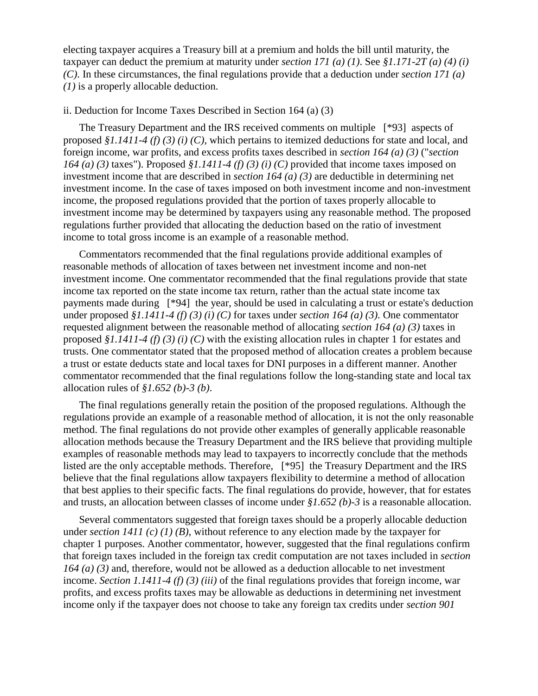electing taxpayer acquires a Treasury bill at a premium and holds the bill until maturity, the taxpayer can deduct the premium at maturity under *section 171 (a) (1)*. See *§1.171-2T (a) (4) (i) (C)*. In these circumstances, the final regulations provide that a deduction under *section 171 (a) (1)* is a properly allocable deduction.

#### ii. Deduction for Income Taxes Described in Section 164 (a) (3)

The Treasury Department and the IRS received comments on multiple [\*93] aspects of proposed *§1.1411-4 (f) (3) (i) (C)*, which pertains to itemized deductions for state and local, and foreign income, war profits, and excess profits taxes described in *section 164 (a) (3)* ("*section 164 (a) (3)* taxes"). Proposed *§1.1411-4 (f) (3) (i) (C)* provided that income taxes imposed on investment income that are described in *section 164 (a) (3)* are deductible in determining net investment income. In the case of taxes imposed on both investment income and non-investment income, the proposed regulations provided that the portion of taxes properly allocable to investment income may be determined by taxpayers using any reasonable method. The proposed regulations further provided that allocating the deduction based on the ratio of investment income to total gross income is an example of a reasonable method.

Commentators recommended that the final regulations provide additional examples of reasonable methods of allocation of taxes between net investment income and non-net investment income. One commentator recommended that the final regulations provide that state income tax reported on the state income tax return, rather than the actual state income tax payments made during [\*94] the year, should be used in calculating a trust or estate's deduction under proposed *§1.1411-4 (f) (3) (i) (C)* for taxes under *section 164 (a) (3)*. One commentator requested alignment between the reasonable method of allocating *section 164 (a) (3)* taxes in proposed *§1.1411-4 (f) (3) (i) (C)* with the existing allocation rules in chapter 1 for estates and trusts. One commentator stated that the proposed method of allocation creates a problem because a trust or estate deducts state and local taxes for DNI purposes in a different manner. Another commentator recommended that the final regulations follow the long-standing state and local tax allocation rules of *§1.652 (b)-3 (b)*.

The final regulations generally retain the position of the proposed regulations. Although the regulations provide an example of a reasonable method of allocation, it is not the only reasonable method. The final regulations do not provide other examples of generally applicable reasonable allocation methods because the Treasury Department and the IRS believe that providing multiple examples of reasonable methods may lead to taxpayers to incorrectly conclude that the methods listed are the only acceptable methods. Therefore, [\*95] the Treasury Department and the IRS believe that the final regulations allow taxpayers flexibility to determine a method of allocation that best applies to their specific facts. The final regulations do provide, however, that for estates and trusts, an allocation between classes of income under *§1.652 (b)-3* is a reasonable allocation.

Several commentators suggested that foreign taxes should be a properly allocable deduction under *section 1411 (c) (1) (B)*, without reference to any election made by the taxpayer for chapter 1 purposes. Another commentator, however, suggested that the final regulations confirm that foreign taxes included in the foreign tax credit computation are not taxes included in *section 164 (a) (3)* and, therefore, would not be allowed as a deduction allocable to net investment income. *Section 1.1411-4 (f) (3) (iii)* of the final regulations provides that foreign income, war profits, and excess profits taxes may be allowable as deductions in determining net investment income only if the taxpayer does not choose to take any foreign tax credits under *section 901*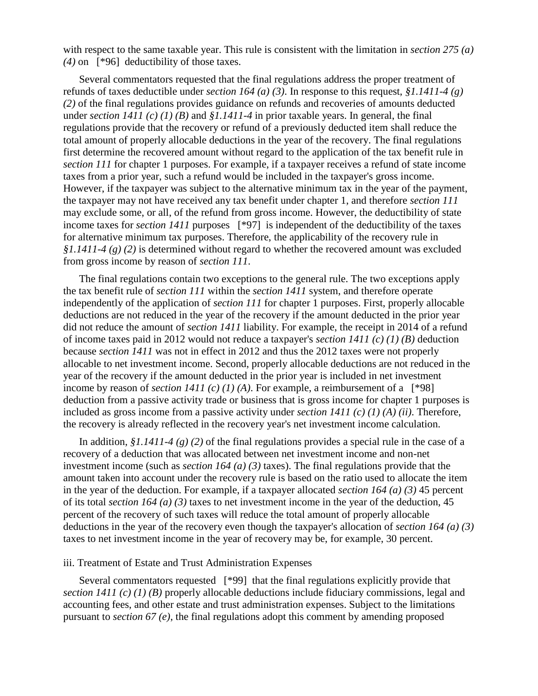with respect to the same taxable year. This rule is consistent with the limitation in *section 275 (a) (4)* on [\*96] deductibility of those taxes.

Several commentators requested that the final regulations address the proper treatment of refunds of taxes deductible under *section 164 (a) (3)*. In response to this request, *§1.1411-4 (g) (2)* of the final regulations provides guidance on refunds and recoveries of amounts deducted under *section 1411 (c) (1) (B)* and *§1.1411-4* in prior taxable years. In general, the final regulations provide that the recovery or refund of a previously deducted item shall reduce the total amount of properly allocable deductions in the year of the recovery. The final regulations first determine the recovered amount without regard to the application of the tax benefit rule in *section 111* for chapter 1 purposes. For example, if a taxpayer receives a refund of state income taxes from a prior year, such a refund would be included in the taxpayer's gross income. However, if the taxpayer was subject to the alternative minimum tax in the year of the payment, the taxpayer may not have received any tax benefit under chapter 1, and therefore *section 111* may exclude some, or all, of the refund from gross income. However, the deductibility of state income taxes for *section 1411* purposes [\*97] is independent of the deductibility of the taxes for alternative minimum tax purposes. Therefore, the applicability of the recovery rule in *§1.1411-4 (g) (2)* is determined without regard to whether the recovered amount was excluded from gross income by reason of *section 111*.

The final regulations contain two exceptions to the general rule. The two exceptions apply the tax benefit rule of *section 111* within the *section 1411* system, and therefore operate independently of the application of *section 111* for chapter 1 purposes. First, properly allocable deductions are not reduced in the year of the recovery if the amount deducted in the prior year did not reduce the amount of *section 1411* liability. For example, the receipt in 2014 of a refund of income taxes paid in 2012 would not reduce a taxpayer's *section 1411 (c) (1) (B)* deduction because *section 1411* was not in effect in 2012 and thus the 2012 taxes were not properly allocable to net investment income. Second, properly allocable deductions are not reduced in the year of the recovery if the amount deducted in the prior year is included in net investment income by reason of *section 1411 (c) (1) (A)*. For example, a reimbursement of a  $[^*98]$ deduction from a passive activity trade or business that is gross income for chapter 1 purposes is included as gross income from a passive activity under *section 1411 (c) (1) (A) (ii)*. Therefore, the recovery is already reflected in the recovery year's net investment income calculation.

In addition, *§1.1411-4 (g) (2)* of the final regulations provides a special rule in the case of a recovery of a deduction that was allocated between net investment income and non-net investment income (such as *section 164 (a) (3)* taxes). The final regulations provide that the amount taken into account under the recovery rule is based on the ratio used to allocate the item in the year of the deduction. For example, if a taxpayer allocated *section 164 (a) (3)* 45 percent of its total *section 164 (a) (3)* taxes to net investment income in the year of the deduction, 45 percent of the recovery of such taxes will reduce the total amount of properly allocable deductions in the year of the recovery even though the taxpayer's allocation of *section 164 (a) (3)* taxes to net investment income in the year of recovery may be, for example, 30 percent.

#### iii. Treatment of Estate and Trust Administration Expenses

Several commentators requested [\*99] that the final regulations explicitly provide that *section 1411 (c) (1) (B)* properly allocable deductions include fiduciary commissions, legal and accounting fees, and other estate and trust administration expenses. Subject to the limitations pursuant to *section 67 (e)*, the final regulations adopt this comment by amending proposed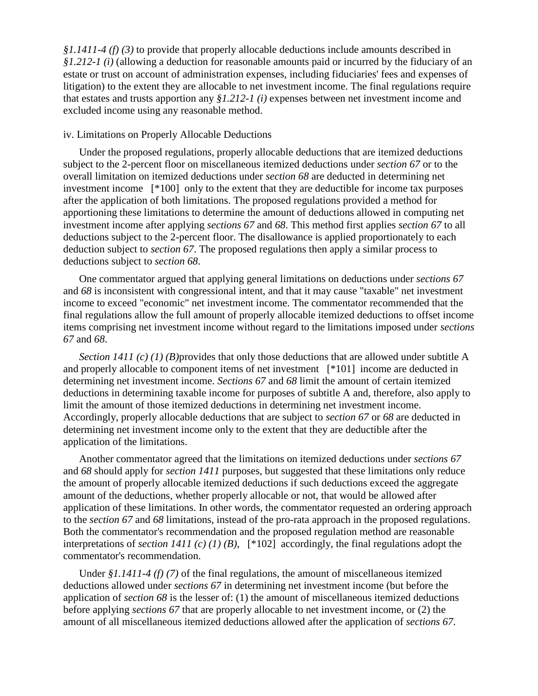*§1.1411-4 (f) (3)* to provide that properly allocable deductions include amounts described in *§1.212-1 (i)* (allowing a deduction for reasonable amounts paid or incurred by the fiduciary of an estate or trust on account of administration expenses, including fiduciaries' fees and expenses of litigation) to the extent they are allocable to net investment income. The final regulations require that estates and trusts apportion any *§1.212-1 (i)* expenses between net investment income and excluded income using any reasonable method.

### iv. Limitations on Properly Allocable Deductions

Under the proposed regulations, properly allocable deductions that are itemized deductions subject to the 2-percent floor on miscellaneous itemized deductions under *section 67* or to the overall limitation on itemized deductions under *section 68* are deducted in determining net investment income [\*100] only to the extent that they are deductible for income tax purposes after the application of both limitations. The proposed regulations provided a method for apportioning these limitations to determine the amount of deductions allowed in computing net investment income after applying *sections 67* and *68*. This method first applies *section 67* to all deductions subject to the 2-percent floor. The disallowance is applied proportionately to each deduction subject to *section 67*. The proposed regulations then apply a similar process to deductions subject to *section 68*.

One commentator argued that applying general limitations on deductions under *sections 67* and *68* is inconsistent with congressional intent, and that it may cause "taxable" net investment income to exceed "economic" net investment income. The commentator recommended that the final regulations allow the full amount of properly allocable itemized deductions to offset income items comprising net investment income without regard to the limitations imposed under *sections 67* and *68*.

*Section 1411 (c) (1) (B)* provides that only those deductions that are allowed under subtitle A and properly allocable to component items of net investment [\*101] income are deducted in determining net investment income. *Sections 67* and *68* limit the amount of certain itemized deductions in determining taxable income for purposes of subtitle A and, therefore, also apply to limit the amount of those itemized deductions in determining net investment income. Accordingly, properly allocable deductions that are subject to *section 67* or *68* are deducted in determining net investment income only to the extent that they are deductible after the application of the limitations.

Another commentator agreed that the limitations on itemized deductions under *sections 67* and *68* should apply for *section 1411* purposes, but suggested that these limitations only reduce the amount of properly allocable itemized deductions if such deductions exceed the aggregate amount of the deductions, whether properly allocable or not, that would be allowed after application of these limitations. In other words, the commentator requested an ordering approach to the *section 67* and *68* limitations, instead of the pro-rata approach in the proposed regulations. Both the commentator's recommendation and the proposed regulation method are reasonable interpretations of *section 1411 (c) (1) (B)*, [\*102] accordingly, the final regulations adopt the commentator's recommendation.

Under *§1.1411-4 (f) (7)* of the final regulations, the amount of miscellaneous itemized deductions allowed under *sections 67* in determining net investment income (but before the application of *section 68* is the lesser of: (1) the amount of miscellaneous itemized deductions before applying *sections 67* that are properly allocable to net investment income, or (2) the amount of all miscellaneous itemized deductions allowed after the application of *sections 67*.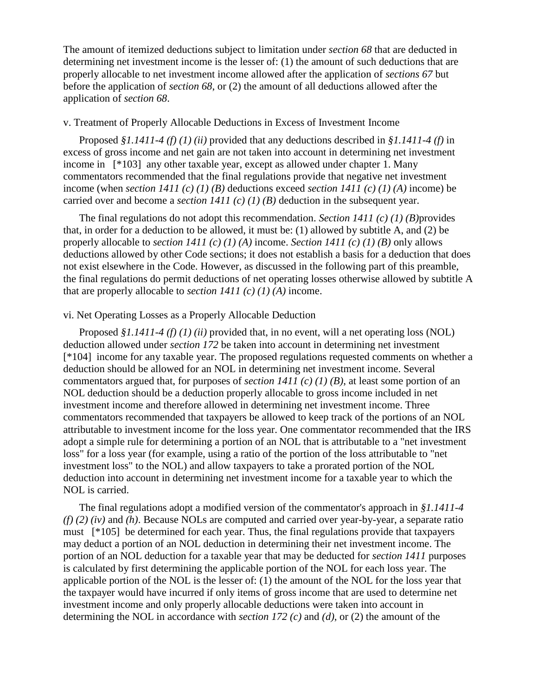The amount of itemized deductions subject to limitation under *section 68* that are deducted in determining net investment income is the lesser of: (1) the amount of such deductions that are properly allocable to net investment income allowed after the application of *sections 67* but before the application of *section 68*, or (2) the amount of all deductions allowed after the application of *section 68*.

# v. Treatment of Properly Allocable Deductions in Excess of Investment Income

Proposed *§1.1411-4 (f) (1) (ii)* provided that any deductions described in *§1.1411-4 (f)* in excess of gross income and net gain are not taken into account in determining net investment income in [\*103] any other taxable year, except as allowed under chapter 1. Many commentators recommended that the final regulations provide that negative net investment income (when *section 1411 (c) (1) (B)* deductions exceed *section 1411 (c) (1) (A)* income) be carried over and become a *section 1411 (c) (1) (B)* deduction in the subsequent year.

The final regulations do not adopt this recommendation. *Section 1411 (c) (1) (B)*provides that, in order for a deduction to be allowed, it must be: (1) allowed by subtitle A, and (2) be properly allocable to *section 1411 (c) (1) (A)* income. *Section 1411 (c) (1) (B)* only allows deductions allowed by other Code sections; it does not establish a basis for a deduction that does not exist elsewhere in the Code. However, as discussed in the following part of this preamble, the final regulations do permit deductions of net operating losses otherwise allowed by subtitle A that are properly allocable to *section 1411 (c) (1) (A)* income.

# vi. Net Operating Losses as a Properly Allocable Deduction

Proposed *§1.1411-4 (f) (1) (ii)* provided that, in no event, will a net operating loss (NOL) deduction allowed under *section 172* be taken into account in determining net investment [\*104] income for any taxable year. The proposed regulations requested comments on whether a deduction should be allowed for an NOL in determining net investment income. Several commentators argued that, for purposes of *section 1411 (c) (1) (B)*, at least some portion of an NOL deduction should be a deduction properly allocable to gross income included in net investment income and therefore allowed in determining net investment income. Three commentators recommended that taxpayers be allowed to keep track of the portions of an NOL attributable to investment income for the loss year. One commentator recommended that the IRS adopt a simple rule for determining a portion of an NOL that is attributable to a "net investment loss" for a loss year (for example, using a ratio of the portion of the loss attributable to "net investment loss" to the NOL) and allow taxpayers to take a prorated portion of the NOL deduction into account in determining net investment income for a taxable year to which the NOL is carried.

The final regulations adopt a modified version of the commentator's approach in *§1.1411-4 (f) (2) (iv)* and *(h)*. Because NOLs are computed and carried over year-by-year, a separate ratio must [\*105] be determined for each year. Thus, the final regulations provide that taxpayers may deduct a portion of an NOL deduction in determining their net investment income. The portion of an NOL deduction for a taxable year that may be deducted for *section 1411* purposes is calculated by first determining the applicable portion of the NOL for each loss year. The applicable portion of the NOL is the lesser of: (1) the amount of the NOL for the loss year that the taxpayer would have incurred if only items of gross income that are used to determine net investment income and only properly allocable deductions were taken into account in determining the NOL in accordance with *section 172 (c)* and *(d)*, or (2) the amount of the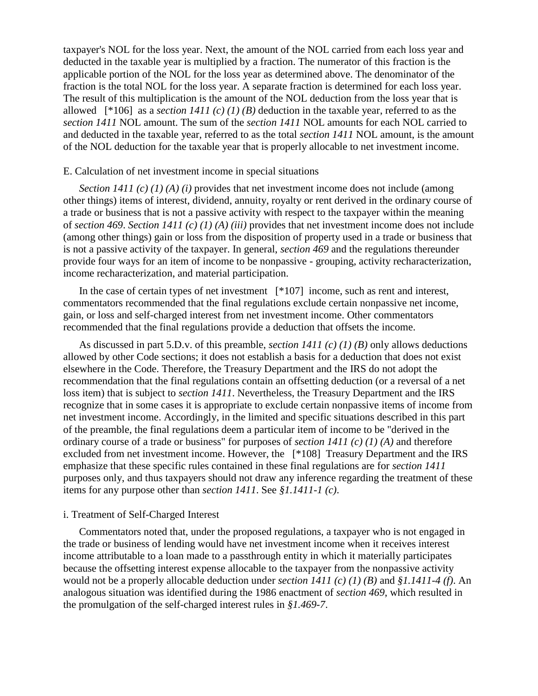taxpayer's NOL for the loss year. Next, the amount of the NOL carried from each loss year and deducted in the taxable year is multiplied by a fraction. The numerator of this fraction is the applicable portion of the NOL for the loss year as determined above. The denominator of the fraction is the total NOL for the loss year. A separate fraction is determined for each loss year. The result of this multiplication is the amount of the NOL deduction from the loss year that is allowed  $[^{*}106]$  as a *section 1411 (c) (1) (B)* deduction in the taxable year, referred to as the *section 1411* NOL amount. The sum of the *section 1411* NOL amounts for each NOL carried to and deducted in the taxable year, referred to as the total *section 1411* NOL amount, is the amount of the NOL deduction for the taxable year that is properly allocable to net investment income.

### E. Calculation of net investment income in special situations

*Section 1411 (c) (1) (A) (i)* provides that net investment income does not include (among other things) items of interest, dividend, annuity, royalty or rent derived in the ordinary course of a trade or business that is not a passive activity with respect to the taxpayer within the meaning of *section 469*. *Section 1411 (c) (1) (A) (iii)* provides that net investment income does not include (among other things) gain or loss from the disposition of property used in a trade or business that is not a passive activity of the taxpayer. In general, *section 469* and the regulations thereunder provide four ways for an item of income to be nonpassive - grouping, activity recharacterization, income recharacterization, and material participation.

In the case of certain types of net investment [\*107] income, such as rent and interest, commentators recommended that the final regulations exclude certain nonpassive net income, gain, or loss and self-charged interest from net investment income. Other commentators recommended that the final regulations provide a deduction that offsets the income.

As discussed in part 5.D.v. of this preamble, *section 1411 (c) (1) (B)* only allows deductions allowed by other Code sections; it does not establish a basis for a deduction that does not exist elsewhere in the Code. Therefore, the Treasury Department and the IRS do not adopt the recommendation that the final regulations contain an offsetting deduction (or a reversal of a net loss item) that is subject to *section 1411*. Nevertheless, the Treasury Department and the IRS recognize that in some cases it is appropriate to exclude certain nonpassive items of income from net investment income. Accordingly, in the limited and specific situations described in this part of the preamble, the final regulations deem a particular item of income to be "derived in the ordinary course of a trade or business" for purposes of *section 1411 (c) (1) (A)* and therefore excluded from net investment income. However, the [\*108] Treasury Department and the IRS emphasize that these specific rules contained in these final regulations are for *section 1411* purposes only, and thus taxpayers should not draw any inference regarding the treatment of these items for any purpose other than *section 1411*. See *§1.1411-1 (c)*.

#### i. Treatment of Self-Charged Interest

Commentators noted that, under the proposed regulations, a taxpayer who is not engaged in the trade or business of lending would have net investment income when it receives interest income attributable to a loan made to a passthrough entity in which it materially participates because the offsetting interest expense allocable to the taxpayer from the nonpassive activity would not be a properly allocable deduction under *section 1411 (c) (1) (B)* and *§1.1411-4 (f)*. An analogous situation was identified during the 1986 enactment of *section 469*, which resulted in the promulgation of the self-charged interest rules in *§1.469-7*.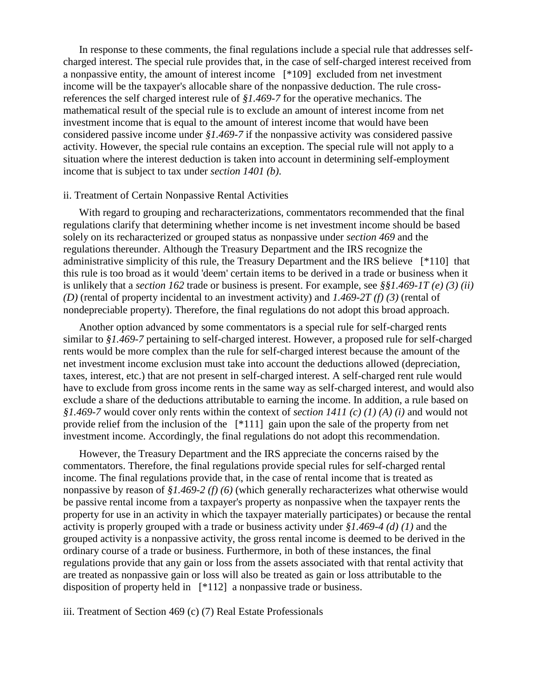In response to these comments, the final regulations include a special rule that addresses selfcharged interest. The special rule provides that, in the case of self-charged interest received from a nonpassive entity, the amount of interest income [\*109] excluded from net investment income will be the taxpayer's allocable share of the nonpassive deduction. The rule crossreferences the self charged interest rule of *§1.469-7* for the operative mechanics. The mathematical result of the special rule is to exclude an amount of interest income from net investment income that is equal to the amount of interest income that would have been considered passive income under *§1.469-7* if the nonpassive activity was considered passive activity. However, the special rule contains an exception. The special rule will not apply to a situation where the interest deduction is taken into account in determining self-employment income that is subject to tax under *section 1401 (b)*.

#### ii. Treatment of Certain Nonpassive Rental Activities

With regard to grouping and recharacterizations, commentators recommended that the final regulations clarify that determining whether income is net investment income should be based solely on its recharacterized or grouped status as nonpassive under *section 469* and the regulations thereunder. Although the Treasury Department and the IRS recognize the administrative simplicity of this rule, the Treasury Department and the IRS believe [\*110] that this rule is too broad as it would 'deem' certain items to be derived in a trade or business when it is unlikely that a *section 162* trade or business is present. For example, see *§§1.469-1T (e) (3) (ii) (D)* (rental of property incidental to an investment activity) and *1.469-2T (f) (3)* (rental of nondepreciable property). Therefore, the final regulations do not adopt this broad approach.

Another option advanced by some commentators is a special rule for self-charged rents similar to *§1.469-7* pertaining to self-charged interest. However, a proposed rule for self-charged rents would be more complex than the rule for self-charged interest because the amount of the net investment income exclusion must take into account the deductions allowed (depreciation, taxes, interest, etc.) that are not present in self-charged interest. A self-charged rent rule would have to exclude from gross income rents in the same way as self-charged interest, and would also exclude a share of the deductions attributable to earning the income. In addition, a rule based on *§1.469-7* would cover only rents within the context of *section 1411 (c) (1) (A) (i)* and would not provide relief from the inclusion of the [\*111] gain upon the sale of the property from net investment income. Accordingly, the final regulations do not adopt this recommendation.

However, the Treasury Department and the IRS appreciate the concerns raised by the commentators. Therefore, the final regulations provide special rules for self-charged rental income. The final regulations provide that, in the case of rental income that is treated as nonpassive by reason of *§1.469-2 (f) (6)* (which generally recharacterizes what otherwise would be passive rental income from a taxpayer's property as nonpassive when the taxpayer rents the property for use in an activity in which the taxpayer materially participates) or because the rental activity is properly grouped with a trade or business activity under *§1.469-4 (d) (1)* and the grouped activity is a nonpassive activity, the gross rental income is deemed to be derived in the ordinary course of a trade or business. Furthermore, in both of these instances, the final regulations provide that any gain or loss from the assets associated with that rental activity that are treated as nonpassive gain or loss will also be treated as gain or loss attributable to the disposition of property held in [\*112] a nonpassive trade or business.

iii. Treatment of Section 469 (c) (7) Real Estate Professionals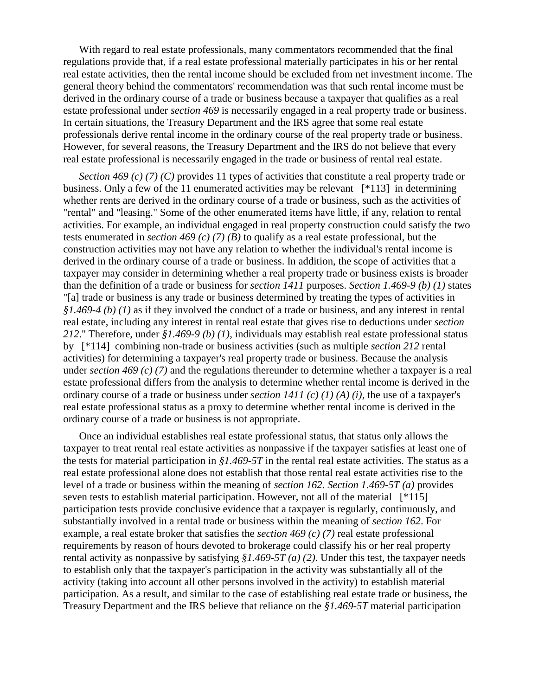With regard to real estate professionals, many commentators recommended that the final regulations provide that, if a real estate professional materially participates in his or her rental real estate activities, then the rental income should be excluded from net investment income. The general theory behind the commentators' recommendation was that such rental income must be derived in the ordinary course of a trade or business because a taxpayer that qualifies as a real estate professional under *section 469* is necessarily engaged in a real property trade or business. In certain situations, the Treasury Department and the IRS agree that some real estate professionals derive rental income in the ordinary course of the real property trade or business. However, for several reasons, the Treasury Department and the IRS do not believe that every real estate professional is necessarily engaged in the trade or business of rental real estate.

*Section 469 (c) (7) (C)* provides 11 types of activities that constitute a real property trade or business. Only a few of the 11 enumerated activities may be relevant [\*113] in determining whether rents are derived in the ordinary course of a trade or business, such as the activities of "rental" and "leasing." Some of the other enumerated items have little, if any, relation to rental activities. For example, an individual engaged in real property construction could satisfy the two tests enumerated in *section 469 (c) (7) (B)* to qualify as a real estate professional, but the construction activities may not have any relation to whether the individual's rental income is derived in the ordinary course of a trade or business. In addition, the scope of activities that a taxpayer may consider in determining whether a real property trade or business exists is broader than the definition of a trade or business for *section 1411* purposes. *Section 1.469-9 (b) (1)* states "[a] trade or business is any trade or business determined by treating the types of activities in *§1.469-4 (b) (1)* as if they involved the conduct of a trade or business, and any interest in rental real estate, including any interest in rental real estate that gives rise to deductions under *section 212*." Therefore, under *§1.469-9 (b) (1)*, individuals may establish real estate professional status by [\*114] combining non-trade or business activities (such as multiple *section 212* rental activities) for determining a taxpayer's real property trade or business. Because the analysis under *section 469 (c) (7)* and the regulations thereunder to determine whether a taxpayer is a real estate professional differs from the analysis to determine whether rental income is derived in the ordinary course of a trade or business under *section 1411 (c) (1) (A) (i)*, the use of a taxpayer's real estate professional status as a proxy to determine whether rental income is derived in the ordinary course of a trade or business is not appropriate.

Once an individual establishes real estate professional status, that status only allows the taxpayer to treat rental real estate activities as nonpassive if the taxpayer satisfies at least one of the tests for material participation in *§1.469-5T* in the rental real estate activities. The status as a real estate professional alone does not establish that those rental real estate activities rise to the level of a trade or business within the meaning of *section 162*. *Section 1.469-5T (a)* provides seven tests to establish material participation. However, not all of the material [\*115] participation tests provide conclusive evidence that a taxpayer is regularly, continuously, and substantially involved in a rental trade or business within the meaning of *section 162*. For example, a real estate broker that satisfies the *section 469 (c) (7)* real estate professional requirements by reason of hours devoted to brokerage could classify his or her real property rental activity as nonpassive by satisfying *§1.469-5T (a) (2)*. Under this test, the taxpayer needs to establish only that the taxpayer's participation in the activity was substantially all of the activity (taking into account all other persons involved in the activity) to establish material participation. As a result, and similar to the case of establishing real estate trade or business, the Treasury Department and the IRS believe that reliance on the *§1.469-5T* material participation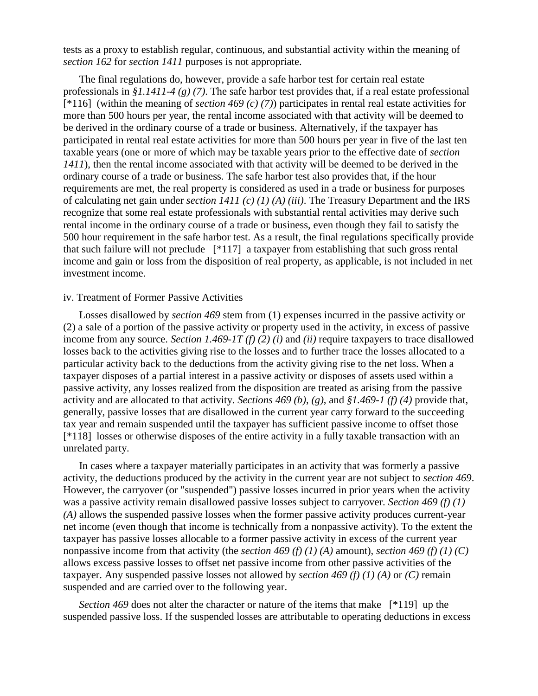tests as a proxy to establish regular, continuous, and substantial activity within the meaning of *section 162* for *section 1411* purposes is not appropriate.

The final regulations do, however, provide a safe harbor test for certain real estate professionals in *§1.1411-4 (g) (7)*. The safe harbor test provides that, if a real estate professional [\*116] (within the meaning of *section 469 (c) (7)*) participates in rental real estate activities for more than 500 hours per year, the rental income associated with that activity will be deemed to be derived in the ordinary course of a trade or business. Alternatively, if the taxpayer has participated in rental real estate activities for more than 500 hours per year in five of the last ten taxable years (one or more of which may be taxable years prior to the effective date of *section 1411*), then the rental income associated with that activity will be deemed to be derived in the ordinary course of a trade or business. The safe harbor test also provides that, if the hour requirements are met, the real property is considered as used in a trade or business for purposes of calculating net gain under *section 1411 (c) (1) (A) (iii)*. The Treasury Department and the IRS recognize that some real estate professionals with substantial rental activities may derive such rental income in the ordinary course of a trade or business, even though they fail to satisfy the 500 hour requirement in the safe harbor test. As a result, the final regulations specifically provide that such failure will not preclude [\*117] a taxpayer from establishing that such gross rental income and gain or loss from the disposition of real property, as applicable, is not included in net investment income.

### iv. Treatment of Former Passive Activities

Losses disallowed by *section 469* stem from (1) expenses incurred in the passive activity or (2) a sale of a portion of the passive activity or property used in the activity, in excess of passive income from any source. *Section 1.469-1T (f) (2) (i)* and *(ii)* require taxpayers to trace disallowed losses back to the activities giving rise to the losses and to further trace the losses allocated to a particular activity back to the deductions from the activity giving rise to the net loss. When a taxpayer disposes of a partial interest in a passive activity or disposes of assets used within a passive activity, any losses realized from the disposition are treated as arising from the passive activity and are allocated to that activity. *Sections 469 (b)*, *(g)*, and *§1.469-1 (f) (4)* provide that, generally, passive losses that are disallowed in the current year carry forward to the succeeding tax year and remain suspended until the taxpayer has sufficient passive income to offset those [\*118] losses or otherwise disposes of the entire activity in a fully taxable transaction with an unrelated party.

In cases where a taxpayer materially participates in an activity that was formerly a passive activity, the deductions produced by the activity in the current year are not subject to *section 469*. However, the carryover (or "suspended") passive losses incurred in prior years when the activity was a passive activity remain disallowed passive losses subject to carryover. *Section 469 (f) (1) (A)* allows the suspended passive losses when the former passive activity produces current-year net income (even though that income is technically from a nonpassive activity). To the extent the taxpayer has passive losses allocable to a former passive activity in excess of the current year nonpassive income from that activity (the *section 469 (f) (1) (A)* amount), *section 469 (f) (1) (C)* allows excess passive losses to offset net passive income from other passive activities of the taxpayer. Any suspended passive losses not allowed by *section 469 (f) (1) (A)* or *(C)* remain suspended and are carried over to the following year.

*Section 469* does not alter the character or nature of the items that make [\*119] up the suspended passive loss. If the suspended losses are attributable to operating deductions in excess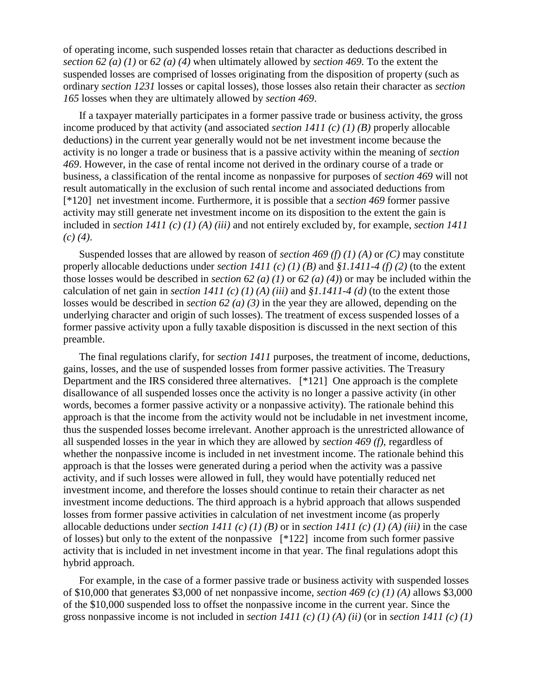of operating income, such suspended losses retain that character as deductions described in *section 62 (a) (1)* or *62 (a) (4)* when ultimately allowed by *section 469*. To the extent the suspended losses are comprised of losses originating from the disposition of property (such as ordinary *section 1231* losses or capital losses), those losses also retain their character as *section 165* losses when they are ultimately allowed by *section 469*.

If a taxpayer materially participates in a former passive trade or business activity, the gross income produced by that activity (and associated *section 1411 (c) (1) (B)* properly allocable deductions) in the current year generally would not be net investment income because the activity is no longer a trade or business that is a passive activity within the meaning of *section 469*. However, in the case of rental income not derived in the ordinary course of a trade or business, a classification of the rental income as nonpassive for purposes of *section 469* will not result automatically in the exclusion of such rental income and associated deductions from [\*120] net investment income. Furthermore, it is possible that a *section 469* former passive activity may still generate net investment income on its disposition to the extent the gain is included in *section 1411 (c) (1) (A) (iii)* and not entirely excluded by, for example, *section 1411 (c) (4)*.

Suspended losses that are allowed by reason of *section 469 (f) (1) (A)* or *(C)* may constitute properly allocable deductions under *section 1411 (c) (1) (B)* and *§1.1411-4 (f) (2)* (to the extent those losses would be described in *section 62 (a) (1)* or *62 (a) (4)*) or may be included within the calculation of net gain in *section 1411 (c) (1) (A) (iii)* and *§1.1411-4 (d)* (to the extent those losses would be described in *section 62 (a) (3)* in the year they are allowed, depending on the underlying character and origin of such losses). The treatment of excess suspended losses of a former passive activity upon a fully taxable disposition is discussed in the next section of this preamble.

The final regulations clarify, for *section 1411* purposes, the treatment of income, deductions, gains, losses, and the use of suspended losses from former passive activities. The Treasury Department and the IRS considered three alternatives. [\*121] One approach is the complete disallowance of all suspended losses once the activity is no longer a passive activity (in other words, becomes a former passive activity or a nonpassive activity). The rationale behind this approach is that the income from the activity would not be includable in net investment income, thus the suspended losses become irrelevant. Another approach is the unrestricted allowance of all suspended losses in the year in which they are allowed by *section 469 (f)*, regardless of whether the nonpassive income is included in net investment income. The rationale behind this approach is that the losses were generated during a period when the activity was a passive activity, and if such losses were allowed in full, they would have potentially reduced net investment income, and therefore the losses should continue to retain their character as net investment income deductions. The third approach is a hybrid approach that allows suspended losses from former passive activities in calculation of net investment income (as properly allocable deductions under *section 1411 (c) (1) (B)* or in *section 1411 (c) (1) (A) (iii)* in the case of losses) but only to the extent of the nonpassive [\*122] income from such former passive activity that is included in net investment income in that year. The final regulations adopt this hybrid approach.

For example, in the case of a former passive trade or business activity with suspended losses of \$10,000 that generates \$3,000 of net nonpassive income, *section 469 (c) (1) (A)* allows \$3,000 of the \$10,000 suspended loss to offset the nonpassive income in the current year. Since the gross nonpassive income is not included in *section 1411 (c) (1) (A) (ii)* (or in *section 1411 (c) (1)*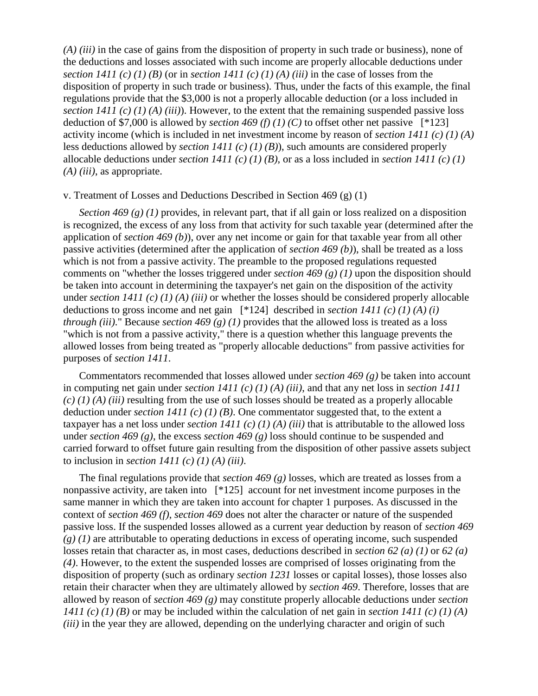*(A) (iii)* in the case of gains from the disposition of property in such trade or business), none of the deductions and losses associated with such income are properly allocable deductions under *section 1411 (c) (1) (B)* (or in *section 1411 (c) (1) (A) (iii)* in the case of losses from the disposition of property in such trade or business). Thus, under the facts of this example, the final regulations provide that the \$3,000 is not a properly allocable deduction (or a loss included in *section 1411 (c) (1) (A) (iii)*). However, to the extent that the remaining suspended passive loss deduction of \$7,000 is allowed by *section 469 (f) (1) (C)* to offset other net passive  $[^*123]$ activity income (which is included in net investment income by reason of *section 1411 (c) (1) (A)* less deductions allowed by *section 1411 (c) (1) (B)*), such amounts are considered properly allocable deductions under *section 1411 (c) (1) (B)*, or as a loss included in *section 1411 (c) (1) (A) (iii)*, as appropriate.

### v. Treatment of Losses and Deductions Described in Section 469 (g) (1)

*Section 469 (g) (1)* provides, in relevant part, that if all gain or loss realized on a disposition is recognized, the excess of any loss from that activity for such taxable year (determined after the application of *section 469 (b)*), over any net income or gain for that taxable year from all other passive activities (determined after the application of *section 469 (b)*), shall be treated as a loss which is not from a passive activity. The preamble to the proposed regulations requested comments on "whether the losses triggered under *section 469 (g) (1)* upon the disposition should be taken into account in determining the taxpayer's net gain on the disposition of the activity under *section 1411 (c) (1) (A) (iii)* or whether the losses should be considered properly allocable deductions to gross income and net gain [\*124] described in *section 1411 (c) (1) (A) (i) through (iii)*." Because *section 469 (g) (1)* provides that the allowed loss is treated as a loss "which is not from a passive activity," there is a question whether this language prevents the allowed losses from being treated as "properly allocable deductions" from passive activities for purposes of *section 1411*.

Commentators recommended that losses allowed under *section 469 (g)* be taken into account in computing net gain under *section 1411 (c) (1) (A) (iii)*, and that any net loss in *section 1411 (c) (1) (A) (iii)* resulting from the use of such losses should be treated as a properly allocable deduction under *section 1411 (c) (1) (B)*. One commentator suggested that, to the extent a taxpayer has a net loss under *section 1411 (c) (1) (A) (iii)* that is attributable to the allowed loss under *section 469 (g)*, the excess *section 469 (g)* loss should continue to be suspended and carried forward to offset future gain resulting from the disposition of other passive assets subject to inclusion in *section 1411 (c) (1) (A) (iii)*.

The final regulations provide that *section 469 (g)* losses, which are treated as losses from a nonpassive activity, are taken into [\*125] account for net investment income purposes in the same manner in which they are taken into account for chapter 1 purposes. As discussed in the context of *section 469 (f)*, *section 469* does not alter the character or nature of the suspended passive loss. If the suspended losses allowed as a current year deduction by reason of *section 469 (g) (1)* are attributable to operating deductions in excess of operating income, such suspended losses retain that character as, in most cases, deductions described in *section 62 (a) (1)* or *62 (a) (4)*. However, to the extent the suspended losses are comprised of losses originating from the disposition of property (such as ordinary *section 1231* losses or capital losses), those losses also retain their character when they are ultimately allowed by *section 469*. Therefore, losses that are allowed by reason of *section 469 (g)* may constitute properly allocable deductions under *section 1411 (c) (1) (B)* or may be included within the calculation of net gain in *section 1411 (c) (1) (A) (iii)* in the year they are allowed, depending on the underlying character and origin of such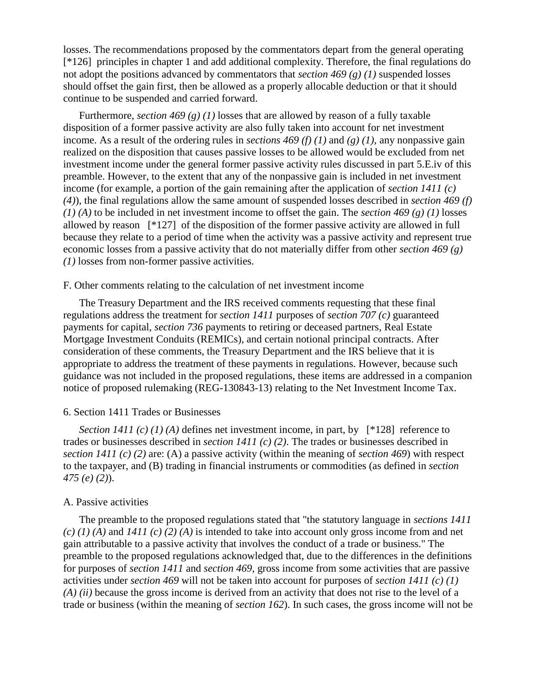losses. The recommendations proposed by the commentators depart from the general operating [\*126] principles in chapter 1 and add additional complexity. Therefore, the final regulations do not adopt the positions advanced by commentators that *section 469 (g) (1)* suspended losses should offset the gain first, then be allowed as a properly allocable deduction or that it should continue to be suspended and carried forward.

Furthermore, *section 469 (g) (1)* losses that are allowed by reason of a fully taxable disposition of a former passive activity are also fully taken into account for net investment income. As a result of the ordering rules in *sections 469 (f) (1)* and *(g) (1)*, any nonpassive gain realized on the disposition that causes passive losses to be allowed would be excluded from net investment income under the general former passive activity rules discussed in part 5.E.iv of this preamble. However, to the extent that any of the nonpassive gain is included in net investment income (for example, a portion of the gain remaining after the application of *section 1411 (c) (4)*), the final regulations allow the same amount of suspended losses described in *section 469 (f) (1) (A)* to be included in net investment income to offset the gain. The *section 469 (g) (1)* losses allowed by reason [\*127] of the disposition of the former passive activity are allowed in full because they relate to a period of time when the activity was a passive activity and represent true economic losses from a passive activity that do not materially differ from other *section 469 (g) (1)* losses from non-former passive activities.

# F. Other comments relating to the calculation of net investment income

The Treasury Department and the IRS received comments requesting that these final regulations address the treatment for *section 1411* purposes of *section 707 (c)* guaranteed payments for capital, *section 736* payments to retiring or deceased partners, Real Estate Mortgage Investment Conduits (REMICs), and certain notional principal contracts. After consideration of these comments, the Treasury Department and the IRS believe that it is appropriate to address the treatment of these payments in regulations. However, because such guidance was not included in the proposed regulations, these items are addressed in a companion notice of proposed rulemaking (REG-130843-13) relating to the Net Investment Income Tax.

### 6. Section 1411 Trades or Businesses

*Section 1411 (c) (1) (A)* defines net investment income, in part, by [\*128] reference to trades or businesses described in *section 1411 (c) (2)*. The trades or businesses described in *section 1411 (c) (2)* are: (A) a passive activity (within the meaning of *section 469*) with respect to the taxpayer, and (B) trading in financial instruments or commodities (as defined in *section 475 (e) (2)*).

### A. Passive activities

The preamble to the proposed regulations stated that "the statutory language in *sections 1411 (c) (1) (A)* and *1411 (c) (2) (A)* is intended to take into account only gross income from and net gain attributable to a passive activity that involves the conduct of a trade or business." The preamble to the proposed regulations acknowledged that, due to the differences in the definitions for purposes of *section 1411* and *section 469*, gross income from some activities that are passive activities under *section 469* will not be taken into account for purposes of *section 1411 (c) (1) (A) (ii)* because the gross income is derived from an activity that does not rise to the level of a trade or business (within the meaning of *section 162*). In such cases, the gross income will not be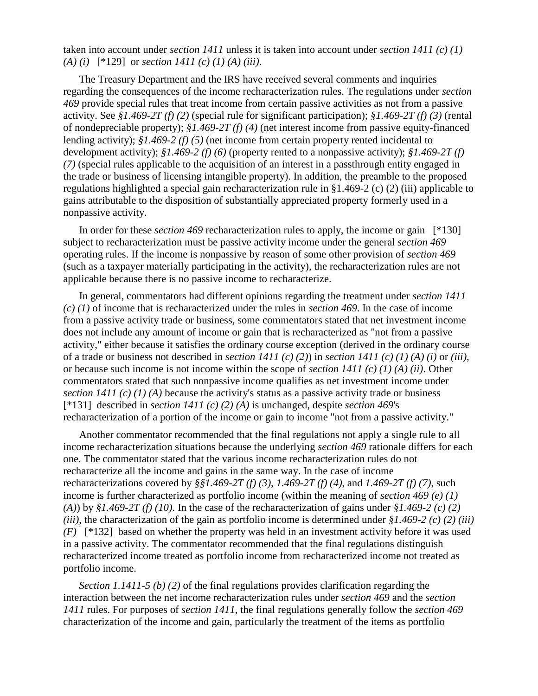taken into account under *section 1411* unless it is taken into account under *section 1411 (c) (1) (A) (i)* [\*129] or *section 1411 (c) (1) (A) (iii)*.

The Treasury Department and the IRS have received several comments and inquiries regarding the consequences of the income recharacterization rules. The regulations under *section 469* provide special rules that treat income from certain passive activities as not from a passive activity. See *§1.469-2T (f) (2)* (special rule for significant participation); *§1.469-2T (f) (3)* (rental of nondepreciable property); *§1.469-2T (f) (4)* (net interest income from passive equity-financed lending activity); *§1.469-2 (f) (5)* (net income from certain property rented incidental to development activity); *§1.469-2 (f) (6)* (property rented to a nonpassive activity); *§1.469-2T (f) (7)* (special rules applicable to the acquisition of an interest in a passthrough entity engaged in the trade or business of licensing intangible property). In addition, the preamble to the proposed regulations highlighted a special gain recharacterization rule in §1.469-2 (c) (2) (iii) applicable to gains attributable to the disposition of substantially appreciated property formerly used in a nonpassive activity.

In order for these *section 469* recharacterization rules to apply, the income or gain [\*130] subject to recharacterization must be passive activity income under the general *section 469* operating rules. If the income is nonpassive by reason of some other provision of *section 469* (such as a taxpayer materially participating in the activity), the recharacterization rules are not applicable because there is no passive income to recharacterize.

In general, commentators had different opinions regarding the treatment under *section 1411 (c) (1)* of income that is recharacterized under the rules in *section 469*. In the case of income from a passive activity trade or business, some commentators stated that net investment income does not include any amount of income or gain that is recharacterized as "not from a passive activity," either because it satisfies the ordinary course exception (derived in the ordinary course of a trade or business not described in *section 1411 (c) (2)*) in *section 1411 (c) (1) (A) (i)* or *(iii)*, or because such income is not income within the scope of *section 1411 (c) (1) (A) (ii)*. Other commentators stated that such nonpassive income qualifies as net investment income under *section 1411 (c) (1) (A)* because the activity's status as a passive activity trade or business [\*131] described in *section 1411 (c) (2) (A)* is unchanged, despite *section 469*'s recharacterization of a portion of the income or gain to income "not from a passive activity."

Another commentator recommended that the final regulations not apply a single rule to all income recharacterization situations because the underlying *section 469* rationale differs for each one. The commentator stated that the various income recharacterization rules do not recharacterize all the income and gains in the same way. In the case of income recharacterizations covered by *§§1.469-2T (f) (3)*, *1.469-2T (f) (4)*, and *1.469-2T (f) (7)*, such income is further characterized as portfolio income (within the meaning of *section 469 (e) (1) (A)*) by *§1.469-2T (f) (10)*. In the case of the recharacterization of gains under *§1.469-2 (c) (2) (iii)*, the characterization of the gain as portfolio income is determined under *§1.469-2 (c) (2) (iii) (F)* [\*132] based on whether the property was held in an investment activity before it was used in a passive activity. The commentator recommended that the final regulations distinguish recharacterized income treated as portfolio income from recharacterized income not treated as portfolio income.

*Section 1.1411-5 (b) (2)* of the final regulations provides clarification regarding the interaction between the net income recharacterization rules under *section 469* and the *section 1411* rules. For purposes of *section 1411*, the final regulations generally follow the *section 469* characterization of the income and gain, particularly the treatment of the items as portfolio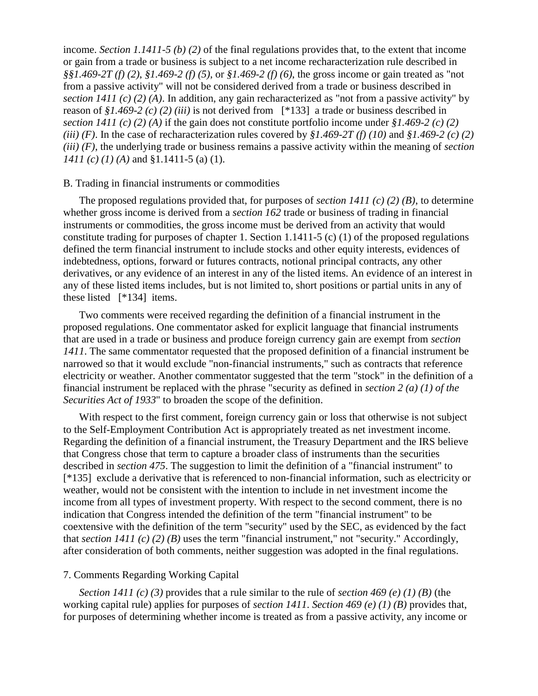income. *Section 1.1411-5 (b) (2)* of the final regulations provides that, to the extent that income or gain from a trade or business is subject to a net income recharacterization rule described in *§§1.469-2T (f) (2)*, *§1.469-2 (f) (5)*, or *§1.469-2 (f) (6)*, the gross income or gain treated as "not from a passive activity" will not be considered derived from a trade or business described in *section 1411 (c) (2) (A)*. In addition, any gain recharacterized as "not from a passive activity" by reason of *§1.469-2 (c) (2) (iii)* is not derived from [\*133] a trade or business described in *section 1411 (c) (2) (A)* if the gain does not constitute portfolio income under *§1.469-2 (c) (2) (iii) (F)*. In the case of recharacterization rules covered by *§1.469-2T (f) (10)* and *§1.469-2 (c) (2) (iii) (F)*, the underlying trade or business remains a passive activity within the meaning of *section 1411 (c) (1) (A)* and §1.1411-5 (a) (1).

### B. Trading in financial instruments or commodities

The proposed regulations provided that, for purposes of *section 1411 (c) (2) (B)*, to determine whether gross income is derived from a *section 162* trade or business of trading in financial instruments or commodities, the gross income must be derived from an activity that would constitute trading for purposes of chapter 1. Section 1.1411-5 (c) (1) of the proposed regulations defined the term financial instrument to include stocks and other equity interests, evidences of indebtedness, options, forward or futures contracts, notional principal contracts, any other derivatives, or any evidence of an interest in any of the listed items. An evidence of an interest in any of these listed items includes, but is not limited to, short positions or partial units in any of these listed [\*134] items.

Two comments were received regarding the definition of a financial instrument in the proposed regulations. One commentator asked for explicit language that financial instruments that are used in a trade or business and produce foreign currency gain are exempt from *section 1411*. The same commentator requested that the proposed definition of a financial instrument be narrowed so that it would exclude "non-financial instruments," such as contracts that reference electricity or weather. Another commentator suggested that the term "stock" in the definition of a financial instrument be replaced with the phrase "security as defined in *section 2 (a) (1) of the Securities Act of 1933*" to broaden the scope of the definition.

With respect to the first comment, foreign currency gain or loss that otherwise is not subject to the Self-Employment Contribution Act is appropriately treated as net investment income. Regarding the definition of a financial instrument, the Treasury Department and the IRS believe that Congress chose that term to capture a broader class of instruments than the securities described in *section 475*. The suggestion to limit the definition of a "financial instrument" to [\*135] exclude a derivative that is referenced to non-financial information, such as electricity or weather, would not be consistent with the intention to include in net investment income the income from all types of investment property. With respect to the second comment, there is no indication that Congress intended the definition of the term "financial instrument" to be coextensive with the definition of the term "security" used by the SEC, as evidenced by the fact that *section 1411 (c) (2) (B)* uses the term "financial instrument," not "security." Accordingly, after consideration of both comments, neither suggestion was adopted in the final regulations.

## 7. Comments Regarding Working Capital

*Section 1411 (c) (3)* provides that a rule similar to the rule of *section 469 (e) (1) (B)* (the working capital rule) applies for purposes of *section 1411*. *Section 469 (e) (1) (B)* provides that, for purposes of determining whether income is treated as from a passive activity, any income or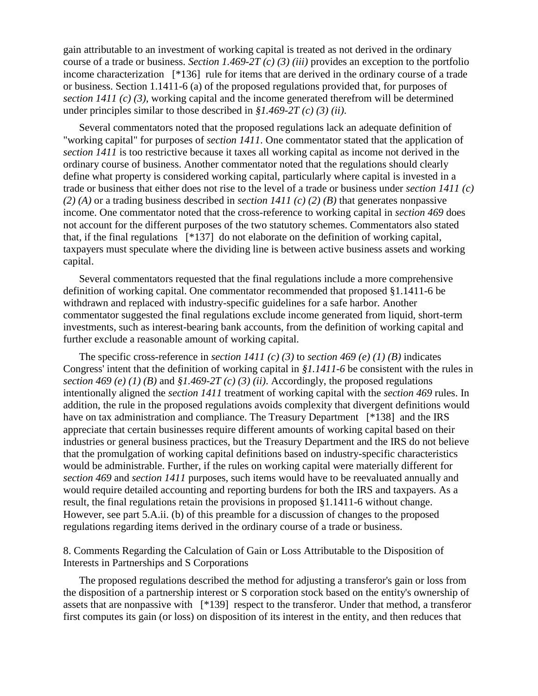gain attributable to an investment of working capital is treated as not derived in the ordinary course of a trade or business. *Section 1.469-2T (c) (3) (iii)* provides an exception to the portfolio income characterization [\*136] rule for items that are derived in the ordinary course of a trade or business. Section 1.1411-6 (a) of the proposed regulations provided that, for purposes of *section 1411 (c) (3)*, working capital and the income generated therefrom will be determined under principles similar to those described in *§1.469-2T (c) (3) (ii)*.

Several commentators noted that the proposed regulations lack an adequate definition of "working capital" for purposes of *section 1411*. One commentator stated that the application of *section 1411* is too restrictive because it taxes all working capital as income not derived in the ordinary course of business. Another commentator noted that the regulations should clearly define what property is considered working capital, particularly where capital is invested in a trade or business that either does not rise to the level of a trade or business under *section 1411 (c) (2) (A)* or a trading business described in *section 1411 (c) (2) (B)* that generates nonpassive income. One commentator noted that the cross-reference to working capital in *section 469* does not account for the different purposes of the two statutory schemes. Commentators also stated that, if the final regulations [\*137] do not elaborate on the definition of working capital, taxpayers must speculate where the dividing line is between active business assets and working capital.

Several commentators requested that the final regulations include a more comprehensive definition of working capital. One commentator recommended that proposed §1.1411-6 be withdrawn and replaced with industry-specific guidelines for a safe harbor. Another commentator suggested the final regulations exclude income generated from liquid, short-term investments, such as interest-bearing bank accounts, from the definition of working capital and further exclude a reasonable amount of working capital.

The specific cross-reference in *section 1411 (c) (3)* to *section 469 (e) (1) (B)* indicates Congress' intent that the definition of working capital in *§1.1411-6* be consistent with the rules in *section 469 (e) (1) (B)* and *§1.469-2T (c) (3) (ii)*. Accordingly, the proposed regulations intentionally aligned the *section 1411* treatment of working capital with the *section 469* rules. In addition, the rule in the proposed regulations avoids complexity that divergent definitions would have on tax administration and compliance. The Treasury Department [\*138] and the IRS appreciate that certain businesses require different amounts of working capital based on their industries or general business practices, but the Treasury Department and the IRS do not believe that the promulgation of working capital definitions based on industry-specific characteristics would be administrable. Further, if the rules on working capital were materially different for *section 469* and *section 1411* purposes, such items would have to be reevaluated annually and would require detailed accounting and reporting burdens for both the IRS and taxpayers. As a result, the final regulations retain the provisions in proposed §1.1411-6 without change. However, see part 5.A.ii. (b) of this preamble for a discussion of changes to the proposed regulations regarding items derived in the ordinary course of a trade or business.

8. Comments Regarding the Calculation of Gain or Loss Attributable to the Disposition of Interests in Partnerships and S Corporations

The proposed regulations described the method for adjusting a transferor's gain or loss from the disposition of a partnership interest or S corporation stock based on the entity's ownership of assets that are nonpassive with [\*139] respect to the transferor. Under that method, a transferor first computes its gain (or loss) on disposition of its interest in the entity, and then reduces that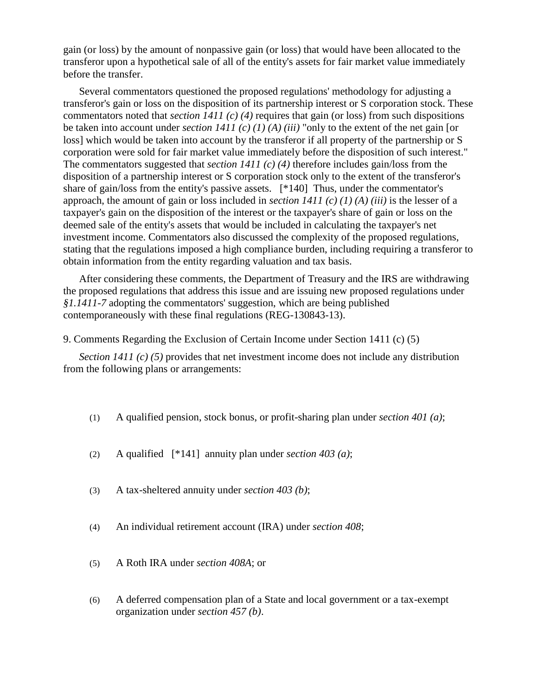gain (or loss) by the amount of nonpassive gain (or loss) that would have been allocated to the transferor upon a hypothetical sale of all of the entity's assets for fair market value immediately before the transfer.

Several commentators questioned the proposed regulations' methodology for adjusting a transferor's gain or loss on the disposition of its partnership interest or S corporation stock. These commentators noted that *section 1411 (c) (4)* requires that gain (or loss) from such dispositions be taken into account under *section 1411 (c) (1) (A) (iii)* "only to the extent of the net gain [or loss] which would be taken into account by the transferor if all property of the partnership or S corporation were sold for fair market value immediately before the disposition of such interest." The commentators suggested that *section 1411 (c) (4)* therefore includes gain/loss from the disposition of a partnership interest or S corporation stock only to the extent of the transferor's share of gain/loss from the entity's passive assets. [\*140] Thus, under the commentator's approach, the amount of gain or loss included in *section 1411 (c) (1) (A) (iii)* is the lesser of a taxpayer's gain on the disposition of the interest or the taxpayer's share of gain or loss on the deemed sale of the entity's assets that would be included in calculating the taxpayer's net investment income. Commentators also discussed the complexity of the proposed regulations, stating that the regulations imposed a high compliance burden, including requiring a transferor to obtain information from the entity regarding valuation and tax basis.

After considering these comments, the Department of Treasury and the IRS are withdrawing the proposed regulations that address this issue and are issuing new proposed regulations under *§1.1411-7* adopting the commentators' suggestion, which are being published contemporaneously with these final regulations (REG-130843-13).

9. Comments Regarding the Exclusion of Certain Income under Section 1411 (c) (5)

*Section 1411 (c) (5)* provides that net investment income does not include any distribution from the following plans or arrangements:

- (1) A qualified pension, stock bonus, or profit-sharing plan under *section 401 (a)*;
- (2) A qualified [\*141] annuity plan under *section 403 (a)*;
- (3) A tax-sheltered annuity under *section 403 (b)*;
- (4) An individual retirement account (IRA) under *section 408*;
- (5) A Roth IRA under *section 408A*; or
- (6) A deferred compensation plan of a State and local government or a tax-exempt organization under *section 457 (b)*.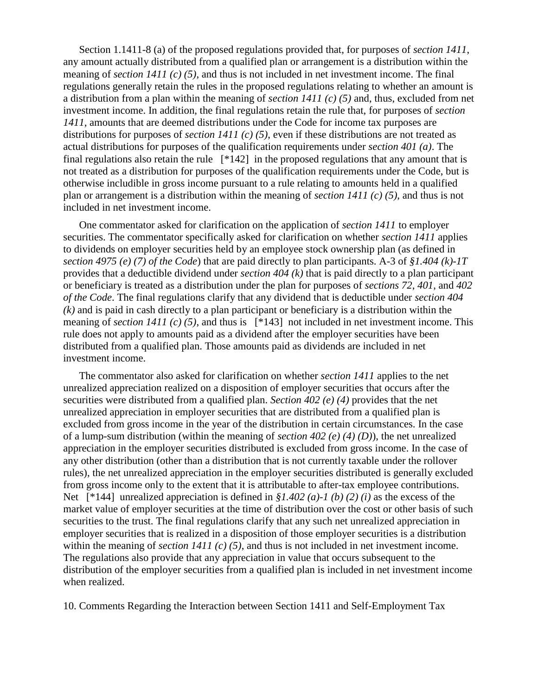Section 1.1411-8 (a) of the proposed regulations provided that, for purposes of *section 1411*, any amount actually distributed from a qualified plan or arrangement is a distribution within the meaning of *section 1411 (c) (5)*, and thus is not included in net investment income. The final regulations generally retain the rules in the proposed regulations relating to whether an amount is a distribution from a plan within the meaning of *section 1411 (c) (5)* and, thus, excluded from net investment income. In addition, the final regulations retain the rule that, for purposes of *section 1411*, amounts that are deemed distributions under the Code for income tax purposes are distributions for purposes of *section 1411 (c) (5)*, even if these distributions are not treated as actual distributions for purposes of the qualification requirements under *section 401 (a)*. The final regulations also retain the rule [\*142] in the proposed regulations that any amount that is not treated as a distribution for purposes of the qualification requirements under the Code, but is otherwise includible in gross income pursuant to a rule relating to amounts held in a qualified plan or arrangement is a distribution within the meaning of *section 1411 (c) (5)*, and thus is not included in net investment income.

One commentator asked for clarification on the application of *section 1411* to employer securities. The commentator specifically asked for clarification on whether *section 1411* applies to dividends on employer securities held by an employee stock ownership plan (as defined in *section 4975 (e) (7) of the Code*) that are paid directly to plan participants. A-3 of *§1.404 (k)-1T* provides that a deductible dividend under *section 404 (k)* that is paid directly to a plan participant or beneficiary is treated as a distribution under the plan for purposes of *sections 72*, *401*, and *402 of the Code*. The final regulations clarify that any dividend that is deductible under *section 404 (k)* and is paid in cash directly to a plan participant or beneficiary is a distribution within the meaning of *section 1411 (c) (5)*, and thus is [\*143] not included in net investment income. This rule does not apply to amounts paid as a dividend after the employer securities have been distributed from a qualified plan. Those amounts paid as dividends are included in net investment income.

The commentator also asked for clarification on whether *section 1411* applies to the net unrealized appreciation realized on a disposition of employer securities that occurs after the securities were distributed from a qualified plan. *Section 402 (e) (4)* provides that the net unrealized appreciation in employer securities that are distributed from a qualified plan is excluded from gross income in the year of the distribution in certain circumstances. In the case of a lump-sum distribution (within the meaning of *section 402 (e) (4) (D)*), the net unrealized appreciation in the employer securities distributed is excluded from gross income. In the case of any other distribution (other than a distribution that is not currently taxable under the rollover rules), the net unrealized appreciation in the employer securities distributed is generally excluded from gross income only to the extent that it is attributable to after-tax employee contributions. Net [\*144] unrealized appreciation is defined in *§1.402 (a)-1 (b) (2) (i)* as the excess of the market value of employer securities at the time of distribution over the cost or other basis of such securities to the trust. The final regulations clarify that any such net unrealized appreciation in employer securities that is realized in a disposition of those employer securities is a distribution within the meaning of *section 1411 (c) (5)*, and thus is not included in net investment income. The regulations also provide that any appreciation in value that occurs subsequent to the distribution of the employer securities from a qualified plan is included in net investment income when realized.

10. Comments Regarding the Interaction between Section 1411 and Self-Employment Tax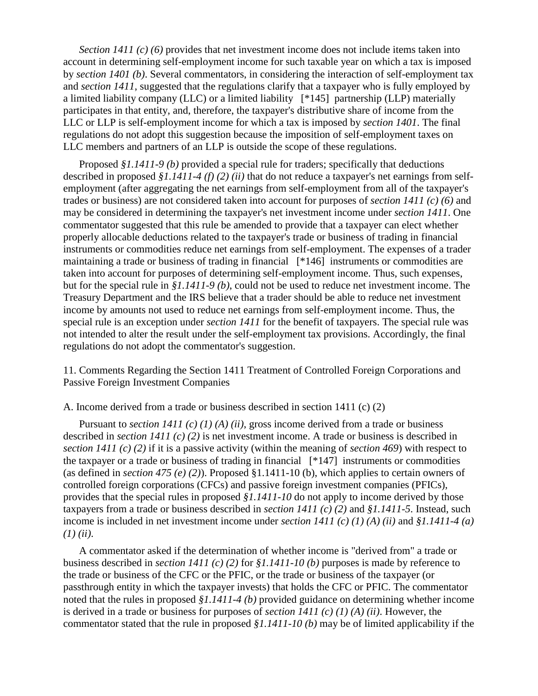*Section 1411 (c) (6)* provides that net investment income does not include items taken into account in determining self-employment income for such taxable year on which a tax is imposed by *section 1401 (b)*. Several commentators, in considering the interaction of self-employment tax and *section 1411*, suggested that the regulations clarify that a taxpayer who is fully employed by a limited liability company (LLC) or a limited liability [\*145] partnership (LLP) materially participates in that entity, and, therefore, the taxpayer's distributive share of income from the LLC or LLP is self-employment income for which a tax is imposed by *section 1401*. The final regulations do not adopt this suggestion because the imposition of self-employment taxes on LLC members and partners of an LLP is outside the scope of these regulations.

Proposed *§1.1411-9 (b)* provided a special rule for traders; specifically that deductions described in proposed *§1.1411-4 (f) (2) (ii)* that do not reduce a taxpayer's net earnings from selfemployment (after aggregating the net earnings from self-employment from all of the taxpayer's trades or business) are not considered taken into account for purposes of *section 1411 (c) (6)* and may be considered in determining the taxpayer's net investment income under *section 1411*. One commentator suggested that this rule be amended to provide that a taxpayer can elect whether properly allocable deductions related to the taxpayer's trade or business of trading in financial instruments or commodities reduce net earnings from self-employment. The expenses of a trader maintaining a trade or business of trading in financial [\*146] instruments or commodities are taken into account for purposes of determining self-employment income. Thus, such expenses, but for the special rule in *§1.1411-9 (b)*, could not be used to reduce net investment income. The Treasury Department and the IRS believe that a trader should be able to reduce net investment income by amounts not used to reduce net earnings from self-employment income. Thus, the special rule is an exception under *section 1411* for the benefit of taxpayers. The special rule was not intended to alter the result under the self-employment tax provisions. Accordingly, the final regulations do not adopt the commentator's suggestion.

11. Comments Regarding the Section 1411 Treatment of Controlled Foreign Corporations and Passive Foreign Investment Companies

### A. Income derived from a trade or business described in section 1411 (c) (2)

Pursuant to *section 1411 (c) (1) (A) (ii)*, gross income derived from a trade or business described in *section 1411 (c) (2)* is net investment income. A trade or business is described in *section 1411 (c) (2)* if it is a passive activity (within the meaning of *section 469*) with respect to the taxpayer or a trade or business of trading in financial [\*147] instruments or commodities (as defined in *section 475 (e) (2)*). Proposed §1.1411-10 (b), which applies to certain owners of controlled foreign corporations (CFCs) and passive foreign investment companies (PFICs), provides that the special rules in proposed *§1.1411-10* do not apply to income derived by those taxpayers from a trade or business described in *section 1411 (c) (2)* and *§1.1411-5*. Instead, such income is included in net investment income under *section 1411 (c) (1) (A) (ii)* and *§1.1411-4 (a) (1) (ii)*.

A commentator asked if the determination of whether income is "derived from" a trade or business described in *section 1411 (c) (2)* for *§1.1411-10 (b)* purposes is made by reference to the trade or business of the CFC or the PFIC, or the trade or business of the taxpayer (or passthrough entity in which the taxpayer invests) that holds the CFC or PFIC. The commentator noted that the rules in proposed *§1.1411-4 (b)* provided guidance on determining whether income is derived in a trade or business for purposes of *section 1411 (c) (1) (A) (ii)*. However, the commentator stated that the rule in proposed *§1.1411-10 (b)* may be of limited applicability if the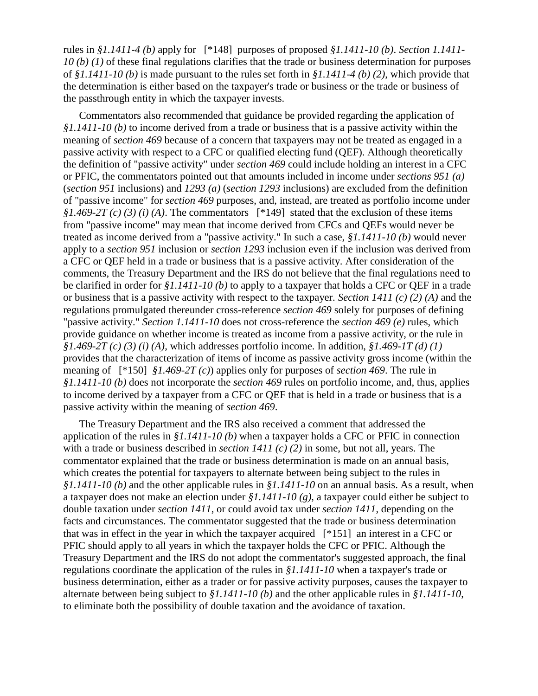rules in *§1.1411-4 (b)* apply for [\*148] purposes of proposed *§1.1411-10 (b)*. *Section 1.1411- 10 (b) (1)* of these final regulations clarifies that the trade or business determination for purposes of *§1.1411-10 (b)* is made pursuant to the rules set forth in *§1.1411-4 (b) (2)*, which provide that the determination is either based on the taxpayer's trade or business or the trade or business of the passthrough entity in which the taxpayer invests.

Commentators also recommended that guidance be provided regarding the application of *§1.1411-10 (b)* to income derived from a trade or business that is a passive activity within the meaning of *section 469* because of a concern that taxpayers may not be treated as engaged in a passive activity with respect to a CFC or qualified electing fund (QEF). Although theoretically the definition of "passive activity" under *section 469* could include holding an interest in a CFC or PFIC, the commentators pointed out that amounts included in income under *sections 951 (a)* (*section 951* inclusions) and *1293 (a)* (*section 1293* inclusions) are excluded from the definition of "passive income" for *section 469* purposes, and, instead, are treated as portfolio income under *§1.469-2T (c) (3) (i) (A)*. The commentators [\*149] stated that the exclusion of these items from "passive income" may mean that income derived from CFCs and QEFs would never be treated as income derived from a "passive activity." In such a case, *§1.1411-10 (b)* would never apply to a *section 951* inclusion or *section 1293* inclusion even if the inclusion was derived from a CFC or QEF held in a trade or business that is a passive activity. After consideration of the comments, the Treasury Department and the IRS do not believe that the final regulations need to be clarified in order for *§1.1411-10 (b)* to apply to a taxpayer that holds a CFC or QEF in a trade or business that is a passive activity with respect to the taxpayer. *Section 1411 (c) (2) (A)* and the regulations promulgated thereunder cross-reference *section 469* solely for purposes of defining "passive activity." *Section 1.1411-10* does not cross-reference the *section 469 (e)* rules, which provide guidance on whether income is treated as income from a passive activity, or the rule in *§1.469-2T (c) (3) (i) (A)*, which addresses portfolio income. In addition, *§1.469-1T (d) (1)* provides that the characterization of items of income as passive activity gross income (within the meaning of [\*150] *§1.469-2T (c)*) applies only for purposes of *section 469*. The rule in *§1.1411-10 (b)* does not incorporate the *section 469* rules on portfolio income, and, thus, applies to income derived by a taxpayer from a CFC or QEF that is held in a trade or business that is a passive activity within the meaning of *section 469*.

The Treasury Department and the IRS also received a comment that addressed the application of the rules in *§1.1411-10 (b)* when a taxpayer holds a CFC or PFIC in connection with a trade or business described in *section 1411 (c) (2)* in some, but not all, years. The commentator explained that the trade or business determination is made on an annual basis, which creates the potential for taxpayers to alternate between being subject to the rules in *§1.1411-10 (b)* and the other applicable rules in *§1.1411-10* on an annual basis. As a result, when a taxpayer does not make an election under *§1.1411-10 (g)*, a taxpayer could either be subject to double taxation under *section 1411*, or could avoid tax under *section 1411*, depending on the facts and circumstances. The commentator suggested that the trade or business determination that was in effect in the year in which the taxpayer acquired [\*151] an interest in a CFC or PFIC should apply to all years in which the taxpayer holds the CFC or PFIC. Although the Treasury Department and the IRS do not adopt the commentator's suggested approach, the final regulations coordinate the application of the rules in *§1.1411-10* when a taxpayer's trade or business determination, either as a trader or for passive activity purposes, causes the taxpayer to alternate between being subject to *§1.1411-10 (b)* and the other applicable rules in *§1.1411-10*, to eliminate both the possibility of double taxation and the avoidance of taxation.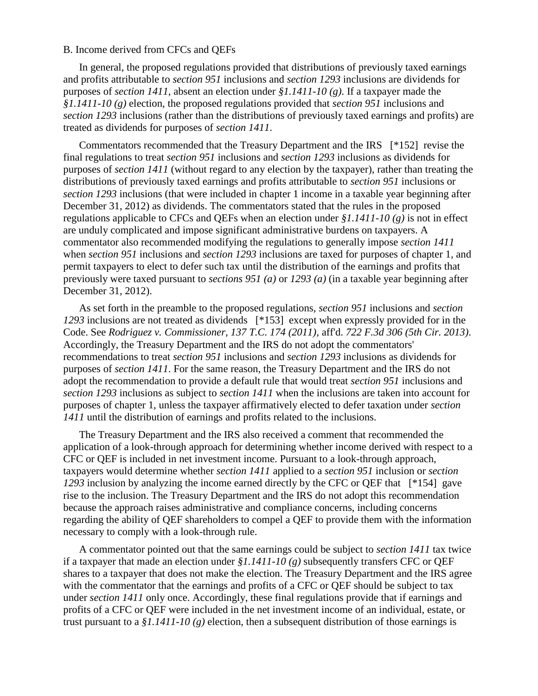# B. Income derived from CFCs and QEFs

In general, the proposed regulations provided that distributions of previously taxed earnings and profits attributable to *section 951* inclusions and *section 1293* inclusions are dividends for purposes of *section 1411*, absent an election under *§1.1411-10 (g)*. If a taxpayer made the *§1.1411-10 (g)* election, the proposed regulations provided that *section 951* inclusions and *section 1293* inclusions (rather than the distributions of previously taxed earnings and profits) are treated as dividends for purposes of *section 1411*.

Commentators recommended that the Treasury Department and the IRS [\*152] revise the final regulations to treat *section 951* inclusions and *section 1293* inclusions as dividends for purposes of *section 1411* (without regard to any election by the taxpayer), rather than treating the distributions of previously taxed earnings and profits attributable to *section 951* inclusions or *section 1293* inclusions (that were included in chapter 1 income in a taxable year beginning after December 31, 2012) as dividends. The commentators stated that the rules in the proposed regulations applicable to CFCs and QEFs when an election under *§1.1411-10 (g)* is not in effect are unduly complicated and impose significant administrative burdens on taxpayers. A commentator also recommended modifying the regulations to generally impose *section 1411* when *section 951* inclusions and *section 1293* inclusions are taxed for purposes of chapter 1, and permit taxpayers to elect to defer such tax until the distribution of the earnings and profits that previously were taxed pursuant to *sections 951 (a)* or *1293 (a)* (in a taxable year beginning after December 31, 2012).

As set forth in the preamble to the proposed regulations, *section 951* inclusions and *section 1293* inclusions are not treated as dividends [\*153] except when expressly provided for in the Code. See *Rodriguez v. Commissioner, 137 T.C. 174 (2011)*, aff'd. *722 F.3d 306 (5th Cir. 2013)*. Accordingly, the Treasury Department and the IRS do not adopt the commentators' recommendations to treat *section 951* inclusions and *section 1293* inclusions as dividends for purposes of *section 1411*. For the same reason, the Treasury Department and the IRS do not adopt the recommendation to provide a default rule that would treat *section 951* inclusions and *section 1293* inclusions as subject to *section 1411* when the inclusions are taken into account for purposes of chapter 1, unless the taxpayer affirmatively elected to defer taxation under *section 1411* until the distribution of earnings and profits related to the inclusions.

The Treasury Department and the IRS also received a comment that recommended the application of a look-through approach for determining whether income derived with respect to a CFC or QEF is included in net investment income. Pursuant to a look-through approach, taxpayers would determine whether *section 1411* applied to a *section 951* inclusion or *section 1293* inclusion by analyzing the income earned directly by the CFC or QEF that [\*154] gave rise to the inclusion. The Treasury Department and the IRS do not adopt this recommendation because the approach raises administrative and compliance concerns, including concerns regarding the ability of QEF shareholders to compel a QEF to provide them with the information necessary to comply with a look-through rule.

A commentator pointed out that the same earnings could be subject to *section 1411* tax twice if a taxpayer that made an election under *§1.1411-10 (g)* subsequently transfers CFC or QEF shares to a taxpayer that does not make the election. The Treasury Department and the IRS agree with the commentator that the earnings and profits of a CFC or QEF should be subject to tax under *section 1411* only once. Accordingly, these final regulations provide that if earnings and profits of a CFC or QEF were included in the net investment income of an individual, estate, or trust pursuant to a  $$1.1411-10(g)$  election, then a subsequent distribution of those earnings is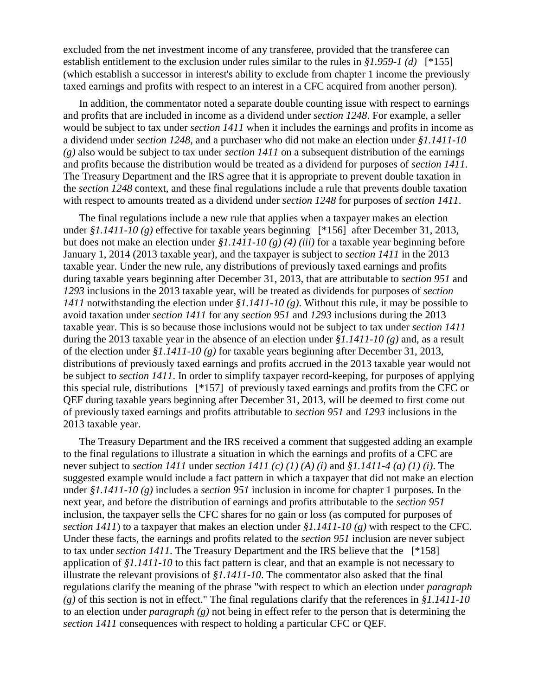excluded from the net investment income of any transferee, provided that the transferee can establish entitlement to the exclusion under rules similar to the rules in *§1.959-1 (d)* [\*155] (which establish a successor in interest's ability to exclude from chapter 1 income the previously taxed earnings and profits with respect to an interest in a CFC acquired from another person).

In addition, the commentator noted a separate double counting issue with respect to earnings and profits that are included in income as a dividend under *section 1248*. For example, a seller would be subject to tax under *section 1411* when it includes the earnings and profits in income as a dividend under *section 1248*, and a purchaser who did not make an election under *§1.1411-10 (g)* also would be subject to tax under *section 1411* on a subsequent distribution of the earnings and profits because the distribution would be treated as a dividend for purposes of *section 1411*. The Treasury Department and the IRS agree that it is appropriate to prevent double taxation in the *section 1248* context, and these final regulations include a rule that prevents double taxation with respect to amounts treated as a dividend under *section 1248* for purposes of *section 1411*.

The final regulations include a new rule that applies when a taxpayer makes an election under *§1.1411-10 (g)* effective for taxable years beginning [\*156] after December 31, 2013, but does not make an election under *§1.1411-10 (g) (4) (iii)* for a taxable year beginning before January 1, 2014 (2013 taxable year), and the taxpayer is subject to *section 1411* in the 2013 taxable year. Under the new rule, any distributions of previously taxed earnings and profits during taxable years beginning after December 31, 2013, that are attributable to *section 951* and *1293* inclusions in the 2013 taxable year, will be treated as dividends for purposes of *section 1411* notwithstanding the election under *§1.1411-10 (g)*. Without this rule, it may be possible to avoid taxation under *section 1411* for any *section 951* and *1293* inclusions during the 2013 taxable year. This is so because those inclusions would not be subject to tax under *section 1411* during the 2013 taxable year in the absence of an election under *§1.1411-10 (g)* and, as a result of the election under *§1.1411-10 (g)* for taxable years beginning after December 31, 2013, distributions of previously taxed earnings and profits accrued in the 2013 taxable year would not be subject to *section 1411*. In order to simplify taxpayer record-keeping, for purposes of applying this special rule, distributions [\*157] of previously taxed earnings and profits from the CFC or QEF during taxable years beginning after December 31, 2013, will be deemed to first come out of previously taxed earnings and profits attributable to *section 951* and *1293* inclusions in the 2013 taxable year.

The Treasury Department and the IRS received a comment that suggested adding an example to the final regulations to illustrate a situation in which the earnings and profits of a CFC are never subject to *section 1411* under *section 1411 (c) (1) (A) (i)* and *§1.1411-4 (a) (1) (i)*. The suggested example would include a fact pattern in which a taxpayer that did not make an election under *§1.1411-10 (g)* includes a *section 951* inclusion in income for chapter 1 purposes. In the next year, and before the distribution of earnings and profits attributable to the *section 951* inclusion, the taxpayer sells the CFC shares for no gain or loss (as computed for purposes of *section 1411*) to a taxpayer that makes an election under *§1.1411-10 (g)* with respect to the CFC. Under these facts, the earnings and profits related to the *section 951* inclusion are never subject to tax under *section 1411*. The Treasury Department and the IRS believe that the [\*158] application of *§1.1411-10* to this fact pattern is clear, and that an example is not necessary to illustrate the relevant provisions of *§1.1411-10*. The commentator also asked that the final regulations clarify the meaning of the phrase "with respect to which an election under *paragraph (g)* of this section is not in effect." The final regulations clarify that the references in *§1.1411-10* to an election under *paragraph (g)* not being in effect refer to the person that is determining the *section 1411* consequences with respect to holding a particular CFC or QEF.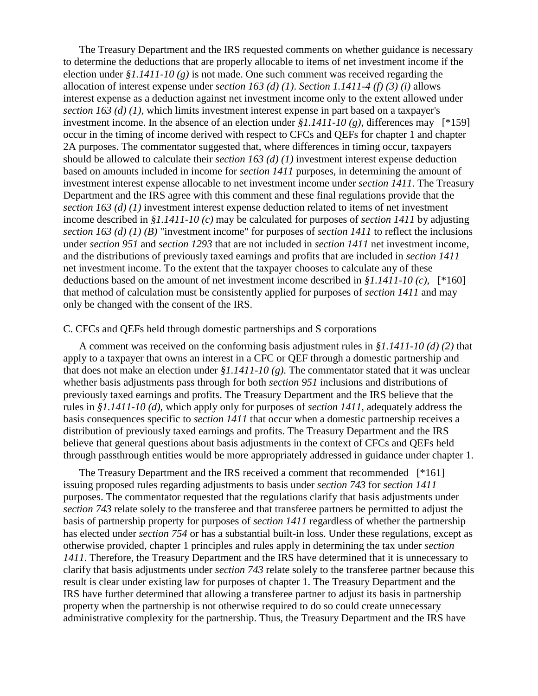The Treasury Department and the IRS requested comments on whether guidance is necessary to determine the deductions that are properly allocable to items of net investment income if the election under *§1.1411-10 (g)* is not made. One such comment was received regarding the allocation of interest expense under *section 163 (d) (1)*. *Section 1.1411-4 (f) (3) (i)* allows interest expense as a deduction against net investment income only to the extent allowed under *section 163 (d) (1)*, which limits investment interest expense in part based on a taxpayer's investment income. In the absence of an election under *§1.1411-10 (g)*, differences may [\*159] occur in the timing of income derived with respect to CFCs and QEFs for chapter 1 and chapter 2A purposes. The commentator suggested that, where differences in timing occur, taxpayers should be allowed to calculate their *section 163 (d) (1)* investment interest expense deduction based on amounts included in income for *section 1411* purposes, in determining the amount of investment interest expense allocable to net investment income under *section 1411*. The Treasury Department and the IRS agree with this comment and these final regulations provide that the *section 163 (d) (1)* investment interest expense deduction related to items of net investment income described in *§1.1411-10 (c)* may be calculated for purposes of *section 1411* by adjusting *section 163 (d) (1) (B)* "investment income" for purposes of *section 1411* to reflect the inclusions under *section 951* and *section 1293* that are not included in *section 1411* net investment income, and the distributions of previously taxed earnings and profits that are included in *section 1411* net investment income. To the extent that the taxpayer chooses to calculate any of these deductions based on the amount of net investment income described in *§1.1411-10 (c)*, [\*160] that method of calculation must be consistently applied for purposes of *section 1411* and may only be changed with the consent of the IRS.

# C. CFCs and QEFs held through domestic partnerships and S corporations

A comment was received on the conforming basis adjustment rules in *§1.1411-10 (d) (2)* that apply to a taxpayer that owns an interest in a CFC or QEF through a domestic partnership and that does not make an election under *§1.1411-10 (g)*. The commentator stated that it was unclear whether basis adjustments pass through for both *section 951* inclusions and distributions of previously taxed earnings and profits. The Treasury Department and the IRS believe that the rules in *§1.1411-10 (d)*, which apply only for purposes of *section 1411*, adequately address the basis consequences specific to *section 1411* that occur when a domestic partnership receives a distribution of previously taxed earnings and profits. The Treasury Department and the IRS believe that general questions about basis adjustments in the context of CFCs and QEFs held through passthrough entities would be more appropriately addressed in guidance under chapter 1.

The Treasury Department and the IRS received a comment that recommended [\*161] issuing proposed rules regarding adjustments to basis under *section 743* for *section 1411* purposes. The commentator requested that the regulations clarify that basis adjustments under *section 743* relate solely to the transferee and that transferee partners be permitted to adjust the basis of partnership property for purposes of *section 1411* regardless of whether the partnership has elected under *section 754* or has a substantial built-in loss. Under these regulations, except as otherwise provided, chapter 1 principles and rules apply in determining the tax under *section 1411*. Therefore, the Treasury Department and the IRS have determined that it is unnecessary to clarify that basis adjustments under *section 743* relate solely to the transferee partner because this result is clear under existing law for purposes of chapter 1. The Treasury Department and the IRS have further determined that allowing a transferee partner to adjust its basis in partnership property when the partnership is not otherwise required to do so could create unnecessary administrative complexity for the partnership. Thus, the Treasury Department and the IRS have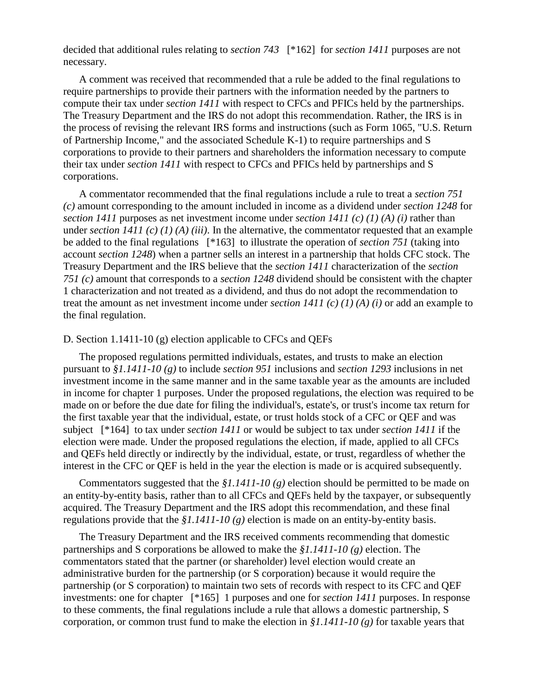decided that additional rules relating to *section 743* [\*162] for *section 1411* purposes are not necessary.

A comment was received that recommended that a rule be added to the final regulations to require partnerships to provide their partners with the information needed by the partners to compute their tax under *section 1411* with respect to CFCs and PFICs held by the partnerships. The Treasury Department and the IRS do not adopt this recommendation. Rather, the IRS is in the process of revising the relevant IRS forms and instructions (such as Form 1065, "U.S. Return of Partnership Income," and the associated Schedule K-1) to require partnerships and S corporations to provide to their partners and shareholders the information necessary to compute their tax under *section 1411* with respect to CFCs and PFICs held by partnerships and S corporations.

A commentator recommended that the final regulations include a rule to treat a *section 751 (c)* amount corresponding to the amount included in income as a dividend under *section 1248* for *section 1411* purposes as net investment income under *section 1411 (c) (1) (A) (i)* rather than under *section 1411 (c) (1) (A) (iii)*. In the alternative, the commentator requested that an example be added to the final regulations [\*163] to illustrate the operation of *section 751* (taking into account *section 1248*) when a partner sells an interest in a partnership that holds CFC stock. The Treasury Department and the IRS believe that the *section 1411* characterization of the *section 751 (c)* amount that corresponds to a *section 1248* dividend should be consistent with the chapter 1 characterization and not treated as a dividend, and thus do not adopt the recommendation to treat the amount as net investment income under *section 1411 (c) (1) (A) (i)* or add an example to the final regulation.

### D. Section 1.1411-10 (g) election applicable to CFCs and QEFs

The proposed regulations permitted individuals, estates, and trusts to make an election pursuant to *§1.1411-10 (g)* to include *section 951* inclusions and *section 1293* inclusions in net investment income in the same manner and in the same taxable year as the amounts are included in income for chapter 1 purposes. Under the proposed regulations, the election was required to be made on or before the due date for filing the individual's, estate's, or trust's income tax return for the first taxable year that the individual, estate, or trust holds stock of a CFC or QEF and was subject [\*164] to tax under *section 1411* or would be subject to tax under *section 1411* if the election were made. Under the proposed regulations the election, if made, applied to all CFCs and QEFs held directly or indirectly by the individual, estate, or trust, regardless of whether the interest in the CFC or QEF is held in the year the election is made or is acquired subsequently.

Commentators suggested that the *§1.1411-10 (g)* election should be permitted to be made on an entity-by-entity basis, rather than to all CFCs and QEFs held by the taxpayer, or subsequently acquired. The Treasury Department and the IRS adopt this recommendation, and these final regulations provide that the *§1.1411-10 (g)* election is made on an entity-by-entity basis.

The Treasury Department and the IRS received comments recommending that domestic partnerships and S corporations be allowed to make the *§1.1411-10 (g)* election. The commentators stated that the partner (or shareholder) level election would create an administrative burden for the partnership (or S corporation) because it would require the partnership (or S corporation) to maintain two sets of records with respect to its CFC and QEF investments: one for chapter [\*165] 1 purposes and one for *section 1411* purposes. In response to these comments, the final regulations include a rule that allows a domestic partnership, S corporation, or common trust fund to make the election in *§1.1411-10 (g)* for taxable years that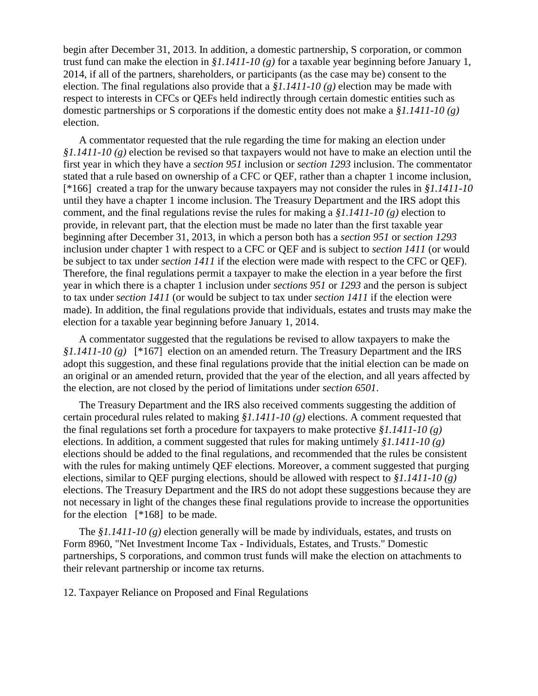begin after December 31, 2013. In addition, a domestic partnership, S corporation, or common trust fund can make the election in *§1.1411-10 (g)* for a taxable year beginning before January 1, 2014, if all of the partners, shareholders, or participants (as the case may be) consent to the election. The final regulations also provide that a *§1.1411-10 (g)* election may be made with respect to interests in CFCs or QEFs held indirectly through certain domestic entities such as domestic partnerships or S corporations if the domestic entity does not make a *§1.1411-10 (g)* election.

A commentator requested that the rule regarding the time for making an election under *§1.1411-10 (g)* election be revised so that taxpayers would not have to make an election until the first year in which they have a *section 951* inclusion or *section 1293* inclusion. The commentator stated that a rule based on ownership of a CFC or QEF, rather than a chapter 1 income inclusion, [\*166] created a trap for the unwary because taxpayers may not consider the rules in *§1.1411-10* until they have a chapter 1 income inclusion. The Treasury Department and the IRS adopt this comment, and the final regulations revise the rules for making a *§1.1411-10 (g)* election to provide, in relevant part, that the election must be made no later than the first taxable year beginning after December 31, 2013, in which a person both has a *section 951* or *section 1293* inclusion under chapter 1 with respect to a CFC or QEF and is subject to *section 1411* (or would be subject to tax under *section 1411* if the election were made with respect to the CFC or QEF). Therefore, the final regulations permit a taxpayer to make the election in a year before the first year in which there is a chapter 1 inclusion under *sections 951* or *1293* and the person is subject to tax under *section 1411* (or would be subject to tax under *section 1411* if the election were made). In addition, the final regulations provide that individuals, estates and trusts may make the election for a taxable year beginning before January 1, 2014.

A commentator suggested that the regulations be revised to allow taxpayers to make the *§1.1411-10 (g)* [\*167] election on an amended return. The Treasury Department and the IRS adopt this suggestion, and these final regulations provide that the initial election can be made on an original or an amended return, provided that the year of the election, and all years affected by the election, are not closed by the period of limitations under *section 6501*.

The Treasury Department and the IRS also received comments suggesting the addition of certain procedural rules related to making *§1.1411-10 (g)* elections. A comment requested that the final regulations set forth a procedure for taxpayers to make protective *§1.1411-10 (g)* elections. In addition, a comment suggested that rules for making untimely *§1.1411-10 (g)* elections should be added to the final regulations, and recommended that the rules be consistent with the rules for making untimely QEF elections. Moreover, a comment suggested that purging elections, similar to QEF purging elections, should be allowed with respect to *§1.1411-10 (g)* elections. The Treasury Department and the IRS do not adopt these suggestions because they are not necessary in light of the changes these final regulations provide to increase the opportunities for the election [\*168] to be made.

The *§1.1411-10 (g)* election generally will be made by individuals, estates, and trusts on Form 8960, "Net Investment Income Tax - Individuals, Estates, and Trusts." Domestic partnerships, S corporations, and common trust funds will make the election on attachments to their relevant partnership or income tax returns.

12. Taxpayer Reliance on Proposed and Final Regulations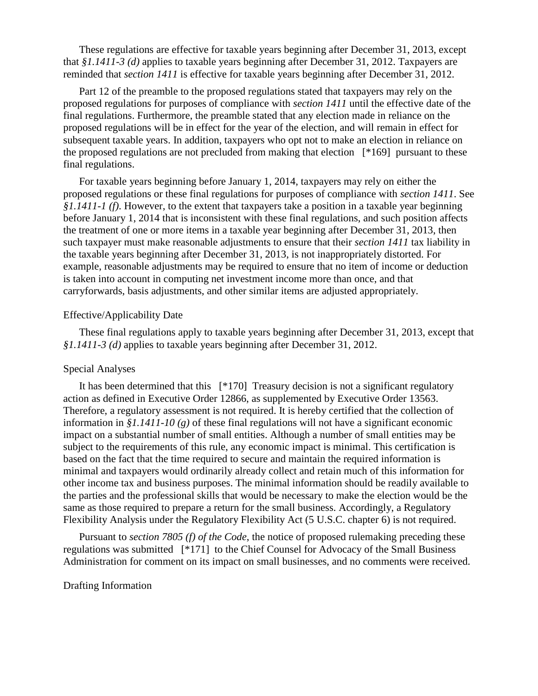These regulations are effective for taxable years beginning after December 31, 2013, except that *§1.1411-3 (d)* applies to taxable years beginning after December 31, 2012. Taxpayers are reminded that *section 1411* is effective for taxable years beginning after December 31, 2012.

Part 12 of the preamble to the proposed regulations stated that taxpayers may rely on the proposed regulations for purposes of compliance with *section 1411* until the effective date of the final regulations. Furthermore, the preamble stated that any election made in reliance on the proposed regulations will be in effect for the year of the election, and will remain in effect for subsequent taxable years. In addition, taxpayers who opt not to make an election in reliance on the proposed regulations are not precluded from making that election [\*169] pursuant to these final regulations.

For taxable years beginning before January 1, 2014, taxpayers may rely on either the proposed regulations or these final regulations for purposes of compliance with *section 1411*. See *§1.1411-1 (f)*. However, to the extent that taxpayers take a position in a taxable year beginning before January 1, 2014 that is inconsistent with these final regulations, and such position affects the treatment of one or more items in a taxable year beginning after December 31, 2013, then such taxpayer must make reasonable adjustments to ensure that their *section 1411* tax liability in the taxable years beginning after December 31, 2013, is not inappropriately distorted. For example, reasonable adjustments may be required to ensure that no item of income or deduction is taken into account in computing net investment income more than once, and that carryforwards, basis adjustments, and other similar items are adjusted appropriately.

### Effective/Applicability Date

These final regulations apply to taxable years beginning after December 31, 2013, except that *§1.1411-3 (d)* applies to taxable years beginning after December 31, 2012.

# Special Analyses

It has been determined that this [\*170] Treasury decision is not a significant regulatory action as defined in Executive Order 12866, as supplemented by Executive Order 13563. Therefore, a regulatory assessment is not required. It is hereby certified that the collection of information in *§1.1411-10 (g)* of these final regulations will not have a significant economic impact on a substantial number of small entities. Although a number of small entities may be subject to the requirements of this rule, any economic impact is minimal. This certification is based on the fact that the time required to secure and maintain the required information is minimal and taxpayers would ordinarily already collect and retain much of this information for other income tax and business purposes. The minimal information should be readily available to the parties and the professional skills that would be necessary to make the election would be the same as those required to prepare a return for the small business. Accordingly, a Regulatory Flexibility Analysis under the Regulatory Flexibility Act (5 U.S.C. chapter 6) is not required.

Pursuant to *section 7805 (f) of the Code*, the notice of proposed rulemaking preceding these regulations was submitted [\*171] to the Chief Counsel for Advocacy of the Small Business Administration for comment on its impact on small businesses, and no comments were received.

# Drafting Information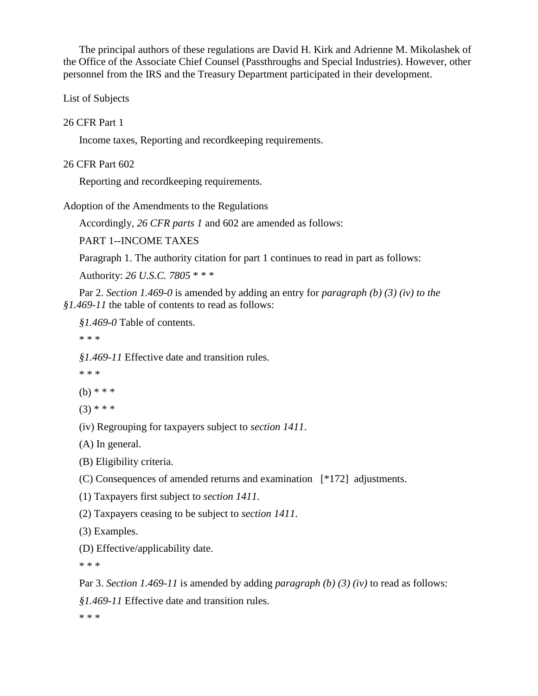The principal authors of these regulations are David H. Kirk and Adrienne M. Mikolashek of the Office of the Associate Chief Counsel (Passthroughs and Special Industries). However, other personnel from the IRS and the Treasury Department participated in their development.

List of Subjects

# 26 CFR Part 1

Income taxes, Reporting and recordkeeping requirements.

# 26 CFR Part 602

Reporting and recordkeeping requirements.

Adoption of the Amendments to the Regulations

Accordingly, *26 CFR parts 1* and 602 are amended as follows:

PART 1--INCOME TAXES

Paragraph 1. The authority citation for part 1 continues to read in part as follows:

Authority: *26 U.S.C. 7805* \* \* \*

Par 2. *Section 1.469-0* is amended by adding an entry for *paragraph (b) (3) (iv) to the §1.469-11* the table of contents to read as follows:

*§1.469-0* Table of contents.

\* \* \*

*§1.469-11* Effective date and transition rules.

\* \* \*

(b) \* \* \*

 $(3)$  \* \* \*

(iv) Regrouping for taxpayers subject to *section 1411*.

(A) In general.

(B) Eligibility criteria.

(C) Consequences of amended returns and examination [\*172] adjustments.

(1) Taxpayers first subject to *section 1411*.

(2) Taxpayers ceasing to be subject to *section 1411*.

(3) Examples.

(D) Effective/applicability date.

\* \* \*

Par 3. *Section 1.469-11* is amended by adding *paragraph (b) (3) (iv)* to read as follows:

*§1.469-11* Effective date and transition rules.

\* \* \*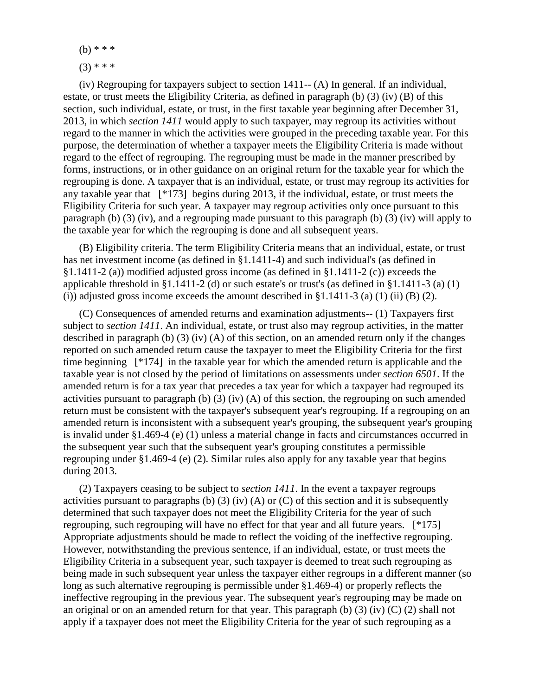(b) \* \* \*  $(3)$  \* \* \*

(iv) Regrouping for taxpayers subject to section 1411-- (A) In general. If an individual, estate, or trust meets the Eligibility Criteria, as defined in paragraph (b) (3) (iv) (B) of this section, such individual, estate, or trust, in the first taxable year beginning after December 31, 2013, in which *section 1411* would apply to such taxpayer, may regroup its activities without regard to the manner in which the activities were grouped in the preceding taxable year. For this purpose, the determination of whether a taxpayer meets the Eligibility Criteria is made without regard to the effect of regrouping. The regrouping must be made in the manner prescribed by forms, instructions, or in other guidance on an original return for the taxable year for which the regrouping is done. A taxpayer that is an individual, estate, or trust may regroup its activities for any taxable year that [\*173] begins during 2013, if the individual, estate, or trust meets the Eligibility Criteria for such year. A taxpayer may regroup activities only once pursuant to this paragraph (b) (3) (iv), and a regrouping made pursuant to this paragraph (b) (3) (iv) will apply to the taxable year for which the regrouping is done and all subsequent years.

(B) Eligibility criteria. The term Eligibility Criteria means that an individual, estate, or trust has net investment income (as defined in §1.1411-4) and such individual's (as defined in §1.1411-2 (a)) modified adjusted gross income (as defined in §1.1411-2 (c)) exceeds the applicable threshold in §1.1411-2 (d) or such estate's or trust's (as defined in §1.1411-3 (a) (1) (i)) adjusted gross income exceeds the amount described in  $\S1.1411-3$  (a) (1) (ii) (B) (2).

(C) Consequences of amended returns and examination adjustments-- (1) Taxpayers first subject to *section 1411*. An individual, estate, or trust also may regroup activities, in the matter described in paragraph (b) (3) (iv) (A) of this section, on an amended return only if the changes reported on such amended return cause the taxpayer to meet the Eligibility Criteria for the first time beginning [\*174] in the taxable year for which the amended return is applicable and the taxable year is not closed by the period of limitations on assessments under *section 6501*. If the amended return is for a tax year that precedes a tax year for which a taxpayer had regrouped its activities pursuant to paragraph (b) (3) (iv) (A) of this section, the regrouping on such amended return must be consistent with the taxpayer's subsequent year's regrouping. If a regrouping on an amended return is inconsistent with a subsequent year's grouping, the subsequent year's grouping is invalid under §1.469-4 (e) (1) unless a material change in facts and circumstances occurred in the subsequent year such that the subsequent year's grouping constitutes a permissible regrouping under §1.469-4 (e) (2). Similar rules also apply for any taxable year that begins during 2013.

(2) Taxpayers ceasing to be subject to *section 1411*. In the event a taxpayer regroups activities pursuant to paragraphs (b) (3) (iv) (A) or (C) of this section and it is subsequently determined that such taxpayer does not meet the Eligibility Criteria for the year of such regrouping, such regrouping will have no effect for that year and all future years. [\*175] Appropriate adjustments should be made to reflect the voiding of the ineffective regrouping. However, notwithstanding the previous sentence, if an individual, estate, or trust meets the Eligibility Criteria in a subsequent year, such taxpayer is deemed to treat such regrouping as being made in such subsequent year unless the taxpayer either regroups in a different manner (so long as such alternative regrouping is permissible under §1.469-4) or properly reflects the ineffective regrouping in the previous year. The subsequent year's regrouping may be made on an original or on an amended return for that year. This paragraph (b) (3) (iv) (C) (2) shall not apply if a taxpayer does not meet the Eligibility Criteria for the year of such regrouping as a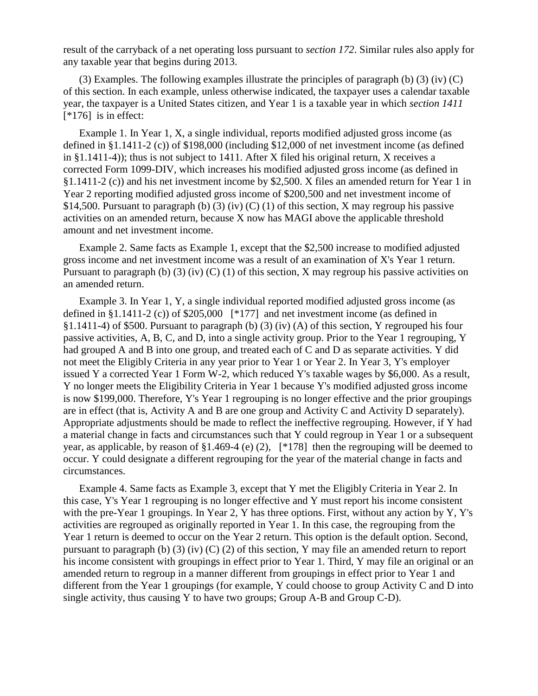result of the carryback of a net operating loss pursuant to *section 172*. Similar rules also apply for any taxable year that begins during 2013.

(3) Examples. The following examples illustrate the principles of paragraph (b) (3) (iv) (C) of this section. In each example, unless otherwise indicated, the taxpayer uses a calendar taxable year, the taxpayer is a United States citizen, and Year 1 is a taxable year in which *section 1411* [\*176] is in effect:

Example 1. In Year 1, X, a single individual, reports modified adjusted gross income (as defined in §1.1411-2 (c)) of \$198,000 (including \$12,000 of net investment income (as defined in §1.1411-4)); thus is not subject to 1411. After X filed his original return, X receives a corrected Form 1099-DIV, which increases his modified adjusted gross income (as defined in §1.1411-2 (c)) and his net investment income by \$2,500. X files an amended return for Year 1 in Year 2 reporting modified adjusted gross income of \$200,500 and net investment income of \$14,500. Pursuant to paragraph (b) (3) (iv) (C) (1) of this section, X may regroup his passive activities on an amended return, because X now has MAGI above the applicable threshold amount and net investment income.

Example 2. Same facts as Example 1, except that the \$2,500 increase to modified adjusted gross income and net investment income was a result of an examination of X's Year 1 return. Pursuant to paragraph (b) (3) (iv) (C) (1) of this section, X may regroup his passive activities on an amended return.

Example 3. In Year 1, Y, a single individual reported modified adjusted gross income (as defined in §1.1411-2 (c)) of \$205,000 [\*177] and net investment income (as defined in §1.1411-4) of \$500. Pursuant to paragraph (b) (3) (iv) (A) of this section, Y regrouped his four passive activities, A, B, C, and D, into a single activity group. Prior to the Year 1 regrouping, Y had grouped A and B into one group, and treated each of C and D as separate activities. Y did not meet the Eligibly Criteria in any year prior to Year 1 or Year 2. In Year 3, Y's employer issued Y a corrected Year 1 Form W-2, which reduced Y's taxable wages by \$6,000. As a result, Y no longer meets the Eligibility Criteria in Year 1 because Y's modified adjusted gross income is now \$199,000. Therefore, Y's Year 1 regrouping is no longer effective and the prior groupings are in effect (that is, Activity A and B are one group and Activity C and Activity D separately). Appropriate adjustments should be made to reflect the ineffective regrouping. However, if Y had a material change in facts and circumstances such that Y could regroup in Year 1 or a subsequent year, as applicable, by reason of §1.469-4 (e) (2), [\*178] then the regrouping will be deemed to occur. Y could designate a different regrouping for the year of the material change in facts and circumstances.

Example 4. Same facts as Example 3, except that Y met the Eligibly Criteria in Year 2. In this case, Y's Year 1 regrouping is no longer effective and Y must report his income consistent with the pre-Year 1 groupings. In Year 2, Y has three options. First, without any action by Y, Y's activities are regrouped as originally reported in Year 1. In this case, the regrouping from the Year 1 return is deemed to occur on the Year 2 return. This option is the default option. Second, pursuant to paragraph (b) (3) (iv) (C) (2) of this section, Y may file an amended return to report his income consistent with groupings in effect prior to Year 1. Third, Y may file an original or an amended return to regroup in a manner different from groupings in effect prior to Year 1 and different from the Year 1 groupings (for example, Y could choose to group Activity C and D into single activity, thus causing Y to have two groups; Group A-B and Group C-D).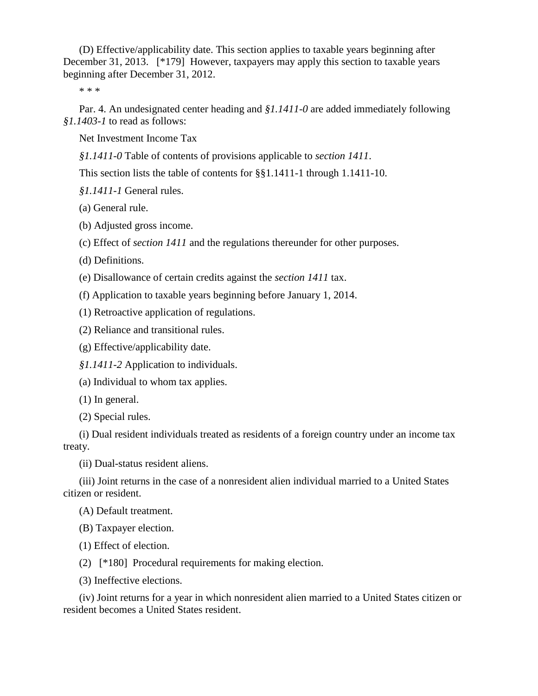(D) Effective/applicability date. This section applies to taxable years beginning after December 31, 2013. [\*179] However, taxpayers may apply this section to taxable years beginning after December 31, 2012.

\* \* \*

Par. 4. An undesignated center heading and *§1.1411-0* are added immediately following *§1.1403-1* to read as follows:

Net Investment Income Tax

*§1.1411-0* Table of contents of provisions applicable to *section 1411*.

This section lists the table of contents for §§1.1411-1 through 1.1411-10.

*§1.1411-1* General rules.

(a) General rule.

(b) Adjusted gross income.

(c) Effect of *section 1411* and the regulations thereunder for other purposes.

(d) Definitions.

(e) Disallowance of certain credits against the *section 1411* tax.

(f) Application to taxable years beginning before January 1, 2014.

(1) Retroactive application of regulations.

(2) Reliance and transitional rules.

(g) Effective/applicability date.

*§1.1411-2* Application to individuals.

(a) Individual to whom tax applies.

(1) In general.

(2) Special rules.

(i) Dual resident individuals treated as residents of a foreign country under an income tax treaty.

(ii) Dual-status resident aliens.

(iii) Joint returns in the case of a nonresident alien individual married to a United States citizen or resident.

(A) Default treatment.

(B) Taxpayer election.

(1) Effect of election.

(2) [\*180] Procedural requirements for making election.

(3) Ineffective elections.

(iv) Joint returns for a year in which nonresident alien married to a United States citizen or resident becomes a United States resident.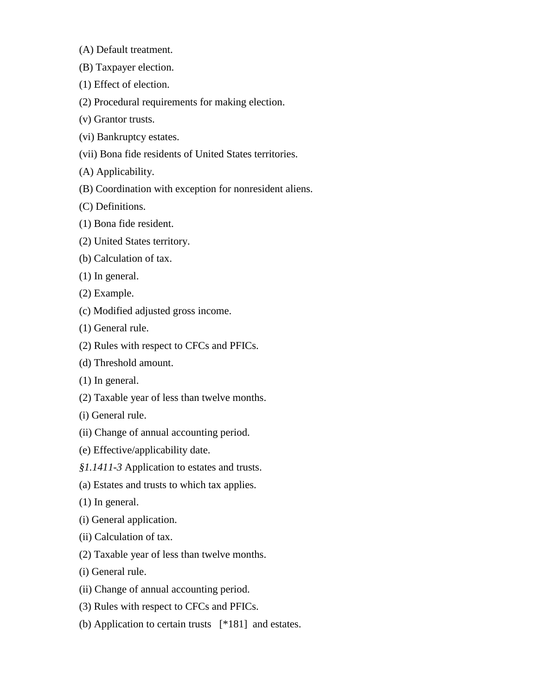(A) Default treatment.

- (B) Taxpayer election.
- (1) Effect of election.
- (2) Procedural requirements for making election.
- (v) Grantor trusts.
- (vi) Bankruptcy estates.
- (vii) Bona fide residents of United States territories.
- (A) Applicability.
- (B) Coordination with exception for nonresident aliens.
- (C) Definitions.
- (1) Bona fide resident.
- (2) United States territory.
- (b) Calculation of tax.
- (1) In general.
- (2) Example.
- (c) Modified adjusted gross income.
- (1) General rule.
- (2) Rules with respect to CFCs and PFICs.
- (d) Threshold amount.
- (1) In general.
- (2) Taxable year of less than twelve months.
- (i) General rule.
- (ii) Change of annual accounting period.
- (e) Effective/applicability date.
- *§1.1411-3* Application to estates and trusts.
- (a) Estates and trusts to which tax applies.
- (1) In general.
- (i) General application.
- (ii) Calculation of tax.
- (2) Taxable year of less than twelve months.
- (i) General rule.
- (ii) Change of annual accounting period.
- (3) Rules with respect to CFCs and PFICs.
- (b) Application to certain trusts [\*181] and estates.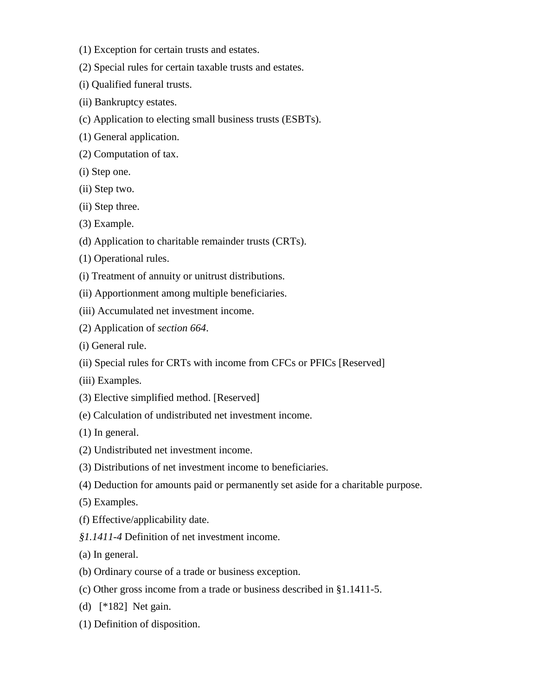- (1) Exception for certain trusts and estates.
- (2) Special rules for certain taxable trusts and estates.
- (i) Qualified funeral trusts.
- (ii) Bankruptcy estates.
- (c) Application to electing small business trusts (ESBTs).
- (1) General application.
- (2) Computation of tax.
- (i) Step one.
- (ii) Step two.
- (ii) Step three.
- (3) Example.
- (d) Application to charitable remainder trusts (CRTs).
- (1) Operational rules.
- (i) Treatment of annuity or unitrust distributions.
- (ii) Apportionment among multiple beneficiaries.
- (iii) Accumulated net investment income.
- (2) Application of *section 664*.
- (i) General rule.
- (ii) Special rules for CRTs with income from CFCs or PFICs [Reserved]
- (iii) Examples.
- (3) Elective simplified method. [Reserved]
- (e) Calculation of undistributed net investment income.
- (1) In general.
- (2) Undistributed net investment income.
- (3) Distributions of net investment income to beneficiaries.
- (4) Deduction for amounts paid or permanently set aside for a charitable purpose.
- (5) Examples.
- (f) Effective/applicability date.
- *§1.1411-4* Definition of net investment income.
- (a) In general.
- (b) Ordinary course of a trade or business exception.
- (c) Other gross income from a trade or business described in §1.1411-5.
- (d) [\*182] Net gain.
- (1) Definition of disposition.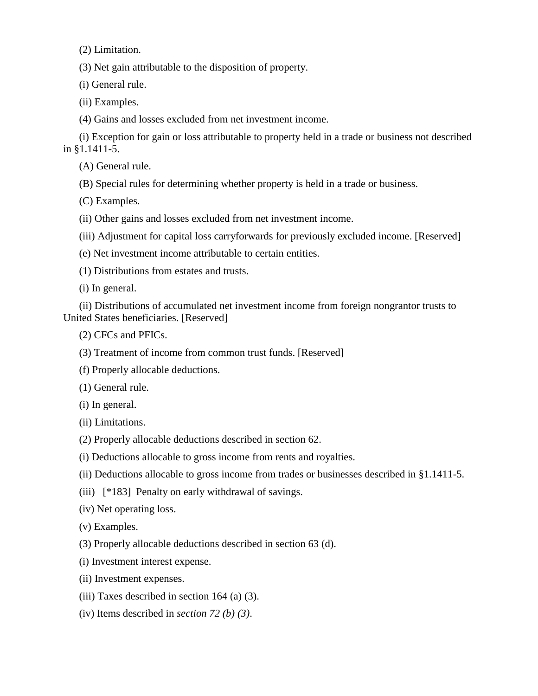(2) Limitation.

(3) Net gain attributable to the disposition of property.

(i) General rule.

(ii) Examples.

(4) Gains and losses excluded from net investment income.

(i) Exception for gain or loss attributable to property held in a trade or business not described in §1.1411-5.

(A) General rule.

(B) Special rules for determining whether property is held in a trade or business.

(C) Examples.

(ii) Other gains and losses excluded from net investment income.

(iii) Adjustment for capital loss carryforwards for previously excluded income. [Reserved]

(e) Net investment income attributable to certain entities.

(1) Distributions from estates and trusts.

(i) In general.

(ii) Distributions of accumulated net investment income from foreign nongrantor trusts to United States beneficiaries. [Reserved]

(2) CFCs and PFICs.

(3) Treatment of income from common trust funds. [Reserved]

(f) Properly allocable deductions.

(1) General rule.

(i) In general.

(ii) Limitations.

(2) Properly allocable deductions described in section 62.

(i) Deductions allocable to gross income from rents and royalties.

(ii) Deductions allocable to gross income from trades or businesses described in §1.1411-5.

(iii) [\*183] Penalty on early withdrawal of savings.

(iv) Net operating loss.

(v) Examples.

(3) Properly allocable deductions described in section 63 (d).

(i) Investment interest expense.

(ii) Investment expenses.

(iii) Taxes described in section  $164$  (a) (3).

(iv) Items described in *section 72 (b) (3)*.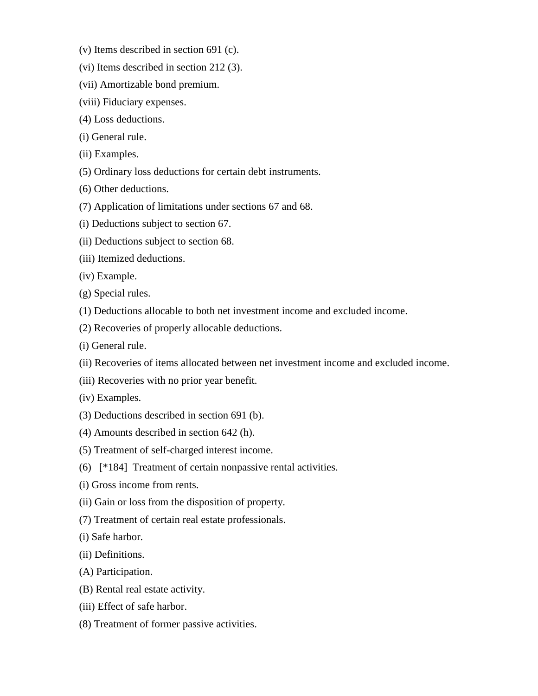- (v) Items described in section 691 (c).
- (vi) Items described in section 212 (3).
- (vii) Amortizable bond premium.
- (viii) Fiduciary expenses.
- (4) Loss deductions.
- (i) General rule.
- (ii) Examples.
- (5) Ordinary loss deductions for certain debt instruments.
- (6) Other deductions.
- (7) Application of limitations under sections 67 and 68.
- (i) Deductions subject to section 67.
- (ii) Deductions subject to section 68.
- (iii) Itemized deductions.
- (iv) Example.
- (g) Special rules.
- (1) Deductions allocable to both net investment income and excluded income.
- (2) Recoveries of properly allocable deductions.
- (i) General rule.
- (ii) Recoveries of items allocated between net investment income and excluded income.
- (iii) Recoveries with no prior year benefit.
- (iv) Examples.
- (3) Deductions described in section 691 (b).
- (4) Amounts described in section 642 (h).
- (5) Treatment of self-charged interest income.
- (6) [\*184] Treatment of certain nonpassive rental activities.
- (i) Gross income from rents.
- (ii) Gain or loss from the disposition of property.
- (7) Treatment of certain real estate professionals.
- (i) Safe harbor.
- (ii) Definitions.
- (A) Participation.
- (B) Rental real estate activity.
- (iii) Effect of safe harbor.
- (8) Treatment of former passive activities.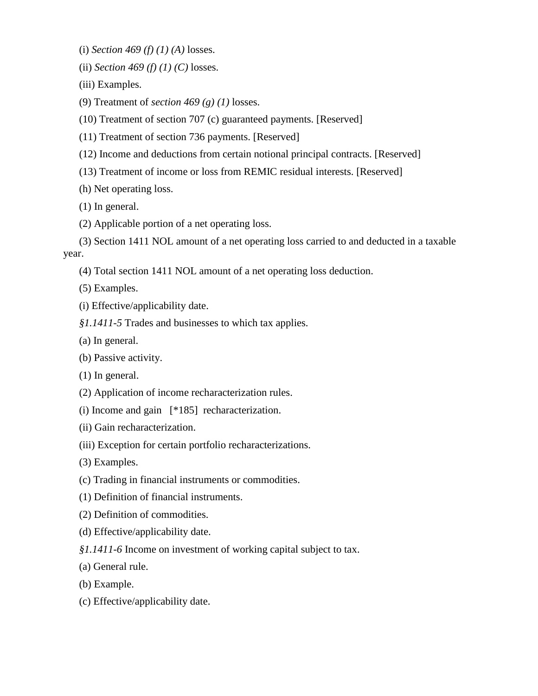(i) *Section 469 (f) (1) (A)* losses.

(ii) *Section 469 (f) (1) (C)* losses.

(iii) Examples.

(9) Treatment of *section 469 (g) (1)* losses.

(10) Treatment of section 707 (c) guaranteed payments. [Reserved]

(11) Treatment of section 736 payments. [Reserved]

(12) Income and deductions from certain notional principal contracts. [Reserved]

(13) Treatment of income or loss from REMIC residual interests. [Reserved]

(h) Net operating loss.

(1) In general.

(2) Applicable portion of a net operating loss.

(3) Section 1411 NOL amount of a net operating loss carried to and deducted in a taxable year.

(4) Total section 1411 NOL amount of a net operating loss deduction.

(5) Examples.

(i) Effective/applicability date.

*§1.1411-5* Trades and businesses to which tax applies.

(a) In general.

(b) Passive activity.

(1) In general.

(2) Application of income recharacterization rules.

(i) Income and gain [\*185] recharacterization.

(ii) Gain recharacterization.

(iii) Exception for certain portfolio recharacterizations.

(3) Examples.

(c) Trading in financial instruments or commodities.

(1) Definition of financial instruments.

(2) Definition of commodities.

(d) Effective/applicability date.

*§1.1411-6* Income on investment of working capital subject to tax.

(a) General rule.

(b) Example.

(c) Effective/applicability date.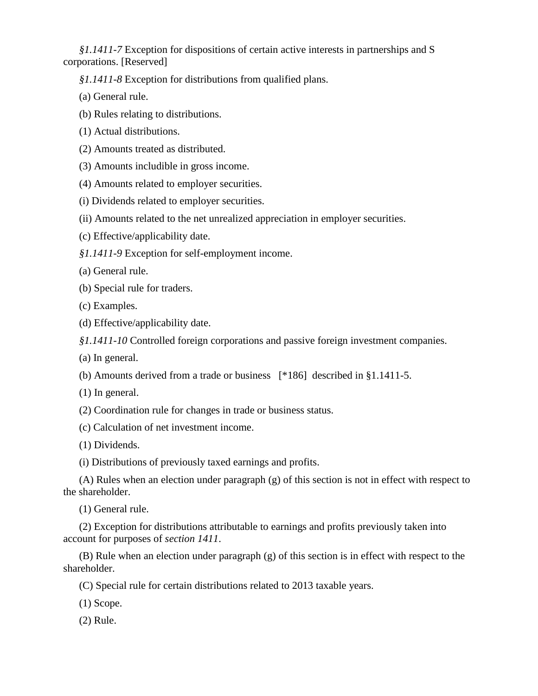*§1.1411-7* Exception for dispositions of certain active interests in partnerships and S corporations. [Reserved]

*§1.1411-8* Exception for distributions from qualified plans.

- (a) General rule.
- (b) Rules relating to distributions.
- (1) Actual distributions.
- (2) Amounts treated as distributed.
- (3) Amounts includible in gross income.
- (4) Amounts related to employer securities.
- (i) Dividends related to employer securities.
- (ii) Amounts related to the net unrealized appreciation in employer securities.
- (c) Effective/applicability date.
- *§1.1411-9* Exception for self-employment income.
- (a) General rule.
- (b) Special rule for traders.
- (c) Examples.
- (d) Effective/applicability date.

*§1.1411-10* Controlled foreign corporations and passive foreign investment companies.

- (a) In general.
- (b) Amounts derived from a trade or business [\*186] described in §1.1411-5.
- (1) In general.

(2) Coordination rule for changes in trade or business status.

(c) Calculation of net investment income.

(1) Dividends.

(i) Distributions of previously taxed earnings and profits.

(A) Rules when an election under paragraph (g) of this section is not in effect with respect to the shareholder.

(1) General rule.

(2) Exception for distributions attributable to earnings and profits previously taken into account for purposes of *section 1411*.

(B) Rule when an election under paragraph (g) of this section is in effect with respect to the shareholder.

(C) Special rule for certain distributions related to 2013 taxable years.

(1) Scope.

(2) Rule.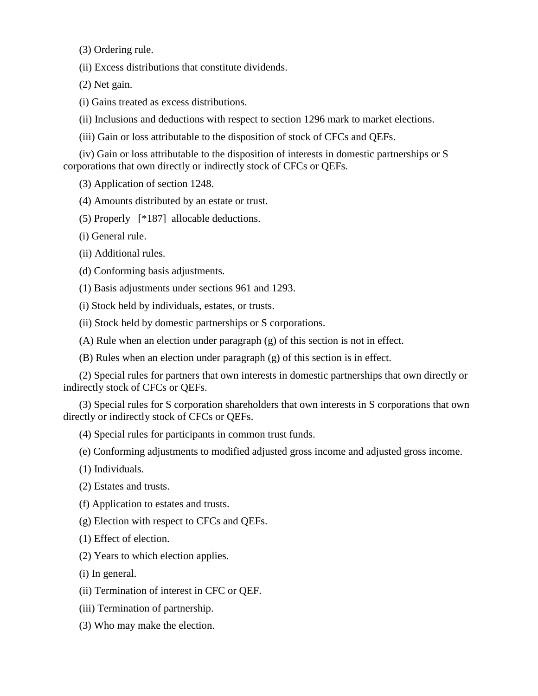(3) Ordering rule.

(ii) Excess distributions that constitute dividends.

(2) Net gain.

(i) Gains treated as excess distributions.

(ii) Inclusions and deductions with respect to section 1296 mark to market elections.

(iii) Gain or loss attributable to the disposition of stock of CFCs and QEFs.

(iv) Gain or loss attributable to the disposition of interests in domestic partnerships or S corporations that own directly or indirectly stock of CFCs or QEFs.

(3) Application of section 1248.

(4) Amounts distributed by an estate or trust.

(5) Properly [\*187] allocable deductions.

(i) General rule.

(ii) Additional rules.

(d) Conforming basis adjustments.

(1) Basis adjustments under sections 961 and 1293.

(i) Stock held by individuals, estates, or trusts.

(ii) Stock held by domestic partnerships or S corporations.

(A) Rule when an election under paragraph (g) of this section is not in effect.

(B) Rules when an election under paragraph (g) of this section is in effect.

(2) Special rules for partners that own interests in domestic partnerships that own directly or indirectly stock of CFCs or QEFs.

(3) Special rules for S corporation shareholders that own interests in S corporations that own directly or indirectly stock of CFCs or QEFs.

(4) Special rules for participants in common trust funds.

(e) Conforming adjustments to modified adjusted gross income and adjusted gross income.

(1) Individuals.

(2) Estates and trusts.

(f) Application to estates and trusts.

(g) Election with respect to CFCs and QEFs.

(1) Effect of election.

(2) Years to which election applies.

(i) In general.

(ii) Termination of interest in CFC or QEF.

(iii) Termination of partnership.

(3) Who may make the election.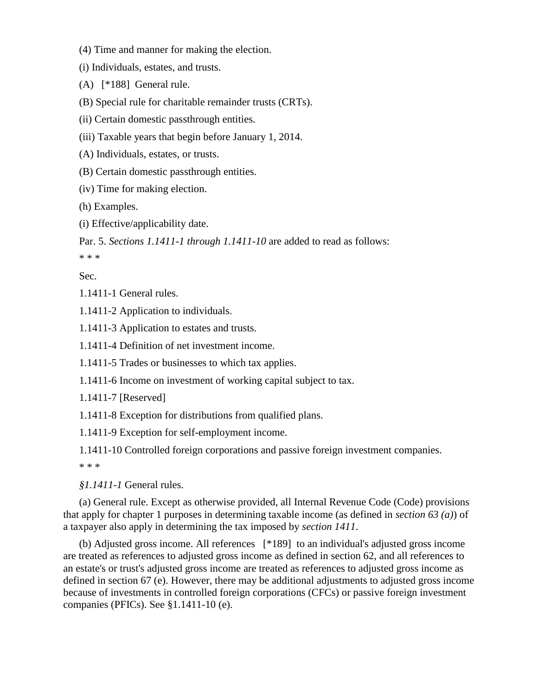(4) Time and manner for making the election.

(i) Individuals, estates, and trusts.

(A) [\*188] General rule.

(B) Special rule for charitable remainder trusts (CRTs).

(ii) Certain domestic passthrough entities.

(iii) Taxable years that begin before January 1, 2014.

(A) Individuals, estates, or trusts.

(B) Certain domestic passthrough entities.

(iv) Time for making election.

(h) Examples.

(i) Effective/applicability date.

Par. 5. *Sections 1.1411-1 through 1.1411-10* are added to read as follows:

\* \* \*

Sec.

1.1411-1 General rules.

1.1411-2 Application to individuals.

1.1411-3 Application to estates and trusts.

1.1411-4 Definition of net investment income.

1.1411-5 Trades or businesses to which tax applies.

1.1411-6 Income on investment of working capital subject to tax.

1.1411-7 [Reserved]

1.1411-8 Exception for distributions from qualified plans.

1.1411-9 Exception for self-employment income.

1.1411-10 Controlled foreign corporations and passive foreign investment companies.

\* \* \*

*§1.1411-1* General rules.

(a) General rule. Except as otherwise provided, all Internal Revenue Code (Code) provisions that apply for chapter 1 purposes in determining taxable income (as defined in *section 63 (a)*) of a taxpayer also apply in determining the tax imposed by *section 1411*.

(b) Adjusted gross income. All references [\*189] to an individual's adjusted gross income are treated as references to adjusted gross income as defined in section 62, and all references to an estate's or trust's adjusted gross income are treated as references to adjusted gross income as defined in section 67 (e). However, there may be additional adjustments to adjusted gross income because of investments in controlled foreign corporations (CFCs) or passive foreign investment companies (PFICs). See §1.1411-10 (e).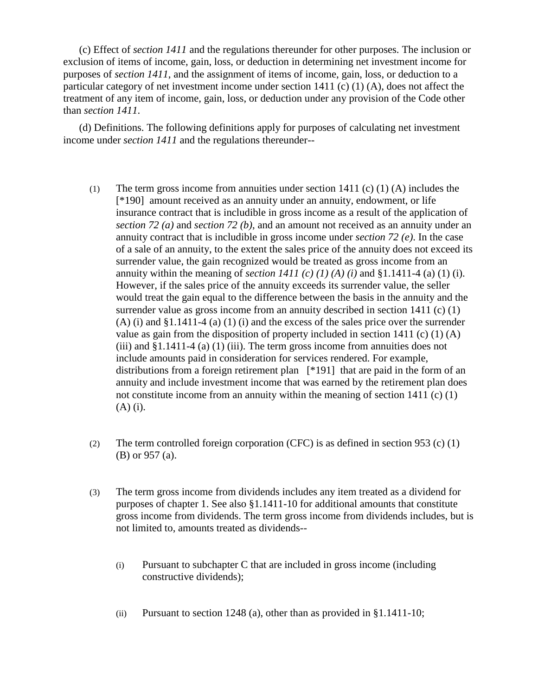(c) Effect of *section 1411* and the regulations thereunder for other purposes. The inclusion or exclusion of items of income, gain, loss, or deduction in determining net investment income for purposes of *section 1411*, and the assignment of items of income, gain, loss, or deduction to a particular category of net investment income under section 1411 (c) (1) (A), does not affect the treatment of any item of income, gain, loss, or deduction under any provision of the Code other than *section 1411*.

(d) Definitions. The following definitions apply for purposes of calculating net investment income under *section 1411* and the regulations thereunder--

- (1) The term gross income from annuities under section 1411 (c) (1) (A) includes the [\*190] amount received as an annuity under an annuity, endowment, or life insurance contract that is includible in gross income as a result of the application of *section 72 (a)* and *section 72 (b)*, and an amount not received as an annuity under an annuity contract that is includible in gross income under *section 72 (e)*. In the case of a sale of an annuity, to the extent the sales price of the annuity does not exceed its surrender value, the gain recognized would be treated as gross income from an annuity within the meaning of *section 1411* (c) (1) (A) (i) and §1.1411-4 (a) (1) (i). However, if the sales price of the annuity exceeds its surrender value, the seller would treat the gain equal to the difference between the basis in the annuity and the surrender value as gross income from an annuity described in section 1411 (c) (1)  $(A)$  (i) and  $\S1.1411-4$  (a) (1) (i) and the excess of the sales price over the surrender value as gain from the disposition of property included in section 1411 (c) (1) (A) (iii) and §1.1411-4 (a) (1) (iii). The term gross income from annuities does not include amounts paid in consideration for services rendered. For example, distributions from a foreign retirement plan [\*191] that are paid in the form of an annuity and include investment income that was earned by the retirement plan does not constitute income from an annuity within the meaning of section 1411 (c) (1) (A) (i).
- (2) The term controlled foreign corporation (CFC) is as defined in section 953 (c) (1) (B) or 957 (a).
- (3) The term gross income from dividends includes any item treated as a dividend for purposes of chapter 1. See also §1.1411-10 for additional amounts that constitute gross income from dividends. The term gross income from dividends includes, but is not limited to, amounts treated as dividends--
	- (i) Pursuant to subchapter C that are included in gross income (including constructive dividends);
	- (ii) Pursuant to section 1248 (a), other than as provided in  $§1.1411-10$ ;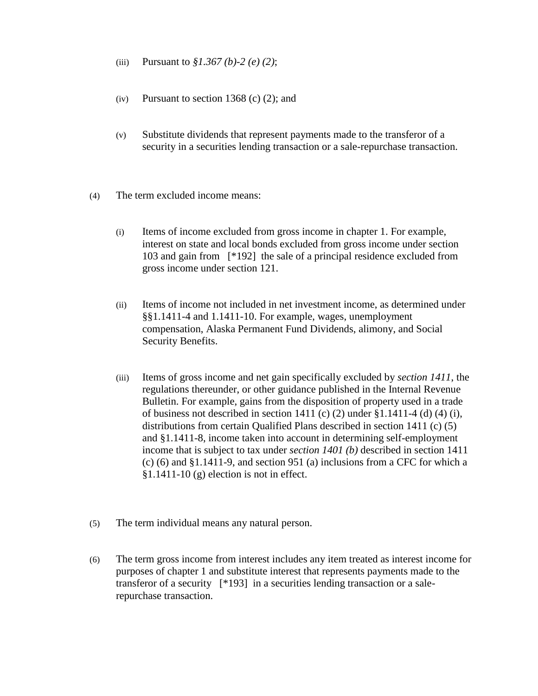- (iii) Pursuant to *§1.367 (b)-2 (e) (2)*;
- (iv) Pursuant to section 1368 (c)  $(2)$ ; and
- (v) Substitute dividends that represent payments made to the transferor of a security in a securities lending transaction or a sale-repurchase transaction.
- (4) The term excluded income means:
	- (i) Items of income excluded from gross income in chapter 1. For example, interest on state and local bonds excluded from gross income under section 103 and gain from [\*192] the sale of a principal residence excluded from gross income under section 121.
	- (ii) Items of income not included in net investment income, as determined under §§1.1411-4 and 1.1411-10. For example, wages, unemployment compensation, Alaska Permanent Fund Dividends, alimony, and Social Security Benefits.
	- (iii) Items of gross income and net gain specifically excluded by *section 1411*, the regulations thereunder, or other guidance published in the Internal Revenue Bulletin. For example, gains from the disposition of property used in a trade of business not described in section 1411 (c) (2) under  $\S 1.1411-4$  (d) (4) (i), distributions from certain Qualified Plans described in section 1411 (c) (5) and §1.1411-8, income taken into account in determining self-employment income that is subject to tax under *section 1401 (b)* described in section 1411 (c) (6) and §1.1411-9, and section 951 (a) inclusions from a CFC for which a  $§1.1411-10(g)$  election is not in effect.
- (5) The term individual means any natural person.
- (6) The term gross income from interest includes any item treated as interest income for purposes of chapter 1 and substitute interest that represents payments made to the transferor of a security [\*193] in a securities lending transaction or a salerepurchase transaction.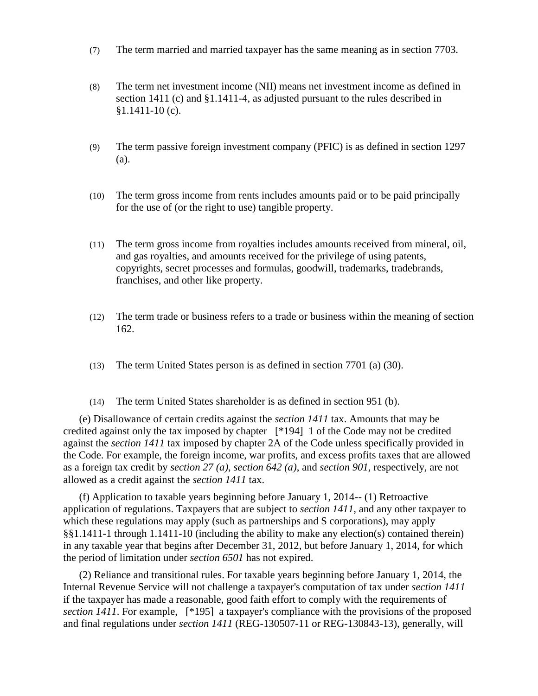- (7) The term married and married taxpayer has the same meaning as in section 7703.
- (8) The term net investment income (NII) means net investment income as defined in section 1411 (c) and §1.1411-4, as adjusted pursuant to the rules described in  $$1.1411-10$  (c).
- (9) The term passive foreign investment company (PFIC) is as defined in section 1297 (a).
- (10) The term gross income from rents includes amounts paid or to be paid principally for the use of (or the right to use) tangible property.
- (11) The term gross income from royalties includes amounts received from mineral, oil, and gas royalties, and amounts received for the privilege of using patents, copyrights, secret processes and formulas, goodwill, trademarks, tradebrands, franchises, and other like property.
- (12) The term trade or business refers to a trade or business within the meaning of section 162.
- (13) The term United States person is as defined in section 7701 (a) (30).
- (14) The term United States shareholder is as defined in section 951 (b).

(e) Disallowance of certain credits against the *section 1411* tax. Amounts that may be credited against only the tax imposed by chapter [\*194] 1 of the Code may not be credited against the *section 1411* tax imposed by chapter 2A of the Code unless specifically provided in the Code. For example, the foreign income, war profits, and excess profits taxes that are allowed as a foreign tax credit by *section 27 (a)*, *section 642 (a)*, and *section 901*, respectively, are not allowed as a credit against the *section 1411* tax.

(f) Application to taxable years beginning before January 1, 2014-- (1) Retroactive application of regulations. Taxpayers that are subject to *section 1411*, and any other taxpayer to which these regulations may apply (such as partnerships and S corporations), may apply §§1.1411-1 through 1.1411-10 (including the ability to make any election(s) contained therein) in any taxable year that begins after December 31, 2012, but before January 1, 2014, for which the period of limitation under *section 6501* has not expired.

(2) Reliance and transitional rules. For taxable years beginning before January 1, 2014, the Internal Revenue Service will not challenge a taxpayer's computation of tax under *section 1411* if the taxpayer has made a reasonable, good faith effort to comply with the requirements of *section 1411*. For example, [\*195] a taxpayer's compliance with the provisions of the proposed and final regulations under *section 1411* (REG-130507-11 or REG-130843-13), generally, will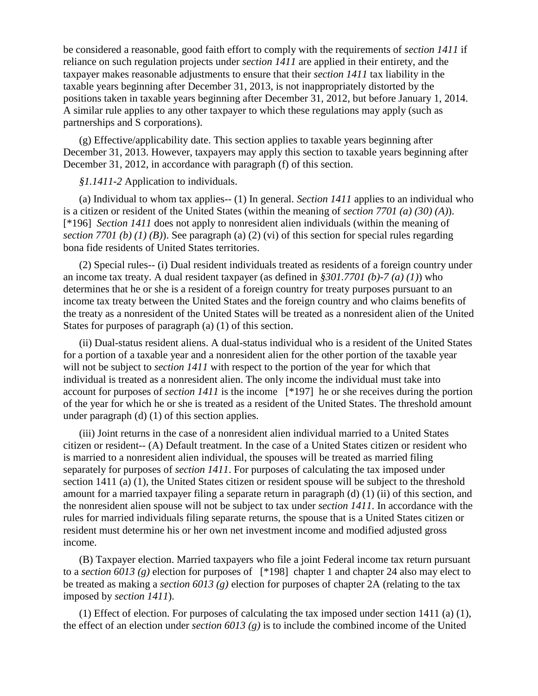be considered a reasonable, good faith effort to comply with the requirements of *section 1411* if reliance on such regulation projects under *section 1411* are applied in their entirety, and the taxpayer makes reasonable adjustments to ensure that their *section 1411* tax liability in the taxable years beginning after December 31, 2013, is not inappropriately distorted by the positions taken in taxable years beginning after December 31, 2012, but before January 1, 2014. A similar rule applies to any other taxpayer to which these regulations may apply (such as partnerships and S corporations).

(g) Effective/applicability date. This section applies to taxable years beginning after December 31, 2013. However, taxpayers may apply this section to taxable years beginning after December 31, 2012, in accordance with paragraph (f) of this section.

*§1.1411-2* Application to individuals.

(a) Individual to whom tax applies-- (1) In general. *Section 1411* applies to an individual who is a citizen or resident of the United States (within the meaning of *section 7701 (a) (30) (A)*). [\*196] *Section 1411* does not apply to nonresident alien individuals (within the meaning of *section 7701 (b) (1) (B)*). See paragraph (a) (2) (vi) of this section for special rules regarding bona fide residents of United States territories.

(2) Special rules-- (i) Dual resident individuals treated as residents of a foreign country under an income tax treaty. A dual resident taxpayer (as defined in *§301.7701 (b)-7 (a) (1)*) who determines that he or she is a resident of a foreign country for treaty purposes pursuant to an income tax treaty between the United States and the foreign country and who claims benefits of the treaty as a nonresident of the United States will be treated as a nonresident alien of the United States for purposes of paragraph (a) (1) of this section.

(ii) Dual-status resident aliens. A dual-status individual who is a resident of the United States for a portion of a taxable year and a nonresident alien for the other portion of the taxable year will not be subject to *section 1411* with respect to the portion of the year for which that individual is treated as a nonresident alien. The only income the individual must take into account for purposes of *section 1411* is the income [\*197] he or she receives during the portion of the year for which he or she is treated as a resident of the United States. The threshold amount under paragraph (d) (1) of this section applies.

(iii) Joint returns in the case of a nonresident alien individual married to a United States citizen or resident-- (A) Default treatment. In the case of a United States citizen or resident who is married to a nonresident alien individual, the spouses will be treated as married filing separately for purposes of *section 1411*. For purposes of calculating the tax imposed under section 1411 (a) (1), the United States citizen or resident spouse will be subject to the threshold amount for a married taxpayer filing a separate return in paragraph (d) (1) (ii) of this section, and the nonresident alien spouse will not be subject to tax under *section 1411*. In accordance with the rules for married individuals filing separate returns, the spouse that is a United States citizen or resident must determine his or her own net investment income and modified adjusted gross income.

(B) Taxpayer election. Married taxpayers who file a joint Federal income tax return pursuant to a *section 6013 (g)* election for purposes of [\*198] chapter 1 and chapter 24 also may elect to be treated as making a *section 6013 (g)* election for purposes of chapter 2A (relating to the tax imposed by *section 1411*).

(1) Effect of election. For purposes of calculating the tax imposed under section 1411 (a) (1), the effect of an election under *section 6013 (g)* is to include the combined income of the United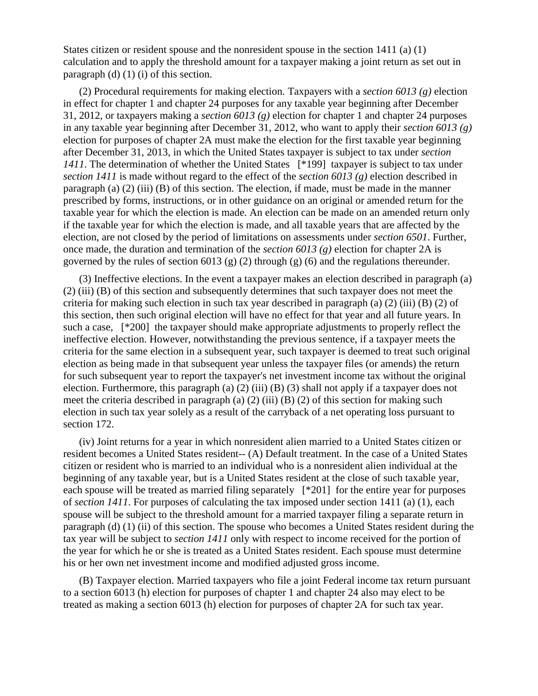States citizen or resident spouse and the nonresident spouse in the section 1411 (a) (1) calculation and to apply the threshold amount for a taxpayer making a joint return as set out in paragraph (d) (1) (i) of this section.

(2) Procedural requirements for making election. Taxpayers with a *section 6013 (g)* election in effect for chapter 1 and chapter 24 purposes for any taxable year beginning after December 31, 2012, or taxpayers making a *section 6013 (g)* election for chapter 1 and chapter 24 purposes in any taxable year beginning after December 31, 2012, who want to apply their *section 6013 (g)* election for purposes of chapter 2A must make the election for the first taxable year beginning after December 31, 2013, in which the United States taxpayer is subject to tax under *section 1411*. The determination of whether the United States [\*199] taxpayer is subject to tax under *section 1411* is made without regard to the effect of the *section 6013 (g)* election described in paragraph (a) (2) (iii) (B) of this section. The election, if made, must be made in the manner prescribed by forms, instructions, or in other guidance on an original or amended return for the taxable year for which the election is made. An election can be made on an amended return only if the taxable year for which the election is made, and all taxable years that are affected by the election, are not closed by the period of limitations on assessments under *section 6501*. Further, once made, the duration and termination of the *section 6013 (g)* election for chapter 2A is governed by the rules of section 6013 (g) (2) through (g) (6) and the regulations thereunder.

(3) Ineffective elections. In the event a taxpayer makes an election described in paragraph (a) (2) (iii) (B) of this section and subsequently determines that such taxpayer does not meet the criteria for making such election in such tax year described in paragraph (a) (2) (iii) (B) (2) of this section, then such original election will have no effect for that year and all future years. In such a case, [\*200] the taxpayer should make appropriate adjustments to properly reflect the ineffective election. However, notwithstanding the previous sentence, if a taxpayer meets the criteria for the same election in a subsequent year, such taxpayer is deemed to treat such original election as being made in that subsequent year unless the taxpayer files (or amends) the return for such subsequent year to report the taxpayer's net investment income tax without the original election. Furthermore, this paragraph (a) (2) (iii) (B) (3) shall not apply if a taxpayer does not meet the criteria described in paragraph (a)  $(2)$  (iii)  $(B)$   $(2)$  of this section for making such election in such tax year solely as a result of the carryback of a net operating loss pursuant to section 172.

(iv) Joint returns for a year in which nonresident alien married to a United States citizen or resident becomes a United States resident-- (A) Default treatment. In the case of a United States citizen or resident who is married to an individual who is a nonresident alien individual at the beginning of any taxable year, but is a United States resident at the close of such taxable year, each spouse will be treated as married filing separately [\*201] for the entire year for purposes of *section 1411*. For purposes of calculating the tax imposed under section 1411 (a) (1), each spouse will be subject to the threshold amount for a married taxpayer filing a separate return in paragraph (d) (1) (ii) of this section. The spouse who becomes a United States resident during the tax year will be subject to *section 1411* only with respect to income received for the portion of the year for which he or she is treated as a United States resident. Each spouse must determine his or her own net investment income and modified adjusted gross income.

(B) Taxpayer election. Married taxpayers who file a joint Federal income tax return pursuant to a section 6013 (h) election for purposes of chapter 1 and chapter 24 also may elect to be treated as making a section 6013 (h) election for purposes of chapter 2A for such tax year.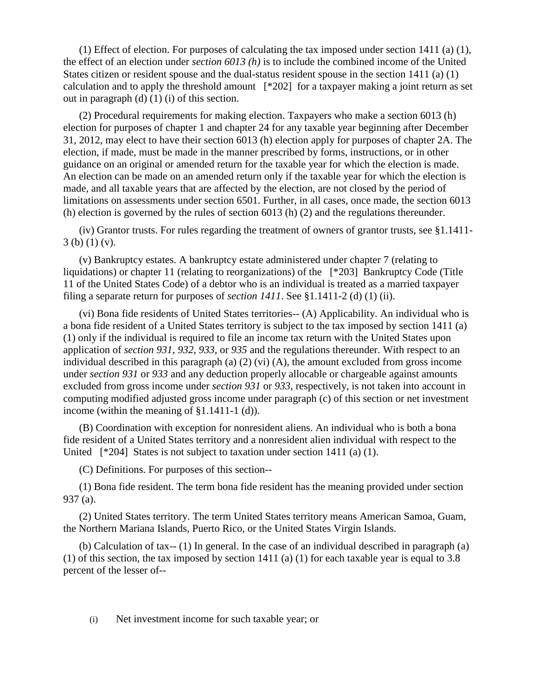(1) Effect of election. For purposes of calculating the tax imposed under section 1411 (a) (1), the effect of an election under *section 6013 (h)* is to include the combined income of the United States citizen or resident spouse and the dual-status resident spouse in the section 1411 (a) (1) calculation and to apply the threshold amount [\*202] for a taxpayer making a joint return as set out in paragraph (d) (1) (i) of this section.

(2) Procedural requirements for making election. Taxpayers who make a section 6013 (h) election for purposes of chapter 1 and chapter 24 for any taxable year beginning after December 31, 2012, may elect to have their section 6013 (h) election apply for purposes of chapter 2A. The election, if made, must be made in the manner prescribed by forms, instructions, or in other guidance on an original or amended return for the taxable year for which the election is made. An election can be made on an amended return only if the taxable year for which the election is made, and all taxable years that are affected by the election, are not closed by the period of limitations on assessments under section 6501. Further, in all cases, once made, the section 6013 (h) election is governed by the rules of section 6013 (h) (2) and the regulations thereunder.

(iv) Grantor trusts. For rules regarding the treatment of owners of grantor trusts, see §1.1411- 3 (b) (1) (v).

(v) Bankruptcy estates. A bankruptcy estate administered under chapter 7 (relating to liquidations) or chapter 11 (relating to reorganizations) of the [\*203] Bankruptcy Code (Title 11 of the United States Code) of a debtor who is an individual is treated as a married taxpayer filing a separate return for purposes of *section 1411*. See §1.1411-2 (d) (1) (ii).

(vi) Bona fide residents of United States territories-- (A) Applicability. An individual who is a bona fide resident of a United States territory is subject to the tax imposed by section 1411 (a) (1) only if the individual is required to file an income tax return with the United States upon application of *section 931*, *932*, *933*, or *935* and the regulations thereunder. With respect to an individual described in this paragraph (a) (2) (vi) (A), the amount excluded from gross income under *section 931* or *933* and any deduction properly allocable or chargeable against amounts excluded from gross income under *section 931* or *933*, respectively, is not taken into account in computing modified adjusted gross income under paragraph (c) of this section or net investment income (within the meaning of §1.1411-1 (d)).

(B) Coordination with exception for nonresident aliens. An individual who is both a bona fide resident of a United States territory and a nonresident alien individual with respect to the United [\*204] States is not subject to taxation under section 1411 (a) (1).

(C) Definitions. For purposes of this section--

(1) Bona fide resident. The term bona fide resident has the meaning provided under section 937 (a).

(2) United States territory. The term United States territory means American Samoa, Guam, the Northern Mariana Islands, Puerto Rico, or the United States Virgin Islands.

(b) Calculation of tax-- (1) In general. In the case of an individual described in paragraph (a) (1) of this section, the tax imposed by section 1411 (a) (1) for each taxable year is equal to 3.8 percent of the lesser of--

(i) Net investment income for such taxable year; or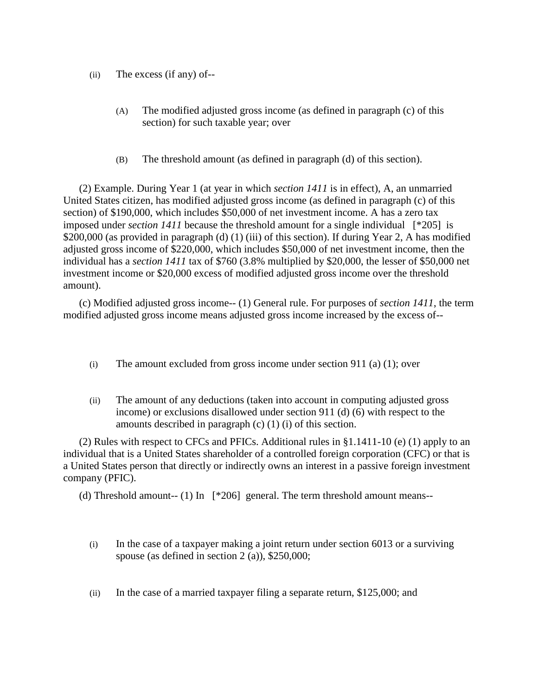- (ii) The excess (if any) of--
	- (A) The modified adjusted gross income (as defined in paragraph (c) of this section) for such taxable year; over
	- (B) The threshold amount (as defined in paragraph (d) of this section).

(2) Example. During Year 1 (at year in which *section 1411* is in effect), A, an unmarried United States citizen, has modified adjusted gross income (as defined in paragraph (c) of this section) of \$190,000, which includes \$50,000 of net investment income. A has a zero tax imposed under *section 1411* because the threshold amount for a single individual [\*205] is \$200,000 (as provided in paragraph (d) (1) (iii) of this section). If during Year 2, A has modified adjusted gross income of \$220,000, which includes \$50,000 of net investment income, then the individual has a *section 1411* tax of \$760 (3.8% multiplied by \$20,000, the lesser of \$50,000 net investment income or \$20,000 excess of modified adjusted gross income over the threshold amount).

(c) Modified adjusted gross income-- (1) General rule. For purposes of *section 1411*, the term modified adjusted gross income means adjusted gross income increased by the excess of--

- (i) The amount excluded from gross income under section 911 (a) (1); over
- (ii) The amount of any deductions (taken into account in computing adjusted gross income) or exclusions disallowed under section 911 (d) (6) with respect to the amounts described in paragraph (c) (1) (i) of this section.

(2) Rules with respect to CFCs and PFICs. Additional rules in §1.1411-10 (e) (1) apply to an individual that is a United States shareholder of a controlled foreign corporation (CFC) or that is a United States person that directly or indirectly owns an interest in a passive foreign investment company (PFIC).

(d) Threshold amount-- (1) In [\*206] general. The term threshold amount means--

- (i) In the case of a taxpayer making a joint return under section 6013 or a surviving spouse (as defined in section 2 (a)), \$250,000;
- (ii) In the case of a married taxpayer filing a separate return, \$125,000; and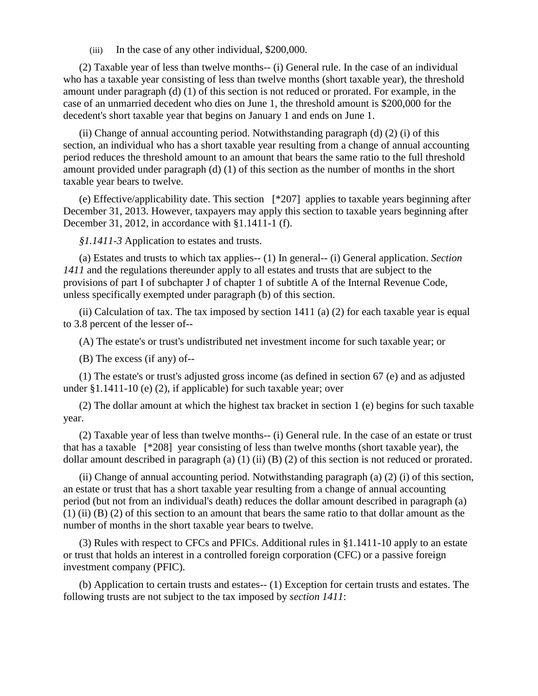(iii) In the case of any other individual, \$200,000.

(2) Taxable year of less than twelve months-- (i) General rule. In the case of an individual who has a taxable year consisting of less than twelve months (short taxable year), the threshold amount under paragraph (d) (1) of this section is not reduced or prorated. For example, in the case of an unmarried decedent who dies on June 1, the threshold amount is \$200,000 for the decedent's short taxable year that begins on January 1 and ends on June 1.

(ii) Change of annual accounting period. Notwithstanding paragraph (d) (2) (i) of this section, an individual who has a short taxable year resulting from a change of annual accounting period reduces the threshold amount to an amount that bears the same ratio to the full threshold amount provided under paragraph (d) (1) of this section as the number of months in the short taxable year bears to twelve.

(e) Effective/applicability date. This section [\*207] applies to taxable years beginning after December 31, 2013. However, taxpayers may apply this section to taxable years beginning after December 31, 2012, in accordance with §1.1411-1 (f).

*§1.1411-3* Application to estates and trusts.

(a) Estates and trusts to which tax applies-- (1) In general-- (i) General application. *Section 1411* and the regulations thereunder apply to all estates and trusts that are subject to the provisions of part I of subchapter J of chapter 1 of subtitle A of the Internal Revenue Code, unless specifically exempted under paragraph (b) of this section.

(ii) Calculation of tax. The tax imposed by section  $1411$  (a) (2) for each taxable year is equal to 3.8 percent of the lesser of--

(A) The estate's or trust's undistributed net investment income for such taxable year; or

(B) The excess (if any) of--

(1) The estate's or trust's adjusted gross income (as defined in section 67 (e) and as adjusted under §1.1411-10 (e) (2), if applicable) for such taxable year; over

(2) The dollar amount at which the highest tax bracket in section 1 (e) begins for such taxable year.

(2) Taxable year of less than twelve months-- (i) General rule. In the case of an estate or trust that has a taxable [\*208] year consisting of less than twelve months (short taxable year), the dollar amount described in paragraph (a) (1) (ii) (B) (2) of this section is not reduced or prorated.

(ii) Change of annual accounting period. Notwithstanding paragraph (a) (2) (i) of this section, an estate or trust that has a short taxable year resulting from a change of annual accounting period (but not from an individual's death) reduces the dollar amount described in paragraph (a) (1) (ii) (B) (2) of this section to an amount that bears the same ratio to that dollar amount as the number of months in the short taxable year bears to twelve.

(3) Rules with respect to CFCs and PFICs. Additional rules in §1.1411-10 apply to an estate or trust that holds an interest in a controlled foreign corporation (CFC) or a passive foreign investment company (PFIC).

(b) Application to certain trusts and estates-- (1) Exception for certain trusts and estates. The following trusts are not subject to the tax imposed by *section 1411*: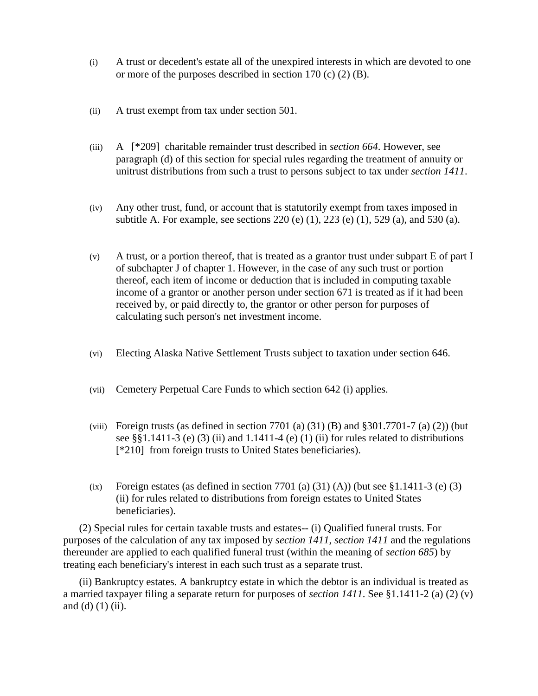- (i) A trust or decedent's estate all of the unexpired interests in which are devoted to one or more of the purposes described in section 170 (c) (2) (B).
- (ii) A trust exempt from tax under section 501.
- (iii) A [\*209] charitable remainder trust described in *section 664*. However, see paragraph (d) of this section for special rules regarding the treatment of annuity or unitrust distributions from such a trust to persons subject to tax under *section 1411*.
- (iv) Any other trust, fund, or account that is statutorily exempt from taxes imposed in subtitle A. For example, see sections 220 (e) (1), 223 (e) (1), 529 (a), and 530 (a).
- (v) A trust, or a portion thereof, that is treated as a grantor trust under subpart E of part I of subchapter J of chapter 1. However, in the case of any such trust or portion thereof, each item of income or deduction that is included in computing taxable income of a grantor or another person under section 671 is treated as if it had been received by, or paid directly to, the grantor or other person for purposes of calculating such person's net investment income.
- (vi) Electing Alaska Native Settlement Trusts subject to taxation under section 646.
- (vii) Cemetery Perpetual Care Funds to which section 642 (i) applies.
- (viii) Foreign trusts (as defined in section 7701 (a)  $(31)$  (B) and §301.7701-7 (a)  $(2)$ ) (but see  $\S$ [3.1411-3 (e) (3) (ii) and 1.1411-4 (e) (1) (ii) for rules related to distributions [\*210] from foreign trusts to United States beneficiaries).
- (ix) Foreign estates (as defined in section 7701 (a) (31) (A)) (but see  $$1.1411-3$  (e) (3) (ii) for rules related to distributions from foreign estates to United States beneficiaries).

(2) Special rules for certain taxable trusts and estates-- (i) Qualified funeral trusts. For purposes of the calculation of any tax imposed by *section 1411*, *section 1411* and the regulations thereunder are applied to each qualified funeral trust (within the meaning of *section 685*) by treating each beneficiary's interest in each such trust as a separate trust.

(ii) Bankruptcy estates. A bankruptcy estate in which the debtor is an individual is treated as a married taxpayer filing a separate return for purposes of *section 1411*. See §1.1411-2 (a) (2) (v) and  $(d)$   $(1)$   $(ii)$ .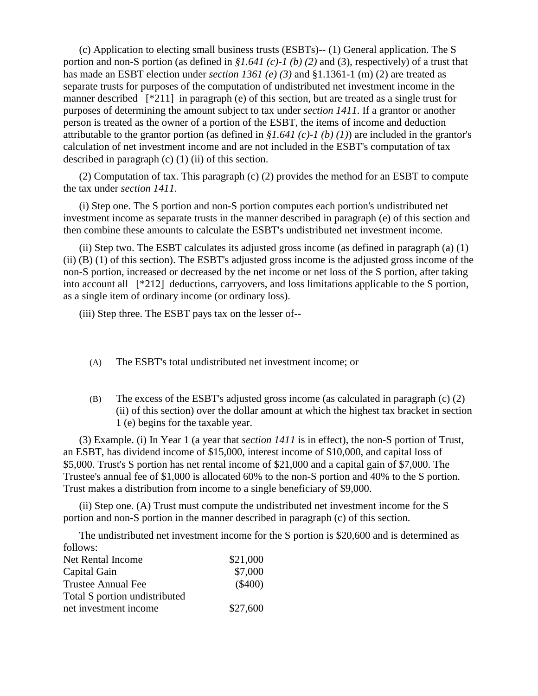(c) Application to electing small business trusts (ESBTs)-- (1) General application. The S portion and non-S portion (as defined in *§1.641 (c)-1 (b) (2)* and (3), respectively) of a trust that has made an ESBT election under *section 1361 (e) (3)* and §1.1361-1 (m) (2) are treated as separate trusts for purposes of the computation of undistributed net investment income in the manner described [\*211] in paragraph (e) of this section, but are treated as a single trust for purposes of determining the amount subject to tax under *section 1411*. If a grantor or another person is treated as the owner of a portion of the ESBT, the items of income and deduction attributable to the grantor portion (as defined in  $$1.641 (c)-1 (b) (1)]$ ) are included in the grantor's calculation of net investment income and are not included in the ESBT's computation of tax described in paragraph  $(c)$  (1) (ii) of this section.

(2) Computation of tax. This paragraph (c) (2) provides the method for an ESBT to compute the tax under *section 1411*.

(i) Step one. The S portion and non-S portion computes each portion's undistributed net investment income as separate trusts in the manner described in paragraph (e) of this section and then combine these amounts to calculate the ESBT's undistributed net investment income.

(ii) Step two. The ESBT calculates its adjusted gross income (as defined in paragraph (a) (1) (ii) (B) (1) of this section). The ESBT's adjusted gross income is the adjusted gross income of the non-S portion, increased or decreased by the net income or net loss of the S portion, after taking into account all [\*212] deductions, carryovers, and loss limitations applicable to the S portion, as a single item of ordinary income (or ordinary loss).

(iii) Step three. The ESBT pays tax on the lesser of--

- (A) The ESBT's total undistributed net investment income; or
- (B) The excess of the ESBT's adjusted gross income (as calculated in paragraph (c) (2) (ii) of this section) over the dollar amount at which the highest tax bracket in section 1 (e) begins for the taxable year.

(3) Example. (i) In Year 1 (a year that *section 1411* is in effect), the non-S portion of Trust, an ESBT, has dividend income of \$15,000, interest income of \$10,000, and capital loss of \$5,000. Trust's S portion has net rental income of \$21,000 and a capital gain of \$7,000. The Trustee's annual fee of \$1,000 is allocated 60% to the non-S portion and 40% to the S portion. Trust makes a distribution from income to a single beneficiary of \$9,000.

(ii) Step one. (A) Trust must compute the undistributed net investment income for the S portion and non-S portion in the manner described in paragraph (c) of this section.

The undistributed net investment income for the S portion is \$20,600 and is determined as follows:

| Net Rental Income             | \$21,000  |
|-------------------------------|-----------|
| Capital Gain                  | \$7,000   |
| <b>Trustee Annual Fee</b>     | $(\$400)$ |
| Total S portion undistributed |           |
| net investment income         | \$27,600  |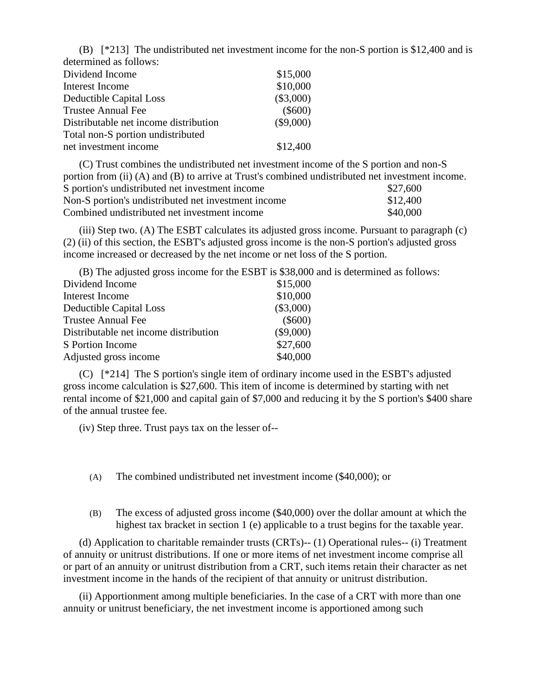(B) [\*213] The undistributed net investment income for the non-S portion is \$12,400 and is determined as follows:

| Dividend Income                       | \$15,000    |
|---------------------------------------|-------------|
| Interest Income                       | \$10,000    |
| Deductible Capital Loss               | $(\$3,000)$ |
| <b>Trustee Annual Fee</b>             | $(\$600)$   |
| Distributable net income distribution | $(\$9,000)$ |
| Total non-S portion undistributed     |             |
| net investment income                 | \$12,400    |

(C) Trust combines the undistributed net investment income of the S portion and non-S portion from (ii) (A) and (B) to arrive at Trust's combined undistributed net investment income. S portion's undistributed net investment income \$27,600 Non-S portion's undistributed net investment income \$12,400 Combined undistributed net investment income \$40,000

(iii) Step two. (A) The ESBT calculates its adjusted gross income. Pursuant to paragraph (c) (2) (ii) of this section, the ESBT's adjusted gross income is the non-S portion's adjusted gross income increased or decreased by the net income or net loss of the S portion.

|                                       | (B) The adjusted gross income for the ESBT is \$38,000 and is determined as follows: |
|---------------------------------------|--------------------------------------------------------------------------------------|
| Dividend Income                       | \$15,000                                                                             |
| Interest Income                       | \$10,000                                                                             |
| Deductible Capital Loss               | $(\$3,000)$                                                                          |
| <b>Trustee Annual Fee</b>             | $(\$600)$                                                                            |
| Distributable net income distribution | $(\$9,000)$                                                                          |
| S Portion Income                      | \$27,600                                                                             |
| Adjusted gross income                 | \$40,000                                                                             |

(C) [\*214] The S portion's single item of ordinary income used in the ESBT's adjusted gross income calculation is \$27,600. This item of income is determined by starting with net rental income of \$21,000 and capital gain of \$7,000 and reducing it by the S portion's \$400 share of the annual trustee fee.

(iv) Step three. Trust pays tax on the lesser of--

- (A) The combined undistributed net investment income (\$40,000); or
- (B) The excess of adjusted gross income (\$40,000) over the dollar amount at which the highest tax bracket in section 1 (e) applicable to a trust begins for the taxable year.

(d) Application to charitable remainder trusts (CRTs)-- (1) Operational rules-- (i) Treatment of annuity or unitrust distributions. If one or more items of net investment income comprise all or part of an annuity or unitrust distribution from a CRT, such items retain their character as net investment income in the hands of the recipient of that annuity or unitrust distribution.

(ii) Apportionment among multiple beneficiaries. In the case of a CRT with more than one annuity or unitrust beneficiary, the net investment income is apportioned among such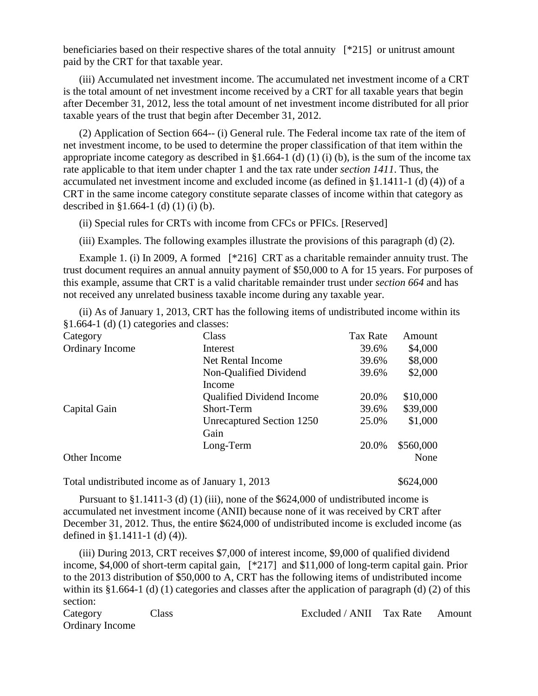beneficiaries based on their respective shares of the total annuity [\*215] or unitrust amount paid by the CRT for that taxable year.

(iii) Accumulated net investment income. The accumulated net investment income of a CRT is the total amount of net investment income received by a CRT for all taxable years that begin after December 31, 2012, less the total amount of net investment income distributed for all prior taxable years of the trust that begin after December 31, 2012.

(2) Application of Section 664-- (i) General rule. The Federal income tax rate of the item of net investment income, to be used to determine the proper classification of that item within the appropriate income category as described in  $\S1.664-1$  (d) (1) (i) (b), is the sum of the income tax rate applicable to that item under chapter 1 and the tax rate under *section 1411*. Thus, the accumulated net investment income and excluded income (as defined in §1.1411-1 (d) (4)) of a CRT in the same income category constitute separate classes of income within that category as described in §1.664-1 (d) (1) (i) (b).

(ii) Special rules for CRTs with income from CFCs or PFICs. [Reserved]

(iii) Examples. The following examples illustrate the provisions of this paragraph (d) (2).

Example 1. (i) In 2009, A formed [\*216] CRT as a charitable remainder annuity trust. The trust document requires an annual annuity payment of \$50,000 to A for 15 years. For purposes of this example, assume that CRT is a valid charitable remainder trust under *section 664* and has not received any unrelated business taxable income during any taxable year.

(ii) As of January 1, 2013, CRT has the following items of undistributed income within its §1.664-1 (d) (1) categories and classes:

| Category               | Class                            | Tax Rate | Amount    |
|------------------------|----------------------------------|----------|-----------|
| <b>Ordinary Income</b> | Interest                         | 39.6%    | \$4,000   |
|                        | <b>Net Rental Income</b>         | 39.6%    | \$8,000   |
|                        | Non-Qualified Dividend           | 39.6%    | \$2,000   |
|                        | Income                           |          |           |
|                        | <b>Qualified Dividend Income</b> | 20.0%    | \$10,000  |
| Capital Gain           | Short-Term                       | 39.6%    | \$39,000  |
|                        | Unrecaptured Section 1250        | 25.0%    | \$1,000   |
|                        | Gain                             |          |           |
|                        | Long-Term                        | 20.0%    | \$560,000 |
| Other Income           |                                  |          | None      |
|                        |                                  |          |           |

Total undistributed income as of January 1, 2013 \$624,000

Pursuant to  $\S1.1411-3$  (d) (1) (iii), none of the  $\S624,000$  of undistributed income is accumulated net investment income (ANII) because none of it was received by CRT after December 31, 2012. Thus, the entire \$624,000 of undistributed income is excluded income (as defined in §1.1411-1 (d) (4)).

(iii) During 2013, CRT receives \$7,000 of interest income, \$9,000 of qualified dividend income, \$4,000 of short-term capital gain, [\*217] and \$11,000 of long-term capital gain. Prior to the 2013 distribution of \$50,000 to A, CRT has the following items of undistributed income within its §1.664-1 (d) (1) categories and classes after the application of paragraph (d) (2) of this section:

Category Class Excluded / ANII Tax Rate Amount Ordinary Income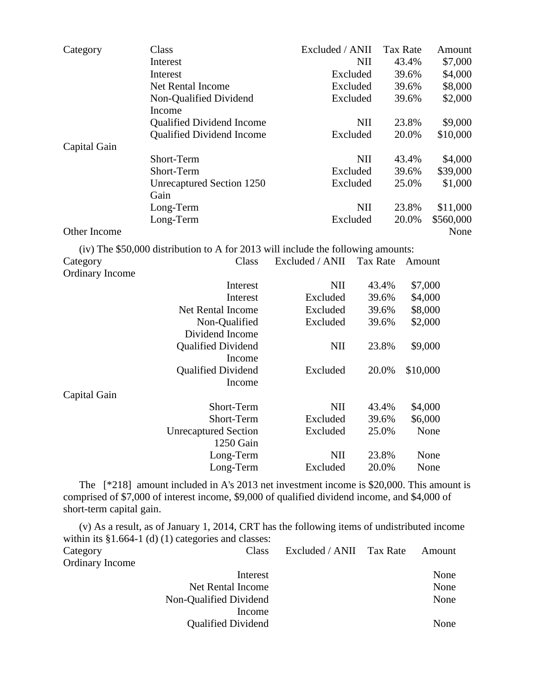| Category               | Class                                                                            | Excluded / ANII |                 | <b>Tax Rate</b> | Amount    |
|------------------------|----------------------------------------------------------------------------------|-----------------|-----------------|-----------------|-----------|
|                        | Interest                                                                         |                 | NII             | 43.4%           | \$7,000   |
|                        | Interest                                                                         |                 | Excluded        | 39.6%           | \$4,000   |
|                        | Net Rental Income                                                                |                 | Excluded        | 39.6%           | \$8,000   |
|                        | Non-Qualified Dividend                                                           |                 | Excluded        | 39.6%           | \$2,000   |
|                        | Income                                                                           |                 |                 |                 |           |
|                        | <b>Qualified Dividend Income</b>                                                 |                 | NII             | 23.8%           | \$9,000   |
|                        | <b>Qualified Dividend Income</b>                                                 |                 | Excluded        | 20.0%           | \$10,000  |
| Capital Gain           |                                                                                  |                 |                 |                 |           |
|                        | Short-Term                                                                       |                 | NII             | 43.4%           | \$4,000   |
|                        | Short-Term                                                                       |                 | Excluded        | 39.6%           | \$39,000  |
|                        | <b>Unrecaptured Section 1250</b>                                                 |                 | Excluded        | 25.0%           | \$1,000   |
|                        | Gain                                                                             |                 |                 |                 |           |
|                        | Long-Term                                                                        |                 | NII             | 23.8%           | \$11,000  |
|                        | Long-Term                                                                        |                 | Excluded        | 20.0%           | \$560,000 |
| Other Income           |                                                                                  |                 |                 |                 | None      |
|                        | (iv) The \$50,000 distribution to A for 2013 will include the following amounts: |                 |                 |                 |           |
| Category               | Class                                                                            | Excluded / ANII | <b>Tax Rate</b> | Amount          |           |
| <b>Ordinary Income</b> |                                                                                  |                 |                 |                 |           |
|                        | Interest                                                                         | <b>NII</b>      | 43.4%           | \$7,000         |           |
|                        | Interest                                                                         | Excluded        | 39.6%           | \$4,000         |           |
|                        | Net Rental Income                                                                | Excluded        | 39.6%           | \$8,000         |           |
|                        | Non-Qualified                                                                    | Excluded        | 39.6%           | \$2,000         |           |
|                        | Dividend Income                                                                  |                 |                 |                 |           |
|                        | <b>Qualified Dividend</b>                                                        | <b>NII</b>      | 23.8%           | \$9,000         |           |
|                        | Income                                                                           |                 |                 |                 |           |
|                        | <b>Qualified Dividend</b>                                                        | Excluded        | 20.0%           | \$10,000        |           |
|                        | Income                                                                           |                 |                 |                 |           |
| Capital Gain           |                                                                                  |                 |                 |                 |           |
|                        | Short-Term                                                                       | <b>NII</b>      | 43.4%           | \$4,000         |           |
|                        | Short-Term                                                                       | Excluded        | 39.6%           | \$6,000         |           |
|                        | <b>Unrecaptured Section</b>                                                      | Excluded        | 25.0%           |                 | None      |
|                        | 1250 Gain                                                                        |                 |                 |                 |           |
|                        | Long-Term                                                                        | <b>NII</b>      | 23.8%           |                 | None      |
|                        | Long-Term                                                                        | Excluded        | 20.0%           |                 | None      |

The [\*218] amount included in A's 2013 net investment income is \$20,000. This amount is comprised of \$7,000 of interest income, \$9,000 of qualified dividend income, and \$4,000 of short-term capital gain.

(v) As a result, as of January 1, 2014, CRT has the following items of undistributed income within its §1.664-1 (d) (1) categories and classes: Category Class Excluded / ANII Tax Rate Amount Ordinary Income Interest None Net Rental Income None Non-Qualified Dividend None Income

Qualified Dividend None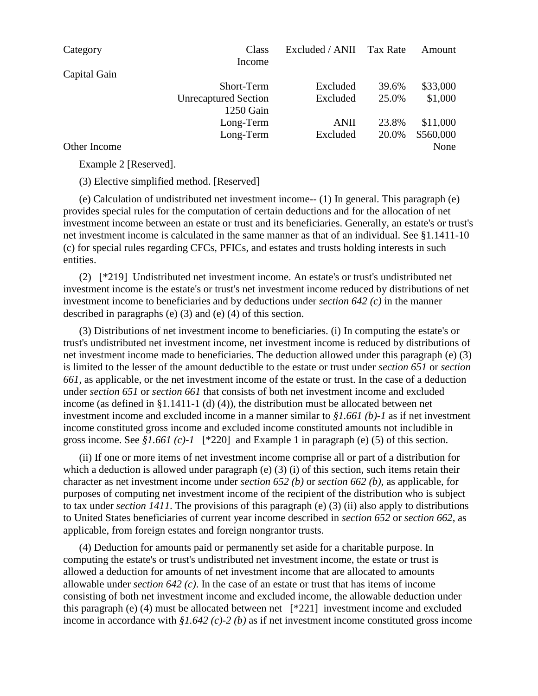| Category     | Class                       | Excluded / ANII | Tax Rate | Amount    |
|--------------|-----------------------------|-----------------|----------|-----------|
|              | Income                      |                 |          |           |
| Capital Gain |                             |                 |          |           |
|              | <b>Short-Term</b>           | Excluded        | 39.6%    | \$33,000  |
|              | <b>Unrecaptured Section</b> | Excluded        | 25.0%    | \$1,000   |
|              | 1250 Gain                   |                 |          |           |
|              | Long-Term                   | <b>ANII</b>     | 23.8%    | \$11,000  |
|              | Long-Term                   | Excluded        | 20.0%    | \$560,000 |
| Other Income |                             |                 |          | None      |

Example 2 [Reserved].

(3) Elective simplified method. [Reserved]

(e) Calculation of undistributed net investment income-- (1) In general. This paragraph (e) provides special rules for the computation of certain deductions and for the allocation of net investment income between an estate or trust and its beneficiaries. Generally, an estate's or trust's net investment income is calculated in the same manner as that of an individual. See §1.1411-10 (c) for special rules regarding CFCs, PFICs, and estates and trusts holding interests in such entities.

(2) [\*219] Undistributed net investment income. An estate's or trust's undistributed net investment income is the estate's or trust's net investment income reduced by distributions of net investment income to beneficiaries and by deductions under *section 642 (c)* in the manner described in paragraphs (e) (3) and (e) (4) of this section.

(3) Distributions of net investment income to beneficiaries. (i) In computing the estate's or trust's undistributed net investment income, net investment income is reduced by distributions of net investment income made to beneficiaries. The deduction allowed under this paragraph (e) (3) is limited to the lesser of the amount deductible to the estate or trust under *section 651* or *section 661*, as applicable, or the net investment income of the estate or trust. In the case of a deduction under *section 651* or *section 661* that consists of both net investment income and excluded income (as defined in §1.1411-1 (d) (4)), the distribution must be allocated between net investment income and excluded income in a manner similar to *§1.661 (b)-1* as if net investment income constituted gross income and excluded income constituted amounts not includible in gross income. See *§1.661 (c)-1* [\*220] and Example 1 in paragraph (e) (5) of this section.

(ii) If one or more items of net investment income comprise all or part of a distribution for which a deduction is allowed under paragraph (e) (3) (i) of this section, such items retain their character as net investment income under *section 652 (b)* or *section 662 (b)*, as applicable, for purposes of computing net investment income of the recipient of the distribution who is subject to tax under *section 1411*. The provisions of this paragraph (e) (3) (ii) also apply to distributions to United States beneficiaries of current year income described in *section 652* or *section 662*, as applicable, from foreign estates and foreign nongrantor trusts.

(4) Deduction for amounts paid or permanently set aside for a charitable purpose. In computing the estate's or trust's undistributed net investment income, the estate or trust is allowed a deduction for amounts of net investment income that are allocated to amounts allowable under *section 642 (c)*. In the case of an estate or trust that has items of income consisting of both net investment income and excluded income, the allowable deduction under this paragraph (e) (4) must be allocated between net [\*221] investment income and excluded income in accordance with *§1.642 (c)-2 (b)* as if net investment income constituted gross income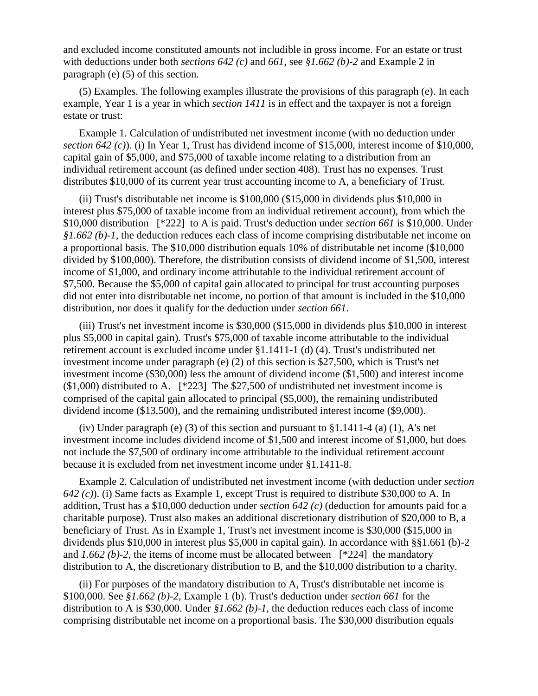and excluded income constituted amounts not includible in gross income. For an estate or trust with deductions under both *sections 642 (c)* and *661*, see *§1.662 (b)-2* and Example 2 in paragraph (e) (5) of this section.

(5) Examples. The following examples illustrate the provisions of this paragraph (e). In each example, Year 1 is a year in which *section 1411* is in effect and the taxpayer is not a foreign estate or trust:

Example 1. Calculation of undistributed net investment income (with no deduction under *section 642 (c)*). (i) In Year 1, Trust has dividend income of \$15,000, interest income of \$10,000, capital gain of \$5,000, and \$75,000 of taxable income relating to a distribution from an individual retirement account (as defined under section 408). Trust has no expenses. Trust distributes \$10,000 of its current year trust accounting income to A, a beneficiary of Trust.

(ii) Trust's distributable net income is \$100,000 (\$15,000 in dividends plus \$10,000 in interest plus \$75,000 of taxable income from an individual retirement account), from which the \$10,000 distribution [\*222] to A is paid. Trust's deduction under *section 661* is \$10,000. Under *§1.662 (b)-1*, the deduction reduces each class of income comprising distributable net income on a proportional basis. The \$10,000 distribution equals 10% of distributable net income (\$10,000 divided by \$100,000). Therefore, the distribution consists of dividend income of \$1,500, interest income of \$1,000, and ordinary income attributable to the individual retirement account of \$7,500. Because the \$5,000 of capital gain allocated to principal for trust accounting purposes did not enter into distributable net income, no portion of that amount is included in the \$10,000 distribution, nor does it qualify for the deduction under *section 661*.

(iii) Trust's net investment income is \$30,000 (\$15,000 in dividends plus \$10,000 in interest plus \$5,000 in capital gain). Trust's \$75,000 of taxable income attributable to the individual retirement account is excluded income under §1.1411-1 (d) (4). Trust's undistributed net investment income under paragraph (e) (2) of this section is \$27,500, which is Trust's net investment income (\$30,000) less the amount of dividend income (\$1,500) and interest income (\$1,000) distributed to A. [\*223] The \$27,500 of undistributed net investment income is comprised of the capital gain allocated to principal (\$5,000), the remaining undistributed dividend income (\$13,500), and the remaining undistributed interest income (\$9,000).

(iv) Under paragraph (e) (3) of this section and pursuant to  $\S 1.1411-4$  (a) (1), A's net investment income includes dividend income of \$1,500 and interest income of \$1,000, but does not include the \$7,500 of ordinary income attributable to the individual retirement account because it is excluded from net investment income under §1.1411-8.

Example 2. Calculation of undistributed net investment income (with deduction under *section 642 (c)*). (i) Same facts as Example 1, except Trust is required to distribute \$30,000 to A. In addition, Trust has a \$10,000 deduction under *section 642 (c)* (deduction for amounts paid for a charitable purpose). Trust also makes an additional discretionary distribution of \$20,000 to B, a beneficiary of Trust. As in Example 1, Trust's net investment income is \$30,000 (\$15,000 in dividends plus \$10,000 in interest plus \$5,000 in capital gain). In accordance with §§1.661 (b)-2 and  $1.662$  (b)-2, the items of income must be allocated between  $[^*224]$  the mandatory distribution to A, the discretionary distribution to B, and the \$10,000 distribution to a charity.

(ii) For purposes of the mandatory distribution to A, Trust's distributable net income is \$100,000. See *§1.662 (b)-2*, Example 1 (b). Trust's deduction under *section 661* for the distribution to A is \$30,000. Under *§1.662 (b)-1*, the deduction reduces each class of income comprising distributable net income on a proportional basis. The \$30,000 distribution equals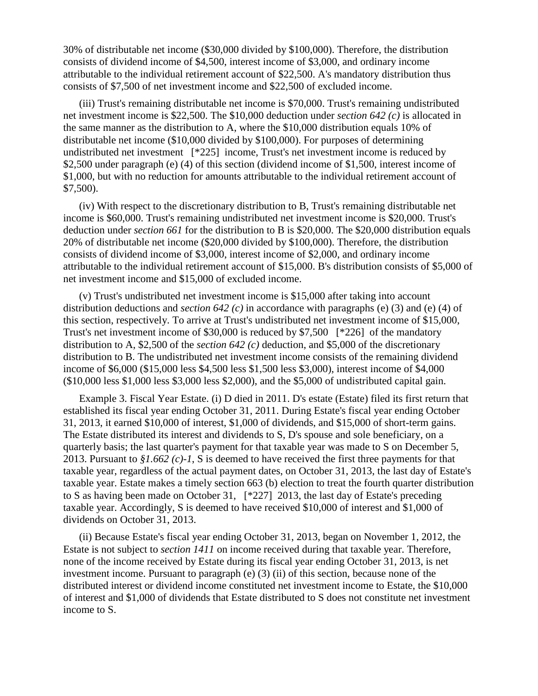30% of distributable net income (\$30,000 divided by \$100,000). Therefore, the distribution consists of dividend income of \$4,500, interest income of \$3,000, and ordinary income attributable to the individual retirement account of \$22,500. A's mandatory distribution thus consists of \$7,500 of net investment income and \$22,500 of excluded income.

(iii) Trust's remaining distributable net income is \$70,000. Trust's remaining undistributed net investment income is \$22,500. The \$10,000 deduction under *section 642 (c)* is allocated in the same manner as the distribution to A, where the \$10,000 distribution equals 10% of distributable net income (\$10,000 divided by \$100,000). For purposes of determining undistributed net investment [\*225] income, Trust's net investment income is reduced by \$2,500 under paragraph (e) (4) of this section (dividend income of \$1,500, interest income of \$1,000, but with no reduction for amounts attributable to the individual retirement account of \$7,500).

(iv) With respect to the discretionary distribution to B, Trust's remaining distributable net income is \$60,000. Trust's remaining undistributed net investment income is \$20,000. Trust's deduction under *section 661* for the distribution to B is \$20,000. The \$20,000 distribution equals 20% of distributable net income (\$20,000 divided by \$100,000). Therefore, the distribution consists of dividend income of \$3,000, interest income of \$2,000, and ordinary income attributable to the individual retirement account of \$15,000. B's distribution consists of \$5,000 of net investment income and \$15,000 of excluded income.

(v) Trust's undistributed net investment income is \$15,000 after taking into account distribution deductions and *section 642 (c)* in accordance with paragraphs (e) (3) and (e) (4) of this section, respectively. To arrive at Trust's undistributed net investment income of \$15,000, Trust's net investment income of \$30,000 is reduced by \$7,500 [\*226] of the mandatory distribution to A, \$2,500 of the *section 642 (c)* deduction, and \$5,000 of the discretionary distribution to B. The undistributed net investment income consists of the remaining dividend income of \$6,000 (\$15,000 less \$4,500 less \$1,500 less \$3,000), interest income of \$4,000 (\$10,000 less \$1,000 less \$3,000 less \$2,000), and the \$5,000 of undistributed capital gain.

Example 3. Fiscal Year Estate. (i) D died in 2011. D's estate (Estate) filed its first return that established its fiscal year ending October 31, 2011. During Estate's fiscal year ending October 31, 2013, it earned \$10,000 of interest, \$1,000 of dividends, and \$15,000 of short-term gains. The Estate distributed its interest and dividends to S, D's spouse and sole beneficiary, on a quarterly basis; the last quarter's payment for that taxable year was made to S on December 5, 2013. Pursuant to *§1.662 (c)-1*, S is deemed to have received the first three payments for that taxable year, regardless of the actual payment dates, on October 31, 2013, the last day of Estate's taxable year. Estate makes a timely section 663 (b) election to treat the fourth quarter distribution to S as having been made on October 31, [\*227] 2013, the last day of Estate's preceding taxable year. Accordingly, S is deemed to have received \$10,000 of interest and \$1,000 of dividends on October 31, 2013.

(ii) Because Estate's fiscal year ending October 31, 2013, began on November 1, 2012, the Estate is not subject to *section 1411* on income received during that taxable year. Therefore, none of the income received by Estate during its fiscal year ending October 31, 2013, is net investment income. Pursuant to paragraph (e) (3) (ii) of this section, because none of the distributed interest or dividend income constituted net investment income to Estate, the \$10,000 of interest and \$1,000 of dividends that Estate distributed to S does not constitute net investment income to S.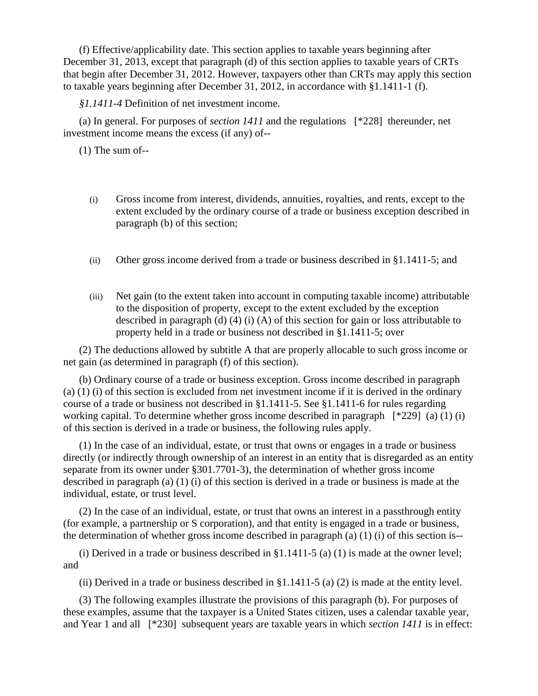(f) Effective/applicability date. This section applies to taxable years beginning after December 31, 2013, except that paragraph (d) of this section applies to taxable years of CRTs that begin after December 31, 2012. However, taxpayers other than CRTs may apply this section to taxable years beginning after December 31, 2012, in accordance with §1.1411-1 (f).

*§1.1411-4* Definition of net investment income.

(a) In general. For purposes of *section 1411* and the regulations [\*228] thereunder, net investment income means the excess (if any) of--

(1) The sum of--

- (i) Gross income from interest, dividends, annuities, royalties, and rents, except to the extent excluded by the ordinary course of a trade or business exception described in paragraph (b) of this section;
- (ii) Other gross income derived from a trade or business described in §1.1411-5; and
- (iii) Net gain (to the extent taken into account in computing taxable income) attributable to the disposition of property, except to the extent excluded by the exception described in paragraph (d) (4) (i) (A) of this section for gain or loss attributable to property held in a trade or business not described in §1.1411-5; over

(2) The deductions allowed by subtitle A that are properly allocable to such gross income or net gain (as determined in paragraph (f) of this section).

(b) Ordinary course of a trade or business exception. Gross income described in paragraph (a) (1) (i) of this section is excluded from net investment income if it is derived in the ordinary course of a trade or business not described in §1.1411-5. See §1.1411-6 for rules regarding working capital. To determine whether gross income described in paragraph [\*229] (a) (1) (i) of this section is derived in a trade or business, the following rules apply.

(1) In the case of an individual, estate, or trust that owns or engages in a trade or business directly (or indirectly through ownership of an interest in an entity that is disregarded as an entity separate from its owner under §301.7701-3), the determination of whether gross income described in paragraph (a) (1) (i) of this section is derived in a trade or business is made at the individual, estate, or trust level.

(2) In the case of an individual, estate, or trust that owns an interest in a passthrough entity (for example, a partnership or S corporation), and that entity is engaged in a trade or business, the determination of whether gross income described in paragraph (a)  $(1)$  (i) of this section is--

(i) Derived in a trade or business described in  $\S 1.1411-5$  (a) (1) is made at the owner level; and

(ii) Derived in a trade or business described in  $\S1.1411-5$  (a) (2) is made at the entity level.

(3) The following examples illustrate the provisions of this paragraph (b). For purposes of these examples, assume that the taxpayer is a United States citizen, uses a calendar taxable year, and Year 1 and all [\*230] subsequent years are taxable years in which *section 1411* is in effect: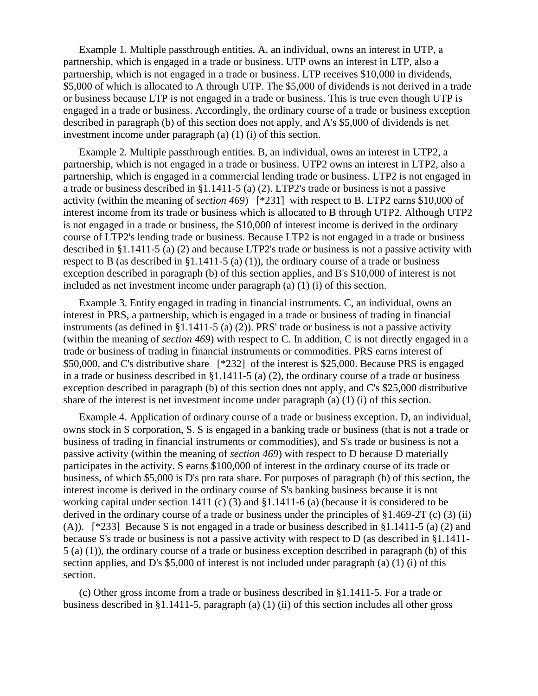Example 1. Multiple passthrough entities. A, an individual, owns an interest in UTP, a partnership, which is engaged in a trade or business. UTP owns an interest in LTP, also a partnership, which is not engaged in a trade or business. LTP receives \$10,000 in dividends, \$5,000 of which is allocated to A through UTP. The \$5,000 of dividends is not derived in a trade or business because LTP is not engaged in a trade or business. This is true even though UTP is engaged in a trade or business. Accordingly, the ordinary course of a trade or business exception described in paragraph (b) of this section does not apply, and A's \$5,000 of dividends is net investment income under paragraph (a) (1) (i) of this section.

Example 2. Multiple passthrough entities. B, an individual, owns an interest in UTP2, a partnership, which is not engaged in a trade or business. UTP2 owns an interest in LTP2, also a partnership, which is engaged in a commercial lending trade or business. LTP2 is not engaged in a trade or business described in §1.1411-5 (a) (2). LTP2's trade or business is not a passive activity (within the meaning of *section 469*) [\*231] with respect to B. LTP2 earns \$10,000 of interest income from its trade or business which is allocated to B through UTP2. Although UTP2 is not engaged in a trade or business, the \$10,000 of interest income is derived in the ordinary course of LTP2's lending trade or business. Because LTP2 is not engaged in a trade or business described in §1.1411-5 (a) (2) and because LTP2's trade or business is not a passive activity with respect to B (as described in  $\S1.1411-5$  (a) (1)), the ordinary course of a trade or business exception described in paragraph (b) of this section applies, and B's \$10,000 of interest is not included as net investment income under paragraph (a) (1) (i) of this section.

Example 3. Entity engaged in trading in financial instruments. C, an individual, owns an interest in PRS, a partnership, which is engaged in a trade or business of trading in financial instruments (as defined in §1.1411-5 (a) (2)). PRS' trade or business is not a passive activity (within the meaning of *section 469*) with respect to C. In addition, C is not directly engaged in a trade or business of trading in financial instruments or commodities. PRS earns interest of \$50,000, and C's distributive share [\*232] of the interest is \$25,000. Because PRS is engaged in a trade or business described in §1.1411-5 (a) (2), the ordinary course of a trade or business exception described in paragraph (b) of this section does not apply, and C's \$25,000 distributive share of the interest is net investment income under paragraph (a) (1) (i) of this section.

Example 4. Application of ordinary course of a trade or business exception. D, an individual, owns stock in S corporation, S. S is engaged in a banking trade or business (that is not a trade or business of trading in financial instruments or commodities), and S's trade or business is not a passive activity (within the meaning of *section 469*) with respect to D because D materially participates in the activity. S earns \$100,000 of interest in the ordinary course of its trade or business, of which \$5,000 is D's pro rata share. For purposes of paragraph (b) of this section, the interest income is derived in the ordinary course of S's banking business because it is not working capital under section 1411 (c) (3) and §1.1411-6 (a) (because it is considered to be derived in the ordinary course of a trade or business under the principles of  $\S 1.469-2T$  (c) (3) (ii) (A)). [\*233] Because S is not engaged in a trade or business described in §1.1411-5 (a) (2) and because S's trade or business is not a passive activity with respect to D (as described in §1.1411- 5 (a) (1)), the ordinary course of a trade or business exception described in paragraph (b) of this section applies, and D's \$5,000 of interest is not included under paragraph (a) (1) (i) of this section.

(c) Other gross income from a trade or business described in §1.1411-5. For a trade or business described in §1.1411-5, paragraph (a) (1) (ii) of this section includes all other gross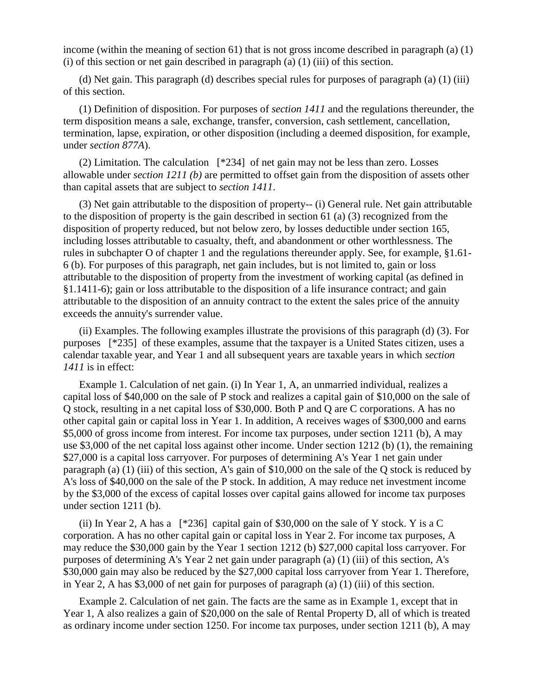income (within the meaning of section 61) that is not gross income described in paragraph (a) (1) (i) of this section or net gain described in paragraph (a) (1) (iii) of this section.

(d) Net gain. This paragraph (d) describes special rules for purposes of paragraph (a) (1) (iii) of this section.

(1) Definition of disposition. For purposes of *section 1411* and the regulations thereunder, the term disposition means a sale, exchange, transfer, conversion, cash settlement, cancellation, termination, lapse, expiration, or other disposition (including a deemed disposition, for example, under *section 877A*).

(2) Limitation. The calculation [\*234] of net gain may not be less than zero. Losses allowable under *section 1211 (b)* are permitted to offset gain from the disposition of assets other than capital assets that are subject to *section 1411*.

(3) Net gain attributable to the disposition of property-- (i) General rule. Net gain attributable to the disposition of property is the gain described in section 61 (a) (3) recognized from the disposition of property reduced, but not below zero, by losses deductible under section 165, including losses attributable to casualty, theft, and abandonment or other worthlessness. The rules in subchapter O of chapter 1 and the regulations thereunder apply. See, for example, §1.61- 6 (b). For purposes of this paragraph, net gain includes, but is not limited to, gain or loss attributable to the disposition of property from the investment of working capital (as defined in §1.1411-6); gain or loss attributable to the disposition of a life insurance contract; and gain attributable to the disposition of an annuity contract to the extent the sales price of the annuity exceeds the annuity's surrender value.

(ii) Examples. The following examples illustrate the provisions of this paragraph (d) (3). For purposes [\*235] of these examples, assume that the taxpayer is a United States citizen, uses a calendar taxable year, and Year 1 and all subsequent years are taxable years in which *section 1411* is in effect:

Example 1. Calculation of net gain. (i) In Year 1, A, an unmarried individual, realizes a capital loss of \$40,000 on the sale of P stock and realizes a capital gain of \$10,000 on the sale of Q stock, resulting in a net capital loss of \$30,000. Both P and Q are C corporations. A has no other capital gain or capital loss in Year 1. In addition, A receives wages of \$300,000 and earns \$5,000 of gross income from interest. For income tax purposes, under section 1211 (b), A may use \$3,000 of the net capital loss against other income. Under section 1212 (b) (1), the remaining \$27,000 is a capital loss carryover. For purposes of determining A's Year 1 net gain under paragraph (a) (1) (iii) of this section, A's gain of \$10,000 on the sale of the Q stock is reduced by A's loss of \$40,000 on the sale of the P stock. In addition, A may reduce net investment income by the \$3,000 of the excess of capital losses over capital gains allowed for income tax purposes under section 1211 (b).

(ii) In Year 2, A has a  $[^*236]$  capital gain of \$30,000 on the sale of Y stock. Y is a C corporation. A has no other capital gain or capital loss in Year 2. For income tax purposes, A may reduce the \$30,000 gain by the Year 1 section 1212 (b) \$27,000 capital loss carryover. For purposes of determining A's Year 2 net gain under paragraph (a) (1) (iii) of this section, A's \$30,000 gain may also be reduced by the \$27,000 capital loss carryover from Year 1. Therefore, in Year 2, A has \$3,000 of net gain for purposes of paragraph (a) (1) (iii) of this section.

Example 2. Calculation of net gain. The facts are the same as in Example 1, except that in Year 1, A also realizes a gain of \$20,000 on the sale of Rental Property D, all of which is treated as ordinary income under section 1250. For income tax purposes, under section 1211 (b), A may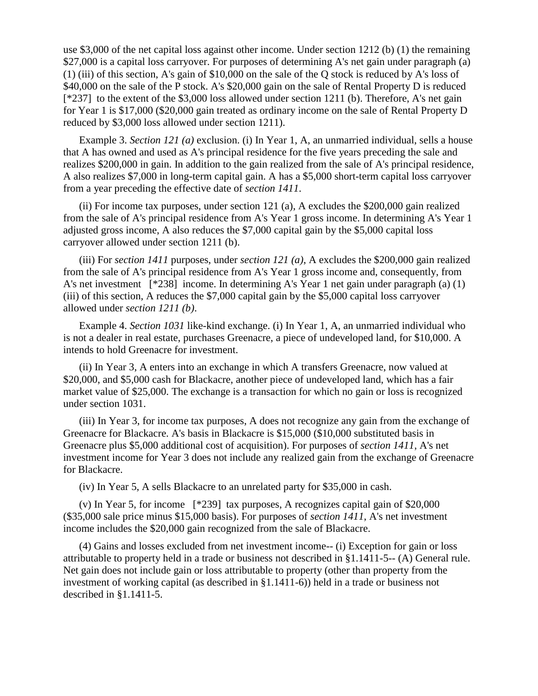use \$3,000 of the net capital loss against other income. Under section 1212 (b) (1) the remaining \$27,000 is a capital loss carryover. For purposes of determining A's net gain under paragraph (a) (1) (iii) of this section, A's gain of \$10,000 on the sale of the Q stock is reduced by A's loss of \$40,000 on the sale of the P stock. A's \$20,000 gain on the sale of Rental Property D is reduced [\*237] to the extent of the \$3,000 loss allowed under section 1211 (b). Therefore, A's net gain for Year 1 is \$17,000 (\$20,000 gain treated as ordinary income on the sale of Rental Property D reduced by \$3,000 loss allowed under section 1211).

Example 3. *Section 121 (a)* exclusion. (i) In Year 1, A, an unmarried individual, sells a house that A has owned and used as A's principal residence for the five years preceding the sale and realizes \$200,000 in gain. In addition to the gain realized from the sale of A's principal residence, A also realizes \$7,000 in long-term capital gain. A has a \$5,000 short-term capital loss carryover from a year preceding the effective date of *section 1411*.

(ii) For income tax purposes, under section 121 (a), A excludes the \$200,000 gain realized from the sale of A's principal residence from A's Year 1 gross income. In determining A's Year 1 adjusted gross income, A also reduces the \$7,000 capital gain by the \$5,000 capital loss carryover allowed under section 1211 (b).

(iii) For *section 1411* purposes, under *section 121 (a)*, A excludes the \$200,000 gain realized from the sale of A's principal residence from A's Year 1 gross income and, consequently, from A's net investment [\*238] income. In determining A's Year 1 net gain under paragraph (a) (1) (iii) of this section, A reduces the \$7,000 capital gain by the \$5,000 capital loss carryover allowed under *section 1211 (b)*.

Example 4. *Section 1031* like-kind exchange. (i) In Year 1, A, an unmarried individual who is not a dealer in real estate, purchases Greenacre, a piece of undeveloped land, for \$10,000. A intends to hold Greenacre for investment.

(ii) In Year 3, A enters into an exchange in which A transfers Greenacre, now valued at \$20,000, and \$5,000 cash for Blackacre, another piece of undeveloped land, which has a fair market value of \$25,000. The exchange is a transaction for which no gain or loss is recognized under section 1031.

(iii) In Year 3, for income tax purposes, A does not recognize any gain from the exchange of Greenacre for Blackacre. A's basis in Blackacre is \$15,000 (\$10,000 substituted basis in Greenacre plus \$5,000 additional cost of acquisition). For purposes of *section 1411*, A's net investment income for Year 3 does not include any realized gain from the exchange of Greenacre for Blackacre.

(iv) In Year 5, A sells Blackacre to an unrelated party for \$35,000 in cash.

(v) In Year 5, for income [\*239] tax purposes, A recognizes capital gain of \$20,000 (\$35,000 sale price minus \$15,000 basis). For purposes of *section 1411*, A's net investment income includes the \$20,000 gain recognized from the sale of Blackacre.

(4) Gains and losses excluded from net investment income-- (i) Exception for gain or loss attributable to property held in a trade or business not described in §1.1411-5-- (A) General rule. Net gain does not include gain or loss attributable to property (other than property from the investment of working capital (as described in §1.1411-6)) held in a trade or business not described in §1.1411-5.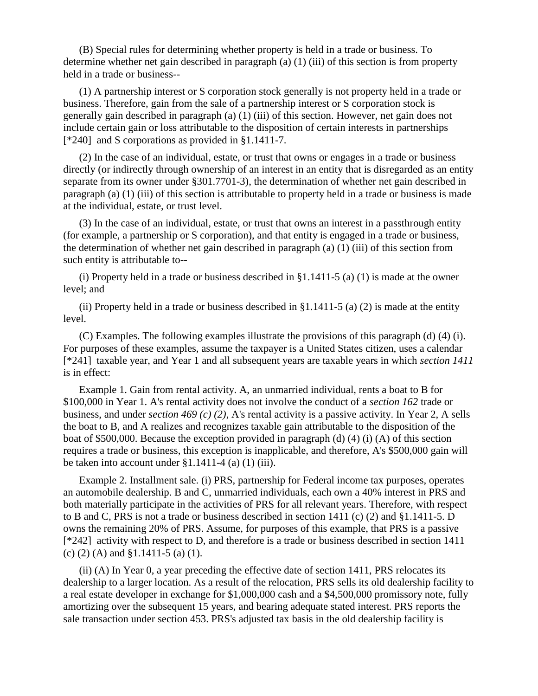(B) Special rules for determining whether property is held in a trade or business. To determine whether net gain described in paragraph (a) (1) (iii) of this section is from property held in a trade or business--

(1) A partnership interest or S corporation stock generally is not property held in a trade or business. Therefore, gain from the sale of a partnership interest or S corporation stock is generally gain described in paragraph (a) (1) (iii) of this section. However, net gain does not include certain gain or loss attributable to the disposition of certain interests in partnerships [\*240] and S corporations as provided in §1.1411-7.

(2) In the case of an individual, estate, or trust that owns or engages in a trade or business directly (or indirectly through ownership of an interest in an entity that is disregarded as an entity separate from its owner under §301.7701-3), the determination of whether net gain described in paragraph (a) (1) (iii) of this section is attributable to property held in a trade or business is made at the individual, estate, or trust level.

(3) In the case of an individual, estate, or trust that owns an interest in a passthrough entity (for example, a partnership or S corporation), and that entity is engaged in a trade or business, the determination of whether net gain described in paragraph (a) (1) (iii) of this section from such entity is attributable to--

(i) Property held in a trade or business described in §1.1411-5 (a) (1) is made at the owner level; and

(ii) Property held in a trade or business described in §1.1411-5 (a) (2) is made at the entity level.

(C) Examples. The following examples illustrate the provisions of this paragraph (d) (4) (i). For purposes of these examples, assume the taxpayer is a United States citizen, uses a calendar [\*241] taxable year, and Year 1 and all subsequent years are taxable years in which *section 1411* is in effect:

Example 1. Gain from rental activity. A, an unmarried individual, rents a boat to B for \$100,000 in Year 1. A's rental activity does not involve the conduct of a *section 162* trade or business, and under *section 469 (c) (2)*, A's rental activity is a passive activity. In Year 2, A sells the boat to B, and A realizes and recognizes taxable gain attributable to the disposition of the boat of \$500,000. Because the exception provided in paragraph (d) (4) (i) (A) of this section requires a trade or business, this exception is inapplicable, and therefore, A's \$500,000 gain will be taken into account under  $\S 1.1411-4$  (a) (1) (iii).

Example 2. Installment sale. (i) PRS, partnership for Federal income tax purposes, operates an automobile dealership. B and C, unmarried individuals, each own a 40% interest in PRS and both materially participate in the activities of PRS for all relevant years. Therefore, with respect to B and C, PRS is not a trade or business described in section 1411 (c) (2) and  $\S1.1411-5$ . D owns the remaining 20% of PRS. Assume, for purposes of this example, that PRS is a passive [\*242] activity with respect to D, and therefore is a trade or business described in section 1411 (c) (2) (A) and §1.1411-5 (a) (1).

(ii) (A) In Year 0, a year preceding the effective date of section 1411, PRS relocates its dealership to a larger location. As a result of the relocation, PRS sells its old dealership facility to a real estate developer in exchange for \$1,000,000 cash and a \$4,500,000 promissory note, fully amortizing over the subsequent 15 years, and bearing adequate stated interest. PRS reports the sale transaction under section 453. PRS's adjusted tax basis in the old dealership facility is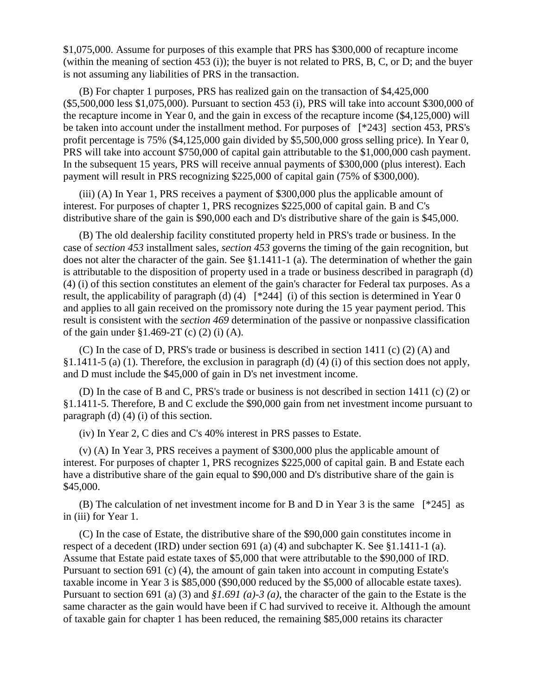\$1,075,000. Assume for purposes of this example that PRS has \$300,000 of recapture income (within the meaning of section 453 (i)); the buyer is not related to PRS, B, C, or D; and the buyer is not assuming any liabilities of PRS in the transaction.

(B) For chapter 1 purposes, PRS has realized gain on the transaction of \$4,425,000 (\$5,500,000 less \$1,075,000). Pursuant to section 453 (i), PRS will take into account \$300,000 of the recapture income in Year 0, and the gain in excess of the recapture income (\$4,125,000) will be taken into account under the installment method. For purposes of [\*243] section 453, PRS's profit percentage is 75% (\$4,125,000 gain divided by \$5,500,000 gross selling price). In Year 0, PRS will take into account \$750,000 of capital gain attributable to the \$1,000,000 cash payment. In the subsequent 15 years, PRS will receive annual payments of \$300,000 (plus interest). Each payment will result in PRS recognizing \$225,000 of capital gain (75% of \$300,000).

(iii) (A) In Year 1, PRS receives a payment of \$300,000 plus the applicable amount of interest. For purposes of chapter 1, PRS recognizes \$225,000 of capital gain. B and C's distributive share of the gain is \$90,000 each and D's distributive share of the gain is \$45,000.

(B) The old dealership facility constituted property held in PRS's trade or business. In the case of *section 453* installment sales, *section 453* governs the timing of the gain recognition, but does not alter the character of the gain. See §1.1411-1 (a). The determination of whether the gain is attributable to the disposition of property used in a trade or business described in paragraph (d) (4) (i) of this section constitutes an element of the gain's character for Federal tax purposes. As a result, the applicability of paragraph (d) (4) [\*244] (i) of this section is determined in Year 0 and applies to all gain received on the promissory note during the 15 year payment period. This result is consistent with the *section 469* determination of the passive or nonpassive classification of the gain under  $\S 1.469-2T$  (c) (2) (i) (A).

(C) In the case of D, PRS's trade or business is described in section 1411 (c) (2) (A) and §1.1411-5 (a) (1). Therefore, the exclusion in paragraph (d) (4) (i) of this section does not apply, and D must include the \$45,000 of gain in D's net investment income.

(D) In the case of B and C, PRS's trade or business is not described in section 1411 (c) (2) or §1.1411-5. Therefore, B and C exclude the \$90,000 gain from net investment income pursuant to paragraph (d) (4) (i) of this section.

(iv) In Year 2, C dies and C's 40% interest in PRS passes to Estate.

(v) (A) In Year 3, PRS receives a payment of \$300,000 plus the applicable amount of interest. For purposes of chapter 1, PRS recognizes \$225,000 of capital gain. B and Estate each have a distributive share of the gain equal to \$90,000 and D's distributive share of the gain is \$45,000.

(B) The calculation of net investment income for B and D in Year 3 is the same [\*245] as in (iii) for Year 1.

(C) In the case of Estate, the distributive share of the \$90,000 gain constitutes income in respect of a decedent (IRD) under section 691 (a) (4) and subchapter K. See §1.1411-1 (a). Assume that Estate paid estate taxes of \$5,000 that were attributable to the \$90,000 of IRD. Pursuant to section 691 (c) (4), the amount of gain taken into account in computing Estate's taxable income in Year 3 is \$85,000 (\$90,000 reduced by the \$5,000 of allocable estate taxes). Pursuant to section 691 (a) (3) and *§1.691 (a)-3 (a)*, the character of the gain to the Estate is the same character as the gain would have been if C had survived to receive it. Although the amount of taxable gain for chapter 1 has been reduced, the remaining \$85,000 retains its character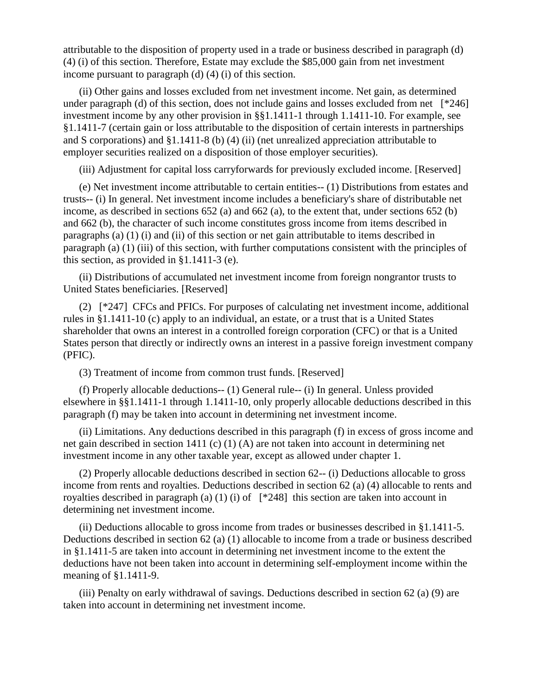attributable to the disposition of property used in a trade or business described in paragraph (d) (4) (i) of this section. Therefore, Estate may exclude the \$85,000 gain from net investment income pursuant to paragraph (d) (4) (i) of this section.

(ii) Other gains and losses excluded from net investment income. Net gain, as determined under paragraph (d) of this section, does not include gains and losses excluded from net  $[^*246]$ investment income by any other provision in §§1.1411-1 through 1.1411-10. For example, see §1.1411-7 (certain gain or loss attributable to the disposition of certain interests in partnerships and S corporations) and §1.1411-8 (b) (4) (ii) (net unrealized appreciation attributable to employer securities realized on a disposition of those employer securities).

(iii) Adjustment for capital loss carryforwards for previously excluded income. [Reserved]

(e) Net investment income attributable to certain entities-- (1) Distributions from estates and trusts-- (i) In general. Net investment income includes a beneficiary's share of distributable net income, as described in sections 652 (a) and 662 (a), to the extent that, under sections 652 (b) and 662 (b), the character of such income constitutes gross income from items described in paragraphs (a) (1) (i) and (ii) of this section or net gain attributable to items described in paragraph (a) (1) (iii) of this section, with further computations consistent with the principles of this section, as provided in §1.1411-3 (e).

(ii) Distributions of accumulated net investment income from foreign nongrantor trusts to United States beneficiaries. [Reserved]

(2) [\*247] CFCs and PFICs. For purposes of calculating net investment income, additional rules in §1.1411-10 (c) apply to an individual, an estate, or a trust that is a United States shareholder that owns an interest in a controlled foreign corporation (CFC) or that is a United States person that directly or indirectly owns an interest in a passive foreign investment company (PFIC).

(3) Treatment of income from common trust funds. [Reserved]

(f) Properly allocable deductions-- (1) General rule-- (i) In general. Unless provided elsewhere in §§1.1411-1 through 1.1411-10, only properly allocable deductions described in this paragraph (f) may be taken into account in determining net investment income.

(ii) Limitations. Any deductions described in this paragraph (f) in excess of gross income and net gain described in section 1411 (c) (1) (A) are not taken into account in determining net investment income in any other taxable year, except as allowed under chapter 1.

(2) Properly allocable deductions described in section 62-- (i) Deductions allocable to gross income from rents and royalties. Deductions described in section 62 (a) (4) allocable to rents and royalties described in paragraph (a) (1) (i) of  $[^*248]$  this section are taken into account in determining net investment income.

(ii) Deductions allocable to gross income from trades or businesses described in §1.1411-5. Deductions described in section 62 (a) (1) allocable to income from a trade or business described in §1.1411-5 are taken into account in determining net investment income to the extent the deductions have not been taken into account in determining self-employment income within the meaning of §1.1411-9.

(iii) Penalty on early withdrawal of savings. Deductions described in section 62 (a) (9) are taken into account in determining net investment income.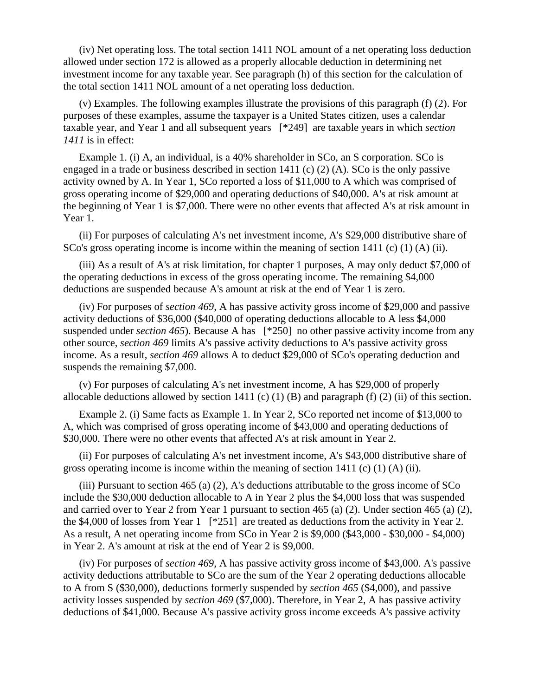(iv) Net operating loss. The total section 1411 NOL amount of a net operating loss deduction allowed under section 172 is allowed as a properly allocable deduction in determining net investment income for any taxable year. See paragraph (h) of this section for the calculation of the total section 1411 NOL amount of a net operating loss deduction.

(v) Examples. The following examples illustrate the provisions of this paragraph (f) (2). For purposes of these examples, assume the taxpayer is a United States citizen, uses a calendar taxable year, and Year 1 and all subsequent years [\*249] are taxable years in which *section 1411* is in effect:

Example 1. (i) A, an individual, is a 40% shareholder in SCo, an S corporation. SCo is engaged in a trade or business described in section 1411 (c) (2) (A). SCo is the only passive activity owned by A. In Year 1, SCo reported a loss of \$11,000 to A which was comprised of gross operating income of \$29,000 and operating deductions of \$40,000. A's at risk amount at the beginning of Year 1 is \$7,000. There were no other events that affected A's at risk amount in Year 1.

(ii) For purposes of calculating A's net investment income, A's \$29,000 distributive share of SCo's gross operating income is income within the meaning of section 1411 (c) (1) (A) (ii).

(iii) As a result of A's at risk limitation, for chapter 1 purposes, A may only deduct \$7,000 of the operating deductions in excess of the gross operating income. The remaining \$4,000 deductions are suspended because A's amount at risk at the end of Year 1 is zero.

(iv) For purposes of *section 469*, A has passive activity gross income of \$29,000 and passive activity deductions of \$36,000 (\$40,000 of operating deductions allocable to A less \$4,000 suspended under *section 465*). Because A has [\*250] no other passive activity income from any other source, *section 469* limits A's passive activity deductions to A's passive activity gross income. As a result, *section 469* allows A to deduct \$29,000 of SCo's operating deduction and suspends the remaining \$7,000.

(v) For purposes of calculating A's net investment income, A has \$29,000 of properly allocable deductions allowed by section 1411 (c) (1) (B) and paragraph (f) (2) (ii) of this section.

Example 2. (i) Same facts as Example 1. In Year 2, SCo reported net income of \$13,000 to A, which was comprised of gross operating income of \$43,000 and operating deductions of \$30,000. There were no other events that affected A's at risk amount in Year 2.

(ii) For purposes of calculating A's net investment income, A's \$43,000 distributive share of gross operating income is income within the meaning of section  $1411$  (c) (1) (A) (ii).

(iii) Pursuant to section 465 (a) (2), A's deductions attributable to the gross income of SCo include the \$30,000 deduction allocable to A in Year 2 plus the \$4,000 loss that was suspended and carried over to Year 2 from Year 1 pursuant to section 465 (a) (2). Under section 465 (a) (2), the \$4,000 of losses from Year 1 [\*251] are treated as deductions from the activity in Year 2. As a result, A net operating income from SCo in Year 2 is \$9,000 (\$43,000 - \$30,000 - \$4,000) in Year 2. A's amount at risk at the end of Year 2 is \$9,000.

(iv) For purposes of *section 469*, A has passive activity gross income of \$43,000. A's passive activity deductions attributable to SCo are the sum of the Year 2 operating deductions allocable to A from S (\$30,000), deductions formerly suspended by *section 465* (\$4,000), and passive activity losses suspended by *section 469* (\$7,000). Therefore, in Year 2, A has passive activity deductions of \$41,000. Because A's passive activity gross income exceeds A's passive activity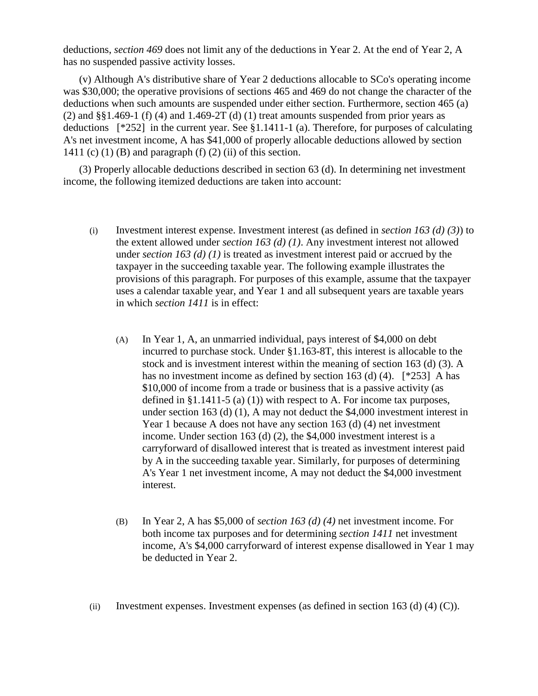deductions, *section 469* does not limit any of the deductions in Year 2. At the end of Year 2, A has no suspended passive activity losses.

(v) Although A's distributive share of Year 2 deductions allocable to SCo's operating income was \$30,000; the operative provisions of sections 465 and 469 do not change the character of the deductions when such amounts are suspended under either section. Furthermore, section 465 (a) (2) and  $\S$ §1.469-1 (f) (4) and 1.469-2T (d) (1) treat amounts suspended from prior years as deductions [\*252] in the current year. See §1.1411-1 (a). Therefore, for purposes of calculating A's net investment income, A has \$41,000 of properly allocable deductions allowed by section 1411 (c) (1) (B) and paragraph (f) (2) (ii) of this section.

(3) Properly allocable deductions described in section 63 (d). In determining net investment income, the following itemized deductions are taken into account:

- (i) Investment interest expense. Investment interest (as defined in *section 163 (d) (3)*) to the extent allowed under *section 163 (d) (1)*. Any investment interest not allowed under *section 163 (d) (1)* is treated as investment interest paid or accrued by the taxpayer in the succeeding taxable year. The following example illustrates the provisions of this paragraph. For purposes of this example, assume that the taxpayer uses a calendar taxable year, and Year 1 and all subsequent years are taxable years in which *section 1411* is in effect:
	- (A) In Year 1, A, an unmarried individual, pays interest of \$4,000 on debt incurred to purchase stock. Under §1.163-8T, this interest is allocable to the stock and is investment interest within the meaning of section 163 (d) (3). A has no investment income as defined by section 163 (d) (4). [\*253] A has \$10,000 of income from a trade or business that is a passive activity (as defined in §1.1411-5 (a) (1)) with respect to A. For income tax purposes, under section 163 (d) (1), A may not deduct the \$4,000 investment interest in Year 1 because A does not have any section 163 (d) (4) net investment income. Under section 163 (d) (2), the \$4,000 investment interest is a carryforward of disallowed interest that is treated as investment interest paid by A in the succeeding taxable year. Similarly, for purposes of determining A's Year 1 net investment income, A may not deduct the \$4,000 investment interest.
	- (B) In Year 2, A has \$5,000 of *section 163 (d) (4)* net investment income. For both income tax purposes and for determining *section 1411* net investment income, A's \$4,000 carryforward of interest expense disallowed in Year 1 may be deducted in Year 2.
- (ii) Investment expenses. Investment expenses (as defined in section 163 (d) (4) (C)).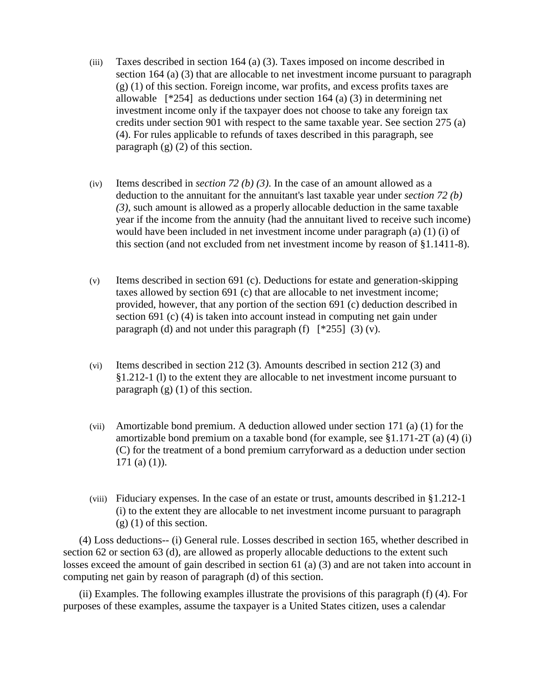- (iii) Taxes described in section 164 (a) (3). Taxes imposed on income described in section 164 (a) (3) that are allocable to net investment income pursuant to paragraph (g) (1) of this section. Foreign income, war profits, and excess profits taxes are allowable [\*254] as deductions under section 164 (a) (3) in determining net investment income only if the taxpayer does not choose to take any foreign tax credits under section 901 with respect to the same taxable year. See section 275 (a) (4). For rules applicable to refunds of taxes described in this paragraph, see paragraph  $(g)$  (2) of this section.
- (iv) Items described in *section 72 (b) (3)*. In the case of an amount allowed as a deduction to the annuitant for the annuitant's last taxable year under *section 72 (b) (3)*, such amount is allowed as a properly allocable deduction in the same taxable year if the income from the annuity (had the annuitant lived to receive such income) would have been included in net investment income under paragraph (a) (1) (i) of this section (and not excluded from net investment income by reason of §1.1411-8).
- (v) Items described in section 691 (c). Deductions for estate and generation-skipping taxes allowed by section 691 (c) that are allocable to net investment income; provided, however, that any portion of the section 691 (c) deduction described in section 691 (c) (4) is taken into account instead in computing net gain under paragraph (d) and not under this paragraph (f)  $[^*255]$  (3) (v).
- (vi) Items described in section 212 (3). Amounts described in section 212 (3) and §1.212-1 (l) to the extent they are allocable to net investment income pursuant to paragraph  $(g)$  (1) of this section.
- (vii) Amortizable bond premium. A deduction allowed under section 171 (a) (1) for the amortizable bond premium on a taxable bond (for example, see §1.171-2T (a) (4) (i) (C) for the treatment of a bond premium carryforward as a deduction under section 171 (a) (1)).
- (viii) Fiduciary expenses. In the case of an estate or trust, amounts described in §1.212-1 (i) to the extent they are allocable to net investment income pursuant to paragraph  $(g)$  (1) of this section.

(4) Loss deductions-- (i) General rule. Losses described in section 165, whether described in section 62 or section 63 (d), are allowed as properly allocable deductions to the extent such losses exceed the amount of gain described in section 61 (a) (3) and are not taken into account in computing net gain by reason of paragraph (d) of this section.

(ii) Examples. The following examples illustrate the provisions of this paragraph (f) (4). For purposes of these examples, assume the taxpayer is a United States citizen, uses a calendar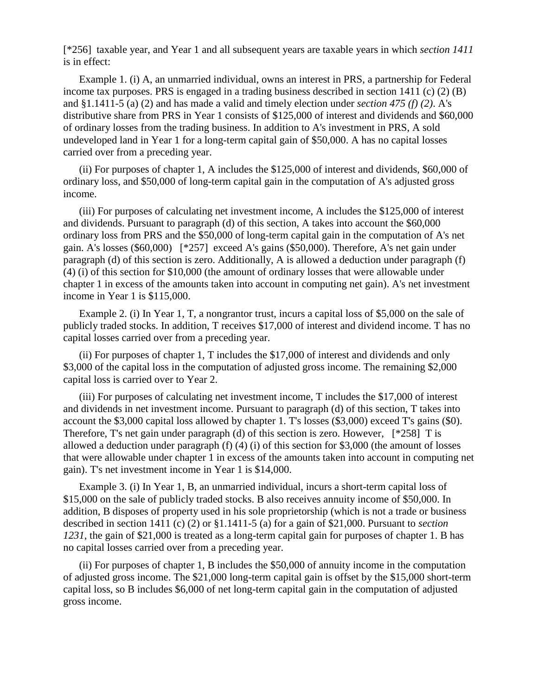[\*256] taxable year, and Year 1 and all subsequent years are taxable years in which *section 1411* is in effect:

Example 1. (i) A, an unmarried individual, owns an interest in PRS, a partnership for Federal income tax purposes. PRS is engaged in a trading business described in section 1411 (c) (2) (B) and §1.1411-5 (a) (2) and has made a valid and timely election under *section 475 (f) (2)*. A's distributive share from PRS in Year 1 consists of \$125,000 of interest and dividends and \$60,000 of ordinary losses from the trading business. In addition to A's investment in PRS, A sold undeveloped land in Year 1 for a long-term capital gain of \$50,000. A has no capital losses carried over from a preceding year.

(ii) For purposes of chapter 1, A includes the \$125,000 of interest and dividends, \$60,000 of ordinary loss, and \$50,000 of long-term capital gain in the computation of A's adjusted gross income.

(iii) For purposes of calculating net investment income, A includes the \$125,000 of interest and dividends. Pursuant to paragraph (d) of this section, A takes into account the \$60,000 ordinary loss from PRS and the \$50,000 of long-term capital gain in the computation of A's net gain. A's losses (\$60,000) [\*257] exceed A's gains (\$50,000). Therefore, A's net gain under paragraph (d) of this section is zero. Additionally, A is allowed a deduction under paragraph (f) (4) (i) of this section for \$10,000 (the amount of ordinary losses that were allowable under chapter 1 in excess of the amounts taken into account in computing net gain). A's net investment income in Year 1 is \$115,000.

Example 2. (i) In Year 1, T, a nongrantor trust, incurs a capital loss of \$5,000 on the sale of publicly traded stocks. In addition, T receives \$17,000 of interest and dividend income. T has no capital losses carried over from a preceding year.

(ii) For purposes of chapter 1, T includes the \$17,000 of interest and dividends and only \$3,000 of the capital loss in the computation of adjusted gross income. The remaining \$2,000 capital loss is carried over to Year 2.

(iii) For purposes of calculating net investment income, T includes the \$17,000 of interest and dividends in net investment income. Pursuant to paragraph (d) of this section, T takes into account the \$3,000 capital loss allowed by chapter 1. T's losses (\$3,000) exceed T's gains (\$0). Therefore, T's net gain under paragraph (d) of this section is zero. However, [\*258] T is allowed a deduction under paragraph (f) (4) (i) of this section for \$3,000 (the amount of losses that were allowable under chapter 1 in excess of the amounts taken into account in computing net gain). T's net investment income in Year 1 is \$14,000.

Example 3. (i) In Year 1, B, an unmarried individual, incurs a short-term capital loss of \$15,000 on the sale of publicly traded stocks. B also receives annuity income of \$50,000. In addition, B disposes of property used in his sole proprietorship (which is not a trade or business described in section 1411 (c) (2) or §1.1411-5 (a) for a gain of \$21,000. Pursuant to *section 1231*, the gain of \$21,000 is treated as a long-term capital gain for purposes of chapter 1. B has no capital losses carried over from a preceding year.

(ii) For purposes of chapter 1, B includes the \$50,000 of annuity income in the computation of adjusted gross income. The \$21,000 long-term capital gain is offset by the \$15,000 short-term capital loss, so B includes \$6,000 of net long-term capital gain in the computation of adjusted gross income.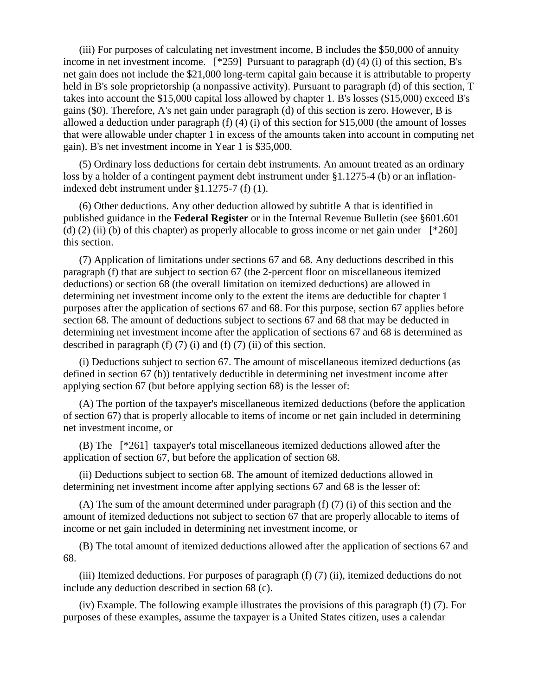(iii) For purposes of calculating net investment income, B includes the \$50,000 of annuity income in net investment income. [\*259] Pursuant to paragraph (d) (4) (i) of this section, B's net gain does not include the \$21,000 long-term capital gain because it is attributable to property held in B's sole proprietorship (a nonpassive activity). Pursuant to paragraph (d) of this section, T takes into account the \$15,000 capital loss allowed by chapter 1. B's losses (\$15,000) exceed B's gains (\$0). Therefore, A's net gain under paragraph (d) of this section is zero. However, B is allowed a deduction under paragraph (f) (4) (i) of this section for \$15,000 (the amount of losses that were allowable under chapter 1 in excess of the amounts taken into account in computing net gain). B's net investment income in Year 1 is \$35,000.

(5) Ordinary loss deductions for certain debt instruments. An amount treated as an ordinary loss by a holder of a contingent payment debt instrument under §1.1275-4 (b) or an inflationindexed debt instrument under §1.1275-7 (f) (1).

(6) Other deductions. Any other deduction allowed by subtitle A that is identified in published guidance in the **Federal Register** or in the Internal Revenue Bulletin (see §601.601 (d) (2) (ii) (b) of this chapter) as properly allocable to gross income or net gain under  $[^*260]$ this section.

(7) Application of limitations under sections 67 and 68. Any deductions described in this paragraph (f) that are subject to section 67 (the 2-percent floor on miscellaneous itemized deductions) or section 68 (the overall limitation on itemized deductions) are allowed in determining net investment income only to the extent the items are deductible for chapter 1 purposes after the application of sections 67 and 68. For this purpose, section 67 applies before section 68. The amount of deductions subject to sections 67 and 68 that may be deducted in determining net investment income after the application of sections 67 and 68 is determined as described in paragraph  $(f)$   $(7)$   $(i)$  and  $(f)$   $(7)$   $(ii)$  of this section.

(i) Deductions subject to section 67. The amount of miscellaneous itemized deductions (as defined in section 67 (b)) tentatively deductible in determining net investment income after applying section 67 (but before applying section 68) is the lesser of:

(A) The portion of the taxpayer's miscellaneous itemized deductions (before the application of section 67) that is properly allocable to items of income or net gain included in determining net investment income, or

(B) The [\*261] taxpayer's total miscellaneous itemized deductions allowed after the application of section 67, but before the application of section 68.

(ii) Deductions subject to section 68. The amount of itemized deductions allowed in determining net investment income after applying sections 67 and 68 is the lesser of:

(A) The sum of the amount determined under paragraph (f) (7) (i) of this section and the amount of itemized deductions not subject to section 67 that are properly allocable to items of income or net gain included in determining net investment income, or

(B) The total amount of itemized deductions allowed after the application of sections 67 and 68.

(iii) Itemized deductions. For purposes of paragraph (f) (7) (ii), itemized deductions do not include any deduction described in section 68 (c).

(iv) Example. The following example illustrates the provisions of this paragraph (f) (7). For purposes of these examples, assume the taxpayer is a United States citizen, uses a calendar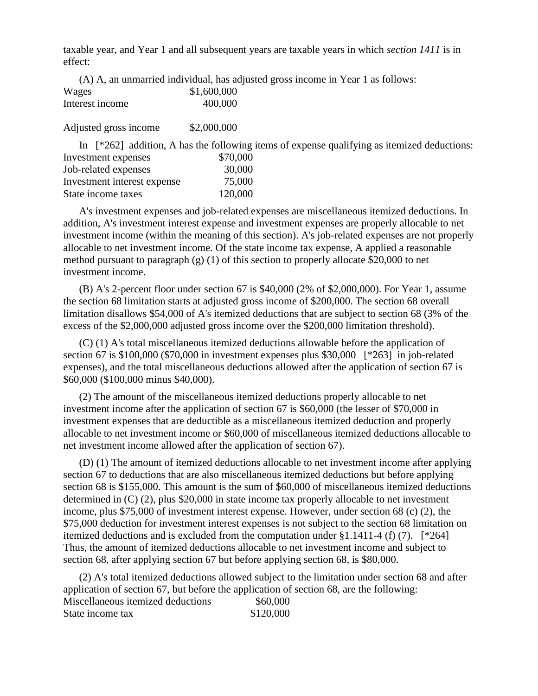taxable year, and Year 1 and all subsequent years are taxable years in which *section 1411* is in effect:

|                 |             | (A) A, an unmarried individual, has adjusted gross income in Year 1 as follows: |
|-----------------|-------------|---------------------------------------------------------------------------------|
| Wages           | \$1,600,000 |                                                                                 |
| Interest income | 400,000     |                                                                                 |

Adjusted gross income \$2,000,000

In [\*262] addition, A has the following items of expense qualifying as itemized deductions: Investment expenses \$70,000 Job-related expenses 30,000 Investment interest expense 75,000 State income taxes 120,000

A's investment expenses and job-related expenses are miscellaneous itemized deductions. In addition, A's investment interest expense and investment expenses are properly allocable to net investment income (within the meaning of this section). A's job-related expenses are not properly allocable to net investment income. Of the state income tax expense, A applied a reasonable method pursuant to paragraph (g) (1) of this section to properly allocate \$20,000 to net investment income.

(B) A's 2-percent floor under section 67 is \$40,000 (2% of \$2,000,000). For Year 1, assume the section 68 limitation starts at adjusted gross income of \$200,000. The section 68 overall limitation disallows \$54,000 of A's itemized deductions that are subject to section 68 (3% of the excess of the \$2,000,000 adjusted gross income over the \$200,000 limitation threshold).

(C) (1) A's total miscellaneous itemized deductions allowable before the application of section 67 is \$100,000 (\$70,000 in investment expenses plus \$30,000 [\*263] in job-related expenses), and the total miscellaneous deductions allowed after the application of section 67 is \$60,000 (\$100,000 minus \$40,000).

(2) The amount of the miscellaneous itemized deductions properly allocable to net investment income after the application of section 67 is \$60,000 (the lesser of \$70,000 in investment expenses that are deductible as a miscellaneous itemized deduction and properly allocable to net investment income or \$60,000 of miscellaneous itemized deductions allocable to net investment income allowed after the application of section 67).

(D) (1) The amount of itemized deductions allocable to net investment income after applying section 67 to deductions that are also miscellaneous itemized deductions but before applying section 68 is \$155,000. This amount is the sum of \$60,000 of miscellaneous itemized deductions determined in (C) (2), plus \$20,000 in state income tax properly allocable to net investment income, plus \$75,000 of investment interest expense. However, under section 68 (c) (2), the \$75,000 deduction for investment interest expenses is not subject to the section 68 limitation on itemized deductions and is excluded from the computation under  $\S1.1411-4$  (f) (7). [\*264] Thus, the amount of itemized deductions allocable to net investment income and subject to section 68, after applying section 67 but before applying section 68, is \$80,000.

(2) A's total itemized deductions allowed subject to the limitation under section 68 and after application of section 67, but before the application of section 68, are the following: Miscellaneous itemized deductions \$60,000 State income tax \$120,000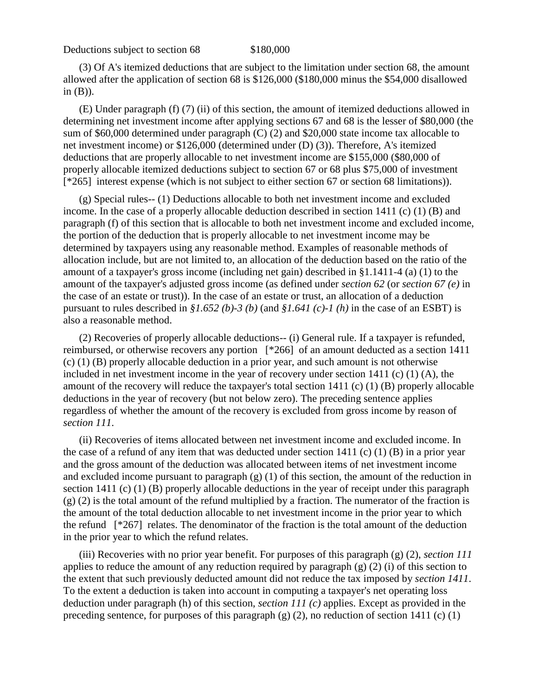Deductions subject to section 68 \$180,000

(3) Of A's itemized deductions that are subject to the limitation under section 68, the amount allowed after the application of section 68 is \$126,000 (\$180,000 minus the \$54,000 disallowed in (B)).

(E) Under paragraph (f) (7) (ii) of this section, the amount of itemized deductions allowed in determining net investment income after applying sections 67 and 68 is the lesser of \$80,000 (the sum of \$60,000 determined under paragraph (C) (2) and \$20,000 state income tax allocable to net investment income) or \$126,000 (determined under (D) (3)). Therefore, A's itemized deductions that are properly allocable to net investment income are \$155,000 (\$80,000 of properly allocable itemized deductions subject to section 67 or 68 plus \$75,000 of investment [\*265] interest expense (which is not subject to either section 67 or section 68 limitations)).

(g) Special rules-- (1) Deductions allocable to both net investment income and excluded income. In the case of a properly allocable deduction described in section 1411 (c) (1) (B) and paragraph (f) of this section that is allocable to both net investment income and excluded income, the portion of the deduction that is properly allocable to net investment income may be determined by taxpayers using any reasonable method. Examples of reasonable methods of allocation include, but are not limited to, an allocation of the deduction based on the ratio of the amount of a taxpayer's gross income (including net gain) described in §1.1411-4 (a) (1) to the amount of the taxpayer's adjusted gross income (as defined under *section 62* (or *section 67 (e)* in the case of an estate or trust)). In the case of an estate or trust, an allocation of a deduction pursuant to rules described in *§1.652 (b)-3 (b)* (and *§1.641 (c)-1 (h)* in the case of an ESBT) is also a reasonable method.

(2) Recoveries of properly allocable deductions-- (i) General rule. If a taxpayer is refunded, reimbursed, or otherwise recovers any portion [\*266] of an amount deducted as a section 1411 (c) (1) (B) properly allocable deduction in a prior year, and such amount is not otherwise included in net investment income in the year of recovery under section 1411 (c) (1) (A), the amount of the recovery will reduce the taxpayer's total section 1411 (c) (1) (B) properly allocable deductions in the year of recovery (but not below zero). The preceding sentence applies regardless of whether the amount of the recovery is excluded from gross income by reason of *section 111*.

(ii) Recoveries of items allocated between net investment income and excluded income. In the case of a refund of any item that was deducted under section 1411 (c) (1) (B) in a prior year and the gross amount of the deduction was allocated between items of net investment income and excluded income pursuant to paragraph (g) (1) of this section, the amount of the reduction in section 1411 (c) (1) (B) properly allocable deductions in the year of receipt under this paragraph (g) (2) is the total amount of the refund multiplied by a fraction. The numerator of the fraction is the amount of the total deduction allocable to net investment income in the prior year to which the refund [\*267] relates. The denominator of the fraction is the total amount of the deduction in the prior year to which the refund relates.

(iii) Recoveries with no prior year benefit. For purposes of this paragraph (g) (2), *section 111* applies to reduce the amount of any reduction required by paragraph (g) (2) (i) of this section to the extent that such previously deducted amount did not reduce the tax imposed by *section 1411*. To the extent a deduction is taken into account in computing a taxpayer's net operating loss deduction under paragraph (h) of this section, *section 111 (c)* applies. Except as provided in the preceding sentence, for purposes of this paragraph (g) (2), no reduction of section 1411 (c) (1)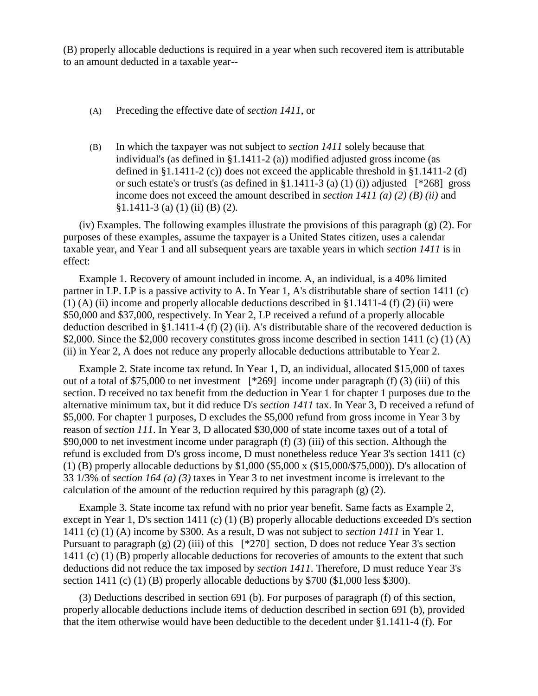(B) properly allocable deductions is required in a year when such recovered item is attributable to an amount deducted in a taxable year--

- (A) Preceding the effective date of *section 1411*, or
- (B) In which the taxpayer was not subject to *section 1411* solely because that individual's (as defined in §1.1411-2 (a)) modified adjusted gross income (as defined in §1.1411-2 (c)) does not exceed the applicable threshold in §1.1411-2 (d) or such estate's or trust's (as defined in §1.1411-3 (a) (1) (i)) adjusted  $[^*268]$  gross income does not exceed the amount described in *section 1411 (a) (2) (B) (ii)* and  $§1.1411-3$  (a) (1) (ii) (B) (2).

(iv) Examples. The following examples illustrate the provisions of this paragraph (g) (2). For purposes of these examples, assume the taxpayer is a United States citizen, uses a calendar taxable year, and Year 1 and all subsequent years are taxable years in which *section 1411* is in effect:

Example 1. Recovery of amount included in income. A, an individual, is a 40% limited partner in LP. LP is a passive activity to A. In Year 1, A's distributable share of section 1411 (c)  $(1)$  (A) (ii) income and properly allocable deductions described in §1.1411-4 (f) (2) (ii) were \$50,000 and \$37,000, respectively. In Year 2, LP received a refund of a properly allocable deduction described in §1.1411-4 (f) (2) (ii). A's distributable share of the recovered deduction is \$2,000. Since the \$2,000 recovery constitutes gross income described in section 1411 (c) (1) (A) (ii) in Year 2, A does not reduce any properly allocable deductions attributable to Year 2.

Example 2. State income tax refund. In Year 1, D, an individual, allocated \$15,000 of taxes out of a total of \$75,000 to net investment [\*269] income under paragraph (f) (3) (iii) of this section. D received no tax benefit from the deduction in Year 1 for chapter 1 purposes due to the alternative minimum tax, but it did reduce D's *section 1411* tax. In Year 3, D received a refund of \$5,000. For chapter 1 purposes, D excludes the \$5,000 refund from gross income in Year 3 by reason of *section 111*. In Year 3, D allocated \$30,000 of state income taxes out of a total of \$90,000 to net investment income under paragraph (f) (3) (iii) of this section. Although the refund is excluded from D's gross income, D must nonetheless reduce Year 3's section 1411 (c) (1) (B) properly allocable deductions by \$1,000 (\$5,000 x (\$15,000/\$75,000)). D's allocation of 33 1/3% of *section 164 (a) (3)* taxes in Year 3 to net investment income is irrelevant to the calculation of the amount of the reduction required by this paragraph  $(g)$  (2).

Example 3. State income tax refund with no prior year benefit. Same facts as Example 2, except in Year 1, D's section 1411 (c) (1) (B) properly allocable deductions exceeded D's section 1411 (c) (1) (A) income by \$300. As a result, D was not subject to *section 1411* in Year 1. Pursuant to paragraph (g) (2) (iii) of this  $[*270]$  section, D does not reduce Year 3's section 1411 (c) (1) (B) properly allocable deductions for recoveries of amounts to the extent that such deductions did not reduce the tax imposed by *section 1411*. Therefore, D must reduce Year 3's section 1411 (c) (1) (B) properly allocable deductions by \$700 (\$1,000 less \$300).

(3) Deductions described in section 691 (b). For purposes of paragraph (f) of this section, properly allocable deductions include items of deduction described in section 691 (b), provided that the item otherwise would have been deductible to the decedent under §1.1411-4 (f). For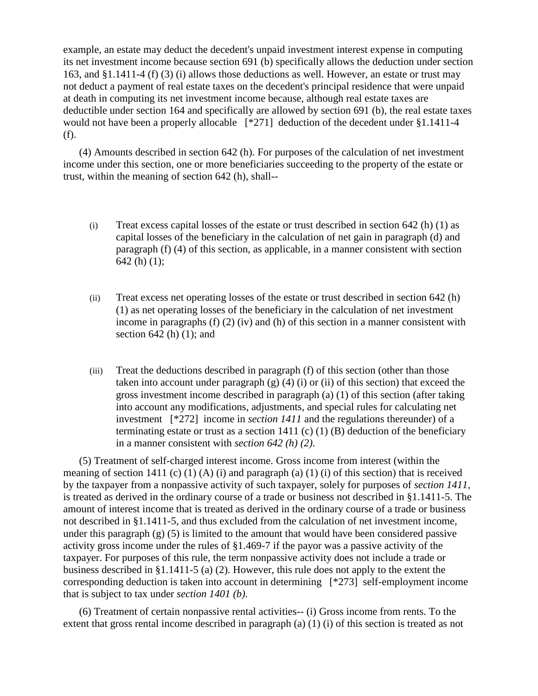example, an estate may deduct the decedent's unpaid investment interest expense in computing its net investment income because section 691 (b) specifically allows the deduction under section 163, and §1.1411-4 (f) (3) (i) allows those deductions as well. However, an estate or trust may not deduct a payment of real estate taxes on the decedent's principal residence that were unpaid at death in computing its net investment income because, although real estate taxes are deductible under section 164 and specifically are allowed by section 691 (b), the real estate taxes would not have been a properly allocable [\*271] deduction of the decedent under §1.1411-4 (f).

(4) Amounts described in section 642 (h). For purposes of the calculation of net investment income under this section, one or more beneficiaries succeeding to the property of the estate or trust, within the meaning of section 642 (h), shall--

- (i) Treat excess capital losses of the estate or trust described in section 642 (h) (1) as capital losses of the beneficiary in the calculation of net gain in paragraph (d) and paragraph (f) (4) of this section, as applicable, in a manner consistent with section 642 (h) (1);
- (ii) Treat excess net operating losses of the estate or trust described in section 642 (h) (1) as net operating losses of the beneficiary in the calculation of net investment income in paragraphs (f) (2) (iv) and (h) of this section in a manner consistent with section  $642$  (h)  $(1)$ ; and
- (iii) Treat the deductions described in paragraph (f) of this section (other than those taken into account under paragraph  $(g)$  (4) (i) or (ii) of this section) that exceed the gross investment income described in paragraph (a) (1) of this section (after taking into account any modifications, adjustments, and special rules for calculating net investment [\*272] income in *section 1411* and the regulations thereunder) of a terminating estate or trust as a section 1411 (c) (1) (B) deduction of the beneficiary in a manner consistent with *section 642 (h) (2)*.

(5) Treatment of self-charged interest income. Gross income from interest (within the meaning of section 1411 (c) (1) (A) (i) and paragraph (a) (1) (i) of this section) that is received by the taxpayer from a nonpassive activity of such taxpayer, solely for purposes of *section 1411*, is treated as derived in the ordinary course of a trade or business not described in §1.1411-5. The amount of interest income that is treated as derived in the ordinary course of a trade or business not described in §1.1411-5, and thus excluded from the calculation of net investment income, under this paragraph  $(g)$  (5) is limited to the amount that would have been considered passive activity gross income under the rules of §1.469-7 if the payor was a passive activity of the taxpayer. For purposes of this rule, the term nonpassive activity does not include a trade or business described in §1.1411-5 (a) (2). However, this rule does not apply to the extent the corresponding deduction is taken into account in determining [\*273] self-employment income that is subject to tax under *section 1401 (b)*.

(6) Treatment of certain nonpassive rental activities-- (i) Gross income from rents. To the extent that gross rental income described in paragraph (a) (1) (i) of this section is treated as not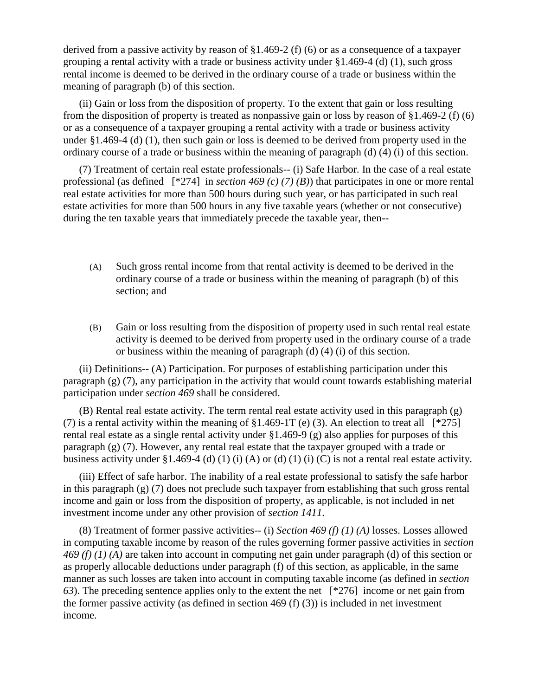derived from a passive activity by reason of §1.469-2 (f) (6) or as a consequence of a taxpayer grouping a rental activity with a trade or business activity under  $\S 1.469-4$  (d) (1), such gross rental income is deemed to be derived in the ordinary course of a trade or business within the meaning of paragraph (b) of this section.

(ii) Gain or loss from the disposition of property. To the extent that gain or loss resulting from the disposition of property is treated as nonpassive gain or loss by reason of §1.469-2 (f) (6) or as a consequence of a taxpayer grouping a rental activity with a trade or business activity under §1.469-4 (d) (1), then such gain or loss is deemed to be derived from property used in the ordinary course of a trade or business within the meaning of paragraph (d) (4) (i) of this section.

(7) Treatment of certain real estate professionals-- (i) Safe Harbor. In the case of a real estate professional (as defined [\*274] in *section 469 (c) (7) (B)*) that participates in one or more rental real estate activities for more than 500 hours during such year, or has participated in such real estate activities for more than 500 hours in any five taxable years (whether or not consecutive) during the ten taxable years that immediately precede the taxable year, then--

- (A) Such gross rental income from that rental activity is deemed to be derived in the ordinary course of a trade or business within the meaning of paragraph (b) of this section; and
- (B) Gain or loss resulting from the disposition of property used in such rental real estate activity is deemed to be derived from property used in the ordinary course of a trade or business within the meaning of paragraph (d) (4) (i) of this section.

(ii) Definitions-- (A) Participation. For purposes of establishing participation under this paragraph (g) (7), any participation in the activity that would count towards establishing material participation under *section 469* shall be considered.

(B) Rental real estate activity. The term rental real estate activity used in this paragraph (g) (7) is a rental activity within the meaning of  $\S 1.469-1T$  (e) (3). An election to treat all [\*275] rental real estate as a single rental activity under §1.469-9 (g) also applies for purposes of this paragraph (g) (7). However, any rental real estate that the taxpayer grouped with a trade or business activity under §1.469-4 (d) (1) (i) (A) or (d) (1) (i) (C) is not a rental real estate activity.

(iii) Effect of safe harbor. The inability of a real estate professional to satisfy the safe harbor in this paragraph (g) (7) does not preclude such taxpayer from establishing that such gross rental income and gain or loss from the disposition of property, as applicable, is not included in net investment income under any other provision of *section 1411*.

(8) Treatment of former passive activities-- (i) *Section 469 (f) (1) (A)* losses. Losses allowed in computing taxable income by reason of the rules governing former passive activities in *section 469 (f) (1) (A)* are taken into account in computing net gain under paragraph (d) of this section or as properly allocable deductions under paragraph (f) of this section, as applicable, in the same manner as such losses are taken into account in computing taxable income (as defined in *section 63*). The preceding sentence applies only to the extent the net [\*276] income or net gain from the former passive activity (as defined in section 469 (f) (3)) is included in net investment income.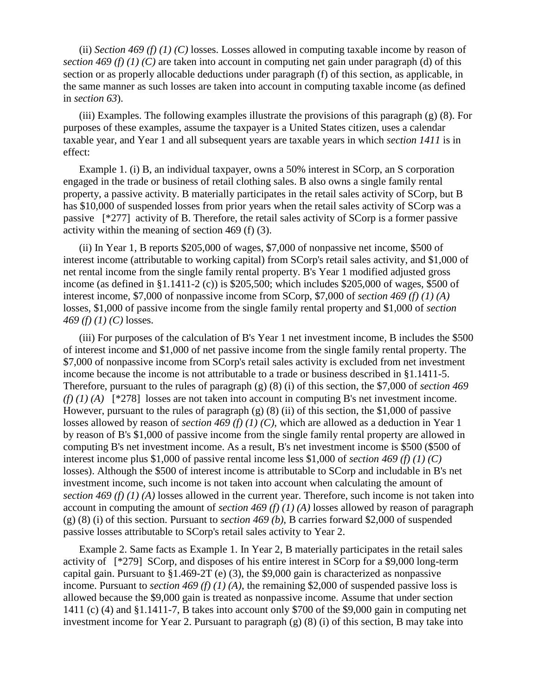(ii) *Section 469 (f) (1) (C)* losses. Losses allowed in computing taxable income by reason of *section 469 (f) (1) (C)* are taken into account in computing net gain under paragraph (d) of this section or as properly allocable deductions under paragraph (f) of this section, as applicable, in the same manner as such losses are taken into account in computing taxable income (as defined in *section 63*).

(iii) Examples. The following examples illustrate the provisions of this paragraph (g) (8). For purposes of these examples, assume the taxpayer is a United States citizen, uses a calendar taxable year, and Year 1 and all subsequent years are taxable years in which *section 1411* is in effect:

Example 1. (i) B, an individual taxpayer, owns a 50% interest in SCorp, an S corporation engaged in the trade or business of retail clothing sales. B also owns a single family rental property, a passive activity. B materially participates in the retail sales activity of SCorp, but B has \$10,000 of suspended losses from prior years when the retail sales activity of SCorp was a passive [\*277] activity of B. Therefore, the retail sales activity of SCorp is a former passive activity within the meaning of section 469 (f) (3).

(ii) In Year 1, B reports \$205,000 of wages, \$7,000 of nonpassive net income, \$500 of interest income (attributable to working capital) from SCorp's retail sales activity, and \$1,000 of net rental income from the single family rental property. B's Year 1 modified adjusted gross income (as defined in §1.1411-2 (c)) is \$205,500; which includes \$205,000 of wages, \$500 of interest income, \$7,000 of nonpassive income from SCorp, \$7,000 of *section 469 (f) (1) (A)* losses, \$1,000 of passive income from the single family rental property and \$1,000 of *section 469 (f) (1) (C)* losses.

(iii) For purposes of the calculation of B's Year 1 net investment income, B includes the \$500 of interest income and \$1,000 of net passive income from the single family rental property. The \$7,000 of nonpassive income from SCorp's retail sales activity is excluded from net investment income because the income is not attributable to a trade or business described in §1.1411-5. Therefore, pursuant to the rules of paragraph (g) (8) (i) of this section, the \$7,000 of *section 469 (f) (1) (A)* [\*278] losses are not taken into account in computing B's net investment income. However, pursuant to the rules of paragraph  $(g)$  (8) (ii) of this section, the \$1,000 of passive losses allowed by reason of *section 469 (f) (1) (C)*, which are allowed as a deduction in Year 1 by reason of B's \$1,000 of passive income from the single family rental property are allowed in computing B's net investment income. As a result, B's net investment income is \$500 (\$500 of interest income plus \$1,000 of passive rental income less \$1,000 of *section 469 (f) (1) (C)* losses). Although the \$500 of interest income is attributable to SCorp and includable in B's net investment income, such income is not taken into account when calculating the amount of *section 469 (f) (1) (A)* losses allowed in the current year. Therefore, such income is not taken into account in computing the amount of *section 469 (f) (1) (A)* losses allowed by reason of paragraph (g) (8) (i) of this section. Pursuant to *section 469 (b)*, B carries forward \$2,000 of suspended passive losses attributable to SCorp's retail sales activity to Year 2.

Example 2. Same facts as Example 1. In Year 2, B materially participates in the retail sales activity of [\*279] SCorp, and disposes of his entire interest in SCorp for a \$9,000 long-term capital gain. Pursuant to §1.469-2T (e) (3), the \$9,000 gain is characterized as nonpassive income. Pursuant to *section 469 (f) (1) (A)*, the remaining \$2,000 of suspended passive loss is allowed because the \$9,000 gain is treated as nonpassive income. Assume that under section 1411 (c) (4) and §1.1411-7, B takes into account only \$700 of the \$9,000 gain in computing net investment income for Year 2. Pursuant to paragraph (g) (8) (i) of this section, B may take into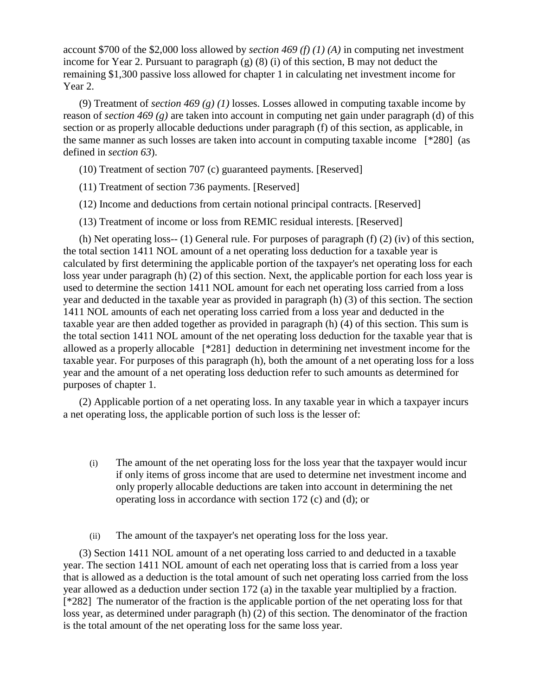account \$700 of the \$2,000 loss allowed by *section 469 (f) (1) (A)* in computing net investment income for Year 2. Pursuant to paragraph (g) (8) (i) of this section, B may not deduct the remaining \$1,300 passive loss allowed for chapter 1 in calculating net investment income for Year 2.

(9) Treatment of *section 469 (g) (1)* losses. Losses allowed in computing taxable income by reason of *section 469 (g)* are taken into account in computing net gain under paragraph (d) of this section or as properly allocable deductions under paragraph (f) of this section, as applicable, in the same manner as such losses are taken into account in computing taxable income [\*280] (as defined in *section 63*).

- (10) Treatment of section 707 (c) guaranteed payments. [Reserved]
- (11) Treatment of section 736 payments. [Reserved]
- (12) Income and deductions from certain notional principal contracts. [Reserved]
- (13) Treatment of income or loss from REMIC residual interests. [Reserved]

(h) Net operating loss-- (1) General rule. For purposes of paragraph (f) (2) (iv) of this section, the total section 1411 NOL amount of a net operating loss deduction for a taxable year is calculated by first determining the applicable portion of the taxpayer's net operating loss for each loss year under paragraph (h) (2) of this section. Next, the applicable portion for each loss year is used to determine the section 1411 NOL amount for each net operating loss carried from a loss year and deducted in the taxable year as provided in paragraph (h) (3) of this section. The section 1411 NOL amounts of each net operating loss carried from a loss year and deducted in the taxable year are then added together as provided in paragraph (h) (4) of this section. This sum is the total section 1411 NOL amount of the net operating loss deduction for the taxable year that is allowed as a properly allocable [\*281] deduction in determining net investment income for the taxable year. For purposes of this paragraph (h), both the amount of a net operating loss for a loss year and the amount of a net operating loss deduction refer to such amounts as determined for purposes of chapter 1.

(2) Applicable portion of a net operating loss. In any taxable year in which a taxpayer incurs a net operating loss, the applicable portion of such loss is the lesser of:

- (i) The amount of the net operating loss for the loss year that the taxpayer would incur if only items of gross income that are used to determine net investment income and only properly allocable deductions are taken into account in determining the net operating loss in accordance with section 172 (c) and (d); or
- (ii) The amount of the taxpayer's net operating loss for the loss year.

(3) Section 1411 NOL amount of a net operating loss carried to and deducted in a taxable year. The section 1411 NOL amount of each net operating loss that is carried from a loss year that is allowed as a deduction is the total amount of such net operating loss carried from the loss year allowed as a deduction under section 172 (a) in the taxable year multiplied by a fraction. [\*282] The numerator of the fraction is the applicable portion of the net operating loss for that loss year, as determined under paragraph (h) (2) of this section. The denominator of the fraction is the total amount of the net operating loss for the same loss year.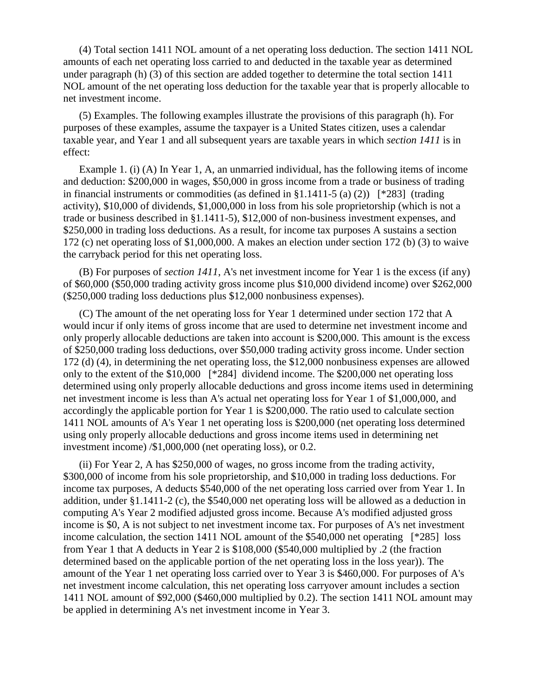(4) Total section 1411 NOL amount of a net operating loss deduction. The section 1411 NOL amounts of each net operating loss carried to and deducted in the taxable year as determined under paragraph (h) (3) of this section are added together to determine the total section 1411 NOL amount of the net operating loss deduction for the taxable year that is properly allocable to net investment income.

(5) Examples. The following examples illustrate the provisions of this paragraph (h). For purposes of these examples, assume the taxpayer is a United States citizen, uses a calendar taxable year, and Year 1 and all subsequent years are taxable years in which *section 1411* is in effect:

Example 1. (i) (A) In Year 1, A, an unmarried individual, has the following items of income and deduction: \$200,000 in wages, \$50,000 in gross income from a trade or business of trading in financial instruments or commodities (as defined in §1.1411-5 (a) (2)) [\*283] (trading activity), \$10,000 of dividends, \$1,000,000 in loss from his sole proprietorship (which is not a trade or business described in §1.1411-5), \$12,000 of non-business investment expenses, and \$250,000 in trading loss deductions. As a result, for income tax purposes A sustains a section 172 (c) net operating loss of \$1,000,000. A makes an election under section 172 (b) (3) to waive the carryback period for this net operating loss.

(B) For purposes of *section 1411*, A's net investment income for Year 1 is the excess (if any) of \$60,000 (\$50,000 trading activity gross income plus \$10,000 dividend income) over \$262,000 (\$250,000 trading loss deductions plus \$12,000 nonbusiness expenses).

(C) The amount of the net operating loss for Year 1 determined under section 172 that A would incur if only items of gross income that are used to determine net investment income and only properly allocable deductions are taken into account is \$200,000. This amount is the excess of \$250,000 trading loss deductions, over \$50,000 trading activity gross income. Under section 172 (d) (4), in determining the net operating loss, the \$12,000 nonbusiness expenses are allowed only to the extent of the \$10,000 [\*284] dividend income. The \$200,000 net operating loss determined using only properly allocable deductions and gross income items used in determining net investment income is less than A's actual net operating loss for Year 1 of \$1,000,000, and accordingly the applicable portion for Year 1 is \$200,000. The ratio used to calculate section 1411 NOL amounts of A's Year 1 net operating loss is \$200,000 (net operating loss determined using only properly allocable deductions and gross income items used in determining net investment income) /\$1,000,000 (net operating loss), or 0.2.

(ii) For Year 2, A has \$250,000 of wages, no gross income from the trading activity, \$300,000 of income from his sole proprietorship, and \$10,000 in trading loss deductions. For income tax purposes, A deducts \$540,000 of the net operating loss carried over from Year 1. In addition, under §1.1411-2 (c), the \$540,000 net operating loss will be allowed as a deduction in computing A's Year 2 modified adjusted gross income. Because A's modified adjusted gross income is \$0, A is not subject to net investment income tax. For purposes of A's net investment income calculation, the section 1411 NOL amount of the \$540,000 net operating [\*285] loss from Year 1 that A deducts in Year 2 is \$108,000 (\$540,000 multiplied by .2 (the fraction determined based on the applicable portion of the net operating loss in the loss year)). The amount of the Year 1 net operating loss carried over to Year 3 is \$460,000. For purposes of A's net investment income calculation, this net operating loss carryover amount includes a section 1411 NOL amount of \$92,000 (\$460,000 multiplied by 0.2). The section 1411 NOL amount may be applied in determining A's net investment income in Year 3.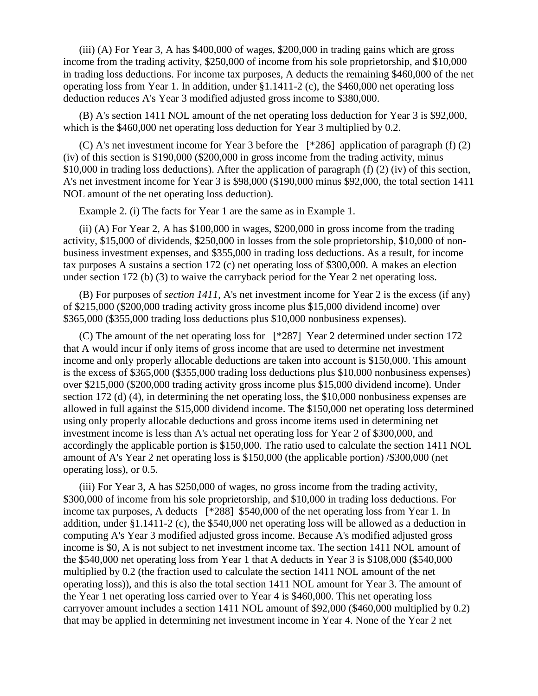(iii) (A) For Year 3, A has \$400,000 of wages, \$200,000 in trading gains which are gross income from the trading activity, \$250,000 of income from his sole proprietorship, and \$10,000 in trading loss deductions. For income tax purposes, A deducts the remaining \$460,000 of the net operating loss from Year 1. In addition, under §1.1411-2 (c), the \$460,000 net operating loss deduction reduces A's Year 3 modified adjusted gross income to \$380,000.

(B) A's section 1411 NOL amount of the net operating loss deduction for Year 3 is \$92,000, which is the \$460,000 net operating loss deduction for Year 3 multiplied by 0.2.

(C) A's net investment income for Year 3 before the [\*286] application of paragraph (f) (2) (iv) of this section is \$190,000 (\$200,000 in gross income from the trading activity, minus \$10,000 in trading loss deductions). After the application of paragraph (f) (2) (iv) of this section, A's net investment income for Year 3 is \$98,000 (\$190,000 minus \$92,000, the total section 1411 NOL amount of the net operating loss deduction).

Example 2. (i) The facts for Year 1 are the same as in Example 1.

(ii) (A) For Year 2, A has \$100,000 in wages, \$200,000 in gross income from the trading activity, \$15,000 of dividends, \$250,000 in losses from the sole proprietorship, \$10,000 of nonbusiness investment expenses, and \$355,000 in trading loss deductions. As a result, for income tax purposes A sustains a section 172 (c) net operating loss of \$300,000. A makes an election under section 172 (b) (3) to waive the carryback period for the Year 2 net operating loss.

(B) For purposes of *section 1411*, A's net investment income for Year 2 is the excess (if any) of \$215,000 (\$200,000 trading activity gross income plus \$15,000 dividend income) over \$365,000 (\$355,000 trading loss deductions plus \$10,000 nonbusiness expenses).

(C) The amount of the net operating loss for [\*287] Year 2 determined under section 172 that A would incur if only items of gross income that are used to determine net investment income and only properly allocable deductions are taken into account is \$150,000. This amount is the excess of \$365,000 (\$355,000 trading loss deductions plus \$10,000 nonbusiness expenses) over \$215,000 (\$200,000 trading activity gross income plus \$15,000 dividend income). Under section 172 (d) (4), in determining the net operating loss, the \$10,000 nonbusiness expenses are allowed in full against the \$15,000 dividend income. The \$150,000 net operating loss determined using only properly allocable deductions and gross income items used in determining net investment income is less than A's actual net operating loss for Year 2 of \$300,000, and accordingly the applicable portion is \$150,000. The ratio used to calculate the section 1411 NOL amount of A's Year 2 net operating loss is \$150,000 (the applicable portion) /\$300,000 (net operating loss), or 0.5.

(iii) For Year 3, A has \$250,000 of wages, no gross income from the trading activity, \$300,000 of income from his sole proprietorship, and \$10,000 in trading loss deductions. For income tax purposes, A deducts [\*288] \$540,000 of the net operating loss from Year 1. In addition, under  $\S1.1411-2$  (c), the \$540,000 net operating loss will be allowed as a deduction in computing A's Year 3 modified adjusted gross income. Because A's modified adjusted gross income is \$0, A is not subject to net investment income tax. The section 1411 NOL amount of the \$540,000 net operating loss from Year 1 that A deducts in Year 3 is \$108,000 (\$540,000 multiplied by 0.2 (the fraction used to calculate the section 1411 NOL amount of the net operating loss)), and this is also the total section 1411 NOL amount for Year 3. The amount of the Year 1 net operating loss carried over to Year 4 is \$460,000. This net operating loss carryover amount includes a section 1411 NOL amount of \$92,000 (\$460,000 multiplied by 0.2) that may be applied in determining net investment income in Year 4. None of the Year 2 net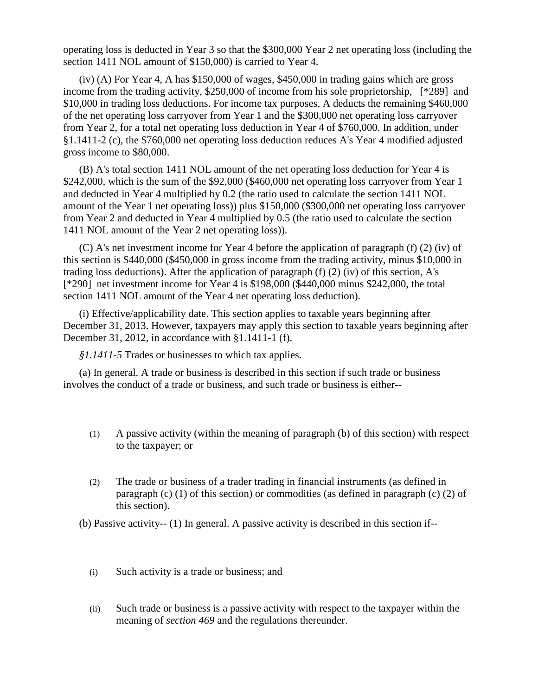operating loss is deducted in Year 3 so that the \$300,000 Year 2 net operating loss (including the section 1411 NOL amount of \$150,000) is carried to Year 4.

(iv) (A) For Year 4, A has \$150,000 of wages, \$450,000 in trading gains which are gross income from the trading activity, \$250,000 of income from his sole proprietorship, [\*289] and \$10,000 in trading loss deductions. For income tax purposes, A deducts the remaining \$460,000 of the net operating loss carryover from Year 1 and the \$300,000 net operating loss carryover from Year 2, for a total net operating loss deduction in Year 4 of \$760,000. In addition, under §1.1411-2 (c), the \$760,000 net operating loss deduction reduces A's Year 4 modified adjusted gross income to \$80,000.

(B) A's total section 1411 NOL amount of the net operating loss deduction for Year 4 is \$242,000, which is the sum of the \$92,000 (\$460,000 net operating loss carryover from Year 1 and deducted in Year 4 multiplied by 0.2 (the ratio used to calculate the section 1411 NOL amount of the Year 1 net operating loss)) plus \$150,000 (\$300,000 net operating loss carryover from Year 2 and deducted in Year 4 multiplied by 0.5 (the ratio used to calculate the section 1411 NOL amount of the Year 2 net operating loss)).

(C) A's net investment income for Year 4 before the application of paragraph (f) (2) (iv) of this section is \$440,000 (\$450,000 in gross income from the trading activity, minus \$10,000 in trading loss deductions). After the application of paragraph (f) (2) (iv) of this section, A's [\*290] net investment income for Year 4 is \$198,000 (\$440,000 minus \$242,000, the total section 1411 NOL amount of the Year 4 net operating loss deduction).

(i) Effective/applicability date. This section applies to taxable years beginning after December 31, 2013. However, taxpayers may apply this section to taxable years beginning after December 31, 2012, in accordance with §1.1411-1 (f).

*§1.1411-5* Trades or businesses to which tax applies.

(a) In general. A trade or business is described in this section if such trade or business involves the conduct of a trade or business, and such trade or business is either--

- (1) A passive activity (within the meaning of paragraph (b) of this section) with respect to the taxpayer; or
- (2) The trade or business of a trader trading in financial instruments (as defined in paragraph (c) (1) of this section) or commodities (as defined in paragraph (c) (2) of this section).

(b) Passive activity-- (1) In general. A passive activity is described in this section if--

- (i) Such activity is a trade or business; and
- (ii) Such trade or business is a passive activity with respect to the taxpayer within the meaning of *section 469* and the regulations thereunder.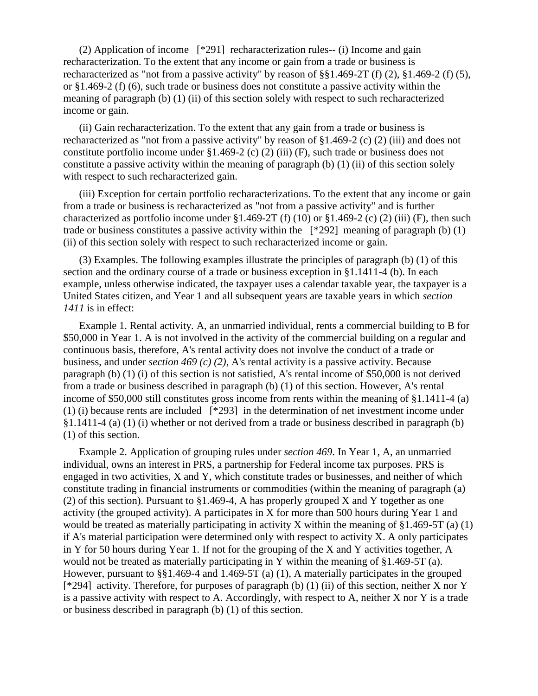(2) Application of income [\*291] recharacterization rules-- (i) Income and gain recharacterization. To the extent that any income or gain from a trade or business is recharacterized as "not from a passive activity" by reason of §§1.469-2T (f) (2), §1.469-2 (f) (5), or §1.469-2 (f) (6), such trade or business does not constitute a passive activity within the meaning of paragraph (b) (1) (ii) of this section solely with respect to such recharacterized income or gain.

(ii) Gain recharacterization. To the extent that any gain from a trade or business is recharacterized as "not from a passive activity" by reason of §1.469-2 (c) (2) (iii) and does not constitute portfolio income under §1.469-2 (c) (2) (iii) (F), such trade or business does not constitute a passive activity within the meaning of paragraph (b) (1) (ii) of this section solely with respect to such recharacterized gain.

(iii) Exception for certain portfolio recharacterizations. To the extent that any income or gain from a trade or business is recharacterized as "not from a passive activity" and is further characterized as portfolio income under  $$1.469-2T(f)(10)$  or  $$1.469-2(c)(2)(iii)$  (F), then such trade or business constitutes a passive activity within the  $\lceil *292 \rceil$  meaning of paragraph (b) (1) (ii) of this section solely with respect to such recharacterized income or gain.

(3) Examples. The following examples illustrate the principles of paragraph (b) (1) of this section and the ordinary course of a trade or business exception in §1.1411-4 (b). In each example, unless otherwise indicated, the taxpayer uses a calendar taxable year, the taxpayer is a United States citizen, and Year 1 and all subsequent years are taxable years in which *section 1411* is in effect:

Example 1. Rental activity. A, an unmarried individual, rents a commercial building to B for \$50,000 in Year 1. A is not involved in the activity of the commercial building on a regular and continuous basis, therefore, A's rental activity does not involve the conduct of a trade or business, and under *section 469 (c) (2)*, A's rental activity is a passive activity. Because paragraph (b) (1) (i) of this section is not satisfied, A's rental income of \$50,000 is not derived from a trade or business described in paragraph (b) (1) of this section. However, A's rental income of \$50,000 still constitutes gross income from rents within the meaning of §1.1411-4 (a) (1) (i) because rents are included [\*293] in the determination of net investment income under §1.1411-4 (a) (1) (i) whether or not derived from a trade or business described in paragraph (b) (1) of this section.

Example 2. Application of grouping rules under *section 469*. In Year 1, A, an unmarried individual, owns an interest in PRS, a partnership for Federal income tax purposes. PRS is engaged in two activities, X and Y, which constitute trades or businesses, and neither of which constitute trading in financial instruments or commodities (within the meaning of paragraph (a) (2) of this section). Pursuant to §1.469-4, A has properly grouped X and Y together as one activity (the grouped activity). A participates in X for more than 500 hours during Year 1 and would be treated as materially participating in activity X within the meaning of  $\S 1.469-5T$  (a) (1) if A's material participation were determined only with respect to activity X. A only participates in Y for 50 hours during Year 1. If not for the grouping of the X and Y activities together, A would not be treated as materially participating in Y within the meaning of §1.469-5T (a). However, pursuant to §§1.469-4 and 1.469-5T (a) (1), A materially participates in the grouped [\*294] activity. Therefore, for purposes of paragraph (b) (1) (ii) of this section, neither X nor Y is a passive activity with respect to A. Accordingly, with respect to A, neither X nor Y is a trade or business described in paragraph (b) (1) of this section.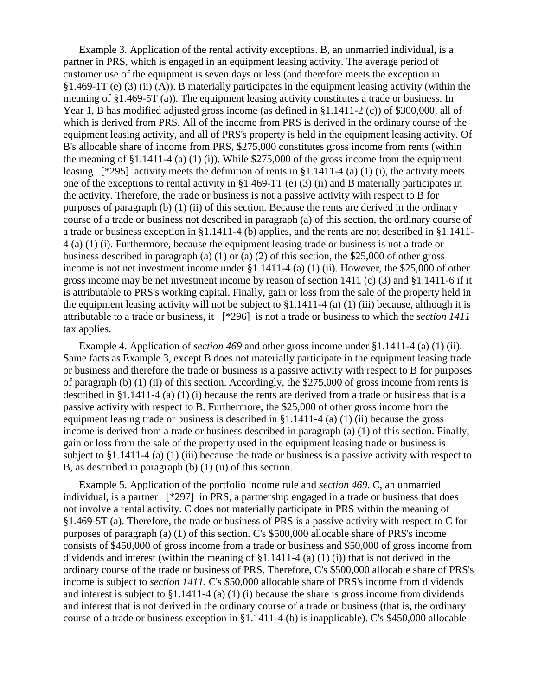Example 3. Application of the rental activity exceptions. B, an unmarried individual, is a partner in PRS, which is engaged in an equipment leasing activity. The average period of customer use of the equipment is seven days or less (and therefore meets the exception in §1.469-1T (e) (3) (ii) (A)). B materially participates in the equipment leasing activity (within the meaning of §1.469-5T (a)). The equipment leasing activity constitutes a trade or business. In Year 1, B has modified adjusted gross income (as defined in §1.1411-2 (c)) of \$300,000, all of which is derived from PRS. All of the income from PRS is derived in the ordinary course of the equipment leasing activity, and all of PRS's property is held in the equipment leasing activity. Of B's allocable share of income from PRS, \$275,000 constitutes gross income from rents (within the meaning of  $\S 1.1411-4$  (a) (1) (i)). While  $\S 275,000$  of the gross income from the equipment leasing  $[^{*}295]$  activity meets the definition of rents in §1.1411-4 (a) (1) (i), the activity meets one of the exceptions to rental activity in §1.469-1T (e) (3) (ii) and B materially participates in the activity. Therefore, the trade or business is not a passive activity with respect to B for purposes of paragraph (b) (1) (ii) of this section. Because the rents are derived in the ordinary course of a trade or business not described in paragraph (a) of this section, the ordinary course of a trade or business exception in §1.1411-4 (b) applies, and the rents are not described in §1.1411- 4 (a) (1) (i). Furthermore, because the equipment leasing trade or business is not a trade or business described in paragraph (a) (1) or (a) (2) of this section, the \$25,000 of other gross income is not net investment income under §1.1411-4 (a) (1) (ii). However, the \$25,000 of other gross income may be net investment income by reason of section 1411 (c) (3) and §1.1411-6 if it is attributable to PRS's working capital. Finally, gain or loss from the sale of the property held in the equipment leasing activity will not be subject to §1.1411-4 (a) (1) (iii) because, although it is attributable to a trade or business, it [\*296] is not a trade or business to which the *section 1411* tax applies.

Example 4. Application of *section 469* and other gross income under §1.1411-4 (a) (1) (ii). Same facts as Example 3, except B does not materially participate in the equipment leasing trade or business and therefore the trade or business is a passive activity with respect to B for purposes of paragraph (b) (1) (ii) of this section. Accordingly, the \$275,000 of gross income from rents is described in §1.1411-4 (a) (1) (i) because the rents are derived from a trade or business that is a passive activity with respect to B. Furthermore, the \$25,000 of other gross income from the equipment leasing trade or business is described in §1.1411-4 (a) (1) (ii) because the gross income is derived from a trade or business described in paragraph (a) (1) of this section. Finally, gain or loss from the sale of the property used in the equipment leasing trade or business is subject to §1.1411-4 (a) (1) (iii) because the trade or business is a passive activity with respect to B, as described in paragraph (b) (1) (ii) of this section.

Example 5. Application of the portfolio income rule and *section 469*. C, an unmarried individual, is a partner [\*297] in PRS, a partnership engaged in a trade or business that does not involve a rental activity. C does not materially participate in PRS within the meaning of §1.469-5T (a). Therefore, the trade or business of PRS is a passive activity with respect to C for purposes of paragraph (a) (1) of this section. C's \$500,000 allocable share of PRS's income consists of \$450,000 of gross income from a trade or business and \$50,000 of gross income from dividends and interest (within the meaning of §1.1411-4 (a) (1) (i)) that is not derived in the ordinary course of the trade or business of PRS. Therefore, C's \$500,000 allocable share of PRS's income is subject to *section 1411*. C's \$50,000 allocable share of PRS's income from dividends and interest is subject to §1.1411-4 (a) (1) (i) because the share is gross income from dividends and interest that is not derived in the ordinary course of a trade or business (that is, the ordinary course of a trade or business exception in §1.1411-4 (b) is inapplicable). C's \$450,000 allocable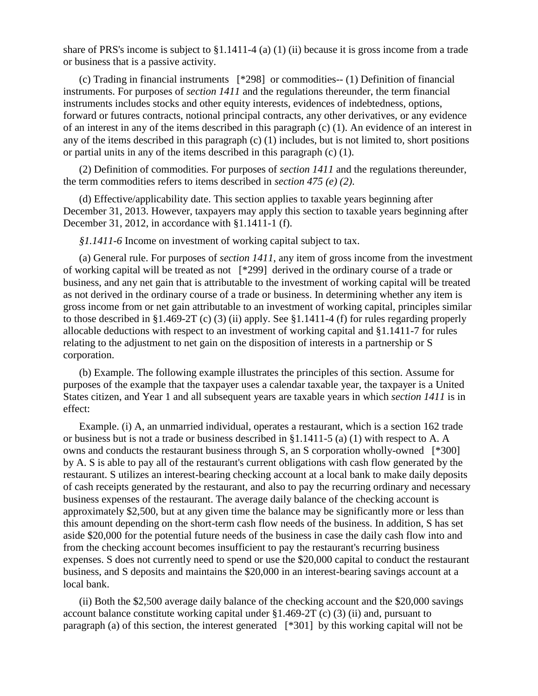share of PRS's income is subject to §1.1411-4 (a) (1) (ii) because it is gross income from a trade or business that is a passive activity.

(c) Trading in financial instruments [\*298] or commodities-- (1) Definition of financial instruments. For purposes of *section 1411* and the regulations thereunder, the term financial instruments includes stocks and other equity interests, evidences of indebtedness, options, forward or futures contracts, notional principal contracts, any other derivatives, or any evidence of an interest in any of the items described in this paragraph (c) (1). An evidence of an interest in any of the items described in this paragraph (c) (1) includes, but is not limited to, short positions or partial units in any of the items described in this paragraph (c) (1).

(2) Definition of commodities. For purposes of *section 1411* and the regulations thereunder, the term commodities refers to items described in *section 475 (e) (2)*.

(d) Effective/applicability date. This section applies to taxable years beginning after December 31, 2013. However, taxpayers may apply this section to taxable years beginning after December 31, 2012, in accordance with §1.1411-1 (f).

*§1.1411-6* Income on investment of working capital subject to tax.

(a) General rule. For purposes of *section 1411*, any item of gross income from the investment of working capital will be treated as not [\*299] derived in the ordinary course of a trade or business, and any net gain that is attributable to the investment of working capital will be treated as not derived in the ordinary course of a trade or business. In determining whether any item is gross income from or net gain attributable to an investment of working capital, principles similar to those described in §1.469-2T (c) (3) (ii) apply. See §1.1411-4 (f) for rules regarding properly allocable deductions with respect to an investment of working capital and §1.1411-7 for rules relating to the adjustment to net gain on the disposition of interests in a partnership or S corporation.

(b) Example. The following example illustrates the principles of this section. Assume for purposes of the example that the taxpayer uses a calendar taxable year, the taxpayer is a United States citizen, and Year 1 and all subsequent years are taxable years in which *section 1411* is in effect:

Example. (i) A, an unmarried individual, operates a restaurant, which is a section 162 trade or business but is not a trade or business described in §1.1411-5 (a) (1) with respect to A. A owns and conducts the restaurant business through S, an S corporation wholly-owned [\*300] by A. S is able to pay all of the restaurant's current obligations with cash flow generated by the restaurant. S utilizes an interest-bearing checking account at a local bank to make daily deposits of cash receipts generated by the restaurant, and also to pay the recurring ordinary and necessary business expenses of the restaurant. The average daily balance of the checking account is approximately \$2,500, but at any given time the balance may be significantly more or less than this amount depending on the short-term cash flow needs of the business. In addition, S has set aside \$20,000 for the potential future needs of the business in case the daily cash flow into and from the checking account becomes insufficient to pay the restaurant's recurring business expenses. S does not currently need to spend or use the \$20,000 capital to conduct the restaurant business, and S deposits and maintains the \$20,000 in an interest-bearing savings account at a local bank.

(ii) Both the \$2,500 average daily balance of the checking account and the \$20,000 savings account balance constitute working capital under §1.469-2T (c) (3) (ii) and, pursuant to paragraph (a) of this section, the interest generated [\*301] by this working capital will not be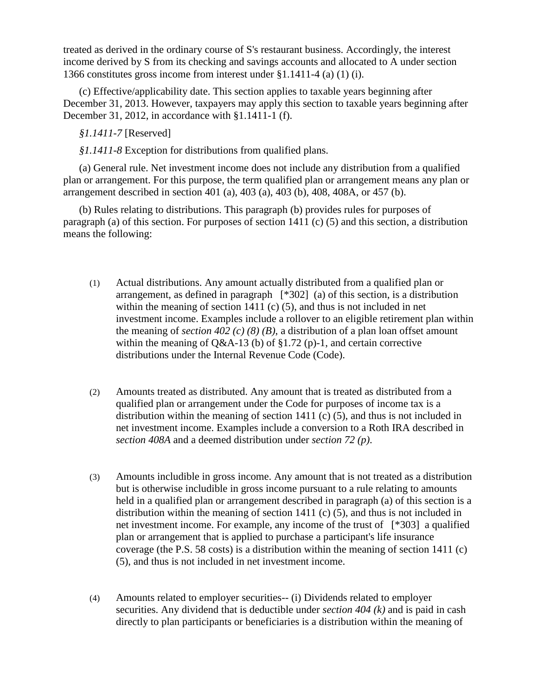treated as derived in the ordinary course of S's restaurant business. Accordingly, the interest income derived by S from its checking and savings accounts and allocated to A under section 1366 constitutes gross income from interest under §1.1411-4 (a) (1) (i).

(c) Effective/applicability date. This section applies to taxable years beginning after December 31, 2013. However, taxpayers may apply this section to taxable years beginning after December 31, 2012, in accordance with §1.1411-1 (f).

*§1.1411-7* [Reserved]

*§1.1411-8* Exception for distributions from qualified plans.

(a) General rule. Net investment income does not include any distribution from a qualified plan or arrangement. For this purpose, the term qualified plan or arrangement means any plan or arrangement described in section 401 (a), 403 (a), 403 (b), 408, 408A, or 457 (b).

(b) Rules relating to distributions. This paragraph (b) provides rules for purposes of paragraph (a) of this section. For purposes of section 1411 (c) (5) and this section, a distribution means the following:

- (1) Actual distributions. Any amount actually distributed from a qualified plan or arrangement, as defined in paragraph [\*302] (a) of this section, is a distribution within the meaning of section 1411 (c) (5), and thus is not included in net investment income. Examples include a rollover to an eligible retirement plan within the meaning of *section 402 (c) (8) (B)*, a distribution of a plan loan offset amount within the meaning of Q&A-13 (b) of  $\S1.72$  (p)-1, and certain corrective distributions under the Internal Revenue Code (Code).
- (2) Amounts treated as distributed. Any amount that is treated as distributed from a qualified plan or arrangement under the Code for purposes of income tax is a distribution within the meaning of section 1411 (c) (5), and thus is not included in net investment income. Examples include a conversion to a Roth IRA described in *section 408A* and a deemed distribution under *section 72 (p)*.
- (3) Amounts includible in gross income. Any amount that is not treated as a distribution but is otherwise includible in gross income pursuant to a rule relating to amounts held in a qualified plan or arrangement described in paragraph (a) of this section is a distribution within the meaning of section 1411 (c) (5), and thus is not included in net investment income. For example, any income of the trust of [\*303] a qualified plan or arrangement that is applied to purchase a participant's life insurance coverage (the P.S. 58 costs) is a distribution within the meaning of section 1411 (c) (5), and thus is not included in net investment income.
- (4) Amounts related to employer securities-- (i) Dividends related to employer securities. Any dividend that is deductible under *section 404 (k)* and is paid in cash directly to plan participants or beneficiaries is a distribution within the meaning of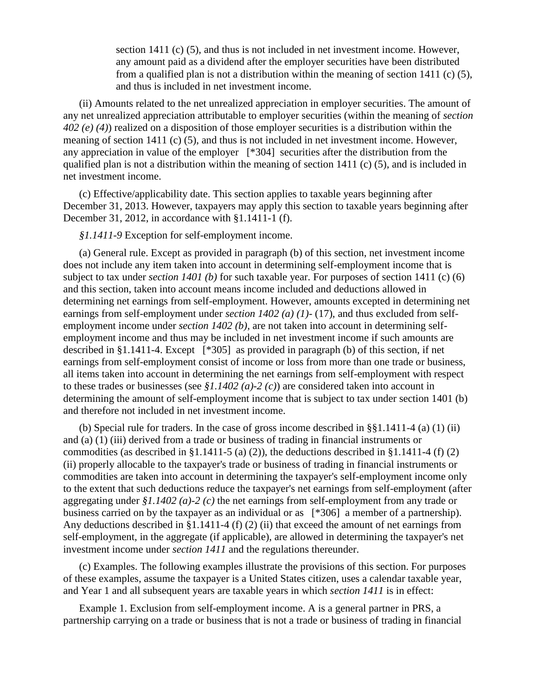section 1411 (c) (5), and thus is not included in net investment income. However, any amount paid as a dividend after the employer securities have been distributed from a qualified plan is not a distribution within the meaning of section 1411 (c) (5), and thus is included in net investment income.

(ii) Amounts related to the net unrealized appreciation in employer securities. The amount of any net unrealized appreciation attributable to employer securities (within the meaning of *section 402 (e) (4)*) realized on a disposition of those employer securities is a distribution within the meaning of section 1411 (c) (5), and thus is not included in net investment income. However, any appreciation in value of the employer [\*304] securities after the distribution from the qualified plan is not a distribution within the meaning of section 1411 (c) (5), and is included in net investment income.

(c) Effective/applicability date. This section applies to taxable years beginning after December 31, 2013. However, taxpayers may apply this section to taxable years beginning after December 31, 2012, in accordance with §1.1411-1 (f).

*§1.1411-9* Exception for self-employment income.

(a) General rule. Except as provided in paragraph (b) of this section, net investment income does not include any item taken into account in determining self-employment income that is subject to tax under *section 1401 (b)* for such taxable year. For purposes of section 1411 (c) (6) and this section, taken into account means income included and deductions allowed in determining net earnings from self-employment. However, amounts excepted in determining net earnings from self-employment under *section 1402 (a) (1)*- (17), and thus excluded from selfemployment income under *section 1402 (b)*, are not taken into account in determining selfemployment income and thus may be included in net investment income if such amounts are described in §1.1411-4. Except [\*305] as provided in paragraph (b) of this section, if net earnings from self-employment consist of income or loss from more than one trade or business, all items taken into account in determining the net earnings from self-employment with respect to these trades or businesses (see *§1.1402 (a)-2 (c)*) are considered taken into account in determining the amount of self-employment income that is subject to tax under section 1401 (b) and therefore not included in net investment income.

(b) Special rule for traders. In the case of gross income described in §§1.1411-4 (a) (1) (ii) and (a) (1) (iii) derived from a trade or business of trading in financial instruments or commodities (as described in §1.1411-5 (a) (2)), the deductions described in §1.1411-4 (f) (2) (ii) properly allocable to the taxpayer's trade or business of trading in financial instruments or commodities are taken into account in determining the taxpayer's self-employment income only to the extent that such deductions reduce the taxpayer's net earnings from self-employment (after aggregating under *§1.1402 (a)-2 (c)* the net earnings from self-employment from any trade or business carried on by the taxpayer as an individual or as [\*306] a member of a partnership). Any deductions described in §1.1411-4 (f) (2) (ii) that exceed the amount of net earnings from self-employment, in the aggregate (if applicable), are allowed in determining the taxpayer's net investment income under *section 1411* and the regulations thereunder.

(c) Examples. The following examples illustrate the provisions of this section. For purposes of these examples, assume the taxpayer is a United States citizen, uses a calendar taxable year, and Year 1 and all subsequent years are taxable years in which *section 1411* is in effect:

Example 1. Exclusion from self-employment income. A is a general partner in PRS, a partnership carrying on a trade or business that is not a trade or business of trading in financial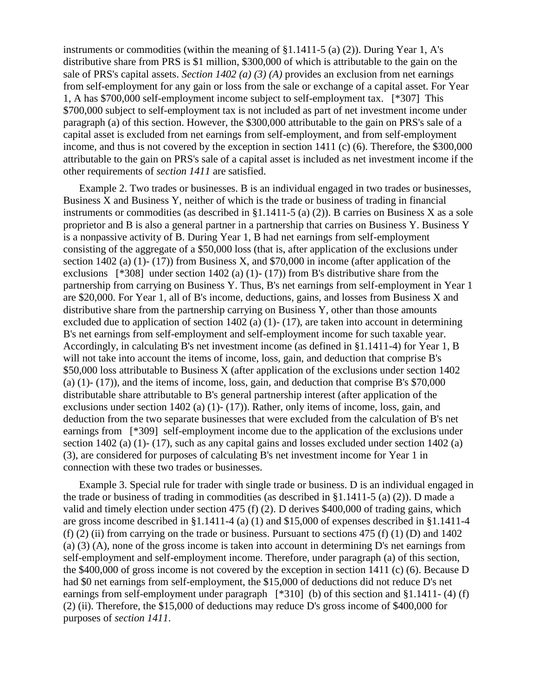instruments or commodities (within the meaning of §1.1411-5 (a) (2)). During Year 1, A's distributive share from PRS is \$1 million, \$300,000 of which is attributable to the gain on the sale of PRS's capital assets. *Section 1402 (a) (3) (A)* provides an exclusion from net earnings from self-employment for any gain or loss from the sale or exchange of a capital asset. For Year 1, A has \$700,000 self-employment income subject to self-employment tax. [\*307] This \$700,000 subject to self-employment tax is not included as part of net investment income under paragraph (a) of this section. However, the \$300,000 attributable to the gain on PRS's sale of a capital asset is excluded from net earnings from self-employment, and from self-employment income, and thus is not covered by the exception in section 1411 (c) (6). Therefore, the \$300,000 attributable to the gain on PRS's sale of a capital asset is included as net investment income if the other requirements of *section 1411* are satisfied.

Example 2. Two trades or businesses. B is an individual engaged in two trades or businesses, Business X and Business Y, neither of which is the trade or business of trading in financial instruments or commodities (as described in §1.1411-5 (a) (2)). B carries on Business X as a sole proprietor and B is also a general partner in a partnership that carries on Business Y. Business Y is a nonpassive activity of B. During Year 1, B had net earnings from self-employment consisting of the aggregate of a \$50,000 loss (that is, after application of the exclusions under section 1402 (a) (1)- (17)) from Business X, and \$70,000 in income (after application of the exclusions  $[*308]$  under section 1402 (a) (1)-(17)) from B's distributive share from the partnership from carrying on Business Y. Thus, B's net earnings from self-employment in Year 1 are \$20,000. For Year 1, all of B's income, deductions, gains, and losses from Business X and distributive share from the partnership carrying on Business Y, other than those amounts excluded due to application of section 1402 (a) (1)- (17), are taken into account in determining B's net earnings from self-employment and self-employment income for such taxable year. Accordingly, in calculating B's net investment income (as defined in §1.1411-4) for Year 1, B will not take into account the items of income, loss, gain, and deduction that comprise B's \$50,000 loss attributable to Business X (after application of the exclusions under section 1402 (a)  $(1)$ -  $(17)$ ), and the items of income, loss, gain, and deduction that comprise B's \$70,000 distributable share attributable to B's general partnership interest (after application of the exclusions under section 1402 (a) (1)- (17)). Rather, only items of income, loss, gain, and deduction from the two separate businesses that were excluded from the calculation of B's net earnings from [\*309] self-employment income due to the application of the exclusions under section 1402 (a) (1)- (17), such as any capital gains and losses excluded under section 1402 (a) (3), are considered for purposes of calculating B's net investment income for Year 1 in connection with these two trades or businesses.

Example 3. Special rule for trader with single trade or business. D is an individual engaged in the trade or business of trading in commodities (as described in §1.1411-5 (a) (2)). D made a valid and timely election under section 475 (f) (2). D derives \$400,000 of trading gains, which are gross income described in §1.1411-4 (a) (1) and \$15,000 of expenses described in §1.1411-4 (f) (2) (ii) from carrying on the trade or business. Pursuant to sections 475 (f) (1) (D) and 1402 (a) (3) (A), none of the gross income is taken into account in determining D's net earnings from self-employment and self-employment income. Therefore, under paragraph (a) of this section, the \$400,000 of gross income is not covered by the exception in section 1411 (c) (6). Because D had \$0 net earnings from self-employment, the \$15,000 of deductions did not reduce D's net earnings from self-employment under paragraph [\*310] (b) of this section and §1.1411- (4) (f) (2) (ii). Therefore, the \$15,000 of deductions may reduce D's gross income of \$400,000 for purposes of *section 1411*.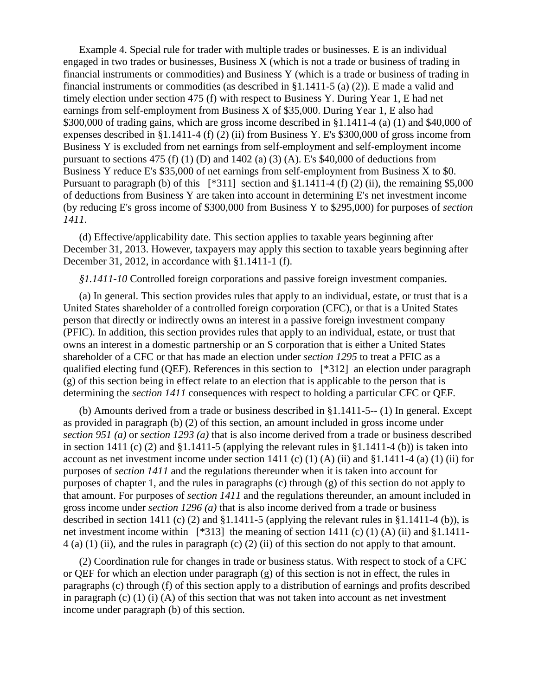Example 4. Special rule for trader with multiple trades or businesses. E is an individual engaged in two trades or businesses, Business X (which is not a trade or business of trading in financial instruments or commodities) and Business Y (which is a trade or business of trading in financial instruments or commodities (as described in  $\S 1.1411-5$  (a) (2)). E made a valid and timely election under section 475 (f) with respect to Business Y. During Year 1, E had net earnings from self-employment from Business X of \$35,000. During Year 1, E also had \$300,000 of trading gains, which are gross income described in §1.1411-4 (a) (1) and \$40,000 of expenses described in §1.1411-4 (f) (2) (ii) from Business Y. E's \$300,000 of gross income from Business Y is excluded from net earnings from self-employment and self-employment income pursuant to sections 475 (f) (1) (D) and 1402 (a) (3) (A). E's  $$40,000$  of deductions from Business Y reduce E's \$35,000 of net earnings from self-employment from Business X to \$0. Pursuant to paragraph (b) of this  $[^*311]$  section and §1.1411-4 (f) (2) (ii), the remaining \$5,000 of deductions from Business Y are taken into account in determining E's net investment income (by reducing E's gross income of \$300,000 from Business Y to \$295,000) for purposes of *section 1411*.

(d) Effective/applicability date. This section applies to taxable years beginning after December 31, 2013. However, taxpayers may apply this section to taxable years beginning after December 31, 2012, in accordance with §1.1411-1 (f).

*§1.1411-10* Controlled foreign corporations and passive foreign investment companies.

(a) In general. This section provides rules that apply to an individual, estate, or trust that is a United States shareholder of a controlled foreign corporation (CFC), or that is a United States person that directly or indirectly owns an interest in a passive foreign investment company (PFIC). In addition, this section provides rules that apply to an individual, estate, or trust that owns an interest in a domestic partnership or an S corporation that is either a United States shareholder of a CFC or that has made an election under *section 1295* to treat a PFIC as a qualified electing fund (QEF). References in this section to [\*312] an election under paragraph (g) of this section being in effect relate to an election that is applicable to the person that is determining the *section 1411* consequences with respect to holding a particular CFC or QEF.

(b) Amounts derived from a trade or business described in §1.1411-5-- (1) In general. Except as provided in paragraph (b) (2) of this section, an amount included in gross income under *section 951 (a)* or *section 1293 (a)* that is also income derived from a trade or business described in section 1411 (c) (2) and  $\S1.1411-5$  (applying the relevant rules in  $\S1.1411-4$  (b)) is taken into account as net investment income under section 1411 (c)  $(1)$  (A) (ii) and §1.1411-4 (a)  $(1)$  (ii) for purposes of *section 1411* and the regulations thereunder when it is taken into account for purposes of chapter 1, and the rules in paragraphs (c) through (g) of this section do not apply to that amount. For purposes of *section 1411* and the regulations thereunder, an amount included in gross income under *section 1296 (a)* that is also income derived from a trade or business described in section 1411 (c) (2) and §1.1411-5 (applying the relevant rules in §1.1411-4 (b)), is net investment income within [\*313] the meaning of section 1411 (c) (1) (A) (ii) and §1.1411-4 (a) (1) (ii), and the rules in paragraph (c) (2) (ii) of this section do not apply to that amount.

(2) Coordination rule for changes in trade or business status. With respect to stock of a CFC or QEF for which an election under paragraph (g) of this section is not in effect, the rules in paragraphs (c) through (f) of this section apply to a distribution of earnings and profits described in paragraph  $(c)$  (1) (i) (A) of this section that was not taken into account as net investment income under paragraph (b) of this section.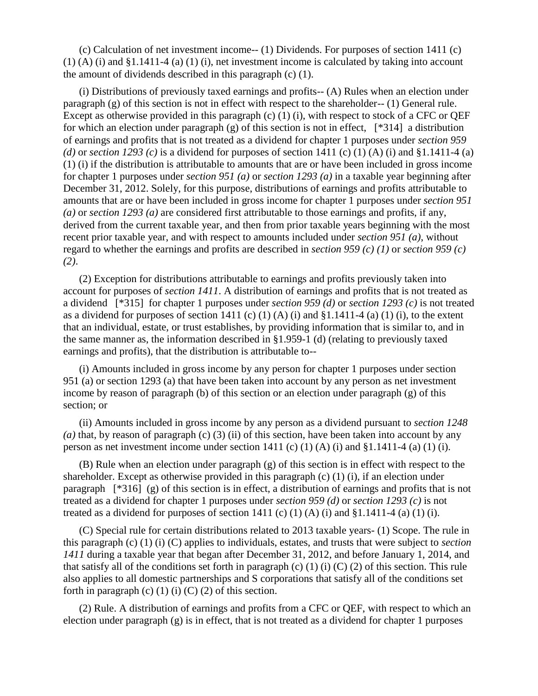(c) Calculation of net investment income-- (1) Dividends. For purposes of section 1411 (c) (1) (A) (i) and §1.1411-4 (a) (1) (i), net investment income is calculated by taking into account the amount of dividends described in this paragraph (c) (1).

(i) Distributions of previously taxed earnings and profits-- (A) Rules when an election under paragraph (g) of this section is not in effect with respect to the shareholder-- (1) General rule. Except as otherwise provided in this paragraph (c) (1) (i), with respect to stock of a CFC or QEF for which an election under paragraph (g) of this section is not in effect, [\*314] a distribution of earnings and profits that is not treated as a dividend for chapter 1 purposes under *section 959*  (d) or *section 1293* (c) is a dividend for purposes of section 1411 (c) (1) (A) (i) and §1.1411-4 (a) (1) (i) if the distribution is attributable to amounts that are or have been included in gross income for chapter 1 purposes under *section 951 (a)* or *section 1293 (a)* in a taxable year beginning after December 31, 2012. Solely, for this purpose, distributions of earnings and profits attributable to amounts that are or have been included in gross income for chapter 1 purposes under *section 951 (a)* or *section 1293 (a)* are considered first attributable to those earnings and profits, if any, derived from the current taxable year, and then from prior taxable years beginning with the most recent prior taxable year, and with respect to amounts included under *section 951 (a)*, without regard to whether the earnings and profits are described in *section 959 (c) (1)* or *section 959 (c) (2)*.

(2) Exception for distributions attributable to earnings and profits previously taken into account for purposes of *section 1411*. A distribution of earnings and profits that is not treated as a dividend [\*315] for chapter 1 purposes under *section 959 (d)* or *section 1293 (c)* is not treated as a dividend for purposes of section 1411 (c) (1) (A) (i) and  $\S1.1411-4$  (a) (1) (i), to the extent that an individual, estate, or trust establishes, by providing information that is similar to, and in the same manner as, the information described in §1.959-1 (d) (relating to previously taxed earnings and profits), that the distribution is attributable to--

(i) Amounts included in gross income by any person for chapter 1 purposes under section 951 (a) or section 1293 (a) that have been taken into account by any person as net investment income by reason of paragraph (b) of this section or an election under paragraph (g) of this section; or

(ii) Amounts included in gross income by any person as a dividend pursuant to *section 1248 (a)* that, by reason of paragraph (c) (3) (ii) of this section, have been taken into account by any person as net investment income under section 1411 (c) (1) (A) (i) and  $\S 1.1411-4$  (a) (1) (i).

(B) Rule when an election under paragraph (g) of this section is in effect with respect to the shareholder. Except as otherwise provided in this paragraph  $(c)$  (1) (i), if an election under paragraph [\*316] (g) of this section is in effect, a distribution of earnings and profits that is not treated as a dividend for chapter 1 purposes under *section 959 (d)* or *section 1293 (c)* is not treated as a dividend for purposes of section 1411 (c) (1) (A) (i) and §1.1411-4 (a) (1) (i).

(C) Special rule for certain distributions related to 2013 taxable years- (1) Scope. The rule in this paragraph (c) (1) (i) (C) applies to individuals, estates, and trusts that were subject to *section 1411* during a taxable year that began after December 31, 2012, and before January 1, 2014, and that satisfy all of the conditions set forth in paragraph (c) (1) (i) (C) (2) of this section. This rule also applies to all domestic partnerships and S corporations that satisfy all of the conditions set forth in paragraph (c) (1) (i) (C) (2) of this section.

(2) Rule. A distribution of earnings and profits from a CFC or QEF, with respect to which an election under paragraph (g) is in effect, that is not treated as a dividend for chapter 1 purposes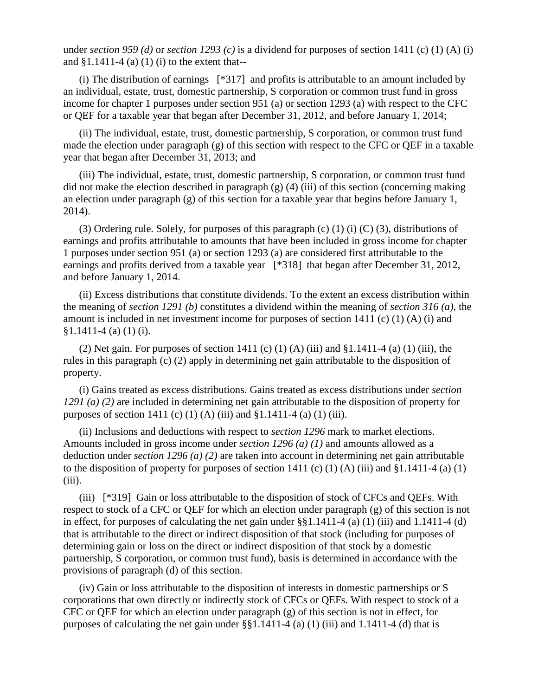under *section 959 (d)* or *section 1293 (c)* is a dividend for purposes of section 1411 (c) (1) (A) (i) and  $§1.1411-4$  (a) (1) (i) to the extent that--

(i) The distribution of earnings [\*317] and profits is attributable to an amount included by an individual, estate, trust, domestic partnership, S corporation or common trust fund in gross income for chapter 1 purposes under section 951 (a) or section 1293 (a) with respect to the CFC or QEF for a taxable year that began after December 31, 2012, and before January 1, 2014;

(ii) The individual, estate, trust, domestic partnership, S corporation, or common trust fund made the election under paragraph (g) of this section with respect to the CFC or QEF in a taxable year that began after December 31, 2013; and

(iii) The individual, estate, trust, domestic partnership, S corporation, or common trust fund did not make the election described in paragraph  $(g)$  (4) (iii) of this section (concerning making an election under paragraph (g) of this section for a taxable year that begins before January 1, 2014).

(3) Ordering rule. Solely, for purposes of this paragraph (c) (1) (i) (C) (3), distributions of earnings and profits attributable to amounts that have been included in gross income for chapter 1 purposes under section 951 (a) or section 1293 (a) are considered first attributable to the earnings and profits derived from a taxable year [\*318] that began after December 31, 2012, and before January 1, 2014.

(ii) Excess distributions that constitute dividends. To the extent an excess distribution within the meaning of *section 1291 (b)* constitutes a dividend within the meaning of *section 316 (a)*, the amount is included in net investment income for purposes of section 1411 (c) (1) (A) (i) and §1.1411-4 (a) (1) (i).

(2) Net gain. For purposes of section 1411 (c) (1) (A) (iii) and  $$1.1411-4$  (a) (1) (iii), the rules in this paragraph (c) (2) apply in determining net gain attributable to the disposition of property.

(i) Gains treated as excess distributions. Gains treated as excess distributions under *section 1291 (a) (2)* are included in determining net gain attributable to the disposition of property for purposes of section 1411 (c) (1) (A) (iii) and  $$1.1411-4$  (a) (1) (iii).

(ii) Inclusions and deductions with respect to *section 1296* mark to market elections. Amounts included in gross income under *section 1296 (a) (1)* and amounts allowed as a deduction under *section 1296 (a) (2)* are taken into account in determining net gain attributable to the disposition of property for purposes of section 1411 (c) (1) (A) (iii) and  $§1.1411-4$  (a) (1)  $(iii)$ .

(iii) [\*319] Gain or loss attributable to the disposition of stock of CFCs and QEFs. With respect to stock of a CFC or QEF for which an election under paragraph (g) of this section is not in effect, for purposes of calculating the net gain under §§1.1411-4 (a) (1) (iii) and 1.1411-4 (d) that is attributable to the direct or indirect disposition of that stock (including for purposes of determining gain or loss on the direct or indirect disposition of that stock by a domestic partnership, S corporation, or common trust fund), basis is determined in accordance with the provisions of paragraph (d) of this section.

(iv) Gain or loss attributable to the disposition of interests in domestic partnerships or S corporations that own directly or indirectly stock of CFCs or QEFs. With respect to stock of a CFC or QEF for which an election under paragraph (g) of this section is not in effect, for purposes of calculating the net gain under §§1.1411-4 (a) (1) (iii) and 1.1411-4 (d) that is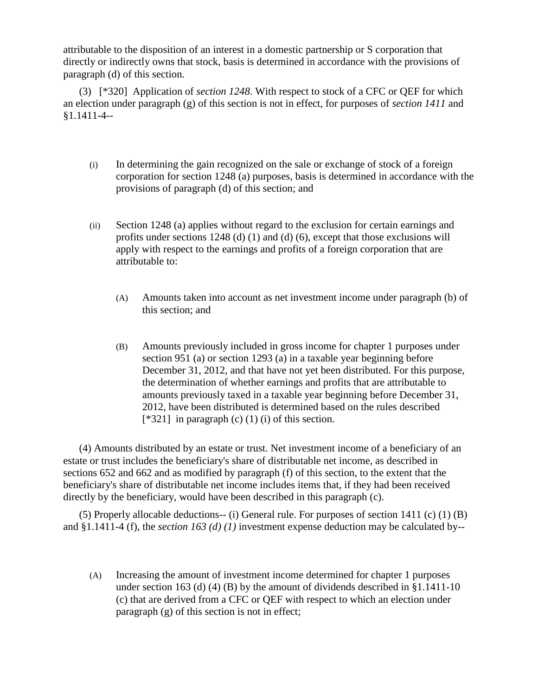attributable to the disposition of an interest in a domestic partnership or S corporation that directly or indirectly owns that stock, basis is determined in accordance with the provisions of paragraph (d) of this section.

(3) [\*320] Application of *section 1248*. With respect to stock of a CFC or QEF for which an election under paragraph (g) of this section is not in effect, for purposes of *section 1411* and §1.1411-4--

- (i) In determining the gain recognized on the sale or exchange of stock of a foreign corporation for section 1248 (a) purposes, basis is determined in accordance with the provisions of paragraph (d) of this section; and
- (ii) Section 1248 (a) applies without regard to the exclusion for certain earnings and profits under sections 1248 (d) (1) and (d) (6), except that those exclusions will apply with respect to the earnings and profits of a foreign corporation that are attributable to:
	- (A) Amounts taken into account as net investment income under paragraph (b) of this section; and
	- (B) Amounts previously included in gross income for chapter 1 purposes under section 951 (a) or section 1293 (a) in a taxable year beginning before December 31, 2012, and that have not yet been distributed. For this purpose, the determination of whether earnings and profits that are attributable to amounts previously taxed in a taxable year beginning before December 31, 2012, have been distributed is determined based on the rules described  $[*321]$  in paragraph (c) (1) (i) of this section.

(4) Amounts distributed by an estate or trust. Net investment income of a beneficiary of an estate or trust includes the beneficiary's share of distributable net income, as described in sections 652 and 662 and as modified by paragraph (f) of this section, to the extent that the beneficiary's share of distributable net income includes items that, if they had been received directly by the beneficiary, would have been described in this paragraph (c).

(5) Properly allocable deductions-- (i) General rule. For purposes of section 1411 (c) (1) (B) and §1.1411-4 (f), the *section 163 (d) (1)* investment expense deduction may be calculated by--

(A) Increasing the amount of investment income determined for chapter 1 purposes under section 163 (d) (4) (B) by the amount of dividends described in §1.1411-10 (c) that are derived from a CFC or QEF with respect to which an election under paragraph (g) of this section is not in effect;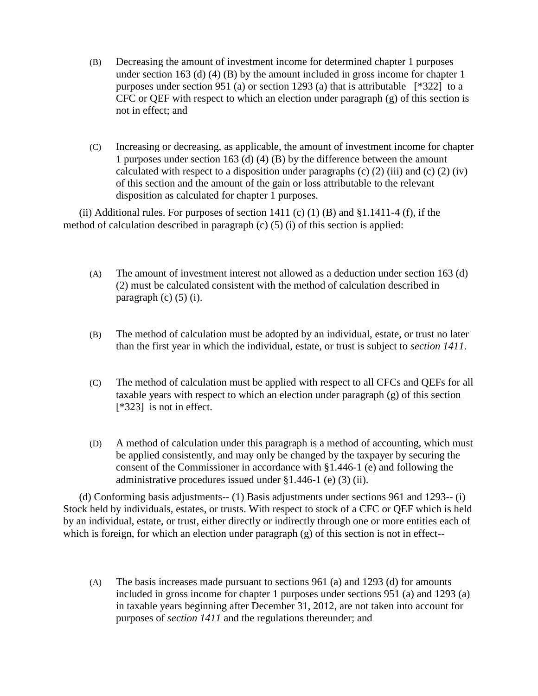- (B) Decreasing the amount of investment income for determined chapter 1 purposes under section 163 (d) (4) (B) by the amount included in gross income for chapter 1 purposes under section 951 (a) or section 1293 (a) that is attributable [\*322] to a CFC or QEF with respect to which an election under paragraph (g) of this section is not in effect; and
- (C) Increasing or decreasing, as applicable, the amount of investment income for chapter 1 purposes under section 163 (d) (4) (B) by the difference between the amount calculated with respect to a disposition under paragraphs (c)  $(2)$  (iii) and (c)  $(2)$  (iv) of this section and the amount of the gain or loss attributable to the relevant disposition as calculated for chapter 1 purposes.

(ii) Additional rules. For purposes of section 1411 (c) (1) (B) and  $§1.1411-4$  (f), if the method of calculation described in paragraph (c) (5) (i) of this section is applied:

- (A) The amount of investment interest not allowed as a deduction under section 163 (d) (2) must be calculated consistent with the method of calculation described in paragraph  $(c)$   $(5)$   $(i)$ .
- (B) The method of calculation must be adopted by an individual, estate, or trust no later than the first year in which the individual, estate, or trust is subject to *section 1411*.
- (C) The method of calculation must be applied with respect to all CFCs and QEFs for all taxable years with respect to which an election under paragraph (g) of this section [\*323] is not in effect.
- (D) A method of calculation under this paragraph is a method of accounting, which must be applied consistently, and may only be changed by the taxpayer by securing the consent of the Commissioner in accordance with §1.446-1 (e) and following the administrative procedures issued under §1.446-1 (e) (3) (ii).

(d) Conforming basis adjustments-- (1) Basis adjustments under sections 961 and 1293-- (i) Stock held by individuals, estates, or trusts. With respect to stock of a CFC or QEF which is held by an individual, estate, or trust, either directly or indirectly through one or more entities each of which is foreign, for which an election under paragraph (g) of this section is not in effect--

(A) The basis increases made pursuant to sections 961 (a) and 1293 (d) for amounts included in gross income for chapter 1 purposes under sections 951 (a) and 1293 (a) in taxable years beginning after December 31, 2012, are not taken into account for purposes of *section 1411* and the regulations thereunder; and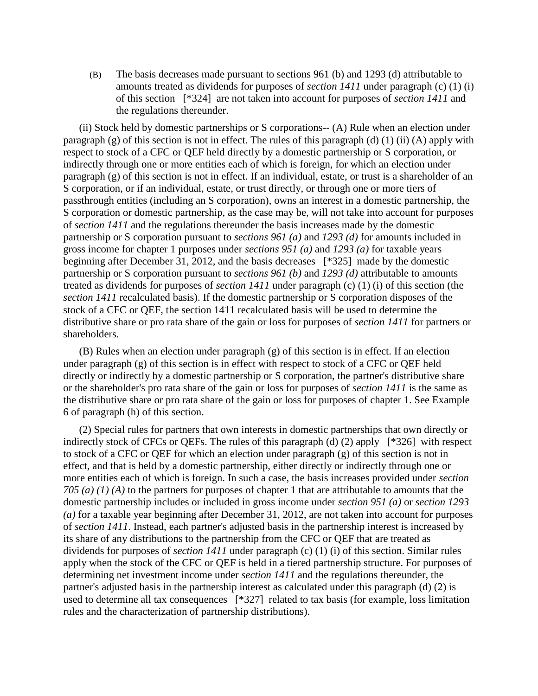(B) The basis decreases made pursuant to sections 961 (b) and 1293 (d) attributable to amounts treated as dividends for purposes of *section 1411* under paragraph (c) (1) (i) of this section [\*324] are not taken into account for purposes of *section 1411* and the regulations thereunder.

(ii) Stock held by domestic partnerships or S corporations-- (A) Rule when an election under paragraph (g) of this section is not in effect. The rules of this paragraph (d) (1) (ii) (A) apply with respect to stock of a CFC or QEF held directly by a domestic partnership or S corporation, or indirectly through one or more entities each of which is foreign, for which an election under paragraph (g) of this section is not in effect. If an individual, estate, or trust is a shareholder of an S corporation, or if an individual, estate, or trust directly, or through one or more tiers of passthrough entities (including an S corporation), owns an interest in a domestic partnership, the S corporation or domestic partnership, as the case may be, will not take into account for purposes of *section 1411* and the regulations thereunder the basis increases made by the domestic partnership or S corporation pursuant to *sections 961 (a)* and *1293 (d)* for amounts included in gross income for chapter 1 purposes under *sections 951 (a)* and *1293 (a)* for taxable years beginning after December 31, 2012, and the basis decreases [\*325] made by the domestic partnership or S corporation pursuant to *sections 961 (b)* and *1293 (d)* attributable to amounts treated as dividends for purposes of *section 1411* under paragraph (c) (1) (i) of this section (the *section 1411* recalculated basis). If the domestic partnership or S corporation disposes of the stock of a CFC or QEF, the section 1411 recalculated basis will be used to determine the distributive share or pro rata share of the gain or loss for purposes of *section 1411* for partners or shareholders.

(B) Rules when an election under paragraph (g) of this section is in effect. If an election under paragraph (g) of this section is in effect with respect to stock of a CFC or QEF held directly or indirectly by a domestic partnership or S corporation, the partner's distributive share or the shareholder's pro rata share of the gain or loss for purposes of *section 1411* is the same as the distributive share or pro rata share of the gain or loss for purposes of chapter 1. See Example 6 of paragraph (h) of this section.

(2) Special rules for partners that own interests in domestic partnerships that own directly or indirectly stock of CFCs or QEFs. The rules of this paragraph (d) (2) apply [\*326] with respect to stock of a CFC or QEF for which an election under paragraph (g) of this section is not in effect, and that is held by a domestic partnership, either directly or indirectly through one or more entities each of which is foreign. In such a case, the basis increases provided under *section 705 (a) (1) (A)* to the partners for purposes of chapter 1 that are attributable to amounts that the domestic partnership includes or included in gross income under *section 951 (a)* or *section 1293 (a)* for a taxable year beginning after December 31, 2012, are not taken into account for purposes of *section 1411*. Instead, each partner's adjusted basis in the partnership interest is increased by its share of any distributions to the partnership from the CFC or QEF that are treated as dividends for purposes of *section 1411* under paragraph (c) (1) (i) of this section. Similar rules apply when the stock of the CFC or QEF is held in a tiered partnership structure. For purposes of determining net investment income under *section 1411* and the regulations thereunder, the partner's adjusted basis in the partnership interest as calculated under this paragraph (d) (2) is used to determine all tax consequences [\*327] related to tax basis (for example, loss limitation rules and the characterization of partnership distributions).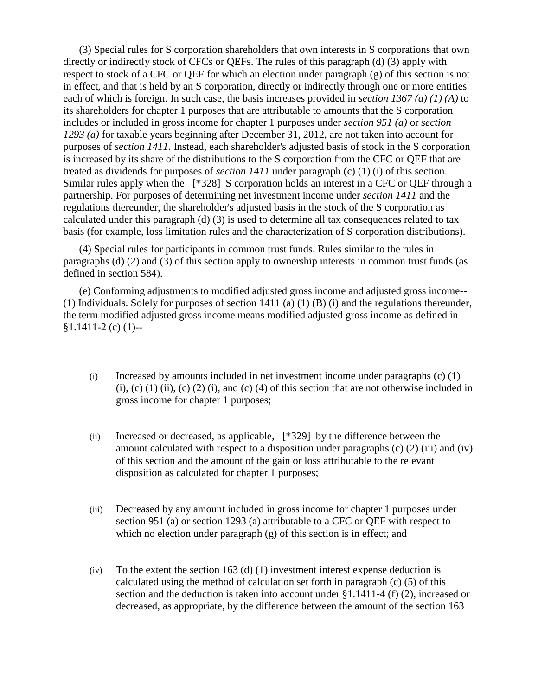(3) Special rules for S corporation shareholders that own interests in S corporations that own directly or indirectly stock of CFCs or QEFs. The rules of this paragraph (d) (3) apply with respect to stock of a CFC or QEF for which an election under paragraph (g) of this section is not in effect, and that is held by an S corporation, directly or indirectly through one or more entities each of which is foreign. In such case, the basis increases provided in *section 1367 (a) (1) (A)* to its shareholders for chapter 1 purposes that are attributable to amounts that the S corporation includes or included in gross income for chapter 1 purposes under *section 951 (a)* or *section 1293 (a)* for taxable years beginning after December 31, 2012, are not taken into account for purposes of *section 1411*. Instead, each shareholder's adjusted basis of stock in the S corporation is increased by its share of the distributions to the S corporation from the CFC or QEF that are treated as dividends for purposes of *section 1411* under paragraph (c) (1) (i) of this section. Similar rules apply when the [\*328] S corporation holds an interest in a CFC or QEF through a partnership. For purposes of determining net investment income under *section 1411* and the regulations thereunder, the shareholder's adjusted basis in the stock of the S corporation as calculated under this paragraph (d) (3) is used to determine all tax consequences related to tax basis (for example, loss limitation rules and the characterization of S corporation distributions).

(4) Special rules for participants in common trust funds. Rules similar to the rules in paragraphs (d) (2) and (3) of this section apply to ownership interests in common trust funds (as defined in section 584).

(e) Conforming adjustments to modified adjusted gross income and adjusted gross income-- (1) Individuals. Solely for purposes of section 1411 (a) (1) (B) (i) and the regulations thereunder, the term modified adjusted gross income means modified adjusted gross income as defined in  $$1.1411-2$  (c) (1)--

- (i) Increased by amounts included in net investment income under paragraphs (c) (1)  $(i)$ ,  $(c)$   $(1)$   $(ii)$ ,  $(c)$   $(2)$   $(i)$ , and  $(c)$   $(4)$  of this section that are not otherwise included in gross income for chapter 1 purposes;
- (ii) Increased or decreased, as applicable, [\*329] by the difference between the amount calculated with respect to a disposition under paragraphs (c) (2) (iii) and (iv) of this section and the amount of the gain or loss attributable to the relevant disposition as calculated for chapter 1 purposes;
- (iii) Decreased by any amount included in gross income for chapter 1 purposes under section 951 (a) or section 1293 (a) attributable to a CFC or QEF with respect to which no election under paragraph (g) of this section is in effect; and
- (iv) To the extent the section 163 (d) (1) investment interest expense deduction is calculated using the method of calculation set forth in paragraph (c) (5) of this section and the deduction is taken into account under §1.1411-4 (f) (2), increased or decreased, as appropriate, by the difference between the amount of the section 163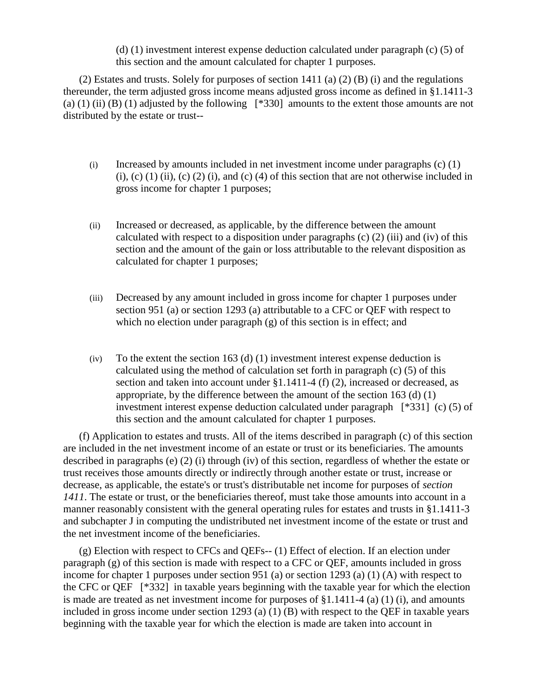(d) (1) investment interest expense deduction calculated under paragraph (c) (5) of this section and the amount calculated for chapter 1 purposes.

(2) Estates and trusts. Solely for purposes of section 1411 (a) (2) (B) (i) and the regulations thereunder, the term adjusted gross income means adjusted gross income as defined in §1.1411-3 (a) (1) (ii) (B) (1) adjusted by the following  $[*330]$  amounts to the extent those amounts are not distributed by the estate or trust--

- (i) Increased by amounts included in net investment income under paragraphs (c) (1) (i), (c) (1) (ii), (c) (2) (i), and (c) (4) of this section that are not otherwise included in gross income for chapter 1 purposes;
- (ii) Increased or decreased, as applicable, by the difference between the amount calculated with respect to a disposition under paragraphs  $(c)$  (2) (iii) and (iv) of this section and the amount of the gain or loss attributable to the relevant disposition as calculated for chapter 1 purposes;
- (iii) Decreased by any amount included in gross income for chapter 1 purposes under section 951 (a) or section 1293 (a) attributable to a CFC or QEF with respect to which no election under paragraph (g) of this section is in effect; and
- $(iv)$  To the extent the section 163 (d) (1) investment interest expense deduction is calculated using the method of calculation set forth in paragraph (c) (5) of this section and taken into account under §1.1411-4 (f) (2), increased or decreased, as appropriate, by the difference between the amount of the section 163 (d) (1) investment interest expense deduction calculated under paragraph [\*331] (c) (5) of this section and the amount calculated for chapter 1 purposes.

(f) Application to estates and trusts. All of the items described in paragraph (c) of this section are included in the net investment income of an estate or trust or its beneficiaries. The amounts described in paragraphs (e) (2) (i) through (iv) of this section, regardless of whether the estate or trust receives those amounts directly or indirectly through another estate or trust, increase or decrease, as applicable, the estate's or trust's distributable net income for purposes of *section 1411*. The estate or trust, or the beneficiaries thereof, must take those amounts into account in a manner reasonably consistent with the general operating rules for estates and trusts in §1.1411-3 and subchapter J in computing the undistributed net investment income of the estate or trust and the net investment income of the beneficiaries.

(g) Election with respect to CFCs and QEFs-- (1) Effect of election. If an election under paragraph (g) of this section is made with respect to a CFC or QEF, amounts included in gross income for chapter 1 purposes under section 951 (a) or section 1293 (a) (1) (A) with respect to the CFC or QEF [\*332] in taxable years beginning with the taxable year for which the election is made are treated as net investment income for purposes of §1.1411-4 (a) (1) (i), and amounts included in gross income under section 1293 (a) (1) (B) with respect to the QEF in taxable years beginning with the taxable year for which the election is made are taken into account in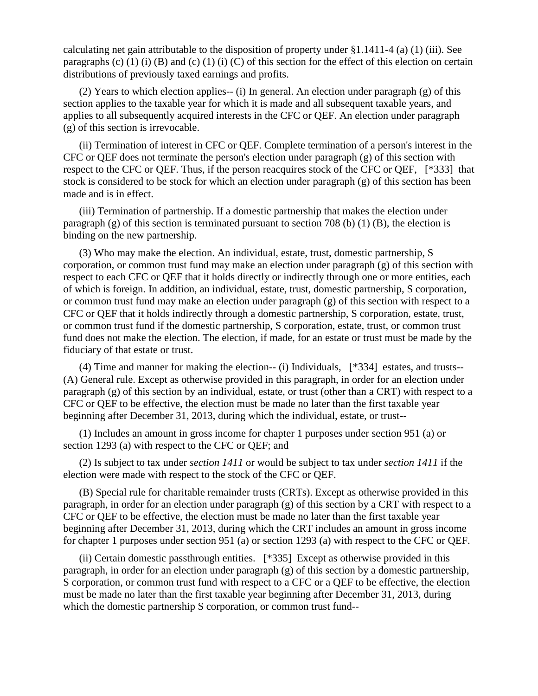calculating net gain attributable to the disposition of property under §1.1411-4 (a) (1) (iii). See paragraphs (c) (1) (i) (B) and (c) (1) (i) (C) of this section for the effect of this election on certain distributions of previously taxed earnings and profits.

(2) Years to which election applies-- (i) In general. An election under paragraph (g) of this section applies to the taxable year for which it is made and all subsequent taxable years, and applies to all subsequently acquired interests in the CFC or QEF. An election under paragraph (g) of this section is irrevocable.

(ii) Termination of interest in CFC or QEF. Complete termination of a person's interest in the CFC or QEF does not terminate the person's election under paragraph (g) of this section with respect to the CFC or QEF. Thus, if the person reacquires stock of the CFC or QEF, [\*333] that stock is considered to be stock for which an election under paragraph (g) of this section has been made and is in effect.

(iii) Termination of partnership. If a domestic partnership that makes the election under paragraph (g) of this section is terminated pursuant to section 708 (b) (1) (B), the election is binding on the new partnership.

(3) Who may make the election. An individual, estate, trust, domestic partnership, S corporation, or common trust fund may make an election under paragraph (g) of this section with respect to each CFC or QEF that it holds directly or indirectly through one or more entities, each of which is foreign. In addition, an individual, estate, trust, domestic partnership, S corporation, or common trust fund may make an election under paragraph (g) of this section with respect to a CFC or QEF that it holds indirectly through a domestic partnership, S corporation, estate, trust, or common trust fund if the domestic partnership, S corporation, estate, trust, or common trust fund does not make the election. The election, if made, for an estate or trust must be made by the fiduciary of that estate or trust.

(4) Time and manner for making the election-- (i) Individuals, [\*334] estates, and trusts-- (A) General rule. Except as otherwise provided in this paragraph, in order for an election under paragraph (g) of this section by an individual, estate, or trust (other than a CRT) with respect to a CFC or QEF to be effective, the election must be made no later than the first taxable year beginning after December 31, 2013, during which the individual, estate, or trust--

(1) Includes an amount in gross income for chapter 1 purposes under section 951 (a) or section 1293 (a) with respect to the CFC or QEF; and

(2) Is subject to tax under *section 1411* or would be subject to tax under *section 1411* if the election were made with respect to the stock of the CFC or QEF.

(B) Special rule for charitable remainder trusts (CRTs). Except as otherwise provided in this paragraph, in order for an election under paragraph (g) of this section by a CRT with respect to a CFC or QEF to be effective, the election must be made no later than the first taxable year beginning after December 31, 2013, during which the CRT includes an amount in gross income for chapter 1 purposes under section 951 (a) or section 1293 (a) with respect to the CFC or QEF.

(ii) Certain domestic passthrough entities. [\*335] Except as otherwise provided in this paragraph, in order for an election under paragraph (g) of this section by a domestic partnership, S corporation, or common trust fund with respect to a CFC or a QEF to be effective, the election must be made no later than the first taxable year beginning after December 31, 2013, during which the domestic partnership S corporation, or common trust fund--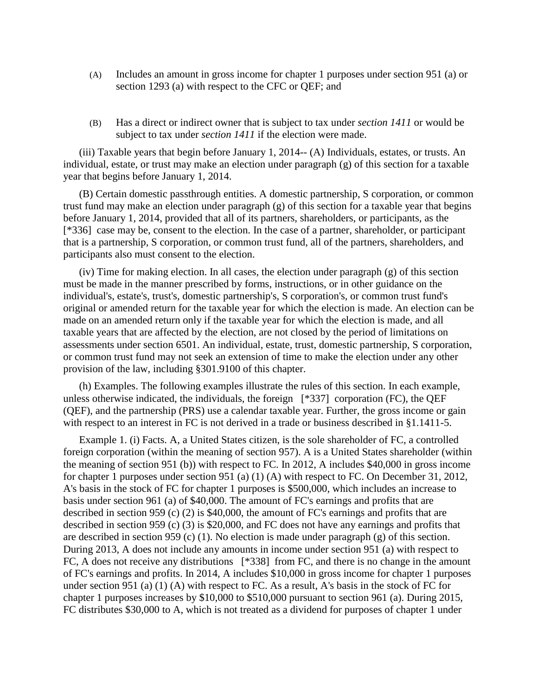- (A) Includes an amount in gross income for chapter 1 purposes under section 951 (a) or section 1293 (a) with respect to the CFC or QEF; and
- (B) Has a direct or indirect owner that is subject to tax under *section 1411* or would be subject to tax under *section 1411* if the election were made.

(iii) Taxable years that begin before January 1, 2014-- (A) Individuals, estates, or trusts. An individual, estate, or trust may make an election under paragraph (g) of this section for a taxable year that begins before January 1, 2014.

(B) Certain domestic passthrough entities. A domestic partnership, S corporation, or common trust fund may make an election under paragraph (g) of this section for a taxable year that begins before January 1, 2014, provided that all of its partners, shareholders, or participants, as the [\*336] case may be, consent to the election. In the case of a partner, shareholder, or participant that is a partnership, S corporation, or common trust fund, all of the partners, shareholders, and participants also must consent to the election.

(iv) Time for making election. In all cases, the election under paragraph (g) of this section must be made in the manner prescribed by forms, instructions, or in other guidance on the individual's, estate's, trust's, domestic partnership's, S corporation's, or common trust fund's original or amended return for the taxable year for which the election is made. An election can be made on an amended return only if the taxable year for which the election is made, and all taxable years that are affected by the election, are not closed by the period of limitations on assessments under section 6501. An individual, estate, trust, domestic partnership, S corporation, or common trust fund may not seek an extension of time to make the election under any other provision of the law, including §301.9100 of this chapter.

(h) Examples. The following examples illustrate the rules of this section. In each example, unless otherwise indicated, the individuals, the foreign [\*337] corporation (FC), the QEF (QEF), and the partnership (PRS) use a calendar taxable year. Further, the gross income or gain with respect to an interest in FC is not derived in a trade or business described in §1.1411-5.

Example 1. (i) Facts. A, a United States citizen, is the sole shareholder of FC, a controlled foreign corporation (within the meaning of section 957). A is a United States shareholder (within the meaning of section 951 (b)) with respect to FC. In 2012, A includes \$40,000 in gross income for chapter 1 purposes under section 951 (a) (1) (A) with respect to FC. On December 31, 2012, A's basis in the stock of FC for chapter 1 purposes is \$500,000, which includes an increase to basis under section 961 (a) of \$40,000. The amount of FC's earnings and profits that are described in section 959 (c) (2) is \$40,000, the amount of FC's earnings and profits that are described in section 959 (c) (3) is \$20,000, and FC does not have any earnings and profits that are described in section 959 (c) (1). No election is made under paragraph (g) of this section. During 2013, A does not include any amounts in income under section 951 (a) with respect to FC, A does not receive any distributions [\*338] from FC, and there is no change in the amount of FC's earnings and profits. In 2014, A includes \$10,000 in gross income for chapter 1 purposes under section 951 (a) (1) (A) with respect to FC. As a result, A's basis in the stock of FC for chapter 1 purposes increases by \$10,000 to \$510,000 pursuant to section 961 (a). During 2015, FC distributes \$30,000 to A, which is not treated as a dividend for purposes of chapter 1 under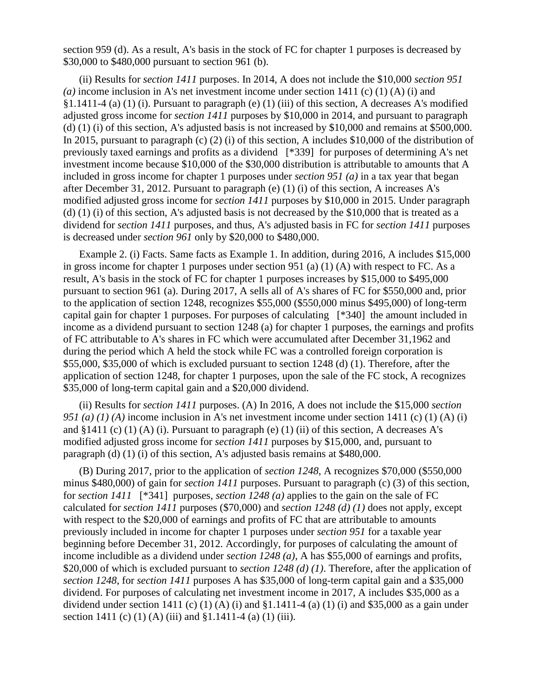section 959 (d). As a result, A's basis in the stock of FC for chapter 1 purposes is decreased by \$30,000 to \$480,000 pursuant to section 961 (b).

(ii) Results for *section 1411* purposes. In 2014, A does not include the \$10,000 *section 951 (a)* income inclusion in A's net investment income under section 1411 (c) (1) (A) (i) and  $\S1.1411-4$  (a) (1) (i). Pursuant to paragraph (e) (1) (iii) of this section, A decreases A's modified adjusted gross income for *section 1411* purposes by \$10,000 in 2014, and pursuant to paragraph (d) (1) (i) of this section, A's adjusted basis is not increased by \$10,000 and remains at \$500,000. In 2015, pursuant to paragraph (c) (2) (i) of this section, A includes \$10,000 of the distribution of previously taxed earnings and profits as a dividend [\*339] for purposes of determining A's net investment income because \$10,000 of the \$30,000 distribution is attributable to amounts that A included in gross income for chapter 1 purposes under *section 951 (a)* in a tax year that began after December 31, 2012. Pursuant to paragraph (e) (1) (i) of this section, A increases A's modified adjusted gross income for *section 1411* purposes by \$10,000 in 2015. Under paragraph (d) (1) (i) of this section, A's adjusted basis is not decreased by the \$10,000 that is treated as a dividend for *section 1411* purposes, and thus, A's adjusted basis in FC for *section 1411* purposes is decreased under *section 961* only by \$20,000 to \$480,000.

Example 2. (i) Facts. Same facts as Example 1. In addition, during 2016, A includes \$15,000 in gross income for chapter 1 purposes under section 951 (a) (1) (A) with respect to FC. As a result, A's basis in the stock of FC for chapter 1 purposes increases by \$15,000 to \$495,000 pursuant to section 961 (a). During 2017, A sells all of A's shares of FC for \$550,000 and, prior to the application of section 1248, recognizes \$55,000 (\$550,000 minus \$495,000) of long-term capital gain for chapter 1 purposes. For purposes of calculating [\*340] the amount included in income as a dividend pursuant to section 1248 (a) for chapter 1 purposes, the earnings and profits of FC attributable to A's shares in FC which were accumulated after December 31,1962 and during the period which A held the stock while FC was a controlled foreign corporation is \$55,000, \$35,000 of which is excluded pursuant to section 1248 (d) (1). Therefore, after the application of section 1248, for chapter 1 purposes, upon the sale of the FC stock, A recognizes \$35,000 of long-term capital gain and a \$20,000 dividend.

(ii) Results for *section 1411* purposes. (A) In 2016, A does not include the \$15,000 *section 951 (a) (1) (A)* income inclusion in A's net investment income under section 1411 (c) (1) (A) (i) and  $§1411$  (c) (1) (A) (i). Pursuant to paragraph (e) (1) (ii) of this section, A decreases A's modified adjusted gross income for *section 1411* purposes by \$15,000, and, pursuant to paragraph (d) (1) (i) of this section, A's adjusted basis remains at \$480,000.

(B) During 2017, prior to the application of *section 1248*, A recognizes \$70,000 (\$550,000 minus \$480,000) of gain for *section 1411* purposes. Pursuant to paragraph (c) (3) of this section, for *section 1411* [\*341] purposes, *section 1248 (a)* applies to the gain on the sale of FC calculated for *section 1411* purposes (\$70,000) and *section 1248 (d) (1)* does not apply, except with respect to the \$20,000 of earnings and profits of FC that are attributable to amounts previously included in income for chapter 1 purposes under *section 951* for a taxable year beginning before December 31, 2012. Accordingly, for purposes of calculating the amount of income includible as a dividend under *section 1248 (a)*, A has \$55,000 of earnings and profits, \$20,000 of which is excluded pursuant to *section 1248 (d) (1)*. Therefore, after the application of *section 1248*, for *section 1411* purposes A has \$35,000 of long-term capital gain and a \$35,000 dividend. For purposes of calculating net investment income in 2017, A includes \$35,000 as a dividend under section 1411 (c) (1) (A) (i) and §1.1411-4 (a) (1) (i) and \$35,000 as a gain under section 1411 (c) (1) (A) (iii) and §1.1411-4 (a) (1) (iii).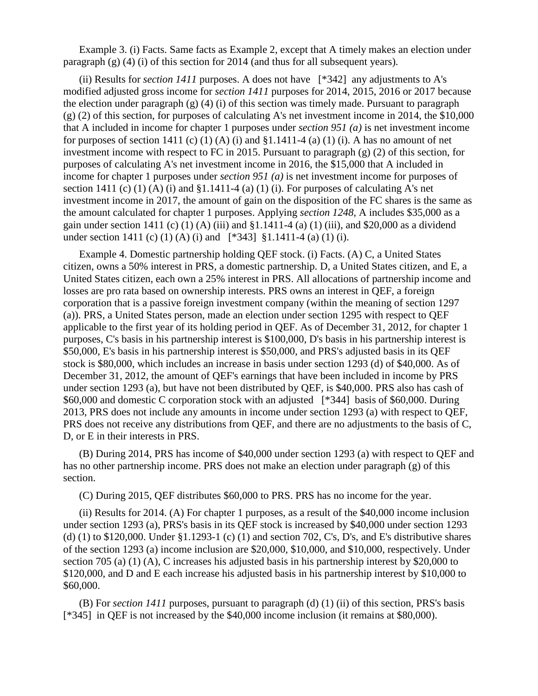Example 3. (i) Facts. Same facts as Example 2, except that A timely makes an election under paragraph (g) (4) (i) of this section for 2014 (and thus for all subsequent years).

(ii) Results for *section 1411* purposes. A does not have [\*342] any adjustments to A's modified adjusted gross income for *section 1411* purposes for 2014, 2015, 2016 or 2017 because the election under paragraph  $(g)$  (4) (i) of this section was timely made. Pursuant to paragraph (g) (2) of this section, for purposes of calculating A's net investment income in 2014, the \$10,000 that A included in income for chapter 1 purposes under *section 951 (a)* is net investment income for purposes of section 1411 (c) (1) (A) (i) and  $\S1.1411-4$  (a) (1) (i). A has no amount of net investment income with respect to FC in 2015. Pursuant to paragraph (g) (2) of this section, for purposes of calculating A's net investment income in 2016, the \$15,000 that A included in income for chapter 1 purposes under *section 951 (a)* is net investment income for purposes of section 1411 (c) (1) (A) (i) and  $\S 1.1411-4$  (a) (1) (i). For purposes of calculating A's net investment income in 2017, the amount of gain on the disposition of the FC shares is the same as the amount calculated for chapter 1 purposes. Applying *section 1248*, A includes \$35,000 as a gain under section 1411 (c) (1) (A) (iii) and  $$1.1411-4$  (a) (1) (iii), and  $$20,000$  as a dividend under section 1411 (c) (1) (A) (i) and [\*343] §1.1411-4 (a) (1) (i).

Example 4. Domestic partnership holding QEF stock. (i) Facts. (A) C, a United States citizen, owns a 50% interest in PRS, a domestic partnership. D, a United States citizen, and E, a United States citizen, each own a 25% interest in PRS. All allocations of partnership income and losses are pro rata based on ownership interests. PRS owns an interest in QEF, a foreign corporation that is a passive foreign investment company (within the meaning of section 1297 (a)). PRS, a United States person, made an election under section 1295 with respect to QEF applicable to the first year of its holding period in QEF. As of December 31, 2012, for chapter 1 purposes, C's basis in his partnership interest is \$100,000, D's basis in his partnership interest is \$50,000, E's basis in his partnership interest is \$50,000, and PRS's adjusted basis in its QEF stock is \$80,000, which includes an increase in basis under section 1293 (d) of \$40,000. As of December 31, 2012, the amount of QEF's earnings that have been included in income by PRS under section 1293 (a), but have not been distributed by QEF, is \$40,000. PRS also has cash of \$60,000 and domestic C corporation stock with an adjusted [\*344] basis of \$60,000. During 2013, PRS does not include any amounts in income under section 1293 (a) with respect to QEF, PRS does not receive any distributions from QEF, and there are no adjustments to the basis of C, D, or E in their interests in PRS.

(B) During 2014, PRS has income of \$40,000 under section 1293 (a) with respect to QEF and has no other partnership income. PRS does not make an election under paragraph (g) of this section.

(C) During 2015, QEF distributes \$60,000 to PRS. PRS has no income for the year.

(ii) Results for 2014. (A) For chapter 1 purposes, as a result of the \$40,000 income inclusion under section 1293 (a), PRS's basis in its QEF stock is increased by \$40,000 under section 1293 (d) (1) to \$120,000. Under §1.1293-1 (c) (1) and section 702, C's, D's, and E's distributive shares of the section 1293 (a) income inclusion are \$20,000, \$10,000, and \$10,000, respectively. Under section 705 (a) (1) (A), C increases his adjusted basis in his partnership interest by \$20,000 to \$120,000, and D and E each increase his adjusted basis in his partnership interest by \$10,000 to \$60,000.

(B) For *section 1411* purposes, pursuant to paragraph (d) (1) (ii) of this section, PRS's basis [\*345] in QEF is not increased by the \$40,000 income inclusion (it remains at \$80,000).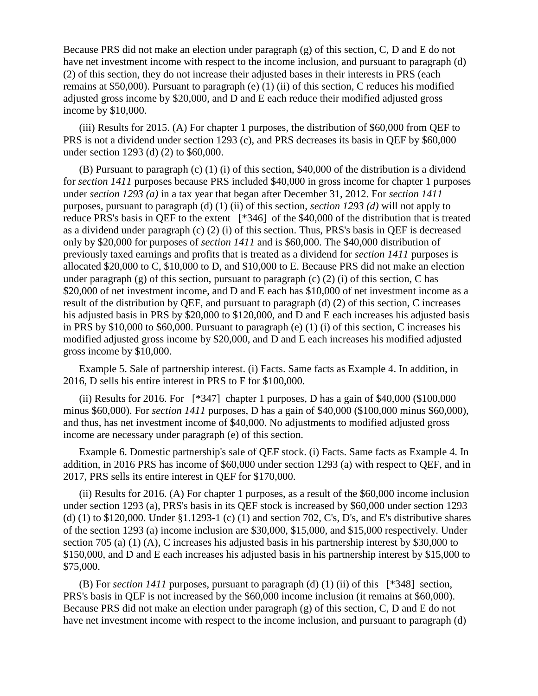Because PRS did not make an election under paragraph (g) of this section, C, D and E do not have net investment income with respect to the income inclusion, and pursuant to paragraph (d) (2) of this section, they do not increase their adjusted bases in their interests in PRS (each remains at \$50,000). Pursuant to paragraph (e) (1) (ii) of this section, C reduces his modified adjusted gross income by \$20,000, and D and E each reduce their modified adjusted gross income by \$10,000.

(iii) Results for 2015. (A) For chapter 1 purposes, the distribution of \$60,000 from QEF to PRS is not a dividend under section 1293 (c), and PRS decreases its basis in QEF by \$60,000 under section 1293 (d) (2) to \$60,000.

(B) Pursuant to paragraph (c) (1) (i) of this section, \$40,000 of the distribution is a dividend for *section 1411* purposes because PRS included \$40,000 in gross income for chapter 1 purposes under *section 1293 (a)* in a tax year that began after December 31, 2012. For *section 1411* purposes, pursuant to paragraph (d) (1) (ii) of this section, *section 1293 (d)* will not apply to reduce PRS's basis in QEF to the extent [\*346] of the \$40,000 of the distribution that is treated as a dividend under paragraph (c) (2) (i) of this section. Thus, PRS's basis in QEF is decreased only by \$20,000 for purposes of *section 1411* and is \$60,000. The \$40,000 distribution of previously taxed earnings and profits that is treated as a dividend for *section 1411* purposes is allocated \$20,000 to C, \$10,000 to D, and \$10,000 to E. Because PRS did not make an election under paragraph (g) of this section, pursuant to paragraph (c) (2) (i) of this section, C has \$20,000 of net investment income, and D and E each has \$10,000 of net investment income as a result of the distribution by QEF, and pursuant to paragraph (d) (2) of this section, C increases his adjusted basis in PRS by \$20,000 to \$120,000, and D and E each increases his adjusted basis in PRS by \$10,000 to \$60,000. Pursuant to paragraph (e) (1) (i) of this section, C increases his modified adjusted gross income by \$20,000, and D and E each increases his modified adjusted gross income by \$10,000.

Example 5. Sale of partnership interest. (i) Facts. Same facts as Example 4. In addition, in 2016, D sells his entire interest in PRS to F for \$100,000.

(ii) Results for 2016. For  $[*347]$  chapter 1 purposes, D has a gain of \$40,000 (\$100,000) minus \$60,000). For *section 1411* purposes, D has a gain of \$40,000 (\$100,000 minus \$60,000), and thus, has net investment income of \$40,000. No adjustments to modified adjusted gross income are necessary under paragraph (e) of this section.

Example 6. Domestic partnership's sale of QEF stock. (i) Facts. Same facts as Example 4. In addition, in 2016 PRS has income of \$60,000 under section 1293 (a) with respect to QEF, and in 2017, PRS sells its entire interest in QEF for \$170,000.

(ii) Results for 2016. (A) For chapter 1 purposes, as a result of the \$60,000 income inclusion under section 1293 (a), PRS's basis in its QEF stock is increased by \$60,000 under section 1293 (d) (1) to \$120,000. Under §1.1293-1 (c) (1) and section 702, C's, D's, and E's distributive shares of the section 1293 (a) income inclusion are \$30,000, \$15,000, and \$15,000 respectively. Under section 705 (a) (1) (A), C increases his adjusted basis in his partnership interest by \$30,000 to \$150,000, and D and E each increases his adjusted basis in his partnership interest by \$15,000 to \$75,000.

(B) For *section 1411* purposes, pursuant to paragraph (d) (1) (ii) of this [\*348] section, PRS's basis in QEF is not increased by the \$60,000 income inclusion (it remains at \$60,000). Because PRS did not make an election under paragraph (g) of this section, C, D and E do not have net investment income with respect to the income inclusion, and pursuant to paragraph (d)